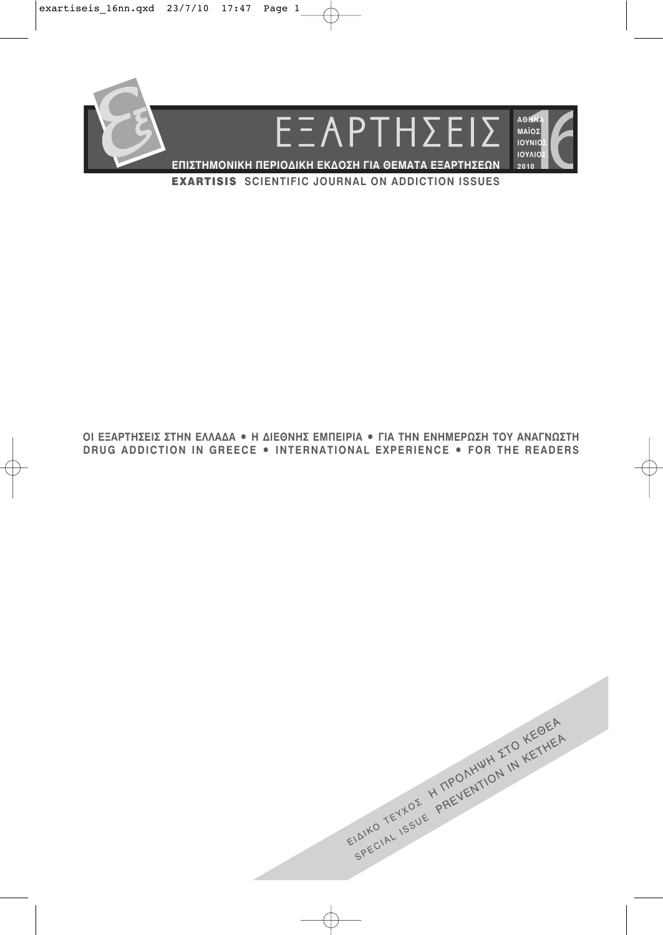

exartiseis\_16nn.qxd 23/7/10 17:47 Page 1

ΟΙ ΕΞΑΡΤΗΣΕΙΣ ΣΤΗΝ ΕΛΛΑΔΑ • Η ΔΙΕΘΝΗΣ ΕΜΠΕΙΡΙΑ • ΓΙΑ ΤΗΝ ΕΝΗΜΕΡΩΣΗ ΤΟΥ ΑΝΑΓΝΩΣΤΗ DRUG ADDICTION IN GREECE . INTERNATIONAL EXPERIENCE . FOR THE READERS

EIAIKO TEYXOZ H MPONHWH ZTO KEOEA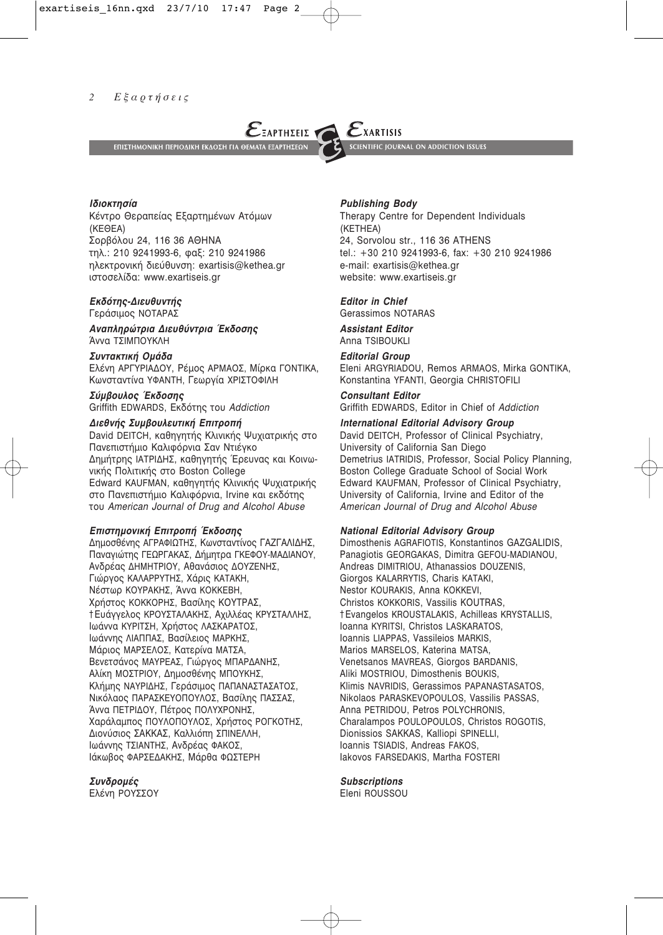

**XARTISIS** NTIFIC JOURNAL ON ADDICTION ISSUES

#### *Ιδιοκτησία*

Κέντρο Θεραπείας Εξαρτημένων Ατόμων (∫∂£∂∞) Σορβόλου 24, 116 36 ΑΘΗΝΑ τηλ.: 210 9241993-6, φαξ: 210 9241986 ηλεκτρονική διεύθυνση: exartisis@kethea.gr ιστοσελίδα: www.exartiseis.gr

#### *<i>Eκδότης-Διευθυντής*

Γεράσιμος ΝΟΤΑΡΑΣ

 $A$ ναπληρώτρια Διευθύντρια Έκδοσης Άννα ΤΣΙΜΠΟΥΚΛΗ

#### Συντακτική Ομάδα

Ελένη ΑΡΓΥΡΙΑΔΟΥ, Ρέμος ΑΡΜΑΟΣ, Μίρκα ΓΟΝΤΙΚΑ, Κωνσταντίνα ΥΦΑΝΤΗ, Γεωργία ΧΡΙΣΤΟΦΙΛΗ

 $\Sigma$ ύμβουλος Έκδοσης Griffith EDWARDS, Εκδότης του Addiction

## $Διεθνής Συμβουλευτική Επιτροπή$

David DEITCH, καθηγητής Κλινικής Ψυχιατρικής στο Πανεπιστήμιο Καλιφόρνια Σαν Ντιέγκο Δημήτρης ΙΑΤΡΙΔΗΣ, καθηγητής Έρευνας και Κοινωνικής Πολιτικής στο Boston College Edward KAUFMAN, καθηγητής Κλινικής Ψυχιατρικής στο Πανεπιστήμιο Καλιφόρνια, Irvine και εκδότης ÙÔ˘ *∞merican Journal of Drug and Alcohol Abuse*

#### *<i><del>Ēπιστημονική Επιτροπή Έκδοσης</del>*

Δημοσθένης ΑΓΡΑΦΙΩΤΗΣ, Κωνσταντίνος ΓΑΖΓΑΛΙΔΗΣ, Παναγιώτης ΓΕΩΡΓΑΚΑΣ, Δήμητρα ΓΚΕΦΟΥ-ΜΑΔΙΑΝΟΥ, Ανδρέας ΔΗΜΗΤΡΙΟΥ, Αθανάσιος ΔΟΥΖΕΝΗΣ, Γιώργος ΚΑΛΑΡΡΥΤΗΣ, Χάρις ΚΑΤΑΚΗ, Νέστωρ ΚΟΥΡΑΚΗΣ, Άννα ΚΟΚΚΕΒΗ, Χρήστος ΚΟΚΚΟΡΗΣ, Βασίλης ΚΟΥΤΡΑΣ, †Ευάγγελος ΚΡΟΥΣΤΑΛΑΚΗΣ, Αχιλλέας ΚΡΥΣΤΑΛΛΗΣ, Ιωάννα ΚΥΡΙΤΣΗ, Χρήστος ΛΑΣΚΑΡΑΤΟΣ, Ιωάννης ΛΙΑΠΠΑΣ, Βασίλειος ΜΑΡΚΗΣ, Μάριος ΜΑΡΣΕΛΟΣ, Κατερίνα ΜΑΤΣΑ, Βενετσάνος ΜΑΥΡΕΑΣ, Γιώργος ΜΠΑΡΔΑΝΗΣ, Αλίκη ΜΟΣΤΡΙΟΥ, Δημοσθένης ΜΠΟΥΚΗΣ, Κλήμης ΝΑΥΡΙΔΗΣ, Γεράσιμος ΠΑΠΑΝΑΣΤΑΣΑΤΟΣ, Νικόλαος ΠΑΡΑΣΚΕΥΟΠΟΥΛΟΣ, Βασίλης ΠΑΣΣΑΣ, Άννα ΠΕΤΡΙΔΟΥ, Πέτρος ΠΟΛΥΧΡΟΝΗΣ, Χαράλαμπος ΠΟΥΛΟΠΟΥΛΟΣ, Χρήστος ΡΟΓΚΟΤΗΣ, Διονύσιος ΣΑΚΚΑΣ, Καλλιόπη ΣΠΙΝΕΛΛΗ, Ιωάννης ΤΣΙΑΝΤΗΣ, Ανδρέας ΦΑΚΟΣ, Ιάκωβος ΦΑΡΣΕΔΑΚΗΣ, Μάρθα ΦΩΣΤΕΡΗ

#### Συνδρομές

Ελένη ΡΟΥΣΣΟΥ

## *Publishing Body*

Therapy Centre for Dependent Individuals (KETHEA) 24, Sorvolou str., 116 36 ATHENS tel.: +30 210 9241993-6, fax: +30 210 9241986 e-mail: exartisis@kethea.gr website: www.exartiseis.gr

#### *Editor in Chief*

Gerassimos NOTARAS

*Assistant Editor* Anna TSIBOUKLI

#### *Editorial Group*

Eleni ARGYRIADOU, Remos ARMAOS, Mirka GONTIKA, Konstantina YFANTI, Georgia CHRISTOFILI

*Consultant Editor*  Griffith EDWARDS, Editor in Chief of *Addiction* 

# *International Editorial Advisory Group*

David DEITCH, Professor of Clinical Psychiatry, University of California San Diego Demetrius IATRIDIS, Professor, Social Policy Planning, Boston College Graduate School of Social Work Edward KAUFMAN, Professor of Clinical Psychiatry, University of California, Irvine and Editor of the *∞merican Journal of Drug and Alcohol Abuse*

#### *National Editorial Advisory Group*

Dimosthenis AGRAFIOTIS, Konstantinos GAZGALIDIS, Panagiotis GEORGAKAS, Dimitra GEFOU-MADIANOU, Andreas DIMITRIOU, Athanassios DOUZENIS, Giorgos KALARRYTIS, Charis KATAKI, Nestor KOURAKIS, Anna KOKKEVI, Christos KOKKORIS, Vassilis KOUTRAS, †Evangelos KROUSTALAKIS, Achilleas KRYSTALLIS, Ioanna KYRITSI, Christos LASKARATOS, Ioannis LIAPPAS, Vassileios MARKIS, Marios MARSELOS, Katerina MATSA, Venetsanos MAVREAS, Giorgos BARDANIS, Aliki MOSTRIOU, Dimosthenis BOUKIS, Klimis NAVRIDIS, Gerassimos PAPANASTASATOS, Nikolaos PARASKEVOPOULOS, Vassilis PASSAS, Anna PETRIDOU, Petros POLYCHRONIS, Charalampos POULOPOULOS, Christos ROGOTIS, Dionissios SAKKAS, Kalliopi SPINELLI, Ioannis TSIADIS, Andreas FAKOS, Iakovos FARSEDAKIS, Martha FOSTERI

# *Subscriptions*

Eleni ROUSSOU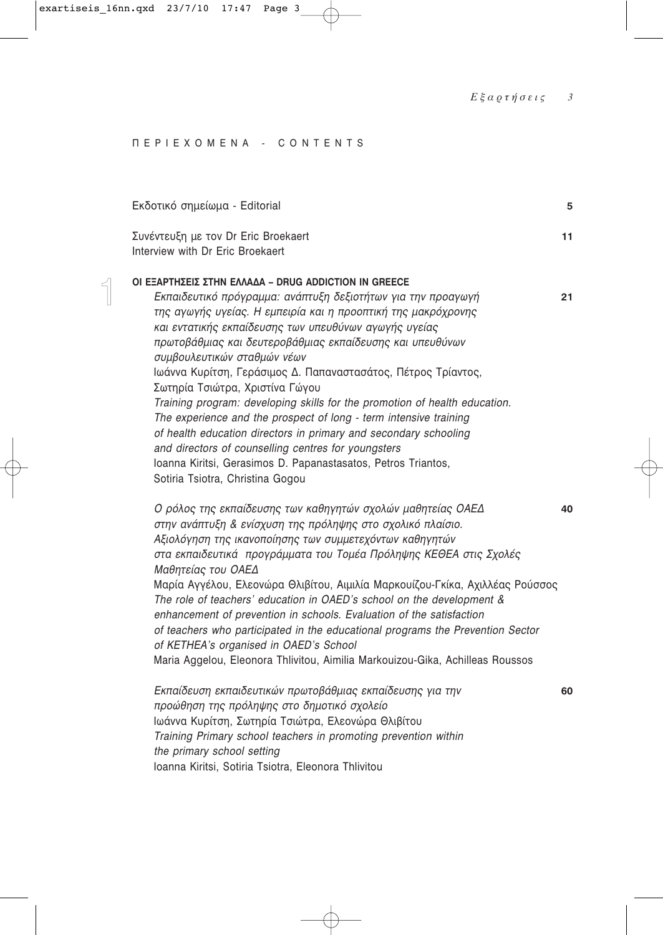# $\vert$ exartiseis\_16nn.qxd 23/7/10 17:47 Page 3

 $\left| \right|$ 

 $=$   $=$ 

# ¶∂ƒπ∂Ã√ª∂¡∞ - CONTENTS

 $\equiv$   $\ldots$   $\equiv$   $\ldots$ 

| Εκδοτικό σημείωμα - Editorial                                                                                                                                                                                                                                                                                                                                                                                                                                                                                                                                                                                                                                                                                                                                                                                                     | 5  |
|-----------------------------------------------------------------------------------------------------------------------------------------------------------------------------------------------------------------------------------------------------------------------------------------------------------------------------------------------------------------------------------------------------------------------------------------------------------------------------------------------------------------------------------------------------------------------------------------------------------------------------------------------------------------------------------------------------------------------------------------------------------------------------------------------------------------------------------|----|
| Συνέντευξη με τον Dr Eric Broekaert<br>Interview with Dr Eric Broekaert                                                                                                                                                                                                                                                                                                                                                                                                                                                                                                                                                                                                                                                                                                                                                           | 11 |
| ΟΙ ΕΞΑΡΤΗΣΕΙΣ ΣΤΗΝ ΕΛΛΑΔΑ - DRUG ADDICTION IN GREECE<br>Εκπαιδευτικό πρόγραμμα: ανάπτυξη δεξιοτήτων για την προαγωγή<br>της αγωγής υγείας. Η εμπειρία και η προοπτική της μακρόχρονης<br>και εντατικής εκπαίδευσης των υπευθύνων αγωγής υγείας<br>πρωτοβάθμιας και δευτεροβάθμιας εκπαίδευσης και υπευθύνων<br>συμβουλευτικών σταθμών νέων<br>Ιωάννα Κυρίτση, Γεράσιμος Δ. Παπαναστασάτος, Πέτρος Τρίαντος,<br>Σωτηρία Τσιώτρα, Χριστίνα Γώγου<br>Training program: developing skills for the promotion of health education.<br>The experience and the prospect of long - term intensive training<br>of health education directors in primary and secondary schooling<br>and directors of counselling centres for youngsters<br>Ioanna Kiritsi, Gerasimos D. Papanastasatos, Petros Triantos,<br>Sotiria Tsiotra, Christina Gogou | 21 |
| Ο ρόλος της εκπαίδευσης των καθηγητών σχολών μαθητείας ΟΑΕΔ<br>στην ανάπτυξη & ενίσχυση της πρόληψης στο σχολικό πλαίσιο.<br>Αξιολόγηση της ικανοποίησης των συμμετεχόντων καθηγητών<br>στα εκπαιδευτικά προγράμματα του Τομέα Πρόληψης ΚΕΘΕΑ στις Σχολές<br>Μαθητείας του ΟΑΕΔ<br>Μαρία Αγγέλου, Ελεονώρα Θλιβίτου, Αιμιλία Μαρκουίζου-Γκίκα, Αχιλλέας Ρούσσος<br>The role of teachers' education in OAED's school on the development &<br>enhancement of prevention in schools. Evaluation of the satisfaction<br>of teachers who participated in the educational programs the Prevention Sector<br>of KETHEA's organised in OAED's School<br>Maria Aggelou, Eleonora Thlivitou, Aimilia Markouizou-Gika, Achilleas Roussos                                                                                                     | 40 |
| Εκπαίδευση εκπαιδευτικών πρωτοβάθμιας εκπαίδευσης για την<br>προώθηση της πρόληψης στο δημοτικό σχολείο<br>Ιωάννα Κυρίτση, Σωτηρία Τσιώτρα, Ελεονώρα Θλιβίτου<br>Training Primary school teachers in promoting prevention within<br>the primary school setting<br>Ioanna Kiritsi, Sotiria Tsiotra, Eleonora Thlivitou                                                                                                                                                                                                                                                                                                                                                                                                                                                                                                             | 60 |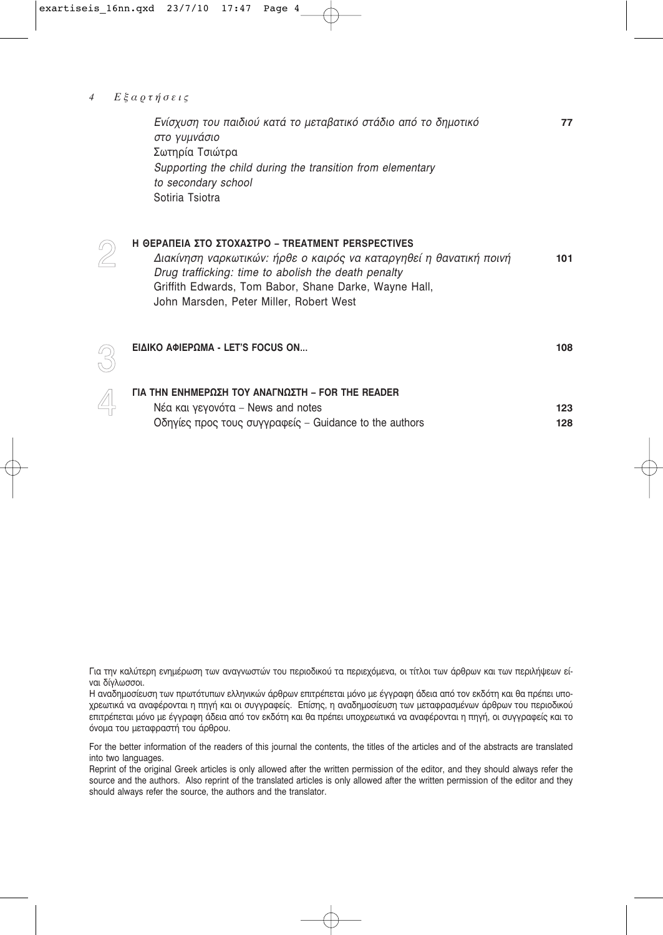ΕΙΔΙΚΟ ΑΦΙΕΡΩΜΑ - LET'S FOCUS ON...

Εξαρτήσεις  $\overline{A}$ 

| Ενίσχυση του παιδιού κατά το μεταβατικό στάδιο από το δημοτικό | 77 |
|----------------------------------------------------------------|----|
| στο γυμνάσιο<br>Σωτηρία Τσιώτρα                                |    |
| Supporting the child during the transition from elementary     |    |
| to secondary school                                            |    |
| Sotiria Tsiotra                                                |    |

# Η ΘΕΡΑΠΕΙΑ ΣΤΟ ΣΤΟΧΑΣΤΡΟ - TREATMENT PERSPECTIVES Διακίνηση ναρκωτικών: ήρθε ο καιρός να καταργηθεί η θανατική ποινή 101 Drug trafficking: time to abolish the death penalty Griffith Edwards, Tom Babor, Shane Darke, Wavne Hall. John Marsden, Peter Miller, Robert West



| ΊΑ ΤΗΝ ΕΝΗΜΕΡΩΣΗ ΤΟΥ ΑΝΑΓΝΩΣΤΗ – FOR THE READER        |     |
|--------------------------------------------------------|-----|
| Νέα και γεγονότα – News and notes                      | 123 |
| Οδηγίες προς τους συγγραφείς – Guidance to the authors | 128 |

108

Για την καλύτερη ενημέρωση των αναγνωστών του περιοδικού τα περιεχόμενα, οι τίτλοι των άρθρων και των περιλήψεων είναι δίγλωσσοι.

Η αναδημοσίευση των πρωτότυπων ελληνικών άρθρων επιτρέπεται μόνο με έγγραφη άδεια από τον εκδότη και θα πρέπει υποχρεωτικά να αναφέρονται η πηγή και οι συγγραφείς. Επίσης, η αναδημοσίευση των μεταφρασμένων άρθρων του περιοδικού επιτρέπεται μόνο με έγγραφη άδεια από τον εκδότη και θα πρέπει υποχρεωτικά να αναφέρονται η πηγή, οι συγγραφείς και το όνομα του μεταφραστή του άρθρου.

For the better information of the readers of this journal the contents, the titles of the articles and of the abstracts are translated into two languages.

Reprint of the original Greek articles is only allowed after the written permission of the editor, and they should always refer the source and the authors. Also reprint of the translated articles is only allowed after the written permission of the editor and they should always refer the source, the authors and the translator.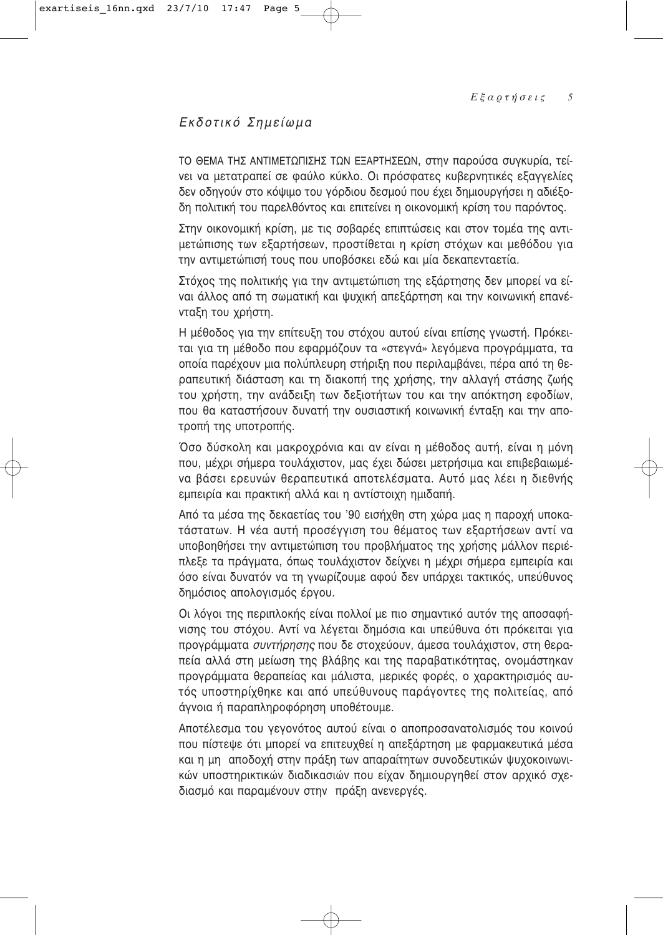# Εκδοτικό Σημείωμα

ΤΟ ΘΕΜΑ ΤΗΣ ΑΝΤΙΜΕΤΩΠΙΣΗΣ ΤΩΝ ΕΞΑΡΤΗΣΕΩΝ, στην παρούσα συνκυρία, τείνει να μετατραπεί σε φαύλο κύκλο. Οι πρόσφατες κυβερνητικές εξαγγελίες δεν οδηγούν στο κόψιμο του γόρδιου δεσμού που έχει δημιουργήσει η αδιέξοδη πολιτική του παρελθόντος και επιτείνει η οικονομική κρίση του παρόντος.

Στην οικονομική κρίση, με τις σοβαρές επιπτώσεις και στον τομέα της αντιμετώπισης των εξαρτήσεων, προστίθεται η κρίση στόχων και μεθόδου για την αντιμετώπισή τους που υποβόσκει εδώ και μία δεκαπενταετία.

Στόχος της πολιτικής για την αντιμετώπιση της εξάρτησης δεν μπορεί να είναι άλλος από τη σωματική και ψυχική απεξάρτηση και την κοινωνική επανένταξη του χρήστη.

Η μέθοδος για την επίτευξη του στόχου αυτού είναι επίσης γνωστή. Πρόκειται για τη μέθοδο που εφαρμόζουν τα «στεγνά» λεγόμενα προγράμματα, τα οποία παρέχουν μια πολύπλευρη στήριξη που περιλαμβάνει, πέρα από τη θεραπευτική διάσταση και τη διακοπή της χρήσης, την αλλαγή στάσης ζωής του χρήστη, την ανάδειξη των δεξιοτήτων του και την απόκτηση εφοδίων, που θα καταστήσουν δυνατή την ουσιαστική κοινωνική ένταξη και την αποτροπή της υποτροπής.

Όσο δύσκολη και μακροχρόνια και αν είναι η μέθοδος αυτή, είναι η μόνη που, μέχρι σήμερα τουλάχιστον, μας έχει δώσει μετρήσιμα και επιβεβαιωμένα βάσει ερευνών θεραπευτικά αποτελέσματα. Αυτό μας λέει η διεθνής εμπειρία και πρακτική αλλά και η αντίστοιχη ημιδαπή.

Από τα μέσα της δεκαετίας του '90 εισήχθη στη χώρα μας η παροχή υποκατάστατων. Η νέα αυτή προσέγγιση του θέματος των εξαρτήσεων αντί να υποβοηθήσει την αντιμετώπιση του προβλήματος της χρήσης μάλλον περιέπλεξε τα πράγματα, όπως τουλάχιστον δείχνει η μέχρι σήμερα εμπειρία και όσο είναι δυνατόν να τη γνωρίζουμε αφού δεν υπάρχει τακτικός, υπεύθυνος δημόσιος απολογισμός έργου.

Οι λόγοι της περιπλοκής είναι πολλοί με πιο σημαντικό αυτόν της αποσαφήνισης του στόχου. Αντί να λέγεται δημόσια και υπεύθυνα ότι πρόκειται για προγράμματα συντήρησης που δε στοχεύουν, άμεσα τουλάχιστον, στη θεραπεία αλλά στη μείωση της βλάβης και της παραβατικότητας, ονομάστηκαν προγράμματα θεραπείας και μάλιστα, μερικές φορές, ο χαρακτηρισμός αυτός υποστηρίχθηκε και από υπεύθυνους παράγοντες της πολιτείας, από άγνοια ή παραπληροφόρηση υποθέτουμε.

Αποτέλεσμα του γεγονότος αυτού είναι ο αποπροσανατολισμός του κοινού που πίστεψε ότι μπορεί να επιτευχθεί η απεξάρτηση με φαρμακευτικά μέσα και η μη αποδοχή στην πράξη των απαραίτητων συνοδευτικών ψυχοκοινωνικών υποστηρικτικών διαδικασιών που είχαν δημιουργηθεί στον αρχικό σχεδιασμό και παραμένουν στην πράξη ανενεργές.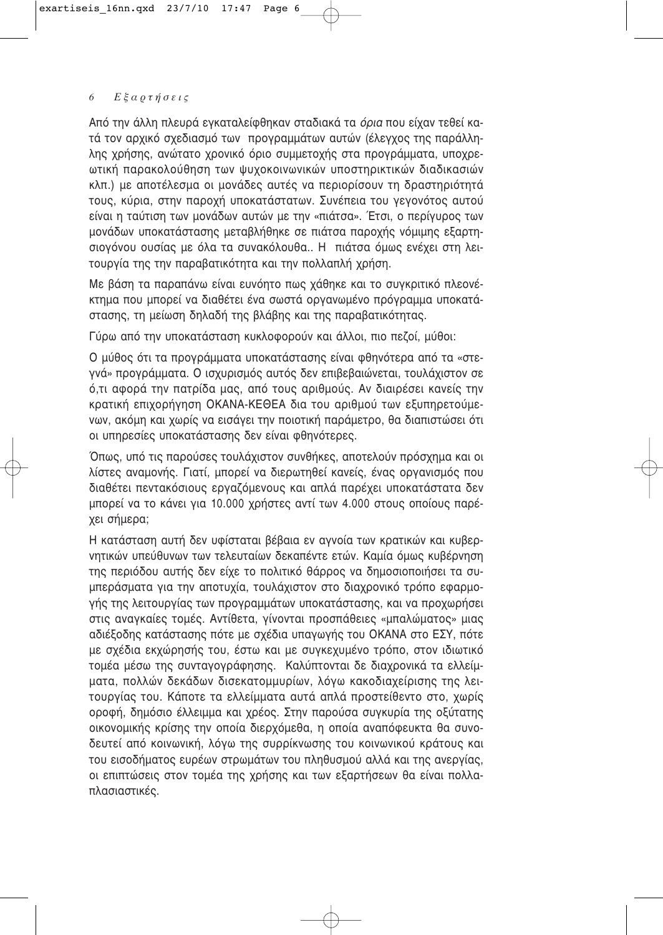Από την άλλη πλευρά εγκαταλείφθηκαν σταδιακά τα *όρια* που είχαν τεθεί κατά τον αρχικό σχεδιασμό των προγραμμάτων αυτών (έλεγχος της παράλληλης χρήσης, ανώτατο χρονικό όριο συμμετοχής στα προγράμματα, υποχρεωτική παρακολούθηση των ψυχοκοινωνικών υποστηρικτικών διαδικασιών κλπ.) με αποτέλεσμα οι μονάδες αυτές να περιορίσουν τη δραστηριότητά τους, κύρια, στην παροχή υποκατάστατων. Συνέπεια του γεγονότος αυτού είναι η ταύτιση των μονάδων αυτών με την «πιάτσα». Έτσι, ο περίγυρος των μονάδων υποκατάστασης μεταβλήθηκε σε πιάτσα παροχής νόμιμης εξαρτησιογόνου ουσίας με όλα τα συνακόλουθα.. Η πιάτσα όμως ενέχει στη λειτουργία της την παραβατικότητα και την πολλαπλή χρήση.

Με βάση τα παραπάνω είναι ευνόητο πως χάθηκε και το συγκριτικό πλεονέκτημα που μπορεί να διαθέτει ένα σωστά οργανωμένο πρόγραμμα υποκατάστασης, τη μείωση δηλαδή της βλάβης και της παραβατικότητας.

Γύρω από την υποκατάσταση κυκλοφορούν και άλλοι, πιο πεζοί, μύθοι:

Ο μύθος ότι τα προγράμματα υποκατάστασης είναι φθηνότερα από τα «στεγνά» προγράμματα. Ο ισχυρισμός αυτός δεν επιβεβαιώνεται, τουλάχιστον σε ό,τι αφορά την πατρίδα μας, από τους αριθμούς. Αν διαιρέσει κανείς την κρατική επιχορήγηση ΟΚΑΝΑ-ΚΕΘΕΑ δια του αριθμού των εξυπηρετούμενων, ακόμη και χωρίς να εισάγει την ποιοτική παράμετρο, θα διαπιστώσει ότι οι υπηρεσίες υποκατάστασης δεν είναι φθηνότερες.

Όπως, υπό τις παρούσες τουλάχιστον συνθήκες, αποτελούν πρόσχημα και οι λίστες αναμονής. Γιατί, μπορεί να διερωτηθεί κανείς, ένας οργανισμός που διαθέτει πεντακόσιους εργαζόμενους και απλά παρέχει υποκατάστατα δεν μπορεί να το κάνει για 10.000 χρήστες αντί των 4.000 στους οποίους παρέχει σήμερα;

Η κατάσταση αυτή δεν υφίσταται βέβαια εν αγνοία των κρατικών και κυβερνητικών υπεύθυνων των τελευταίων δεκαπέντε ετών. Καμία όμως κυβέρνηση της περιόδου αυτής δεν είχε το πολιτικό θάρρος να δημοσιοποιήσει τα συμπεράσματα για την αποτυχία, τουλάχιστον στο διαχρονικό τρόπο εφαρμογής της λειτουργίας των προγραμμάτων υποκατάστασης, και να προχωρήσει στις αναγκαίες τομές. Αντίθετα, γίνονται προσπάθειες «μπαλώματος» μιας αδιέξοδης κατάστασης πότε με σχέδια υπαγωγής του ΟΚΑΝΑ στο ΕΣΥ, πότε με σχέδια εκχώρησής του, έστω και με συγκεχυμένο τρόπο, στον ιδιωτικό τομέα μέσω της συνταγογράφησης. Καλύπτονται δε διαχρονικά τα ελλείμματα, πολλών δεκάδων δισεκατομμυρίων, λόγω κακοδιαχείρισης της λειτουργίας του. Κάποτε τα ελλείμματα αυτά απλά προστείθεντο στο, χωρίς οροφή, δημόσιο έλλειμμα και χρέος. Στην παρούσα συγκυρία της οξύτατης οικονομικής κρίσης την οποία διερχόμεθα, η οποία αναπόφευκτα θα συνοδευτεί από κοινωνική, λόγω της συρρίκνωσης του κοινωνικού κράτους και του εισοδήματος ευρέων στρωμάτων του πληθυσμού αλλά και της ανεργίας, οι επιπτώσεις στον τομέα της χρήσης και των εξαρτήσεων θα είναι πολλαπλασιαστικές.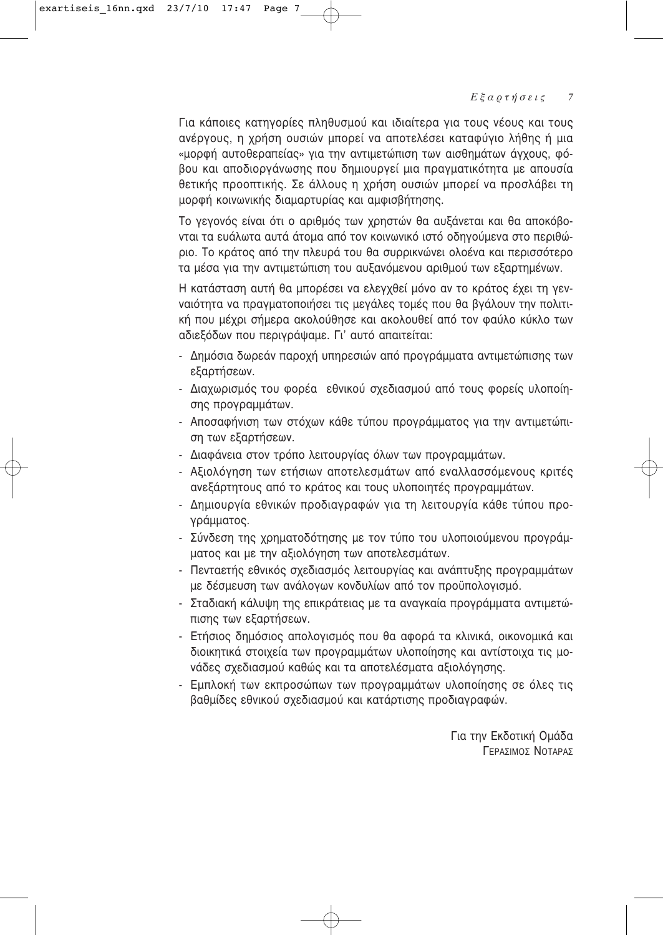Για κάποιες κατηγορίες πληθυσμού και ιδιαίτερα για τους νέους και τους ανέργους, η χρήση ουσιών μπορεί να αποτελέσει καταφύγιο λήθης ή μια «μορφή αυτοθεραπείας» για την αντιμετώπιση των αισθημάτων άγχους, φόβου και αποδιοργάνωσης που δημιουργεί μια πραγματικότητα με απουσία θετικής προοπτικής. Σε άλλους η χρήση ουσιών μπορεί να προσλάβει τη μορφή κοινωνικής διαμαρτυρίας και αμφισβήτησης.

Το γεγονός είναι ότι ο αριθμός των χρηστών θα αυξάνεται και θα αποκόβονται τα ευάλωτα αυτά άτομα από τον κοινωνικό ιστό οδηγούμενα στο περιθώριο. Το κράτος από την πλευρά του θα συρρικνώνει ολοένα και περισσότερο τα μέσα για την αντιμετώπιση του αυξανόμενου αριθμού των εξαρτημένων.

Η κατάσταση αυτή θα μπορέσει να ελεγχθεί μόνο αν το κράτος έχει τη γενναιότητα να πραγματοποιήσει τις μεγάλες τομές που θα βγάλουν την πολιτική που μέχρι σήμερα ακολούθησε και ακολουθεί από τον φαύλο κύκλο των αδιεξόδων που περιγράψαμε. Γι' αυτό απαιτείται:

- Δημόσια δωρεάν παροχή υπηρεσιών από προγράμματα αντιμετώπισης των εξαρτήσεων.
- Διαχωρισμός του φορέα εθνικού σχεδιασμού από τους φορείς υλοποίησης προγραμμάτων.
- Αποσαφήνιση των στόχων κάθε τύπου προγράμματος για την αντιμετώπιση των εξαρτήσεων.
- Διαφάνεια στον τρόπο λειτουργίας όλων των προγραμμάτων.
- Αξιολόγηση των ετήσιων αποτελεσμάτων από εναλλασσόμενους κριτές ανεξάρτητους από το κράτος και τους υλοποιητές προγραμμάτων.
- Δημιουργία εθνικών προδιαγραφών για τη λειτουργία κάθε τύπου προγράμματος.
- Σύνδεση της χρηματοδότησης με τον τύπο του υλοποιούμενου προγράμματος και με την αξιολόγηση των αποτελεσμάτων.
- Πενταετής εθνικός σχεδιασμός λειτουργίας και ανάπτυξης προγραμμάτων με δέσμευση των ανάλογων κονδυλίων από τον προϋπολογισμό.
- Σταδιακή κάλυψη της επικράτειας με τα αναγκαία προγράμματα αντιμετώπισης των εξαρτήσεων.
- Ετήσιος δημόσιος απολογισμός που θα αφορά τα κλινικά, οικονομικά και διοικητικά στοιχεία των προγραμμάτων υλοποίησης και αντίστοιχα τις μονάδες σχεδιασμού καθώς και τα αποτελέσματα αξιολόγησης.
- Εμπλοκή των εκπροσώπων των προγραμμάτων υλοποίησης σε όλες τις βαθμίδες εθνικού σχεδιασμού και κατάρτισης προδιαγραφών.

Για την Εκδοτική Ομάδα ΓΕΡΑΣΙΜΟΣ ΝΟΤΑΡΑΣ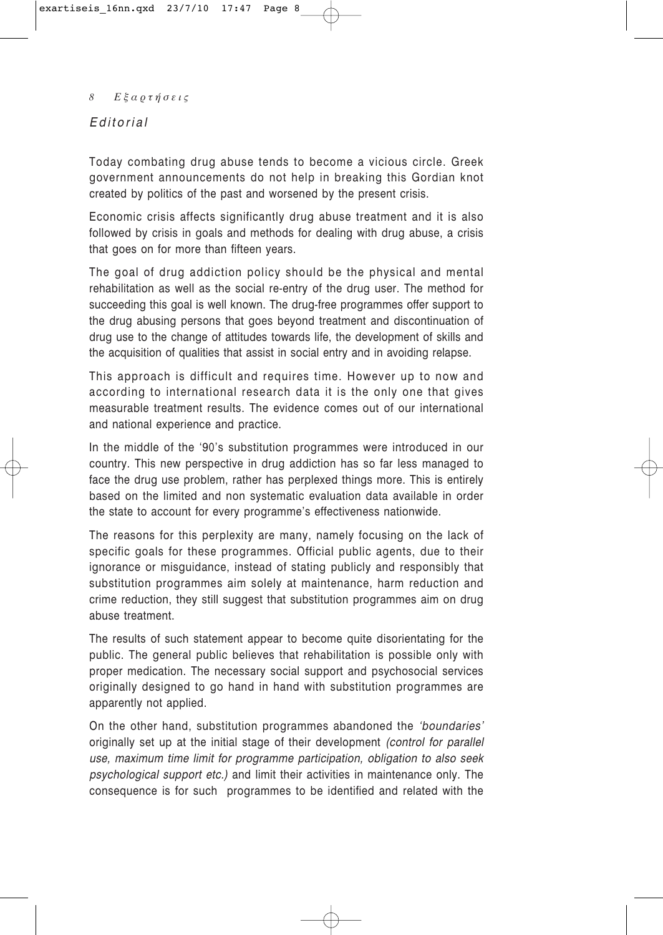# *Editorial*

Today combating drug abuse tends to become a vicious circle. Greek government announcements do not help in breaking this Gordian knot created by politics of the past and worsened by the present crisis.

Economic crisis affects significantly drug abuse treatment and it is also followed by crisis in goals and methods for dealing with drug abuse, a crisis that goes on for more than fifteen years.

The goal of drug addiction policy should be the physical and mental rehabilitation as well as the social re-entry of the drug user. The method for succeeding this goal is well known. The drug-free programmes offer support to the drug abusing persons that goes beyond treatment and discontinuation of drug use to the change of attitudes towards life, the development of skills and the acquisition of qualities that assist in social entry and in avoiding relapse.

This approach is difficult and requires time. However up to now and according to international research data it is the only one that gives measurable treatment results. The evidence comes out of our international and national experience and practice.

In the middle of the '90's substitution programmes were introduced in our country. This new perspective in drug addiction has so far less managed to face the drug use problem, rather has perplexed things more. This is entirely based on the limited and non systematic evaluation data available in order the state to account for every programme's effectiveness nationwide.

The reasons for this perplexity are many, namely focusing on the lack of specific goals for these programmes. Official public agents, due to their ignorance or misguidance, instead of stating publicly and responsibly that substitution programmes aim solely at maintenance, harm reduction and crime reduction, they still suggest that substitution programmes aim on drug abuse treatment.

The results of such statement appear to become quite disorientating for the public. The general public believes that rehabilitation is possible only with proper medication. The necessary social support and psychosocial services originally designed to go hand in hand with substitution programmes are apparently not applied.

On the other hand, substitution programmes abandoned the *'boundaries'* originally set up at the initial stage of their development *(control for parallel use, maximum time limit for programme participation, obligation to also seek psychological support etc.)* and limit their activities in maintenance only. The consequence is for such programmes to be identified and related with the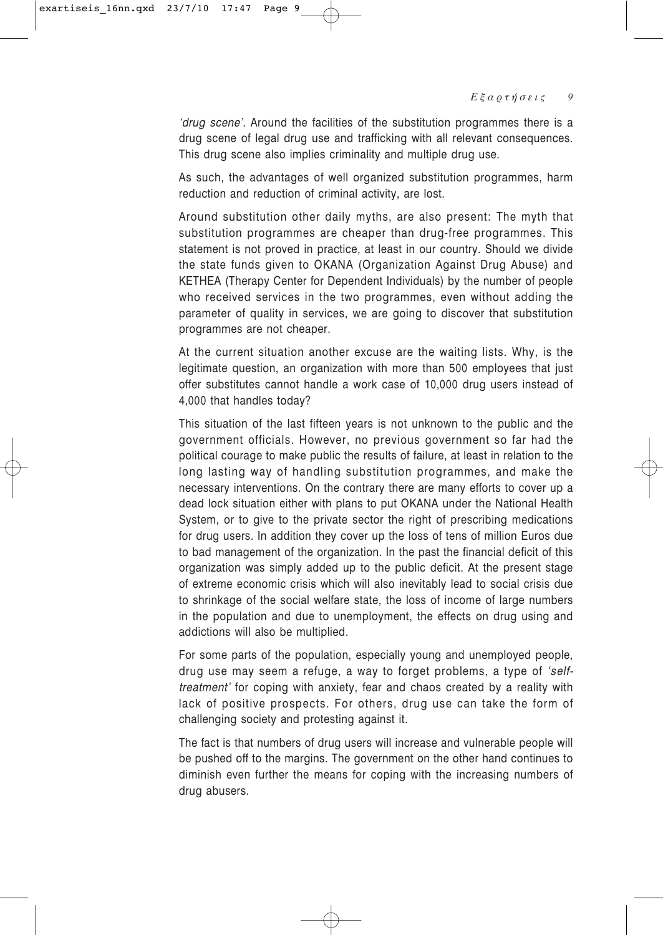*'drug scene'*. Around the facilities of the substitution programmes there is a drug scene of legal drug use and trafficking with all relevant consequences. This drug scene also implies criminality and multiple drug use.

As such, the advantages of well organized substitution programmes, harm reduction and reduction of criminal activity, are lost.

Around substitution other daily myths, are also present: The myth that substitution programmes are cheaper than drug-free programmes. This statement is not proved in practice, at least in our country. Should we divide the state funds given to OKANA (Organization Against Drug Abuse) and KETHEA (Therapy Center for Dependent Individuals) by the number of people who received services in the two programmes, even without adding the parameter of quality in services, we are going to discover that substitution programmes are not cheaper.

At the current situation another excuse are the waiting lists. Why, is the legitimate question, an organization with more than 500 employees that just offer substitutes cannot handle a work case of 10,000 drug users instead of 4,000 that handles today?

This situation of the last fifteen years is not unknown to the public and the government officials. However, no previous government so far had the political courage to make public the results of failure, at least in relation to the long lasting way of handling substitution programmes, and make the necessary interventions. On the contrary there are many efforts to cover up a dead lock situation either with plans to put OKANA under the National Health System, or to give to the private sector the right of prescribing medications for drug users. In addition they cover up the loss of tens of million Euros due to bad management of the organization. In the past the financial deficit of this organization was simply added up to the public deficit. At the present stage of extreme economic crisis which will also inevitably lead to social crisis due to shrinkage of the social welfare state, the loss of income of large numbers in the population and due to unemployment, the effects on drug using and addictions will also be multiplied.

For some parts of the population, especially young and unemployed people, drug use may seem a refuge, a way to forget problems, a type of *'selftreatment'* for coping with anxiety, fear and chaos created by a reality with lack of positive prospects. For others, drug use can take the form of challenging society and protesting against it.

The fact is that numbers of drug users will increase and vulnerable people will be pushed off to the margins. The government on the other hand continues to diminish even further the means for coping with the increasing numbers of drug abusers.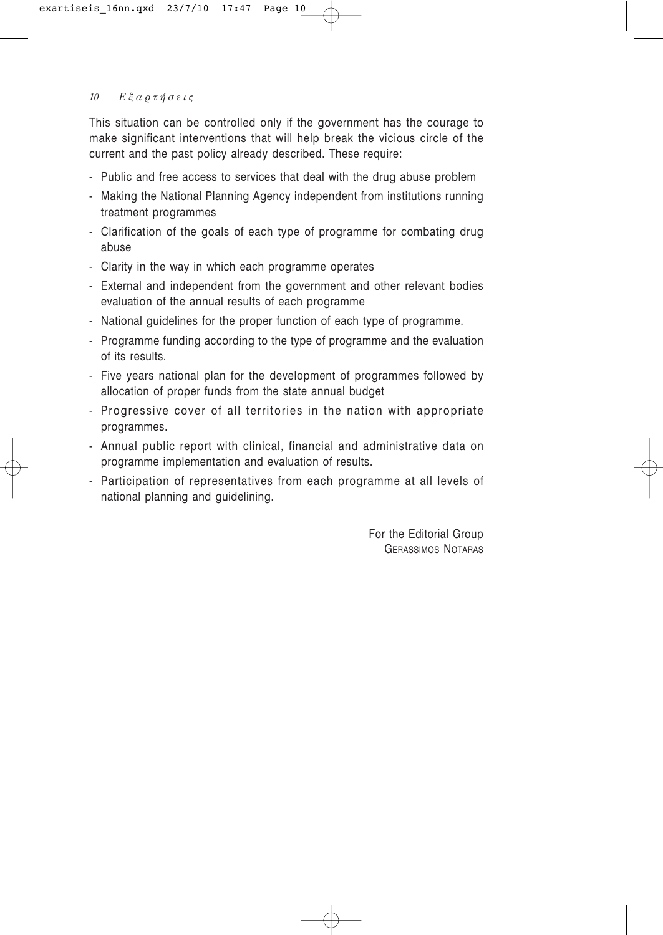This situation can be controlled only if the government has the courage to make significant interventions that will help break the vicious circle of the current and the past policy already described. These require:

- Public and free access to services that deal with the drug abuse problem
- Making the National Planning Agency independent from institutions running treatment programmes
- Clarification of the goals of each type of programme for combating drug abuse
- Clarity in the way in which each programme operates
- External and independent from the government and other relevant bodies evaluation of the annual results of each programme
- National guidelines for the proper function of each type of programme.
- Programme funding according to the type of programme and the evaluation of its results.
- Five years national plan for the development of programmes followed by allocation of proper funds from the state annual budget
- Progressive cover of all territories in the nation with appropriate programmes.
- Annual public report with clinical, financial and administrative data on programme implementation and evaluation of results.
- Participation of representatives from each programme at all levels of national planning and guidelining.

For the Editorial Group **GERASSIMOS NOTARAS**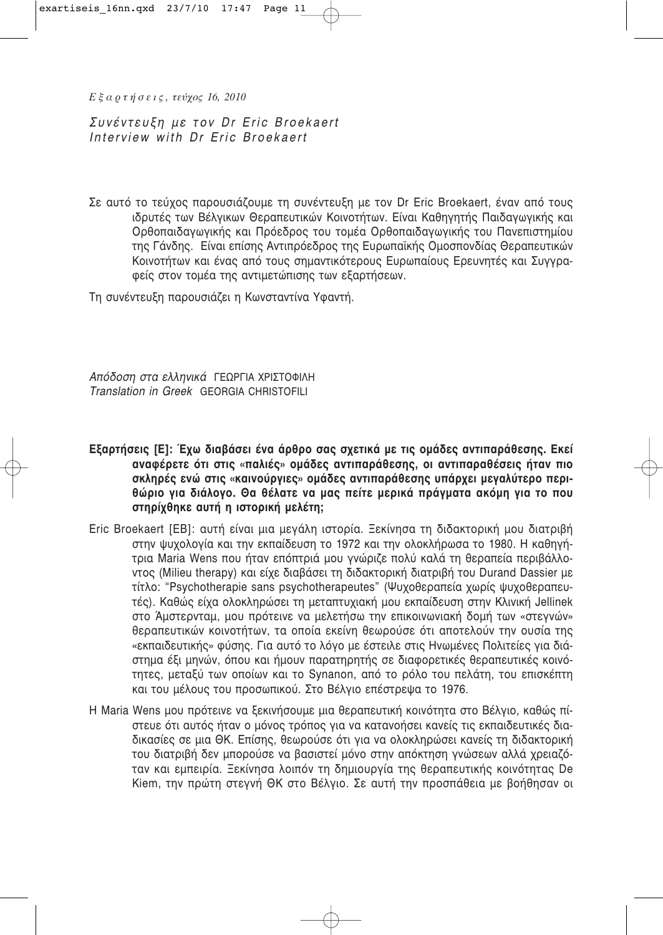Εξαρτήσεις, τεύγος 16, 2010

Συνέντευξη με τον Dr Eric Broekaert Interview with Dr Eric Broekaert

Σε αυτό το τεύχος παρουσιάζουμε τη συνέντευξη με τον Dr Eric Broekaert, έναν από τους ιδρυτές των Βέλγικων Θεραπευτικών Κοινοτήτων. Είναι Καθηγητής Παιδαγωγικής και Ορθοπαιδαγωγικής και Πρόεδρος του τομέα Ορθοπαιδαγωγικής του Πανεπιστημίου της Γάνδης. Είναι επίσης Αντιπρόεδρος της Ευρωπαϊκής Ομοσπονδίας Θεραπευτικών Κοινοτήτων και ένας από τους σημαντικότερους Ευρωπαίους Ερευνητές και Συγγραφείς στον τομέα της αντιμετώπισης των εξαρτήσεων.

Τη συνέντευξη παρουσιάζει η Κωνσταντίνα Υφαντή.

Απόδοση στα ελληνικά ΓΕΩΡΓΙΑ ΧΡΙΣΤΟΦΙΛΗ Translation in Greek GEORGIA CHRISTOFILI

- Εξαρτήσεις [Ε]: Έχω διαβάσει ένα άρθρο σας σχετικά με τις ομάδες αντιπαράθεσης. Εκεί αναφέρετε ότι στις «παλιές» ομάδες αντιπαράθεσης, οι αντιπαραθέσεις ήταν πιο σκληρές ενώ στις «καινούργιες» ομάδες αντιπαράθεσης υπάρχει μεγαλύτερο περιθώριο για διάλογο. Θα θέλατε να μας πείτε μερικά πράγματα ακόμη για το που στηρίχθηκε αυτή η ιστορική μελέτη;
- Eric Broekaert [EB]: αυτή είναι μια μεγάλη ιστορία. Ξεκίνησα τη διδακτορική μου διατριβή στην ψυχολογία και την εκπαίδευση το 1972 και την ολοκλήρωσα το 1980. Η καθηγήτρια Maria Wens που ήταν επόπτριά μου γνώριζε πολύ καλά τη θεραπεία περιβάλλοντος (Milieu therapy) και είχε διαβάσει τη διδακτορική διατριβή του Durand Dassier με τίτλο: "Psychotherapie sans psychotherapeutes" (Ψυχοθεραπεία χωρίς ψυχοθεραπευτές). Καθώς είχα ολοκληρώσει τη μεταπτυχιακή μου εκπαίδευση στην Κλινική Jellinek στο Άμστερνταμ, μου πρότεινε να μελετήσω την επικοινωνιακή δομή των «στεγνών» θεραπευτικών κοινοτήτων, τα οποία εκείνη θεωρούσε ότι αποτελούν την ουσία της «εκπαιδευτικής» φύσης. Για αυτό το λόγο με έστειλε στις Ηνωμένες Πολιτείες για διάστημα έξι μηνών, όπου και ήμουν παρατηρητής σε διαφορετικές θεραπευτικές κοινότητες, μεταξύ των οποίων και το Synanon, από το ρόλο του πελάτη, του επισκέπτη και του μέλους του προσωπικού. Στο Βέλγιο επέστρεψα το 1976.
- H Maria Wens μου πρότεινε να ξεκινήσουμε μια θεραπευτική κοινότητα στο Βέλγιο, καθώς πίστευε ότι αυτός ήταν ο μόνος τρόπος για να κατανοήσει κανείς τις εκπαιδευτικές διαδικασίες σε μια ΘΚ. Επίσης, θεωρούσε ότι για να ολοκληρώσει κανείς τη διδακτορική του διατριβή δεν μπορούσε να βασιστεί μόνο στην απόκτηση γνώσεων αλλά χρειαζόταν και εμπειρία. Ξεκίνησα λοιπόν τη δημιουργία της θεραπευτικής κοινότητας De Kiem, την πρώτη στεγνή ΘΚ στο Βέλγιο. Σε αυτή την προσπάθεια με βοήθησαν οι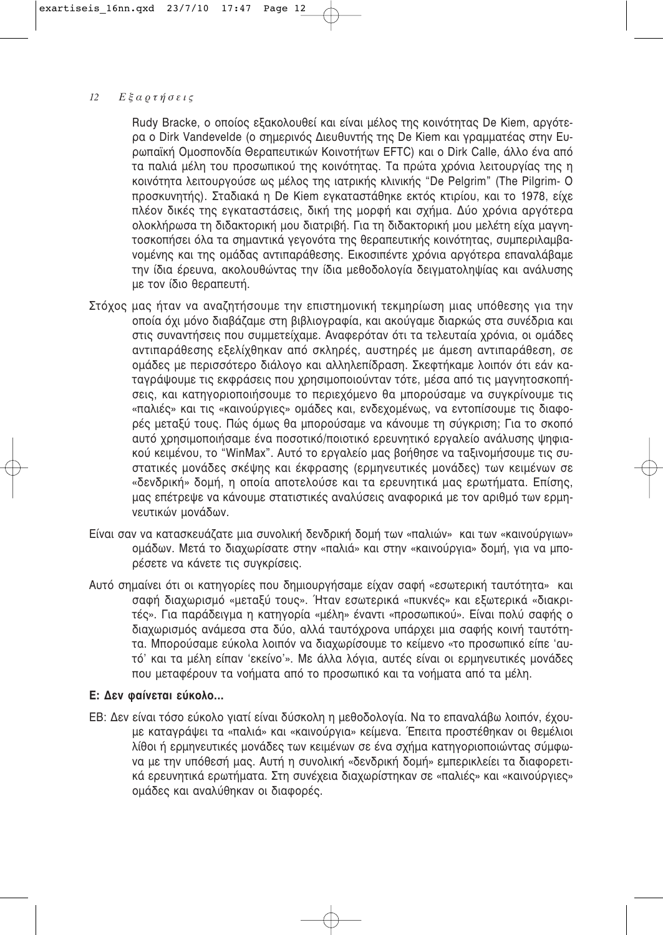Rudy Bracke, ο οποίος εξακολουθεί και είναι μέλος της κοινότητας De Kiem, αργότερα ο Dirk Vandevelde (ο σημερινός Διευθυντής της De Kiem και γραμματέας στην Eυρωπαϊκή Ομοσπονδία Θεραπευτικών Κοινοτήτων ΕFTC) και ο Dirk Calle, άλλο ένα από τα παλιά μέλη του προσωπικού της κοινότητας. Τα πρώτα χρόνια λειτουργίας της η κοινότητα λειτουργούσε ως μέλος της ιατρικής κλινικής "De Pelgrim" (The Pilgrim- O προσκυνητής). Σταδιακά η De Kiem εγκαταστάθηκε εκτός κτιρίου, και το 1978, είχε πλέον δικές της εγκαταστάσεις, δική της μορφή και σχήμα. Δύο χρόνια αργότερα ολοκλήρωσα τη διδακτορική μου διατριβή. Για τη διδακτορική μου μελέτη είχα μαγνητοσκοπήσει όλα τα σημαντικά γεγονότα της θεραπευτικής κοινότητας, συμπεριλαμβανομένης και της ομάδας αντιπαράθεσης. Εικοσιπέντε χρόνια αρνότερα επαναλάβαμε την ίδια έρευνα, ακολουθώντας την ίδια μεθοδολογία δειγματοληψίας και ανάλυσης με τον ίδιο θεραπευτή.

- Στόχος μας ήταν να αναζητήσουμε την επιστημονική τεκμηρίωση μιας υπόθεσης για την οποία όχι μόνο διαβάζαμε στη βιβλιονραφία, και ακούναμε διαρκώς στα συνέδρια και στις συναντήσεις που συμμετείχαμε. Αναφερόταν ότι τα τελευταία χρόνια, οι ομάδες αντιπαράθεσης εξελίχθηκαν από σκληρές, αυστηρές με άμεση αντιπαράθεση, σε ομάδες με περισσότερο διάλογο και αλληλεπίδραση. Σκεφτήκαμε λοιπόν ότι εάν κατανράψουμε τις εκφράσεις που χρησιμοποιούνταν τότε, μέσα από τις μαννητοσκοπήσεις, και κατηγοριοποιήσουμε το περιεχόμενο θα μπορούσαμε να συγκρίνουμε τις «παλιές» και τις «καινούργιες» ομάδες και, ενδεχομένως, να εντοπίσουμε τις διαφορές μεταξύ τους. Πώς όμως θα μπορούσαμε να κάνουμε τη σύγκριση; Για το σκοπό αυτό χρησιμοποιήσαμε ένα ποσοτικό/ποιοτικό ερευνητικό εργαλείο ανάλυσης ψηφιακού κειμένου, το "WinMax". Αυτό το εργαλείο μας βοήθησε να ταξινομήσουμε τις συστατικές μονάδες σκέψης και έκφρασης (ερμηνευτικές μονάδες) των κειμένων σε «δενδρική» δομή, η οποία αποτελούσε και τα ερευνητικά μας ερωτήματα. Επίσης, μας επέτρεψε να κάνουμε στατιστικές αναλύσεις αναφορικά με τον αριθμό των ερμηνευτικών μονάδων.
- Είναι σαν να κατασκευάζατε μια συνολική δενδρική δομή των «παλιών» και των «καινούργιων» ομάδων. Μετά το διαχωρίσατε στην «παλιά» και στην «καινούργια» δομή, για να μπορέσετε να κάνετε τις συγκρίσεις.
- Aυτό σημαίνει ότι οι κατηγορίες που δημιουργήσαμε είχαν σαφή «εσωτερική ταυτότητα» και σαφή διαχωρισμό «μεταξύ τους». Ήταν εσωτερικά «πυκνές» και εξωτερικά «διακριτές». Για παράδειγμα η κατηγορία «μέλη» έναντι «προσωπικού». Είναι πολύ σαφής ο διαχωρισμός ανάμεσα στα δύο, αλλά ταυτόχρονα υπάρχει μια σαφής κοινή ταυτότητα. Μπορούσαμε εύκολα λοιπόν να διαχωρίσουμε το κείμενο «το προσωπικό είπε 'αυτό' και τα μέλη είπαν 'εκείνο'». Με άλλα λόγια, αυτές είναι οι ερμηνευτικές μονάδες που μεταφέρουν τα νοήματα από το προσωπικό και τα νοήματα από τα μέλη.

# **Ε: Δεν φαίνεται εύκολο...**

EB: Δεν είναι τόσο εύκολο γιατί είναι δύσκολη η μεθοδολογία. Να το επαναλάβω λοιπόν, έχουιμε κατανράψει τα «παλιά» και «καινούρνια» κείμενα. Έπειτα προστέθηκαν οι θεμέλιοι λίθοι ή ερμηνευτικές μονάδες των κειμένων σε ένα σχήμα κατηγοριοποιώντας σύμφωvα με την υπόθεσή μας. Αυτή η συνολική «δενδρική δομή» εμπερικλείει τα διαφορετικά ερευνητικά ερωτήματα. Στη συνέχεια διαχωρίστηκαν σε «παλιές» και «καινούργιες» ομάδες και αναλύθηκαν οι διαφορές.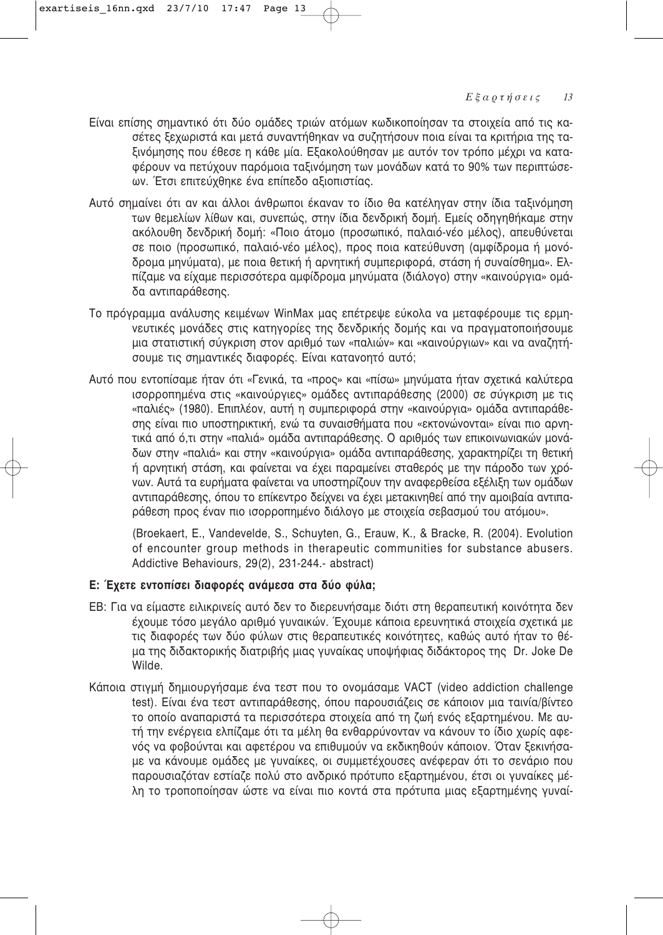exartiseis  $16nn.qxd$   $23/7/10$   $17:47$  Page

- Είναι επίσης σημαντικό ότι δύο ομάδες τριών ατόμων κωδικοποίησαν τα στοιχεία από τις κασέτες ξεχωριστά και μετά συναντήθηκαν να συζητήσουν ποια είναι τα κριτήρια της ταξινόμησης που έθεσε η κάθε μία. Εξακολούθησαν με αυτόν τον τρόπο μέχρι να καταφέρουν να πετύχουν παρόμοια ταξινόμηση των μονάδων κατά το 90% των περιπτώσεων. Έτσι επιτεύχθηκε ένα επίπεδο αξιοπιστίας.
- Aυτό σημαίνει ότι αν και άλλοι άνθρωποι έκαναν το ίδιο θα κατέληγαν στην ίδια ταξινόμηση των θεμελίων λίθων και, συνεπώς, στην ίδια δενδρική δομή. Εμείς οδηγηθήκαμε στην ακόλουθη δενδρική δομή: «Ποιο άτομο (προσωπικό, παλαιό-νέο μέλος), απευθύνεται σε ποιο (προσωπικό, παλαιό-νέο μέλος), προς ποια κατεύθυνση (αμφίδρομα ή μονόδρομα μηνύματα), με ποια θετική ή αρνητική συμπεριφορά, στάση ή συναίσθημα». Ελπίζαμε να είχαμε περισσότερα αμφίδρομα μηνύματα (διάλογο) στην «καινούργια» ομάδα αντιπαράθεσης.
- Το πρόγραμμα ανάλυσης κειμένων WinMax μας επέτρεψε εύκολα να μεταφέρουμε τις ερμηνευτικές μονάδες στις κατηγορίες της δενδρικής δομής και να πραγματοποιήσουμε μια στατιστική σύγκριση στον αριθμό των «παλιών» και «καινούργιων» και να αναζητήσουμε τις σημαντικές διαφορές. Είναι κατανοητό αυτό;
- Aυτό που εντοπίσαμε ήταν ότι «Γενικά, τα «προς» και «πίσω» μηνύματα ήταν σχετικά καλύτερα ισορροπημένα στις «καινούργιες» ομάδες αντιπαράθεσης (2000) σε σύγκριση με τις «παλιές» (1980). Επιπλέον, αυτή η συμπεριφορά στην «καινούργια» ομάδα αντιπαράθεσης είναι πιο υποστηρικτική, ενώ τα συναισθήματα που «εκτονώνονται» είναι πιο αρνητικά από ό,τι στην «παλιά» ομάδα αντιπαράθεσης. Ο αριθμός των επικοινωνιακών μονάδων στην «παλιά» και στην «καινούργια» ομάδα αντιπαράθεσης, χαρακτηρίζει τη θετική ή αρνητική στάση, και φαίνεται να έχει παραμείνει σταθερός με την πάροδο των χρόνων. Αυτά τα ευρήματα φαίνεται να υποστηρίζουν την αναφερθείσα εξέλιξη των ομάδων αντιπαράθεσης, όπου το επίκεντρο δείχνει να έχει μετακινηθεί από την αμοιβαία αντιπαράθεση προς έναν πιο ισορροπημένο διάλογο με στοιχεία σεβασμού του ατόμου».

(Broekaert, E., Vandevelde, S., Schuyten, G., Erauw, K., & Bracke, R. (2004). Evolution of encounter group methods in therapeutic communities for substance abusers. Addictive Behaviours, 29(2), 231-244.- abstract)

# **Ε: Έχετε εντοπίσει διαφορές ανάμεσα στα δύο φύλα;**

- ΕΒ: Για να είμαστε ειλικρινείς αυτό δεν το διερευνήσαμε διότι στη θεραπευτική κοινότητα δεν έχουμε τόσο μεγάλο αριθμό γυναικών. Έχουμε κάποια ερευνητικά στοιχεία σχετικά με τις διαφορές των δύο φύλων στις θεραπευτικές κοινότητες, καθώς αυτό ήταν το θέμα της διδακτορικής διατριβής μιας γυναίκας υποψήφιας διδάκτορος της Dr. Joke De Wilde.
- Κάποια στιγμή δημιουργήσαμε ένα τεστ που το ονομάσαμε VACT (video addiction challenge test). Είναι ένα τεστ αντιπαράθεσης, όπου παρουσιάζεις σε κάποιον μια ταινία/βίντεο το οποίο αναπαριστά τα περισσότερα στοιχεία από τη ζωή ενός εξαρτημένου. Με αυτή την ενέργεια ελπίζαμε ότι τα μέλη θα ενθαρρύνονταν να κάνουν το ίδιο χωρίς αφενός να φοβούνται και αφετέρου να επιθυμούν να εκδικηθούν κάποιον. Όταν ξεκινήσαμε να κάνουμε ομάδες με γυναίκες, οι συμμετέχουσες ανέφεραν ότι το σενάριο που παρουσιαζόταν εστίαζε πολύ στο ανδρικό πρότυπο εξαρτημένου, έτσι οι γυναίκες μέλη το τροποποίησαν ώστε να είναι πιο κοντά στα πρότυπα μιας εξαρτημένης γυναί-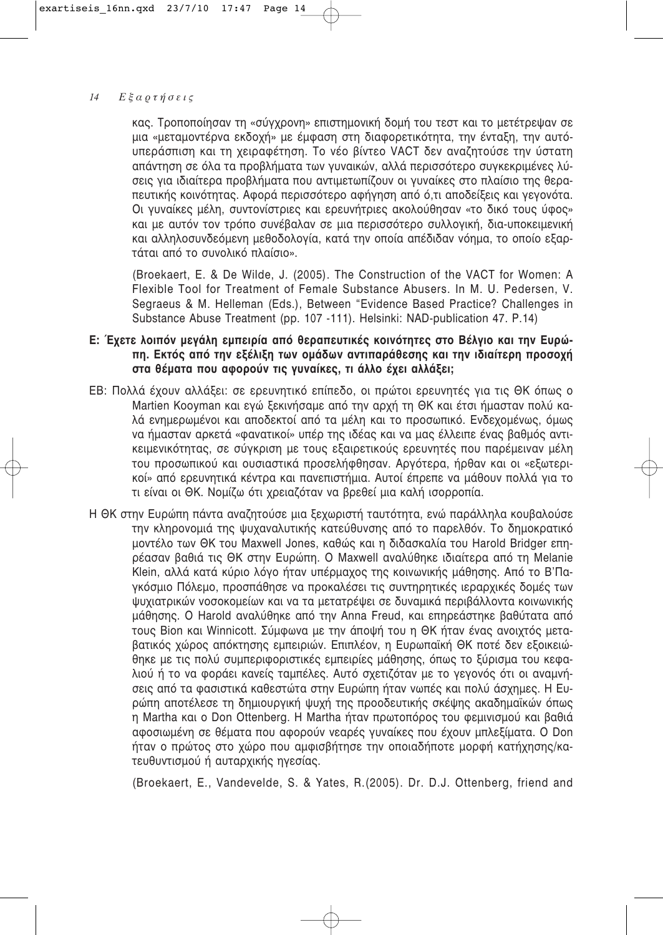κας. Τροποποίησαν τη «σύγχρονη» επιστημονική δομή του τεστ και το μετέτρεψαν σε μια «μεταμοντέρνα εκδοχή» με έμφαση στη διαφορετικότητα, την ένταξη, την αυτόυπεράσπιση και τη χειραφέτηση. Το νέο βίντεο VACT δεν αναζητούσε την ύστατη απάντηση σε όλα τα προβλήματα των γυναικών, αλλά περισσότερο συγκεκριμένες λύσεις για ιδιαίτερα προβλήματα που αντιμετωπίζουν οι γυναίκες στο πλαίσιο της θεραπευτικής κοινότητας. Αφορά περισσότερο αφήγηση από ό,τι αποδείξεις και γεγονότα. Οι γυναίκες μέλη, συντονίστριες και ερευνήτριες ακολούθησαν «το δικό τους ύφος» και με αυτόν τον τρόπο συνέβαλαν σε μια περισσότερο συλλογική, δια-υποκειμενική και αλληλοσυνδεόμενη μεθοδολογία, κατά την οποία απέδιδαν νόημα, το οποίο εξαρτάται από το συνολικό πλαίσιο».

(Broekaert, E. & De Wilde, J. (2005). The Construction of the VACT for Women: A Flexible Tool for Treatment of Female Substance Abusers. In M. U. Pedersen, V. Segraeus & M. Helleman (Eds.), Between "Evidence Based Practice? Challenges in Substance Abuse Treatment (pp. 107 -111). Helsinki: NAD-publication 47. P.14)

# Ε: Έχετε λοιπόν μεγάλη εμπειρία από θεραπευτικές κοινότητες στο Βέλγιο και την Ευρώπη. Εκτός από την εξέλιξη των ομάδων αντιπαράθεσης και την ιδιαίτερη προσοχή στα θέματα που αφορούν τις γυναίκες, τι άλλο έχει αλλάξει;

- ΕΒ: Πολλά έχουν αλλάξει: σε ερευνητικό επίπεδο, οι πρώτοι ερευνητές για τις ΘΚ όπως ο Martien Κοογman και εγώ ξεκινήσαμε από την αρχή τη ΘΚ και έτσι ήμασταν πολύ καλά ενημερωμένοι και αποδεκτοί από τα μέλη και το προσωπικό. Ενδεχομένως, όμως να ήμασταν αρκετά «φανατικοί» υπέρ της ιδέας και να μας έλλειπε ένας βαθμός αντικειμενικότητας, σε σύγκριση με τους εξαιρετικούς ερευνητές που παρέμειναν μέλη του προσωπικού και ουσιαστικά προσελήφθησαν. Αργότερα, ήρθαν και οι «εξωτερικοί» από ερευνητικά κέντρα και πανεπιστήμια. Αυτοί έπρεπε να μάθουν πολλά για το τι είναι οι ΘΚ. Νομίζω ότι χρειαζόταν να βρεθεί μια καλή ισορροπία.
- Η ΘΚ στην Ευρώπη πάντα αναζητούσε μια ξεχωριστή ταυτότητα, ενώ παράλληλα κουβαλούσε την κληρονομιά της ψυχαναλυτικής κατεύθυνσης από το παρελθόν. Το δημοκρατικό μοντέλο των ΘΚ του Maxwell Jones, καθώς και η διδασκαλία του Harold Bridger επηρέασαν βαθιά τις ΘΚ στην Ευρώπη. Ο Maxwell αναλύθηκε ιδιαίτερα από τη Melanie Klein, αλλά κατά κύριο λόγο ήταν υπέρμαχος της κοινωνικής μάθησης. Από το Β'Παγκόσμιο Πόλεμο, προσπάθησε να προκαλέσει τις συντηρητικές ιεραρχικές δομές των ψυχιατρικών νοσοκομείων και να τα μετατρέψει σε δυναμικά περιβάλλοντα κοινωνικής μάθησης. Ο Harold αναλύθηκε από την Anna Freud, και επηρεάστηκε βαθύτατα από τους Bion και Winnicott. Σύμφωνα με την άποψή του η ΘΚ ήταν ένας ανοιχτός μεταβατικός χώρος απόκτησης εμπειριών. Επιπλέον, η Ευρωπαϊκή ΘΚ ποτέ δεν εξοικειώθηκε με τις πολύ συμπεριφοριστικές εμπειρίες μάθησης, όπως το ξύρισμα του κεφαλιού ή το να φοράει κανείς ταμπέλες. Αυτό σχετιζόταν με το γεγονός ότι οι αναμνήσεις από τα φασιστικά καθεστώτα στην Ευρώπη ήταν νωπές και πολύ άσχημες. Η Ευρώπη αποτέλεσε τη δημιουργική ψυχή της προοδευτικής σκέψης ακαδημαϊκών όπως η Martha και ο Don Ottenberg. Η Martha ήταν πρωτοπόρος του φεμινισμού και βαθιά αφοσιωμένη σε θέματα που αφορούν νεαρές νυναίκες που έχουν μπλεξίματα. Ο Don ήταν ο πρώτος στο χώρο που αμφισβήτησε την οποιαδήποτε μορφή κατήχησης/κατευθυντισμού ή αυταρχικής ηγεσίας.

(Broekaert, E., Vandevelde, S. & Yates, R.(2005). Dr. D.J. Ottenberg, friend and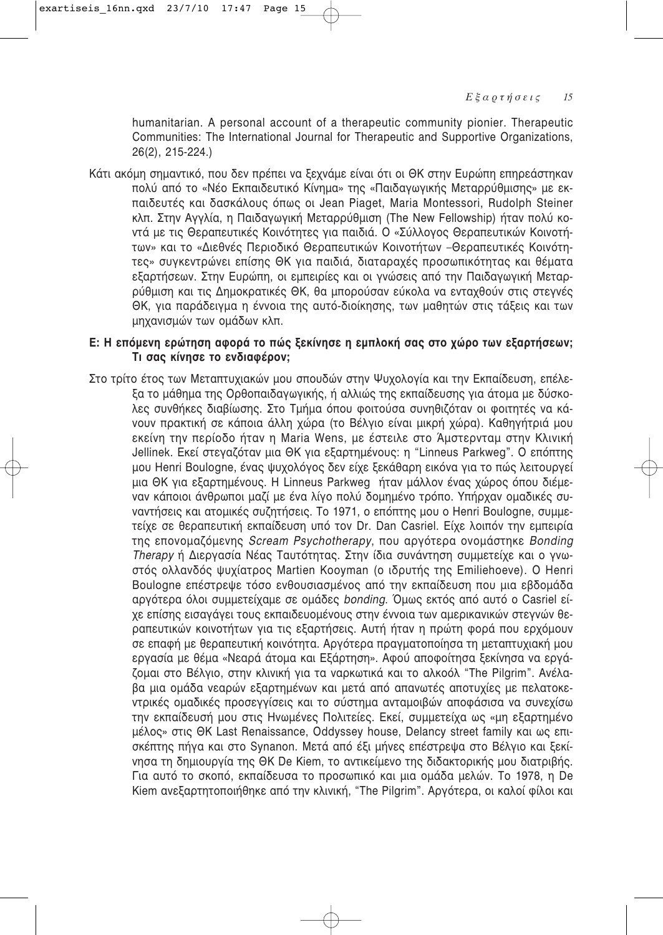exartiseis 16nn.qxd 23/7/10

Κάτι ακόμη σημαντικό, που δεν πρέπει να ξεχνάμε είναι ότι οι ΘΚ στην Ευρώπη επηρεάστηκαν πολύ από το «Νέο Εκπαιδευτικό Κίνημα» της «Παιδαγωγικής Μεταρρύθμισης» με εκπαιδευτές και δασκάλους όπως οι Jean Piaget, Maria Montessori, Rudolph Steiner κλπ. Στην Αγγλία, η Παιδαγωγική Μεταρρύθμιση (The New Fellowship) ήταν πολύ κο-Vτά με τις Θεραπευτικές Κοινότητες για παιδιά. Ο «Σύλλογος Θεραπευτικών Κοινοτήτων» και το «Διεθνές Περιοδικό Θεραπευτικών Κοινοτήτων -Θεραπευτικές Κοινότητες» συγκεντρώνει επίσης ΘΚ για παιδιά, διαταραχές προσωπικότητας και θέματα εξαρτήσεων. Στην Ευρώπη, οι εμπειρίες και οι γνώσεις από την Παιδαγωγική Μεταρρύθμιση και τις Δημοκρατικές ΘΚ, θα μπορούσαν εύκολα να ενταχθούν στις στεγνές ΘΚ, για παράδειγμα η έννοια της αυτό-διοίκησης, των μαθητών στις τάξεις και των μηχανισμών των ομάδων κλπ.

# **Ε: Η επόμενη ερώτηση αφορά το πώς ξεκίνησε η εμπλοκή σας στο χώρο των εξαρτήσεων;** *Δ Δ Δ* **<b>***Δ Δ Δ Δ Δ Δ Δ Δ Δ Δ Δ Δ Δ Δ Δ Δ Δ Δ Δ Δ Δ Δ Δ Δ Δ Δ Δ Δ Δ Δ Δ Δ Δ Δ*

Στο τρίτο έτος των Μεταπτυχιακών μου σπουδών στην Ψυχολογία και την Εκπαίδευση, επέλεξα το μάθημα της Ορθοπαιδαγωγικής, ή αλλιώς της εκπαίδευσης για άτομα με δύσκολες συνθήκες διαβίωσης. Στο Τμήμα όπου φοιτούσα συνηθιζόταν οι φοιτητές να κά-VOUV πρακτική σε κάποια άλλη χώρα (το Βέλνιο είναι μικρή χώρα). Καθηνήτριά μου εκείνη την περίοδο ήταν η Maria Wens, με έστειλε στο Άμστερνταμ στην Κλινική Jellinek. Εκεί στεγαζόταν μια ΘΚ για εξαρτημένους: η "Linneus Parkweg". Ο επόπτης μου Henri Boulogne, ένας ψυχολόγος δεν είχε ξεκάθαρη εικόνα για το πώς λειτουργεί μια ΘΚ για εξαρτημένους. Η Linneus Parkweg ήταν μάλλον ένας χώρος όπου διέμεναν κάποιοι άνθρωποι μαζί με ένα λίγο πολύ δομημένο τρόπο. Υπήρχαν ομαδικές συναντήσεις και ατομικές συζητήσεις. Το 1971, ο επόπτης μου ο Henri Boulogne, συμμετείχε σε θεραπευτική εκπαίδευση υπό τον Dr. Dan Casriel. Είχε λοιπόν την εμπειρία της επονομαζόμενης *Scream Psychotherapy*, που αργότερα ονομάστηκε *Bonding Therapy* ή Διεργασία Νέας Ταυτότητας. Στην ίδια συνάντηση συμμετείχε και ο γνωστός ολλανδός ψυχίατρος Martien Kooyman (ο ιδρυτής της Emiliehoeve). Ο Henri Boulogne επέστρεψε τόσο ενθουσιασμένος από την εκπαίδευση που μια εβδομάδα aργότερα όλοι συμμετείχαμε σε ομάδες *bonding*. Όμως εκτός από αυτό ο Casriel είχε επίσης εισαγάγει τους εκπαιδευομένους στην έννοια των αμερικανικών στεγνών θεραπευτικών κοινοτήτων για τις εξαρτήσεις. Αυτή ήταν η πρώτη φορά που ερχόμουν σε επαφή με θεραπευτική κοινότητα. Αργότερα πραγματοποίησα τη μεταπτυχιακή μου εργασία με θέμα «Νεαρά άτομα και Εξάρτηση». Αφού αποφοίτησα ξεκίνησα να εργάζομαι στο Βέλγιο, στην κλινική για τα ναρκωτικά και το αλκοόλ "The Pilgrim". Ανέλαβα μια ομάδα νεαρών εξαρτημένων και μετά από απανωτές αποτυχίες με πελατοκεντρικές ομαδικές προσεγγίσεις και το σύστημα ανταμοιβών αποφάσισα να συνεχίσω την εκπαίδευσή μου στις Ηνωμένες Πολιτείες. Εκεί, συμμετείχα ως «μη εξαρτημένο uέλος» στις ΘK Last Renaissance, Oddyssey house, Delancy street family και ως επισκέπτης πήγα και στο Synanon. Μετά από έξι μήνες επέστρεψα στο Βέλγιο και ξεκίνησα τη δημιουργία της ΘΚ De Kiem, το αντικείμενο της διδακτορικής μου διατριβής. Για αυτό το σκοπό, εκπαίδευσα το προσωπικό και μια ομάδα μελών. Το 1978, η De Kiem ανεξαρτητοποιήθηκε από την κλινική, "The Pilgrim". Αργότερα, οι καλοί φίλοι και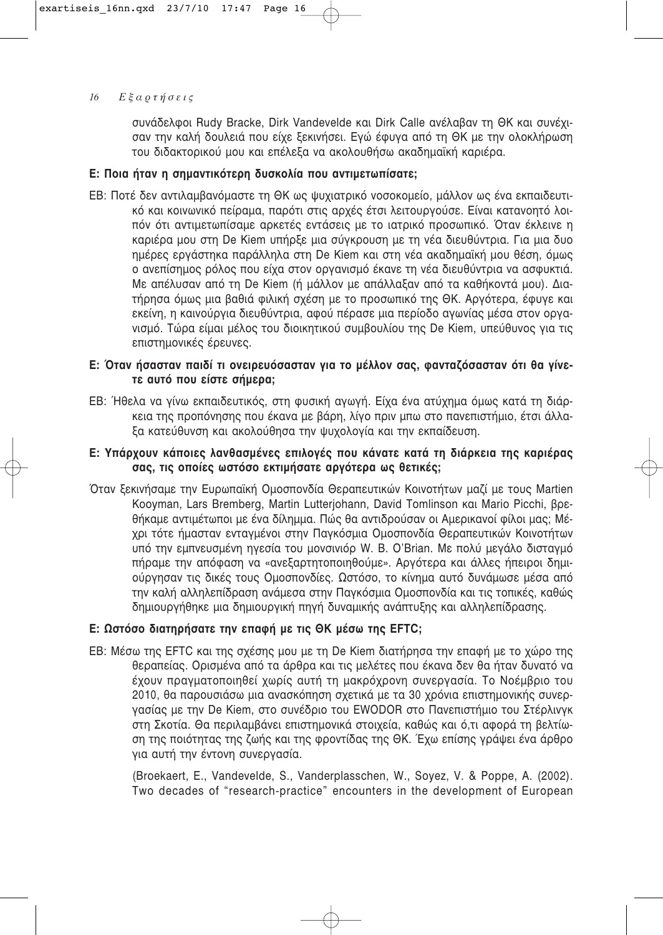συνάδελφοι Rudy Bracke, Dirk Vandevelde και Dirk Calle ανέλαβαν τη ΘΚ και συνέχισαν την καλή δουλειά που είχε ξεκινήσει. Ενώ έφυνα από τη ΘΚ με την ολοκλήρωση του διδακτορικού μου και επέλεξα να ακολουθήσω ακαδημαϊκή καριέρα.

# **Ε: Ποια ήταν η σημαντικότερη δυσκολία που αντιμετωπίσατε;**

- ΕΒ: Ποτέ δεν αντιλαμβανόμαστε τη ΘΚ ως ψυχιατρικό νοσοκομείο, μάλλον ως ένα εκπαιδευτι-Κό και κοινωνικό πείραμα, παρότι στις αρχές έτσι λειτουργούσε. Είναι κατανοητό λοιπόν ότι αντιμετωπίσαμε αρκετές εντάσεις με το ιατρικό προσωπικό. Όταν έκλεινε η καριέρα μου στη De Kiem υπήρξε μια σύγκρουση με τη νέα διευθύντρια. Για μια δυο ημέρες εργάστηκα παράλληλα στη De Kiem και στη νέα ακαδημαϊκή μου θέση, όμως ο ανεπίσημος ρόλος που είχα στον οργανισμό έκανε τη νέα διευθύντρια να ασφυκτιά. Με απέλυσαν από τη De Kiem (ή μάλλον με απάλλαξαν από τα καθήκοντά μου). Διατήρησα όμως μια βαθιά φιλική σχέση με το προσωπικό της ΘΚ. Αργότερα, έφυγε και εκείνη, η καινούργια διευθύντρια, αφού πέρασε μια περίοδο αγωνίας μέσα στον οργαvισμό. Τώρα είμαι μέλος του διοικητικού συμβουλίου της De Kiem, υπεύθυνος για τις επιστημονικές έρευνες.
- Ε: Όταν ήσασταν παιδί τι ονειρευόσασταν για το μέλλον σας, φανταζόσασταν ότι θα γίνε**τε αυτό που είστε σήμερα;**
- ΕΒ: Ήθελα να γίνω εκπαιδευτικός, στη φυσική αγωγή. Είχα ένα ατύχημα όμως κατά τη διάρκεια της προπόνησης που έκανα με βάρη, λίγο πριν μπω στο πανεπιστήμιο, έτσι άλλαξα κατεύθυνση και ακολούθησα την ψυχολογία και την εκπαίδευση.

# Ε: Υπάρχουν κάποιες λανθασμένες επιλογές που κάνατε κατά τη διάρκεια της καριέρας σας, τις οποίες ωστόσο εκτιμήσατε αργότερα ως θετικές;

Όταν ξεκινήσαμε την Ευρωπαϊκή Ομοσπονδία Θεραπευτικών Κοινοτήτων μαζί με τους Martien Kooyman, Lars Bremberg, Martin Lutterjohann, David Tomlinson και Mario Picchi, βρεθήκαμε αντιμέτωποι με ένα δίλημμα. Πώς θα αντιδρούσαν οι Αμερικανοί φίλοι μας; Μέχρι τότε ήμασταν ενταγμένοι στην Παγκόσμια Ομοσπονδία Θεραπευτικών Κοινοτήτων υπό την εμπνευσμένη ηγεσία του μονσινιόρ W. B. O'Brian. Με πολύ μεγάλο δισταγμό πήραμε την απόφαση να «ανεξαρτητοποιηθούμε». Αργότερα και άλλες ήπειροι δημιούργησαν τις δικές τους Ομοσπονδίες. Ωστόσο, το κίνημα αυτό δυνάμωσε μέσα από την καλή αλληλεπίδραση ανάμεσα στην Παγκόσμια Ομοσπονδία και τις τοπικές, καθώς δημιουργήθηκε μια δημιουργική πηγή δυναμικής ανάπτυξης και αλληλεπίδρασης.

# Ε: Ωστόσο διατηρήσατε την επαφή με τις ΘΚ μέσω της ΕFTC;

ΕΒ: Μέσω της ΕFTC και της σχέσης μου με τη De Kiem διατήρησα την επαφή με το χώρο της θεραπείας. Ορισμένα από τα άρθρα και τις μελέτες που έκανα δεν θα ήταν δυνατό να έχουν πραγματοποιηθεί χωρίς αυτή τη μακρόχρονη συνεργασία. Το Νοέμβριο του 2010, θα παρουσιάσω μια ανασκόπηση σχετικά με τα 30 χρόνια επιστημονικής συνεργασίας με την De Kiem, στο συνέδριο του EWODOR στο Πανεπιστήμιο του Στέρλινγκ στη Σκοτία. Θα περιλαμβάνει επιστημονικά στοιχεία, καθώς και ό,τι αφορά τη βελτίωση της ποιότητας της ζωής και της φροντίδας της ΘΚ. Έχω επίσης γράψει ένα άρθρο για αυτή την έντονη συνεργασία.

(Broekaert, E., Vandevelde, S., Vanderplasschen, W., Soyez, V. & Poppe, A. (2002). Two decades of "research-practice" encounters in the development of European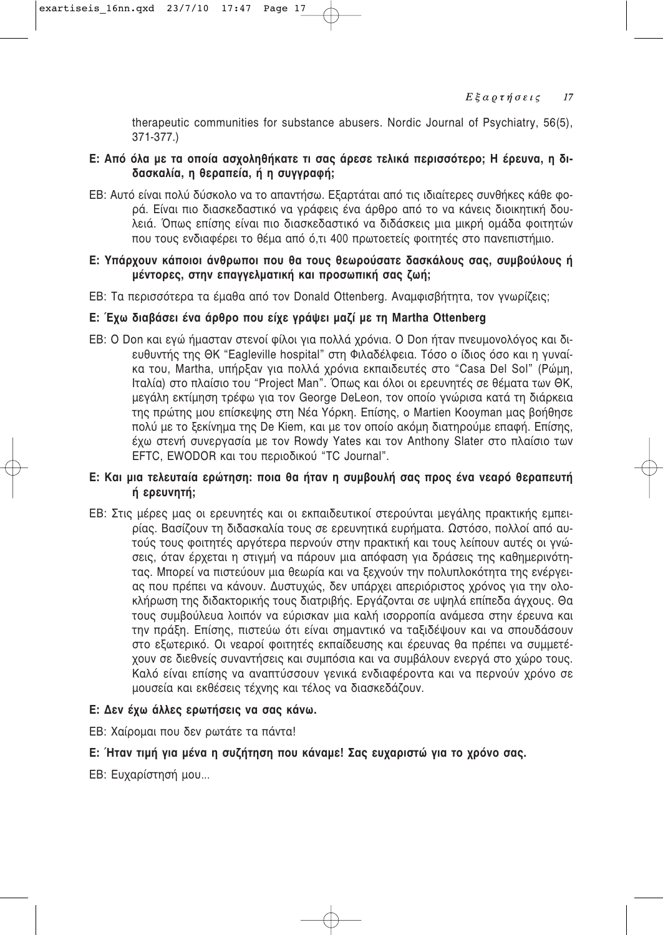exartiseis\_16nn.qxd 23/7/10 17:47 Page 17

therapeutic communities for substance abusers. Nordic Journal of Psychiatry, 56(5), 371-377.)

# **Ε: Από όλα με τα οποία ασχοληθήκατε τι σας άρεσε τελικά περισσότερο; Η έρευνα, η δι-** $\delta$ ασκαλία, η θεραπεία, ή η συννραφή:

ΕΒ: Αυτό είναι πολύ δύσκολο να το απαντήσω. Εξαρτάται από τις ιδιαίτερες συνθήκες κάθε φορά. Είναι πιο διασκεδαστικό να γράφεις ένα άρθρο από το να κάνεις διοικητική δουλειά. Όπως επίσης είναι πιο διασκεδαστικό να διδάσκεις μια μικρή ομάδα φοιτητών του τους ενδιαφέρει το θέμα από ό,τι 400 πρωτοετείς φοιτητές στο πανεπιστήμιο.

# E: Υπάρχουν κάποιοι άνθρωποι που θα τους θεωρούσατε δασκάλους σας, συμβούλους ή μέντορες, στην επαγγελματική και προσωπική σας ζωή;

ΕΒ: Τα περισσότερα τα έμαθα από τον Donald Ottenberg. Αναμφισβήτητα, τον γνωρίζεις;

# E: Έχω διαβάσει ένα άρθρο που είχε νράψει μαζί με τη Martha Ottenberg

ΕΒ: Ο Don και εγώ ήμασταν στενοί φίλοι για πολλά χρόνια. Ο Don ήταν πνευμονολόγος και διευθυντής της ΘΚ "Eagleville hospital" στη Φιλαδέλφεια. Τόσο ο ίδιος όσο και η γυναίκα του, Martha, υπήρξαν για πολλά χρόνια εκπαιδευτές στο "Casa Del Sol" (Ρώμη, Ιταλία) στο πλαίσιο του "Project Man". Όπως και όλοι οι ερευνητές σε θέματα των ΘΚ, μεγάλη εκτίμηση τρέφω για τον George DeLeon, τον οποίο γνώρισα κατά τη διάρκεια της πρώτης μου επίσκεψης στη Νέα Υόρκη. Επίσης, ο Martien Kooyman μας βοήθησε πολύ με το ξεκίνημα της De Kiem, και με τον οποίο ακόμη διατηρούμε επαφή. Επίσης, έχω στενή συνεργασία με τον Rowdy Yates και τον Anthony Slater στο πλαίσιο των EFTC, EWODOR και του περιοδικού "TC Journal".

# Ε: Και μια τελευταία ερώτηση: ποια θα ήταν η συμβουλή σας προς ένα νεαρό θεραπευτή *h* ερευνητή;

ΕΒ: Στις μέρες μας οι ερευνητές και οι εκπαιδευτικοί στερούνται μεγάλης πρακτικής εμπειρίας. Βασίζουν τη διδασκαλία τους σε ερευνητικά ευρήματα. Ωστόσο, πολλοί από αυτούς τους φοιτητές αργότερα περνούν στην πρακτική και τους λείπουν αυτές οι γνώσεις, όταν έρχεται η στιγμή να πάρουν μια απόφαση για δράσεις της καθημερινότητας. Μπορεί να πιστεύουν μια θεωρία και να ξεχνούν την πολυπλοκότητα της ενέργειας που πρέπει να κάνουν. Δυστυχώς, δεν υπάρχει απεριόριστος χρόνος για την ολοκλήρωση της διδακτορικής τους διατριβής. Εργάζονται σε υψηλά επίπεδα άγχους. Θα τους συμβούλευα λοιπόν να εύρισκαν μια καλή ισορροπία ανάμεσα στην έρευνα και την πράξη. Επίσης, πιστεύω ότι είναι σημαντικό να ταξιδέψουν και να σπουδάσουν στο εξωτερικό. Οι νεαροί φοιτητές εκπαίδευσης και έρευνας θα πρέπει να συμμετέχουν σε διεθνείς συναντήσεις και συμπόσια και να συμβάλουν ενεργά στο χώρο τους. Καλό είναι επίσης να αναπτύσσουν γενικά ενδιαφέροντα και να περνούν χρόνο σε μουσεία και εκθέσεις τέχνης και τέλος να διασκεδάζουν.

# **Ε: Δεν έχω άλλες ερωτήσεις να σας κάνω.**

ΕΒ: Χαίρομαι που δεν ρωτάτε τα πάντα!

- Ε: Ήταν τιμή για μένα η συζήτηση που κάναμε! Σας ευχαριστώ για το χρόνο σας.
- ΕΒ: Ευχαρίστησή μου...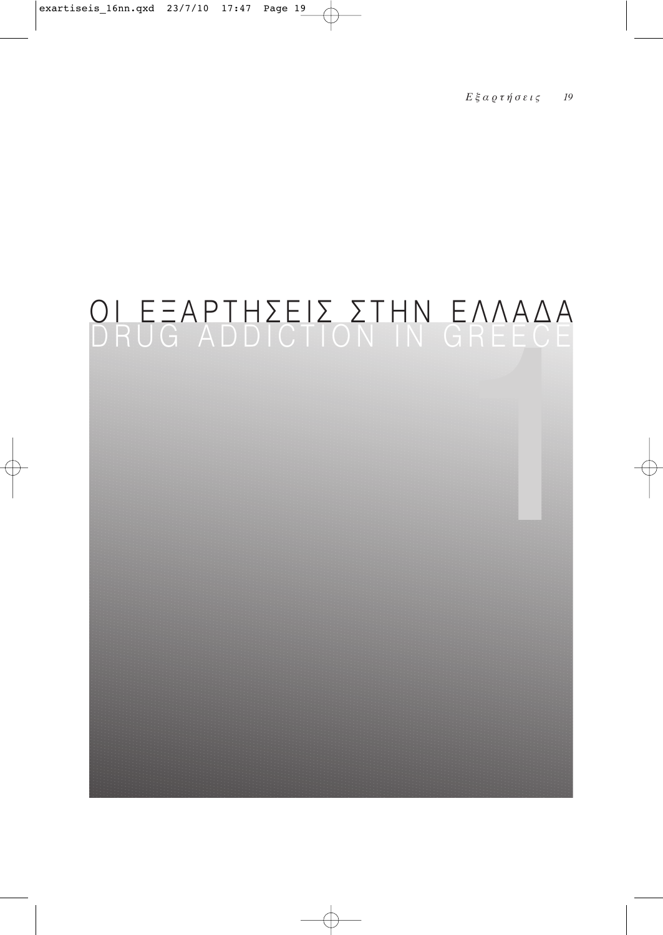$E \xi a \varrho \tau \eta \sigma \varepsilon \iota$ ς 19

# <u>ΟΙ ΕΞΑΡΤΗΣΕΙΣ ΣΤΗΝ ΕΛΛΑΔΑ</u><br>Drug addiction in greece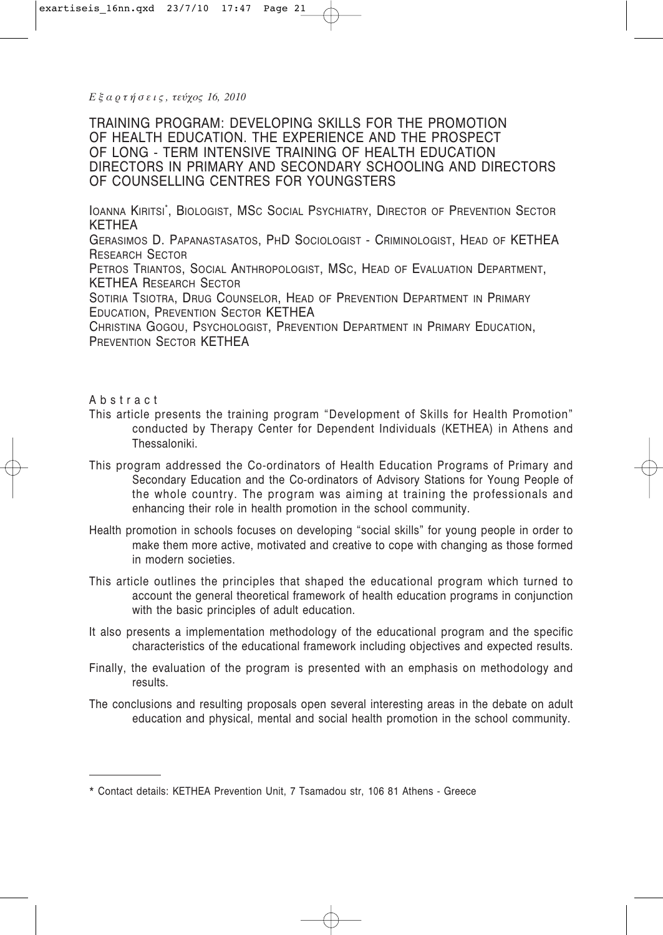*Ε ξ α ρ τ ή σ ε ι ς , τεύχος 16, 2010*

TRAINING PROGRAM: DEVELOPING SKILLS FOR THE PROMOTION OF HEALTH EDUCATION. THE EXPERIENCE AND THE PROSPECT OF LONG - TERM INTENSIVE TRAINING OF HEALTH EDUCATION DIRECTORS IN PRIMARY AND SECONDARY SCHOOLING AND DIRECTORS OF COUNSELLING CENTRES FOR YOUNGSTERS

Ioanna Kiritsi', Biologist, MSc Social Psychiatry, Director of Prevention Sector KETHEA

GERASIMOS D. PAPANASTASATOS, PHD SOCIOLOGIST - CRIMINOLOGIST, HEAD OF KETHEA RESEARCH SECTOR

PETROS TRIANTOS, SOCIAL ANTHROPOLOGIST, MSC, HEAD OF EVALUATION DEPARTMENT, KETHEA RESEARCH SECTOR

SOTIRIA TSIOTRA, DRUG COUNSELOR, HEAD OF PREVENTION DEPARTMENT IN PRIMARY EDUCATION, PREVENTION SECTOR KETHEA

CHRISTINA GOGOU, PSYCHOLOGIST, PREVENTION DEPARTMENT IN PRIMARY EDUCATION, PREVENTION SECTOR KETHEA

Abstract

- This article presents the training program "Development of Skills for Health Promotion" conducted by Therapy Center for Dependent Individuals (KETHEA) in Athens and Thessaloniki.
- This program addressed the Co-ordinators of Health Education Programs of Primary and Secondary Education and the Co-ordinators of Advisory Stations for Young People of the whole country. The program was aiming at training the professionals and enhancing their role in health promotion in the school community.
- Health promotion in schools focuses on developing "social skills" for young people in order to make them more active, motivated and creative to cope with changing as those formed in modern societies.
- This article outlines the principles that shaped the educational program which turned to account the general theoretical framework of health education programs in conjunction with the basic principles of adult education.
- It also presents a implementation methodology of the educational program and the specific characteristics of the educational framework including objectives and expected results.
- Finally, the evaluation of the program is presented with an emphasis on methodology and results.
- The conclusions and resulting proposals open several interesting areas in the debate on adult education and physical, mental and social health promotion in the school community.

<sup>\*</sup> Contact details: KETHEA Prevention Unit, 7 Tsamadou str, 106 81 Athens - Greece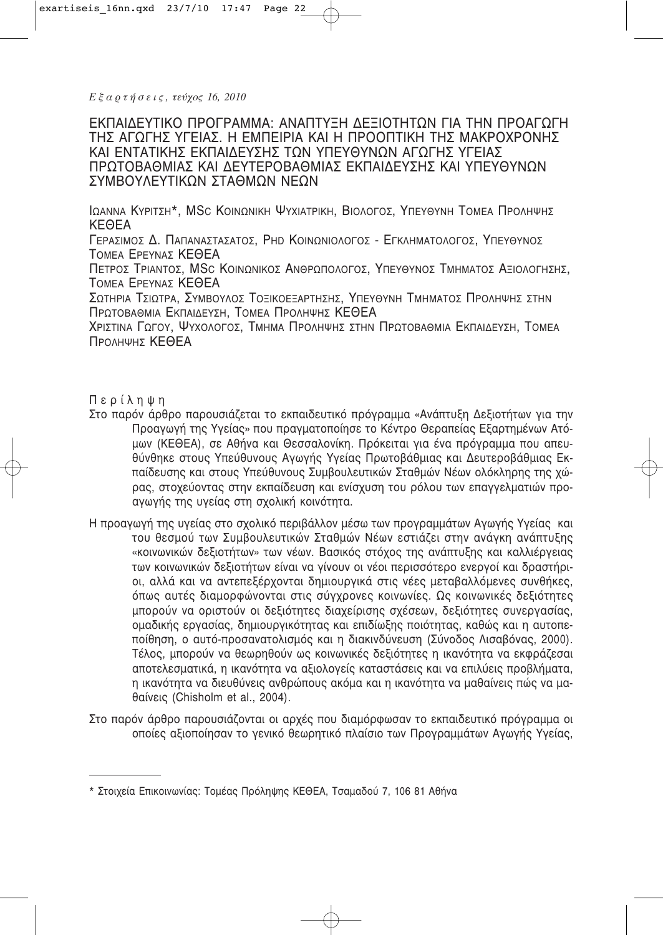*Ε ξ α ρ τ ή σ ε ι ς , τεύχος 16, 2010*

ΕΚΠΑΙΔΕΥΤΙΚΟ ΠΡΟΓΡΑΜΜΑ: ΑΝΑΠΤΥΞΗ ΔΕΞΙΟΤΗΤΩΝ ΓΙΑ ΤΗΝ ΠΡΟΑΓΩΓΗ ΤΗΣ ΑΓΩΓΗΣ ΥΓΕΙΑΣ. Η ΕΜΠΕΙΡΙΑ ΚΑΙ Η ΠΡΟΟΠΤΙΚΗ ΤΗΣ ΜΑΚΡΟΧΡΟΝΗΣ ΓΟΩΠ ΓΩΠΑΤΑ ΤΩΝ ΑΠΩΣΤΩΝ ΑΣΩΣΤΩΝ ΑΣΩΣ ΑΣΤΑΙ ΑΓΩΣΗΣ ΑΓΕΙΑΣ ΠΡΩΤΟΒΑΘΜΙΑΣ ΚΑΙ ΔΕΥΤΕΡΟΒΑΘΜΙΑΣ ΕΚΠΑΙΔΕΥΣΗΣ ΚΑΙ ΥΠΕΥΘΥΝΩΝ ΣΥΜΒΟΥΛΕΥΤΙΚΩΝ ΣΤΑΘΜΩΝ ΝΕΩΝ

 $\lambda$ ранна Күріт∑н\*, MSc Коінолікн Фүхіатрікн. Віолого∑. Үпеγѳунн Томеа Пролнψн∑ KE⊖EA

ΓΕΡΑΣΙΜΟΣ Δ. ΠΑΠΑΝΑΣΤΑΣΑΤΟΣ, ΡΗD ΚΟΙΝΩΝΙΟΛΟΓΟΣ - ΕΓΚΛΗΜΑΤΟΛΟΓΟΣ, ΥΠΕΥΘΥΝΟΣ **ΤΟΜΕΑ ΕΡΕΥΝΑΣ ΚΕΘΕΑ** 

ΠΕΤΡΟΣ ΤΡΙΑΝΤΟΣ, MSC ΚΟΙΝΩΝΙΚΟΣ ΑΝΘΡΩΠΟΛΟΓΟΣ, ΥΠΕΥΘΥΝΟΣ ΤΜΗΜΑΤΟΣ ΑΞΙΟΛΟΓΗΣΗΣ, **ΤΟΜΕΑ ΕΡΕΥΝΑΣ ΚΕΘΕΑ** 

ΣΩΤΗΡΙΑ ΤΣΙΩΤΡΑ, ΣΥΜΒΟΥΛΟΣ ΤΟΞΙΚΟΕΞΑΡΤΗΣΗΣ, ΥΠΕΥΘΥΝΗ ΤΜΗΜΑΤΟΣ ΠΡΟΛΗΨΗΣ ΣΤΗΝ ПРОТОВАӨМІА ЕКПАІДЕҮ∑Н, ТОМЕА ПРОЛНѰН∑ КЕӨЕА

ΧΡΙΣΤΙΝΑ ΓΩΓΟΥ, ΨΥΧΟΛΟΓΟΣ, ТΜΗΜΑ ΠΡΟΛΗΨΗΣ ΣΤΗΝ ΠΡΩΤΟΒΑΘΜΙΑ ΕΚΠΑΙΔΕΥΣΗ. ΤΟΜΕΑ ПРОЛНѰН∑ КЕӨЕА

 $\Pi$ ερίληψη

- Στο παρόν άρθρο παρουσιάζεται το εκπαιδευτικό πρόγραμμα «Ανάπτυξη Δεξιοτήτων για την Προαγωγή της Υγείας» που πραγματοποίησε το Κέντρο Θεραπείας Εξαρτημένων Ατόμων (ΚΕΘΕΑ), σε Αθήνα και Θεσσαλονίκη. Πρόκειται για ένα πρόγραμμα που απευθύνθηκε στους Υπεύθυνους Αγωγής Υγείας Πρωτοβάθμιας και Δευτεροβάθμιας Εκπαίδευσης και στους Υπεύθυνους Συμβουλευτικών Σταθμών Νέων ολόκληρης της χώρας, στοχεύοντας στην εκπαίδευση και ενίσχυση του ρόλου των επαγγελματιών προαγωγής της υγείας στη σχολική κοινότητα.
- Η προαγωγή της υγείας στο σχολικό περιβάλλον μέσω των προγραμμάτων Αγωγής Υγείας και του θεσμού των Συμβουλευτικών Σταθμών Νέων εστιάζει στην ανάγκη ανάπτυξης «κοινωνικών δεξιοτήτων» των νέων. Βασικός στόχος της ανάπτυξης και καλλιέργειας των κοινωνικών δεξιοτήτων είναι να γίνουν οι νέοι περισσότερο ενεργοί και δραστήριοι, αλλά και να αντεπεξέρχονται δημιουργικά στις νέες μεταβαλλόμενες συνθήκες, όπως αυτές διαμορφώνονται στις σύγχρονες κοινωνίες. Ως κοινωνικές δεξιότητες μπορούν να οριστούν οι δεξιότητες διαχείρισης σχέσεων, δεξιότητες συνεργασίας, ομαδικής εργασίας, δημιουργικότητας και επιδίωξης ποιότητας, καθώς και η αυτοπεποίθηση, ο αυτό-προσανατολισμός και η διακινδύνευση (Σύνοδος Λισαβόνας, 2000). Τέλος, μπορούν να θεωρηθούν ως κοινωνικές δεξιότητες η ικανότητα να εκφράζεσαι αποτελεσματικά, η ικανότητα να αξιολογείς καταστάσεις και να επιλύεις προβλήματα, η ικανότητα να διευθύνεις ανθρώπους ακόμα και η ικανότητα να μαθαίνεις πώς να μαθαίνεις (Chisholm et al., 2004).
- Στο παρόν άρθρο παρουσιάζονται οι αρχές που διαμόρφωσαν το εκπαιδευτικό πρόγραμμα οι οποίες αξιοποίησαν το γενικό θεωρητικό πλαίσιο των Προγραμμάτων Αγωγής Υγείας,

<sup>\*</sup> Στοιχεία Επικοινωνίας: Τομέας Πρόληψης ΚΕΘΕΑ, Τσαμαδού 7, 106 81 Αθήνα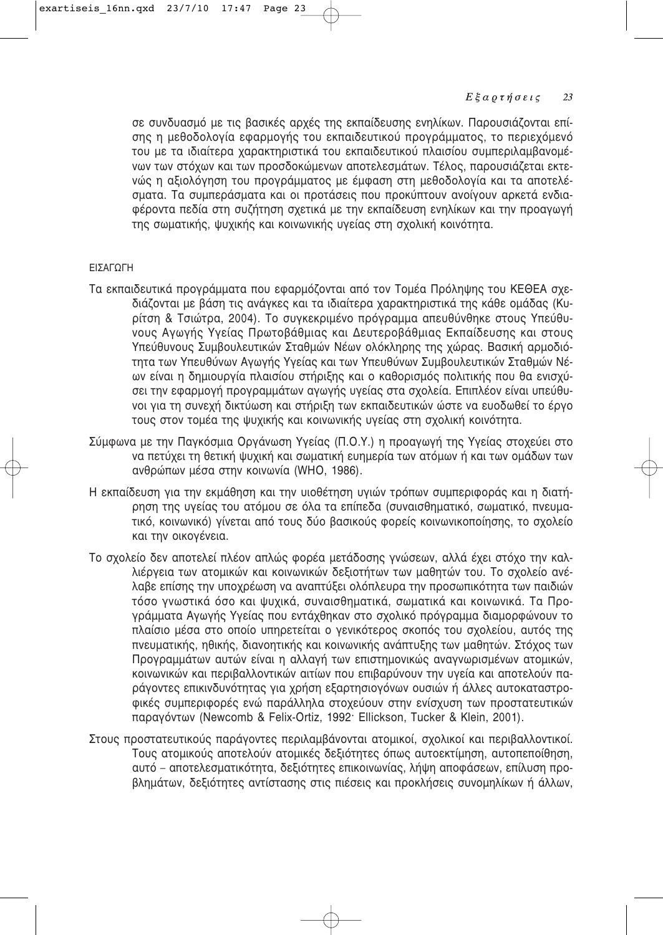σε συνδυασμό με τις βασικές αρχές της εκπαίδευσης ενηλίκων. Παρουσιάζονται επίσης η μεθοδολογία εφαρμογής του εκπαιδευτικού προγράμματος, το περιεχόμενό του με τα ιδιαίτερα χαρακτηριστικά του εκπαιδευτικού πλαισίου συμπεριλαμβανομένων των στόχων και των προσδοκώμενων αποτελεσμάτων. Τέλος, παρουσιάζεται εκτενώς η αξιολόγηση του προγράμματος με έμφαση στη μεθοδολογία και τα αποτελέσματα. Τα συμπεράσματα και οι προτάσεις που προκύπτουν ανοίγουν αρκετά ενδιαφέροντα πεδία στη συζήτηση σχετικά με την εκπαίδευση ενηλίκων και την προαγωγή της σωματικής, ψυχικής και κοινωνικής υγείας στη σχολική κοινότητα.

## ΕΙΣΑΓΩΓΗ

- Τα εκπαιδευτικά προγράμματα που εφαρμόζονται από τον Τομέα Πρόληψης του ΚΕΘΕΑ σχεδιάζονται με βάση τις ανάγκες και τα ιδιαίτερα χαρακτηριστικά της κάθε ομάδας (Κυοίτση & Τσιώτρα, 2004). Το συγκεκριμένο πρόγραμμα απευθύνθηκε στους Υπεύθυνους Αγωγής Υγείας Πρωτοβάθμιας και Δευτεροβάθμιας Εκπαίδευσης και στους Υπεύθυνους Συμβουλευτικών Σταθμών Νέων ολόκληρης της χώρας. Βασική αρμοδιότητα των Υπευθύνων Αγωγής Υγείας και των Υπευθύνων Συμβουλευτικών Σταθμών Νέων είναι η δημιουργία πλαισίου στήριξης και ο καθορισμός πολιτικής που θα ενισχύσει την εφαρμογή προγραμμάτων αγωγής υγείας στα σχολεία. Επιπλέον είναι υπεύθυνοι για τη συνεχή δικτύωση και στήριξη των εκπαιδευτικών ώστε να ευοδωθεί το έργο τους στον τομέα της ψυχικής και κοινωνικής υγείας στη σχολική κοινότητα.
- Σύμφωνα με την Παγκόσμια Οργάνωση Υγείας (Π.Ο.Υ.) η προαγωγή της Υγείας στοχεύει στο να πετύχει τη θετική ψυχική και σωματική ευημερία των ατόμων ή και των ομάδων των ανθρώπων μέσα στην κοινωνία (WHO, 1986).
- Η εκπαίδευση για την εκμάθηση και την υιοθέτηση υγιών τρόπων συμπεριφοράς και η διατήρηση της υγείας του ατόμου σε όλα τα επίπεδα (συναισθηματικό, σωματικό, πνευματικό, κοινωνικό) γίνεται από τους δύο βασικούς φορείς κοινωνικοποίησης, το σχολείο και την οικογένεια.
- Το σχολείο δεν αποτελεί πλέον απλώς φορέα μετάδοσης γνώσεων, αλλά έχει στόχο την καλλιέργεια των ατομικών και κοινωνικών δεξιοτήτων των μαθητών του. Το σχολείο ανέλαβε επίσης την υποχρέωση να αναπτύξει ολόπλευρα την προσωπικότητα των παιδιών τόσο γνωστικά όσο και ψυχικά, συναισθηματικά, σωματικά και κοινωνικά. Τα Προγράμματα Αγωγής Υγείας που εντάχθηκαν στο σχολικό πρόγραμμα διαμορφώνουν το πλαίσιο μέσα στο οποίο υπηρετείται ο γενικότερος σκοπός του σχολείου, αυτός της πνευματικής, ηθικής, διανοητικής και κοινωνικής ανάπτυξης των μαθητών. Στόχος των Προγραμμάτων αυτών είναι η αλλαγή των επιστημονικώς αναγνωρισμένων ατομικών, κοινωνικών και περιβαλλοντικών αιτίων που επιβαρύνουν την υγεία και αποτελούν παράγοντες επικινδυνότητας για χρήση εξαρτησιογόνων ουσιών ή άλλες αυτοκαταστροφικές συμπεριφορές ενώ παράλληλα στοχεύουν στην ενίσχυση των προστατευτικών παραγόντων (Newcomb & Felix-Ortiz, 1992<sup>·</sup> Ellickson, Tucker & Klein, 2001).
- Στους προστατευτικούς παράγοντες περιλαμβάνονται ατομικοί, σχολικοί και περιβαλλοντικοί. Τους ατομικούς αποτελούν ατομικές δεξιότητες όπως αυτοεκτίμηση, αυτοπεποίθηση, αυτό – αποτελεσματικότητα, δεξιότητες επικοινωνίας, λήψη αποφάσεων, επίλυση προβλημάτων, δεξιότητες αντίστασης στις πιέσεις και προκλήσεις συνομηλίκων ή άλλων,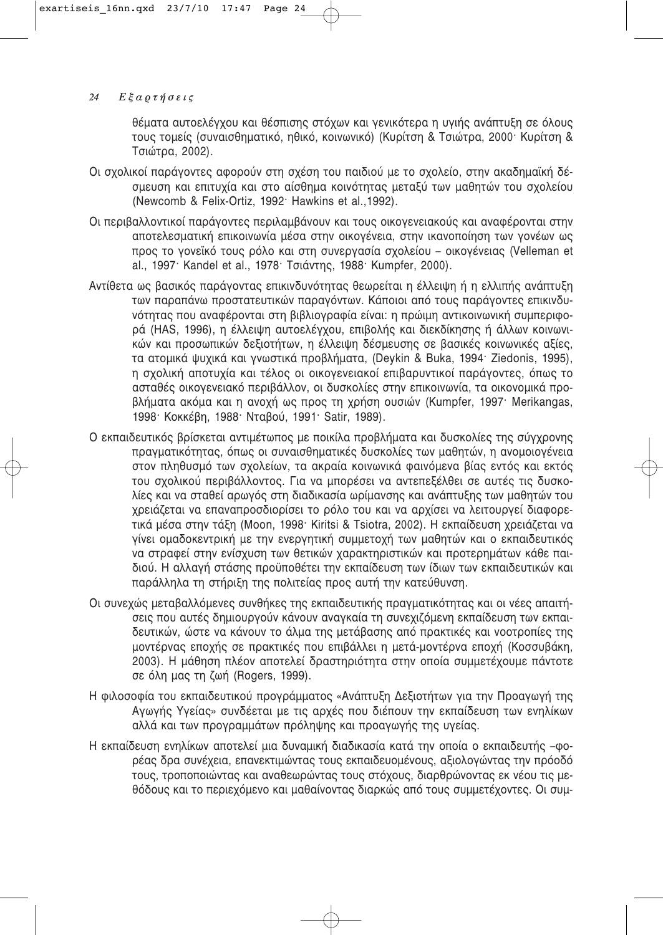θέματα αυτοελέγχου και θέσπισης στόχων και γενικότερα η υγιής ανάπτυξη σε όλους τους τομείς (συναισθηματικό, ηθικό, κοινωνικό) (Κυρίτση & Τσιώτρα, 2000<sup>.</sup> Κυρίτση & Τσιώτρα, 2002).

- Οι σχολικοί παράγοντες αφορούν στη σχέση του παιδιού με το σχολείο, στην ακαδημαϊκή δέσμευση και επιτυχία και στο αίσθημα κοινότητας μεταξύ των μαθητών του σχολείου (Newcomb & Felix-Ortiz, 1992<sup>·</sup> Hawkins et al., 1992).
- Οι περιβαλλοντικοί παράγοντες περιλαμβάνουν και τους οικογενειακούς και αναφέρονται στην αποτελεσματική επικοινωνία μέσα στην οικογένεια, στην ικανοποίηση των γονέων ως προς το νονεϊκό τους ρόλο και στη συνερνασία σχολείου – οικονένειας (Velleman et al., 1997; Kandel et al., 1978; Τσιάντης, 1988; Kumpfer, 2000).
- Aντίθετα ως βασικός παράνοντας επικινδυνότητας θεωρείται η έλλειψη ή η ελλιπής ανάπτυξη των παραπάνω προστατευτικών παραγόντων. Κάποιοι από τους παράγοντες επικινδυνότητας που αναφέρονται στη βιβλιογραφία είναι: η πρώιμη αντικοινωνική συμπεριφορά (HAS, 1996), η έλλειψη αυτοελέγχου, επιβολής και διεκδίκησης ή άλλων κοινωνι-Κών και προσωπικών δεξιοτήτων, η έλλειψη δέσμευσης σε βασικές κοινωνικές αξίες, τα ατομικά ψυχικά και γνωστικά προβλήματα, (Deykin & Buka, 1994· Ziedonis, 1995), η σχολική αποτυχία και τέλος οι οικογενειακοί επιβαρυντικοί παράγοντες, όπως το ασταθές οικογενειακό περιβάλλον, οι δυσκολίες στην επικοινωνία, τα οικονομικά προβλήματα ακόμα και η ανοχή ως προς τη χρήση ουσιών (Kumpfer, 1997<sup>,</sup> Merikangas, 1998 Koκκέβη, 1988 Nταβού, 1991 Satir, 1989).
- Ο εκπαιδευτικός βρίσκεται αντιμέτωπος με ποικίλα προβλήματα και δυσκολίες της σύνχρονης πραγματικότητας, όπως οι συναισθηματικές δυσκολίες των μαθητών, η ανομοιογένεια στον πληθυσμό των σχολείων, τα ακραία κοινωνικά φαινόμενα βίας εντός και εκτός του σχολικού περιβάλλοντος. Για να μπορέσει να αντεπεξέλθει σε αυτές τις δυσκολίες και να σταθεί αρωγός στη διαδικασία ωρίμανσης και ανάπτυξης των μαθητών του χρειάζεται να επαναπροσδιορίσει το ρόλο του και να αρχίσει να λειτουργεί διαφορετικά μέσα στην τάξη (Moon, 1998· Kiritsi & Tsiotra, 2002). Η εκπαίδευση χρειάζεται να γίνει ομαδοκεντρική με την ενεργητική συμμετοχή των μαθητών και ο εκπαιδευτικός να στραφεί στην ενίσχυση των θετικών χαρακτηριστικών και προτερημάτων κάθε παιδιού. Η αλλαγή στάσης προϋποθέτει την εκπαίδευση των ίδιων των εκπαιδευτικών και παράλληλα τη στήριξη της πολιτείας προς αυτή την κατεύθυνση.
- Οι συνεχώς μεταβαλλόμενες συνθήκες της εκπαιδευτικής πραγματικότητας και οι νέες απαιτήσεις που αυτές δημιουργούν κάνουν αναγκαία τη συνεχιζόμενη εκπαίδευση των εκπαιδευτικών, ώστε να κάνουν το άλμα της μετάβασης από πρακτικές και νοοτροπίες της μοντέρνας εποχής σε πρακτικές που επιβάλλει η μετά-μοντέρνα εποχή (Κοσσυβάκη, 2003). Η μάθηση πλέον αποτελεί δραστηριότητα στην οποία συμμετέχουμε πάντοτε σε όλη μας τη ζωή (Rogers, 1999).
- Η φιλοσοφία του εκπαιδευτικού προγράμματος «Ανάπτυξη Δεξιοτήτων για την Προαγωγή της Αγωγής Υγείας» συνδέεται με τις αρχές που διέπουν την εκπαίδευση των ενηλίκων αλλά και των προγραμμάτων πρόληψης και προαγωγής της υγείας.
- Η εκπαίδευση ενηλίκων αποτελεί μια δυναμική διαδικασία κατά την οποία ο εκπαιδευτής -φορέας δρα συνέχεια, επανεκτιμώντας τους εκπαιδευομένους, αξιολογώντας την πρόοδό τους, τροποποιώντας και αναθεωρώντας τους στόχους, διαρθρώνοντας εκ νέου τις μεθόδους και το περιεχόμενο και μαθαίνοντας διαρκώς από τους συμμετέχοντες. Οι συμ-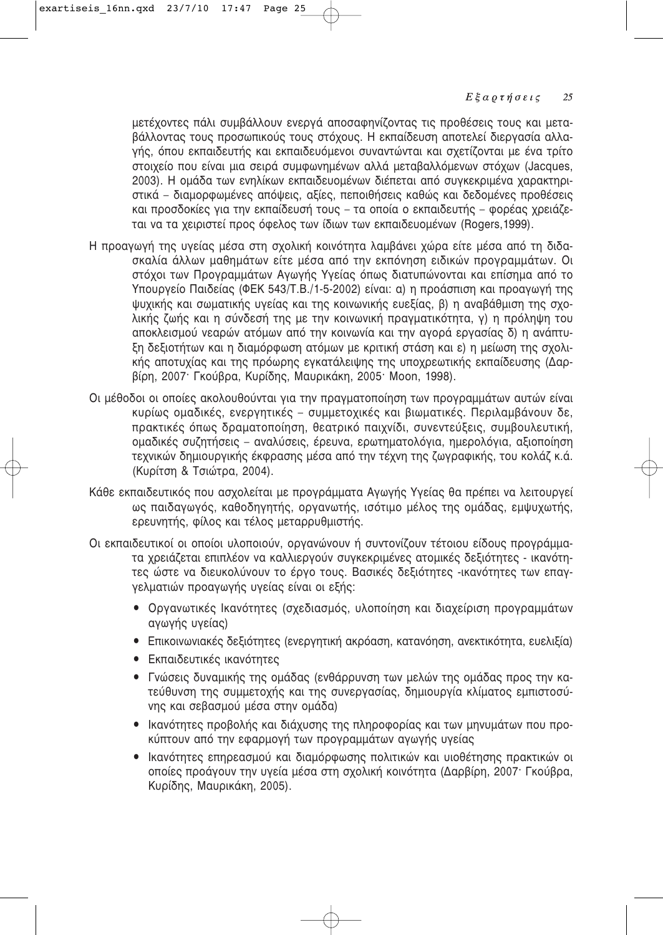μετέχοντες πάλι συμβάλλουν ενεργά αποσαφηνίζοντας τις προθέσεις τους και μεταβάλλοντας τους προσωπικούς τους στόχους. Η εκπαίδευση αποτελεί διεργασία αλλαγής, όπου εκπαιδευτής και εκπαιδευόμενοι συναντώνται και σχετίζονται με ένα τρίτο στοιχείο που είναι μια σειρά συμφωνημένων αλλά μεταβαλλόμενων στόχων (Jacques, 2003). Η ομάδα των ενηλίκων εκπαιδευομένων διέπεται από συγκεκριμένα χαρακτηριστικά – διαμορφωμένες απόψεις, αξίες, πεποιθήσεις καθώς και δεδομένες προθέσεις Και προσδοκίες για την εκπαίδευσή τους – τα οποία ο εκπαιδευτής – φορέας χρειάζεται να τα χειριστεί προς όφελος των ίδιων των εκπαιδευομένων (Rogers,1999).

- Η προαγωγή της υγείας μέσα στη σχολική κοινότητα λαμβάνει χώρα είτε μέσα από τη διδασκαλία άλλων μαθημάτων είτε μέσα από την εκπόνηση ειδικών προγραμμάτων. Οι στόχοι των Προγραμμάτων Αγωγής Υγείας όπως διατυπώνονται και επίσημα από το Υπουργείο Παιδείας (ΦΕΚ 543/Τ.Β./1-5-2002) είναι: α) η προάσπιση και προαγωγή της Ψυχικής και σωματικής υγείας και της κοινωνικής ευεξίας, β) η αναβάθμιση της σχολικής ζωής και η σύνδεσή της με την κοινωνική πραγματικότητα, γ) η πρόληψη του αποκλεισμού νεαρών ατόμων από την κοινωνία και την αγορά εργασίας δ) η ανάπτυξη δεξιοτήτων και η διαμόρφωση ατόμων με κριτική στάση και ε) η μείωση της σχολικής αποτυχίας και της πρόωρης εγκατάλειψης της υποχρεωτικής εκπαίδευσης (Δαρ- $\beta$ ίρη, 2007<sup>.</sup> Γκούβρα, Κυρίδης, Μαυρικάκη, 2005<sup>.</sup> Moon, 1998).
- Οι μέθοδοι οι οποίες ακολουθούνται για την πραγματοποίηση των προγραμμάτων αυτών είναι κυρίως ομαδικές, ενεργητικές – συμμετοχικές και βιωματικές. Περιλαμβάνουν δε, πρακτικές όπως δραματοποίηση, θεατρικό παιχνίδι, συνεντεύξεις, συμβουλευτική, ομαδικές συζητήσεις – αναλύσεις, έρευνα, ερωτηματολόγια, ημερολόγια, αξιοποίηση τεχνικών δημιουργικής έκφρασης μέσα από την τέχνη της ζωγραφικής, του κολάζ κ.ά. (Κυρίτση & Τσιώτρα, 2004).
- Κάθε εκπαιδευτικός που ασχολείται με προγράμματα Αγωγής Υγείας θα πρέπει να λειτουργεί ως παιδαγωγός, καθοδηγητής, οργανωτής, ισότιμο μέλος της ομάδας, εμψυχωτής, ερευνητής, φίλος και τέλος μεταρρυθμιστής.
- Οι εκπαιδευτικοί οι οποίοι υλοποιούν, οργανώνουν ή συντονίζουν τέτοιου είδους προγράμματα χρειάζεται επιπλέον να καλλιεργούν συγκεκριμένες ατομικές δεξιότητες - ικανότητες ώστε να διευκολύνουν το έργο τους. Βασικές δεξιότητες -ικανότητες των επαγγελματιών προαγωγής υγείας είναι οι εξής:
	- Οργανωτικές Ικανότητες (σχεδιασμός, υλοποίηση και διαχείριση προγραμμάτων αγωγής υγείας)
	- Επικοινωνιακές δεξιότητες (ενεργητική ακρόαση, κατανόηση, ανεκτικότητα, ευελιξία)
	- Εκπαιδευτικές ικανότητες

exartiseis  $16nn.qxd$   $23/7/10$   $17:47$  Page

- Γνώσεις δυναμικής της ομάδας (ενθάρρυνση των μελών της ομάδας προς την κατεύθυνση της συμμετοχής και της συνεργασίας, δημιουργία κλίματος εμπιστοσύνης και σεβασμού μέσα στην ομάδα)
- Ικανότητες προβολής και διάχυσης της πληροφορίας και των μηνυμάτων που προκύπτουν από την εφαρμογή των προγραμμάτων αγωγής υγείας
- Ικανότητες επηρεασμού και διαμόρφωσης πολιτικών και υιοθέτησης πρακτικών οι οποίες προάγουν την υγεία μέσα στη σχολική κοινότητα (Δαρβίρη, 2007<sup>.</sup> Γκούβρα, Κυρίδης, Μαυρικάκη, 2005).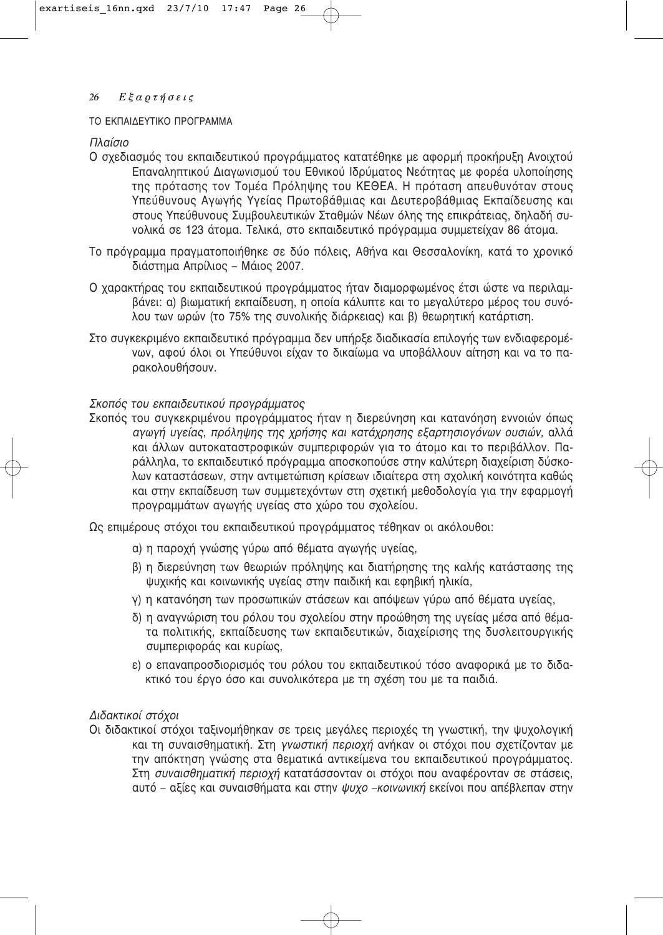#### ΤΟ ΕΚΠΑΙΔΕΥΤΙΚΟ ΠΡΟΓΡΑΜΜΑ

 $\Pi\lambda$ *αίσιο* 

- Ο σχεδιασμός του εκπαιδευτικού προγράμματος κατατέθηκε με αφορμή προκήρυξη Ανοιχτού Επαναληπτικού Διανωνισμού του Εθνικού Ιδρύματος Νεότητας με φορέα υλοποίησης της πρότασης τον Τομέα Πρόληψης του ΚΕΘΕΑ. Η πρόταση απευθυνόταν στους Υπεύθυνους Αγωγής Υγείας Πρωτοβάθμιας και Δευτεροβάθμιας Εκπαίδευσης και στους Υπεύθυνους Συμβουλευτικών Σταθμών Νέων όλης της επικράτειας, δηλαδή συνολικά σε 123 άτομα. Τελικά, στο εκπαιδευτικό πρόγραμμα συμμετείχαν 86 άτομα.
- Το πρόγραμμα πραγματοποιήθηκε σε δύο πόλεις, Αθήνα και Θεσσαλονίκη, κατά το χρονικό διάστημα Απρίλιος – Μάιος 2007.
- Ο χαρακτήρας του εκπαιδευτικού προγράμματος ήταν διαμορφωμένος έτσι ώστε να περιλαμβάνει: α) βιωματική εκπαίδευση, η οποία κάλυπτε και το μεγαλύτερο μέρος του συνόλου των ωρών (το 75% της συνολικής διάρκειας) και β) θεωρητική κατάρτιση.
- Στο συγκεκριμένο εκπαιδευτικό πρόγραμμα δεν υπήρξε διαδικασία επιλογής των ενδιαφερομένων, αφού όλοι οι Υπεύθυνοι είχαν το δικαίωμα να υποβάλλουν αίτηση και να το παρακολουθήσουν.

# Σκοπός του εκπαιδευτικού προγράμματος

Σκοπός του συγκεκριμένου προγράμματος ήταν η διερεύνηση και κατανόηση εννοιών όπως *αγωγή υγείας, πρόληψης της χρήσης και κατάχρησης εξαρτησιογόνων ουσιών, αλλά* και άλλων αυτοκαταστροφικών συμπεριφορών για το άτομο και το περιβάλλον. Παράλληλα, το εκπαιδευτικό πρόγραμμα αποσκοπούσε στην καλύτερη διαχείριση δύσκολων καταστάσεων, στην αντιμετώπιση κρίσεων ιδιαίτερα στη σχολική κοινότητα καθώς και στην εκπαίδευση των συμμετεχόντων στη σχετική μεθοδολογία για την εφαρμογή προγραμμάτων αγωγής υγείας στο χώρο του σχολείου.

Ως επιμέρους στόχοι του εκπαιδευτικού προγράμματος τέθηκαν οι ακόλουθοι:

- a) η παροχή γνώσης γύρω από θέματα αγωγής υγείας,
- β) η διερεύνηση των θεωριών πρόληψης και διατήρησης της καλής κατάστασης της ψυχικής και κοινωνικής υγείας στην παιδική και εφηβική ηλικία,
- γ) η κατανόηση των προσωπικών στάσεων και απόψεων γύρω από θέματα υγείας,
- δ) η αναγνώριση του ρόλου του σχολείου στην προώθηση της υγείας μέσα από θέματα πολιτικής, εκπαίδευσης των εκπαιδευτικών, διαχείρισης της δυσλειτουργικής συμπεριφοράς και κυρίως,
- ε) ο επαναπροσδιορισμός του ρόλου του εκπαιδευτικού τόσο αναφορικά με το διδα-Κτικό του έργο όσο και συνολικότερα με τη σχέση του με τα παιδιά.

# $\Delta$ ιδακτικοί στόχοι

Οι διδακτικοί στόχοι ταξινομήθηκαν σε τρεις μεγάλες περιοχές τη γνωστική, την ψυχολογική και τη συναισθηματική. Στη γνωστική περιοχή ανήκαν οι στόχοι που σχετίζονταν με την απόκτηση γνώσης στα θεματικά αντικείμενα του εκπαιδευτικού προγράμματος. Στη συναισθηματική περιοχή κατατάσσονταν οι στόχοι που αναφέρονταν σε στάσεις, αυτό – αξίες και συναισθήματα και στην ψυχο *–κοινωνική* εκείνοι που απέβλεπαν στην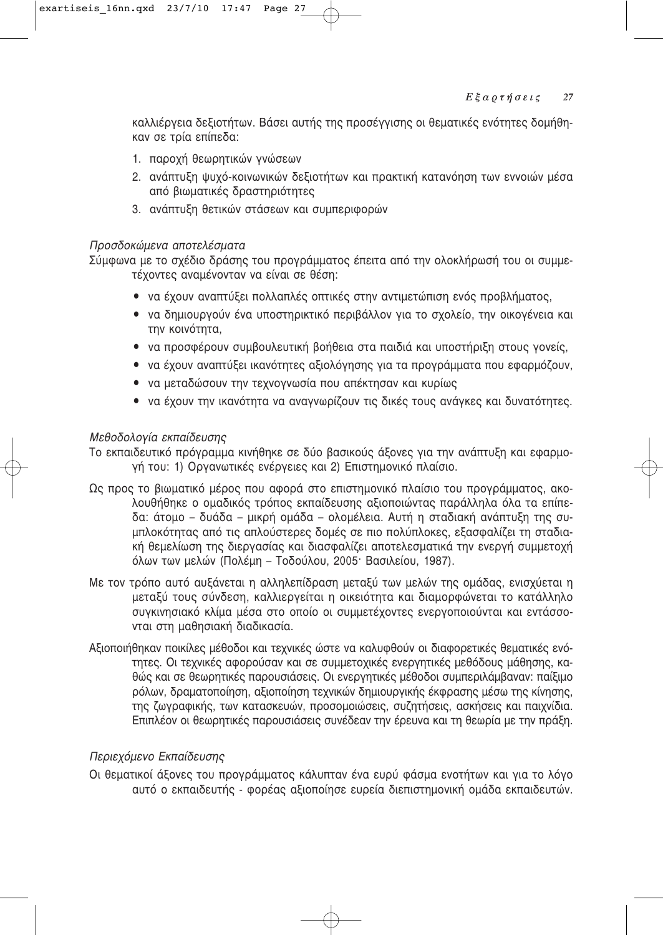καλλιέργεια δεξιοτήτων. Βάσει αυτής της προσέγγισης οι θεματικές ενότητες δομήθηκαν σε τρία επίπεδα:

- 1. παροχή θεωρητικών γνώσεων
- 2. ανάπτυξη ψυχό-κοινωνικών δεξιοτήτων και πρακτική κατανόηση των εννοιών μέσα από βιωματικές δραστηριότητες
- 3. ανάπτυξη θετικών στάσεων και συμπεριφορών

17:47 Page 27

## Προσδοκώμενα αποτελέσματα

exartiseis  $16nn.qxd$   $23/7/10$ 

Σύμφωνα με το σχέδιο δράσης του προγράμματος έπειτα από την ολοκλήρωσή του οι συμμετέχοντες αναμένονταν να είναι σε θέση:

- να έχουν αναπτύξει πολλαπλές οπτικές στην αντιμετώπιση ενός προβλήματος,
- να δημιουργούν ένα υποστηρικτικό περιβάλλον για το σχολείο, την οικογένεια και την κοινότητα,
- να προσφέρουν συμβουλευτική βοήθεια στα παιδιά και υποστήριξη στους γονείς.
- να έχουν αναπτύξει ικανότητες αξιολόγησης για τα προγράμματα που εφαρμόζουν,
- να μεταδώσουν την τεχνογνωσία που απέκτησαν και κυρίως
- να έχουν την ικανότητα να αναγνωρίζουν τις δικές τους ανάγκες και δυνατότητες.

# Μεθοδολογία εκπαίδευσης

Το εκπαιδευτικό πρόγραμμα κινήθηκε σε δύο βασικούς άξονες για την ανάπτυξη και εφαρμογή του: 1) Οργανωτικές ενέργειες και 2) Επιστημονικό πλαίσιο.

- Ως προς το βιωματικό μέρος που αφορά στο επιστημονικό πλαίσιο του προγράμματος, ακολουθήθηκε ο ομαδικός τρόπος εκπαίδευσης αξιοποιώντας παράλληλα όλα τα επίπεδα: άτομο – δυάδα – μικρή ομάδα – ολομέλεια. Αυτή η σταδιακή ανάπτυξη της συμπλοκότητας από τις απλούστερες δομές σε πιο πολύπλοκες, εξασφαλίζει τη σταδιακή θεμελίωση της διεργασίας και διασφαλίζει αποτελεσματικά την ενεργή συμμετοχή όλων των μελών (Πολέμη – Τοδούλου, 2005· Βασιλείου, 1987).
- Με τον τρόπο αυτό αυξάνεται η αλληλεπίδραση μεταξύ των μελών της ομάδας, ενισχύεται η μεταξύ τους σύνδεση, καλλιεργείται η οικειότητα και διαμορφώνεται το κατάλληλο συγκινησιακό κλίμα μέσα στο οποίο οι συμμετέχοντες ενεργοποιούνται και εντάσσονται στη μαθησιακή διαδικασία.
- Αξιοποιήθηκαν ποικίλες μέθοδοι και τεχνικές ώστε να καλυφθούν οι διαφορετικές θεματικές ενότητες. Οι τεχνικές αφορούσαν και σε συμμετοχικές ενεργητικές μεθόδους μάθησης, καθώς και σε θεωρητικές παρουσιάσεις. Οι ενεργητικές μέθοδοι συμπεριλάμβαναν: παίξιμο ρόλων, δραματοποίηση, αξιοποίηση τεχνικών δημιουργικής έκφρασης μέσω της κίνησης, της ζωγραφικής, των κατασκευών, προσομοιώσεις, συζητήσεις, ασκήσεις και παιχνίδια. Επιπλέον οι θεωρητικές παρουσιάσεις συνέδεαν την έρευνα και τη θεωρία με την πράξη.

# Περιεχόμενο Εκπαίδευσης

Οι θεματικοί άξονες του προγράμματος κάλυπταν ένα ευρύ φάσμα ενοτήτων και για το λόγο αυτό ο εκπαιδευτής - φορέας αξιοποίησε ευρεία διεπιστημονική ομάδα εκπαιδευτών.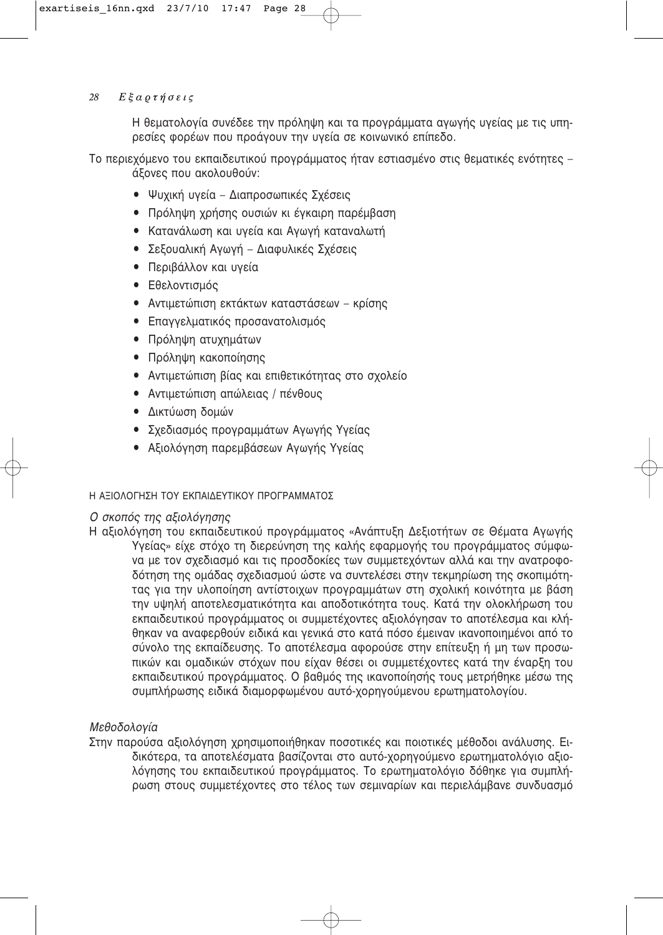Η θεματολογία συνέδεε την πρόληψη και τα προγράμματα αγωγής υγείας με τις υπηρεσίες φορέων που προάγουν την υγεία σε κοινωνικό επίπεδο.

<u>Το περιεχόμενο του εκπαιδευτικού προγράμματος ήταν εστιασμένο στις θεματικές ενότητες –</u> άξονες που ακολουθούν:

- Ψυχική υγεία Διαπροσωπικές Σχέσεις
- Πρόληψη χρήσης ουσιών κι έγκαιρη παρέμβαση
- Κατανάλωση και υγεία και Αγωγή καταναλωτή
- Σεξουαλική Αγωγή Διαφυλικές Σχέσεις
- Περιβάλλον και υγεία
- Εθελοντισμός
- Αντιμετώπιση εκτάκτων καταστάσεων κρίσης
- Επαγγελματικός προσανατολισμός
- Πρόληψη ατυχημάτων
- Πρόληψη κακοποίησης
- Αντιμετώπιση βίας και επιθετικότητας στο σχολείο
- Αντιμετώπιση απώλειας / πένθους
- Δικτύωση δομών
- Σχεδιασμός προγραμμάτων Αγωγής Υγείας
- Αξιολόγηση παρεμβάσεων Αγωγής Υγείας

#### Η ΑΞΙΟΛΟΓΗΣΗ ΤΟΥ ΕΚΠΑΙΔΕΥΤΙΚΟΥ ΠΡΟΓΡΑΜΜΑΤΟΣ

### Ο σκοπός της αξιολόγησης

Η αξιολόγηση του εκπαιδευτικού προγράμματος «Ανάπτυξη Δεξιοτήτων σε Θέματα Αγωγής Υγείας» είχε στόχο τη διερεύνηση της καλής εφαρμογής του προγράμματος σύμφωνα με τον σχεδιασμό και τις προσδοκίες των συμμετεχόντων αλλά και την ανατροφοδότηση της ομάδας σχεδιασμού ώστε να συντελέσει στην τεκμηρίωση της σκοπιμότητας για την υλοποίηση αντίστοιχων προγραμμάτων στη σχολική κοινότητα με βάση την υψηλή αποτελεσματικότητα και αποδοτικότητα τους. Κατά την ολοκλήρωση του εκπαιδευτικού προγράμματος οι συμμετέχοντες αξιολόγησαν το αποτέλεσμα και κλήθηκαν να αναφερθούν ειδικά και γενικά στο κατά πόσο έμειναν ικανοποιημένοι από το σύνολο της εκπαίδευσης. Το αποτέλεσμα αφορούσε στην επίτευξη ή μη των προσωπικών και ομαδικών στόχων που είχαν θέσει οι συμμετέχοντες κατά την έναρξη του εκπαιδευτικού προγράμματος. Ο βαθμός της ικανοποίησής τους μετρήθηκε μέσω της συμπλήρωσης ειδικά διαμορφωμένου αυτό-χορηγούμενου ερωτηματολογίου.

## $M$ εθοδολογία

Στην παρούσα αξιολόγηση χρησιμοποιήθηκαν ποσοτικές και ποιοτικές μέθοδοι ανάλυσης. Ειδικότερα, τα αποτελέσματα βασίζονται στο αυτό-χορηγούμενο ερωτηματολόγιο αξιολόγησης του εκπαιδευτικού προγράμματος. Το ερωτηματολόγιο δόθηκε για συμπλήρωση στους συμμετέχοντες στο τέλος των σεμιναρίων και περιελάμβανε συνδυασμό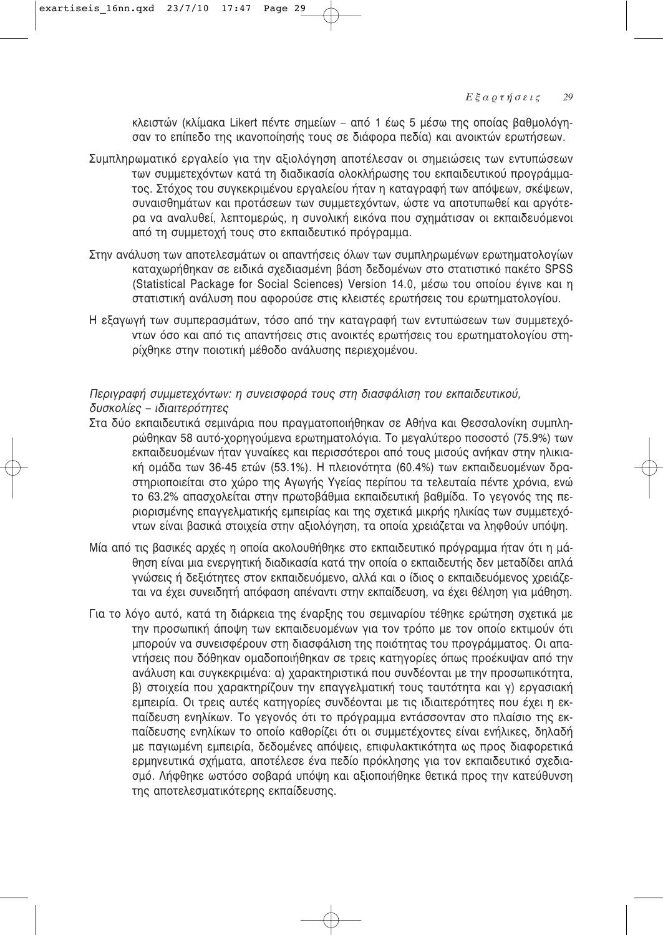exartiseis\_16nn.qxd 23/7/10 17:47 Page 29

Kλειστών (κλίμακα Likert πέντε σημείων – από 1 έως 5 μέσω της οποίας βαθμολόγησαν το επίπεδο της ικανοποίησής τους σε διάφορα πεδία) και ανοικτών ερωτήσεων.

- Συμπληρωματικό εργαλείο για την αξιολόγηση αποτέλεσαν οι σημειώσεις των εντυπώσεων των συμμετεχόντων κατά τη διαδικασία ολοκλήρωσης του εκπαιδευτικού προγράμματος. Στόχος του συγκεκριμένου εργαλείου ήταν η καταγραφή των απόψεων, σκέψεων, συναισθημάτων και προτάσεων των συμμετεχόντων, ώστε να αποτυπωθεί και αργότερα να αναλυθεί, λεπτομερώς, η συνολική εικόνα που σχημάτισαν οι εκπαιδευόμενοι από τη συμμετοχή τους στο εκπαιδευτικό πρόγραμμα.
- Στην ανάλυση των αποτελεσμάτων οι απαντήσεις όλων των συμπληρωμένων ερωτηματολογίων καταχωρήθηκαν σε ειδικά σχεδιασμένη βάση δεδομένων στο στατιστικό πακέτο SPSS (Statistical Package for Social Sciences) Version 14.0, μέσω του οποίου ένινε και η στατιστική ανάλυση που αφορούσε στις κλειστές ερωτήσεις του ερωτηματολογίου.
- Η εξαγωγή των συμπερασμάτων, τόσο από την καταγραφή των εντυπώσεων των συμμετεχό-Vτων όσο και από τις απαντήσεις στις ανοικτές ερωτήσεις του ερωτηματολογίου στηρίχθηκε στην ποιοτική μέθοδο ανάλυσης περιεχομένου.

*Περινραφή συμμετεχόντων: η συνεισφορά τους στη διασφάλιση του εκπαιδευτικού.*  $\delta$ υσκολίες – ιδιαιτερότητες

- Στα δύο εκπαιδευτικά σεμινάρια που πραγματοποιήθηκαν σε Αθήνα και Θεσσαλονίκη συμπληρώθηκαν 58 αυτό-χορηγούμενα ερωτηματολόγια. Το μεγαλύτερο ποσοστό (75.9%) των εκπαιδευομένων ήταν γυναίκες και περισσότεροι από τους μισούς ανήκαν στην ηλικιακή ομάδα των 36-45 ετών (53.1%). Η πλειονότητα (60.4%) των εκπαιδευομένων δραστηριοποιείται στο χώρο της Αγωγής Υγείας περίπου τα τελευταία πέντε χρόνια, ενώ το 63.2% απασχολείται στην πρωτοβάθμια εκπαιδευτική βαθμίδα. Το γεγονός της περιορισμένης επαγγελματικής εμπειρίας και της σχετικά μικρής ηλικίας των συμμετεχόντων είναι βασικά στοιχεία στην αξιολόγηση, τα οποία χρειάζεται να ληφθούν υπόψη.
- Μία από τις βασικές αρχές η οποία ακολουθήθηκε στο εκπαιδευτικό πρόγραμμα ήταν ότι η μάθηση είναι μια ενεργητική διαδικασία κατά την οποία ο εκπαιδευτής δεν μεταδίδει απλά γνώσεις ή δεξιότητες στον εκπαιδευόμενο, αλλά και ο ίδιος ο εκπαιδευόμενος χρειάζεται να έχει συνειδητή απόφαση απέναντι στην εκπαίδευση, να έχει θέληση για μάθηση.
- Για το λόγο αυτό, κατά τη διάρκεια της έναρξης του σεμιναρίου τέθηκε ερώτηση σχετικά με την προσωπική άποψη των εκπαιδευομένων για τον τρόπο με τον οποίο εκτιμούν ότι μπορούν να συνεισφέρουν στη διασφάλιση της ποιότητας του προγράμματος. Οι απαντήσεις που δόθηκαν ομαδοποιήθηκαν σε τρεις κατηγορίες όπως προέκυψαν από την ανάλυση και συγκεκριμένα: α) χαρακτηριστικά που συνδέονται με την προσωπικότητα, β) στοιχεία που χαρακτηρίζουν την επαγγελματική τους ταυτότητα και γ) εργασιακή εμπειρία. Οι τρεις αυτές κατηγορίες συνδέονται με τις ιδιαιτερότητες που έχει η εκπαίδευση ενηλίκων. Το γεγονός ότι το πρόγραμμα εντάσσονταν στο πλαίσιο της εκπαίδευσης ενηλίκων το οποίο καθορίζει ότι οι συμμετέχοντες είναι ενήλικες. δηλαδή με παγιωμένη εμπειρία, δεδομένες απόψεις, επιφυλακτικότητα ως προς διαφορετικά ερμηνευτικά σχήματα, αποτέλεσε ένα πεδίο πρόκλησης για τον εκπαιδευτικό σχεδιασμό. Λήφθηκε ωστόσο σοβαρά υπόψη και αξιοποιήθηκε θετικά προς την κατεύθυνση της αποτελεσματικότερης εκπαίδευσης.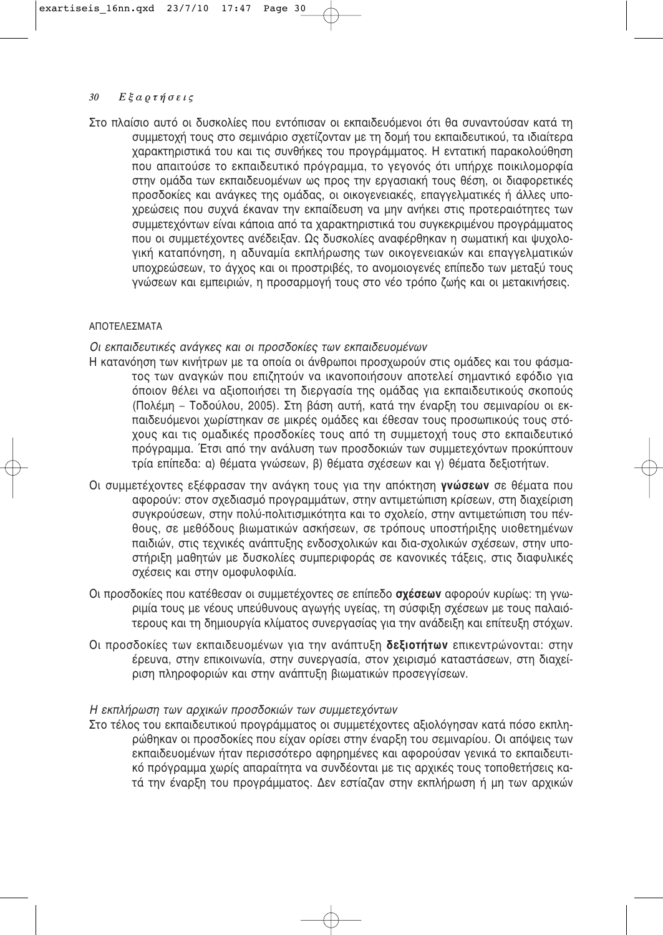#### $30^{\circ}$ Εξαρτήσεις

Στο πλαίσιο αυτό οι δυσκολίες που εντόπισαν οι εκπαιδευόμενοι ότι θα συναντούσαν κατά τη συμμετοχή τους στο σεμινάριο σχετίζονταν με τη δομή του εκπαιδευτικού, τα ιδιαίτερα χαρακτηριστικά του και τις συνθήκες του προγράμματος. Η εντατική παρακολούθηση που απαιτούσε το εκπαιδευτικό πρόγραμμα, το γεγονός ότι υπήρχε ποικιλομορφία στην ομάδα των εκπαιδευομένων ως προς την εργασιακή τους θέση, οι διαφορετικές προσδοκίες και ανάγκες της ομάδας, οι οικογενειακές, επαγγελματικές ή άλλες υποχρεώσεις που συχνά έκαναν την εκπαίδευση να μην ανήκει στις προτεραιότητες των συμμετεχόντων είναι κάποια από τα χαρακτηριστικά του συγκεκριμένου προγράμματος που οι συμμετέχοντες ανέδειξαν. Ως δυσκολίες αναφέρθηκαν η σωματική και ψυχολογική καταπόνηση, η αδυναμία εκπλήρωσης των οικογενειακών και επαγγελματικών υποχρεώσεων, το άγχος και οι προστριβές, το ανομοιογενές επίπεδο των μεταξύ τους γνώσεων και εμπειριών, η προσαρμογή τους στο νέο τρόπο ζωής και οι μετακινήσεις.

## ΑΠΟΤΕΛΕΣΜΑΤΑ

# Οι εκπαιδευτικές ανάγκες και οι προσδοκίες των εκπαιδευομένων

- Η κατανόηση των κινήτρων με τα οποία οι άνθρωποι προσχωρούν στις ομάδες και του φάσματος των αναγκών που επιζητούν να ικανοποιήσουν αποτελεί σημαντικό εφόδιο για όποιον θέλει να αξιοποιήσει τη διεργασία της ομάδας για εκπαιδευτικούς σκοπούς (Πολέμη – Τοδούλου, 2005), Στη βάση αυτή, κατά την έναρξη του σεμιναρίου οι εκπαιδευόμενοι χωρίστηκαν σε μικρές ομάδες και έθεσαν τους προσωπικούς τους στόχους και τις ομαδικές προσδοκίες τους από τη συμμετοχή τους στο εκπαιδευτικό πρόγραμμα. Έτσι από την ανάλυση των προσδοκιών των συμμετεχόντων προκύπτουν τρία επίπεδα: α) θέματα γνώσεων, β) θέματα σχέσεων και γ) θέματα δεξιοτήτων.
- Οι συμμετέχοντες εξέφρασαν την ανάγκη τους για την απόκτηση γνώσεων σε θέματα που αφορούν: στον σχεδιασμό προγραμμάτων, στην αντιμετώπιση κρίσεων, στη διαχείριση συγκρούσεων, στην πολύ-πολιτισμικότητα και το σχολείο, στην αντιμετώπιση του πένθους, σε μεθόδους βιωματικών ασκήσεων, σε τρόπους υποστήριξης υιοθετημένων παιδιών, στις τεχνικές ανάπτυξης ενδοσχολικών και δια-σχολικών σχέσεων, στην υποστήριξη μαθητών με δυσκολίες συμπεριφοράς σε κανονικές τάξεις, στις διαφυλικές σχέσεις και στην ομοφυλοφιλία.
- Οι προσδοκίες που κατέθεσαν οι συμμετέχοντες σε επίπεδο σχέσεων αφορούν κυρίως: τη γνωριμία τους με νέους υπεύθυνους αγωγής υγείας, τη σύσφιξη σχέσεων με τους παλαιότερους και τη δημιουργία κλίματος συνεργασίας για την ανάδειξη και επίτευξη στόχων.
- Οι προσδοκίες των εκπαιδευομένων για την ανάπτυξη δεξιοτήτων επικεντρώνονται: στην έρευνα, στην επικοινωνία, στην συνεργασία, στον χειρισμό καταστάσεων, στη διαχείριση πληροφοριών και στην ανάπτυξη βιωματικών προσεγγίσεων.

# Η εκπλήρωση των αρχικών προσδοκιών των συμμετεχόντων

Στο τέλος του εκπαιδευτικού προγράμματος οι συμμετέχοντες αξιολόγησαν κατά πόσο εκπληρώθηκαν οι προσδοκίες που είχαν ορίσει στην έναρξη του σεμιναρίου. Οι απόψεις των εκπαιδευομένων ήταν περισσότερο αφηρημένες και αφορούσαν νενικά το εκπαιδευτικό πρόγραμμα χωρίς απαραίτητα να συνδέονται με τις αρχικές τους τοποθετήσεις κατά την έναρξη του προγράμματος. Δεν εστίαζαν στην εκπλήρωση ή μη των αρχικών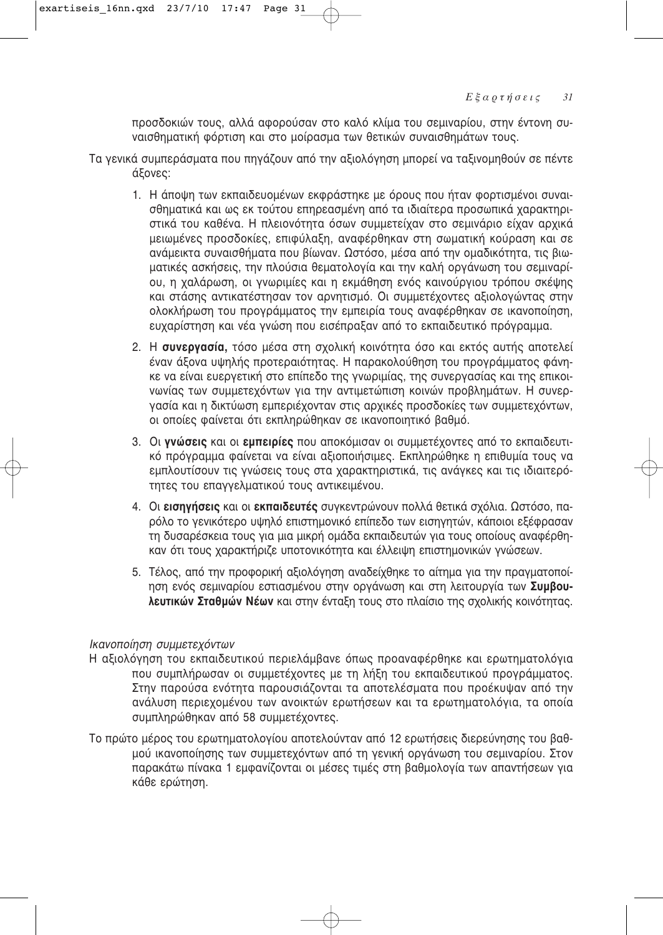exartiseis 16nn.qxd 23/7/10  $17:47$ Page

> προσδοκιών τους, αλλά αφορούσαν στο καλό κλίμα του σεμιναρίου, στην έντονη συναισθηματική φόρτιση και στο μοίρασμα των θετικών συναισθημάτων τους.

- Τα γενικά συμπεράσματα που πηγάζουν από την αξιολόγηση μπορεί να ταξινομηθούν σε πέντε άξονες:
	- 1. Η άποψη των εκπαιδευομένων εκφράστηκε με όρους που ήταν φορτισμένοι συναισθηματικά και ως εκ τούτου επηρεασμένη από τα ιδιαίτερα προσωπικά χαρακτηριστικά του καθένα. Η πλειονότητα όσων συμμετείχαν στο σεμινάριο είχαν αρχικά μειωμένες προσδοκίες, επιφύλαξη, αναφέρθηκαν στη σωματική κούραση και σε ανάμεικτα συναισθήματα που βίωναν. Ωστόσο, μέσα από την ομαδικότητα, τις βιωματικές ασκήσεις, την πλούσια θεματολογία και την καλή οργάνωση του σεμιναρίου, η χαλάρωση, οι γνωριμίες και η εκμάθηση ενός καινούργιου τρόπου σκέψης και στάσης αντικατέστησαν τον αρνητισμό. Οι συμμετέχοντες αξιολογώντας στην ολοκλήρωση του προγράμματος την εμπειρία τους αναφέρθηκαν σε ικανοποίηση. ευχαρίστηση και νέα γνώση που εισέπραξαν από το εκπαιδευτικό πρόγραμμα.
	- 2. Η συνεργασία, τόσο μέσα στη σχολική κοινότητα όσο και εκτός αυτής αποτελεί έναν άξονα υψηλής προτεραιότητας. Η παρακολούθηση του προγράμματος φάνηκε να είναι ευεργετική στο επίπεδο της γνωριμίας, της συνεργασίας και της επικοινωνίας των συμμετεχόντων για την αντιμετώπιση κοινών προβλημάτων. Η συνερνασία και η δικτύωση εμπεριέχονταν στις αρχικές προσδοκίες των συμμετεχόντων. οι οποίες φαίνεται ότι εκπληρώθηκαν σε ικανοποιητικό βαθμό.
	- 3. Οι γνώσεις και οι εμπειρίες που αποκόμισαν οι συμμετέχοντες από το εκπαιδευτικό πρόγραμμα φαίνεται να είναι αξιοποιήσιμες. Εκπληρώθηκε η επιθυμία τους να εμπλουτίσουν τις γνώσεις τους στα χαρακτηριστικά, τις ανάγκες και τις ιδιαιτερότητες του επαγγελματικού τους αντικειμένου.
	- 4. Οι εισηγήσεις και οι εκπαιδευτές συγκεντρώνουν πολλά θετικά σχόλια. Ωστόσο, παρόλο το γενικότερο υψηλό επιστημονικό επίπεδο των εισηγητών, κάποιοι εξέφρασαν τη δυσαρέσκεια τους για μια μικρή ομάδα εκπαιδευτών για τους οποίους αναφέρθηκαν ότι τους χαρακτήριζε υποτονικότητα και έλλειψη επιστημονικών γνώσεων.
	- 5. Τέλος, από την προφορική αξιολόγηση αναδείχθηκε το αίτημα για την πραγματοποίηση ενός σεμιναρίου εστιασμένου στην οργάνωση και στη λειτουργία των Συμβουλευτικών Σταθμών Νέων και στην ένταξη τους στο πλαίσιο της σχολικής κοινότητας.

# Ικανοποίηση συμμετεχόντων

- Η αξιολόγηση του εκπαιδευτικού περιελάμβανε όπως προαναφέρθηκε και ερωτηματολόγια που συμπλήρωσαν οι συμμετέχοντες με τη λήξη του εκπαιδευτικού προγράμματος. Στην παρούσα ενότητα παρουσιάζονται τα αποτελέσματα που προέκυψαν από την ανάλυση περιεχομένου των ανοικτών ερωτήσεων και τα ερωτηματολόγια, τα οποία συμπληρώθηκαν από 58 συμμετέχοντες.
- Το πρώτο μέρος του ερωτηματολογίου αποτελούνταν από 12 ερωτήσεις διερεύνησης του βαθμού ικανοποίησης των συμμετεχόντων από τη γενική οργάνωση του σεμιναρίου. Στον παρακάτω πίνακα 1 εμφανίζονται οι μέσες τιμές στη βαθμολογία των απαντήσεων για κάθε ερώτηση.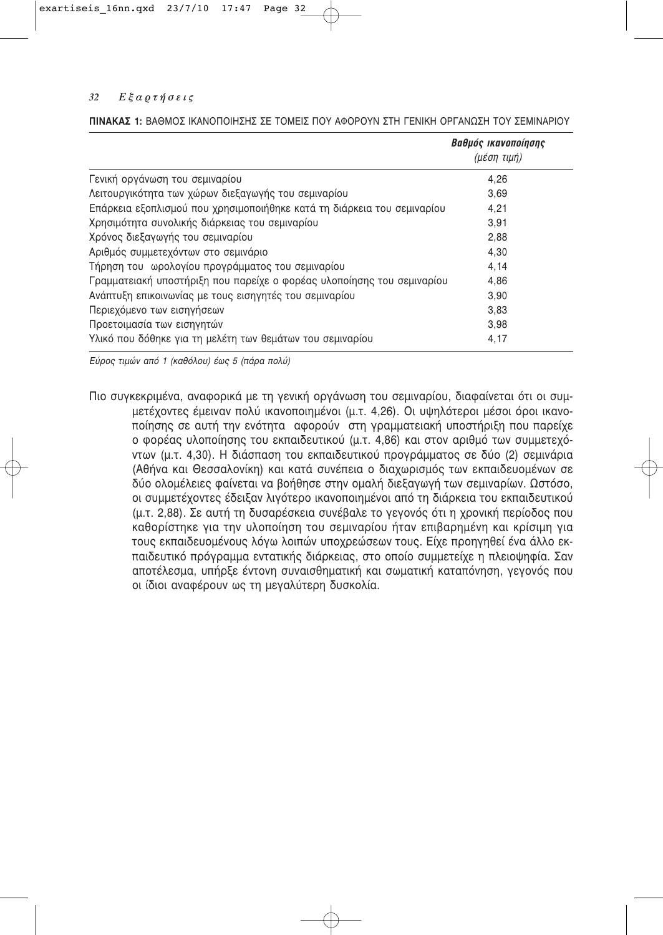**ΠΙΝΑΚΑΣ 1:** ΒΑΘΜΟΣ ΙΚΑΝΟΠΟΙΗΣΗΣ ΣΕ ΤΟΜΕΙΣ ΠΟΥ ΑΦΟΡΟΥΝ ΣΤΗ ΓΕΝΙΚΗ ΟΡΓΑΝΩΣΗ ΤΟΥ ΣΕΜΙΝΑΡΙΟΥ

|                                                                         | Βαθμός ικανοποίησης<br>(μέση τιμή) |
|-------------------------------------------------------------------------|------------------------------------|
| Γενική οργάνωση του σεμιναρίου                                          | 4,26                               |
| Λειτουργικότητα των χώρων διεξαγωγής του σεμιναρίου                     | 3,69                               |
| Επάρκεια εξοπλισμού που χρησιμοποιήθηκε κατά τη διάρκεια του σεμιναρίου | 4,21                               |
| Χρησιμότητα συνολικής διάρκειας του σεμιναρίου                          | 3,91                               |
| Χρόνος διεξαγωγής του σεμιναρίου                                        | 2,88                               |
| Αριθμός συμμετεχόντων στο σεμινάριο                                     | 4,30                               |
| Τήρηση του ωρολογίου προγράμματος του σεμιναρίου                        | 4,14                               |
| Γραμματειακή υποστήριξη που παρείχε ο φορέας υλοποίησης του σεμιναρίου  | 4,86                               |
| Ανάπτυξη επικοινωνίας με τους εισηγητές του σεμιναρίου                  | 3,90                               |
| Περιεχόμενο των εισηγήσεων                                              | 3,83                               |
| Προετοιμασία των εισηγητών                                              | 3,98                               |
| Υλικό που δόθηκε για τη μελέτη των θεμάτων του σεμιναρίου               | 4,17                               |

*Eύρος τιμών από 1 (καθόλου) έως 5 (πάρα πολύ)* 

Πιο συγκεκριμένα, αναφορικά με τη γενική οργάνωση του σεμιναρίου, διαφαίνεται ότι οι συμμετέχοντες έμειναν πολύ ικανοποιημένοι (μ.τ. 4,26). Οι υψηλότεροι μέσοι όροι ικανοποίησης σε αυτή την ενότητα αφορούν στη γραμματειακή υποστήριξη που παρείχε ο φορέας υλοποίησης του εκπαιδευτικού (μ.τ. 4,86) και στον αριθμό των συμμετεχό-Vτων (μ.τ. 4,30). Η διάσπαση του εκπαιδευτικού προνράμματος σε δύο (2) σεμινάρια (Αθήνα και Θεσσαλονίκη) και κατά συνέπεια ο διαχωρισμός των εκπαιδευομένων σε δύο ολομέλειες φαίνεται να βοήθησε στην ομαλή διεξαγωγή των σεμιναρίων. Ωστόσο, οι συμμετέχοντες έδειξαν λιγότερο ικανοποιημένοι από τη διάρκεια του εκπαιδευτικού (μ.τ. 2,88). Σε αυτή τη δυσαρέσκεια συνέβαλε το γεγονός ότι η χρονική περίοδος που καθορίστηκε για την υλοποίηση του σεμιναρίου ήταν επιβαρημένη και κρίσιμη για τους εκπαιδευομένους λόγω λοιπών υποχρεώσεων τους. Είχε προηνηθεί ένα άλλο εκπαιδευτικό πρόγραμμα εντατικής διάρκειας, στο οποίο συμμετείχε η πλειοψηφία. Σαν αποτέλεσμα, υπήρξε έντονη συναισθηματική και σωματική καταπόνηση, γεγονός που οι ίδιοι αναφέρουν ως τη μεγαλύτερη δυσκολία.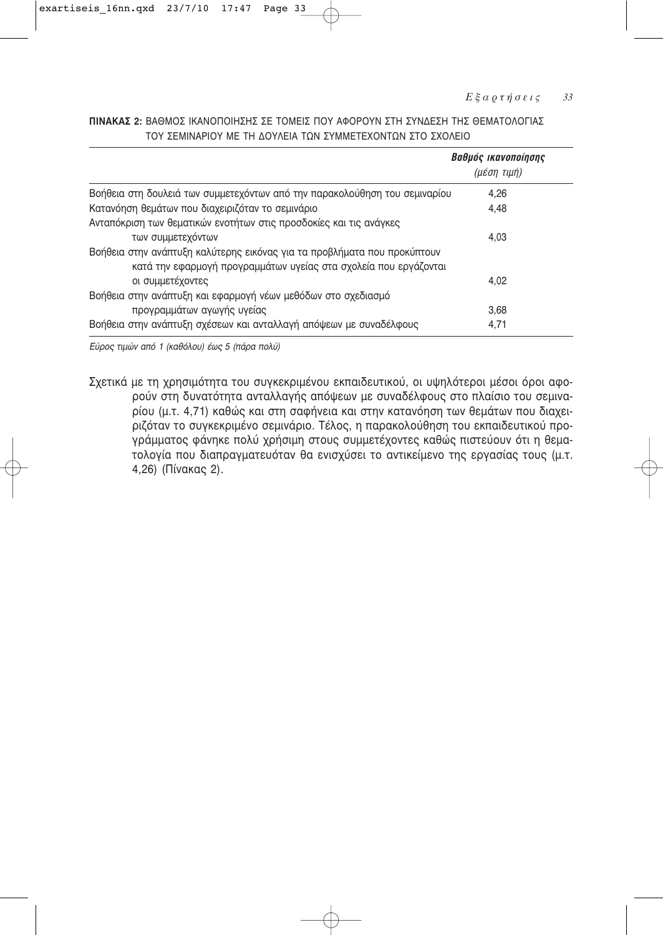|                                                                                                                                              | Βαθμός ικανοποίησης<br>(μέση τιμή) |
|----------------------------------------------------------------------------------------------------------------------------------------------|------------------------------------|
| Βοήθεια στη δουλειά των συμμετεχόντων από την παρακολούθηση του σεμιναρίου                                                                   | 4,26                               |
| Κατανόηση θεμάτων που διαχειριζόταν το σεμινάριο                                                                                             | 4,48                               |
| Ανταπόκριση των θεματικών ενοτήτων στις προσδοκίες και τις ανάγκες                                                                           |                                    |
| των συμμετεχόντων                                                                                                                            | 4,03                               |
| Βοήθεια στην ανάπτυξη καλύτερης εικόνας για τα προβλήματα που προκύπτουν<br>κατά την εφαρμογή προγραμμάτων υγείας στα σχολεία που εργάζονται |                                    |
| οι συμμετέχοντες                                                                                                                             | 4,02                               |
| Βοήθεια στην ανάπτυξη και εφαρμογή νέων μεθόδων στο σχεδιασμό                                                                                |                                    |
| προγραμμάτων αγωγής υγείας                                                                                                                   | 3,68                               |
| Βοήθεια στην ανάπτυξη σχέσεων και ανταλλαγή απόψεων με συναδέλφους                                                                           | 4,71                               |

# ΠΙΝΑΚΑΣ 2: ΒΑΘΜΟΣ ΙΚΑΝΟΠΟΙΗΣΗΣ ΣΕ ΤΟΜΕΙΣ ΠΟΥ ΑΦΟΡΟΥΝ ΣΤΗ ΣΥΝΔΕΣΗ ΤΗΣ ΘΕΜΑΤΟΛΟΓΙΑΣ ΤΟΥ ΣΕΜΙΝΑΡΙΟΥ ΜΕ ΤΗ ΔΟΥΛΕΙΑ ΤΩΝ ΣΥΜΜΕΤΕΧΟΝΤΩΝ ΣΤΟ ΣΧΟΛΕΙΟ

17:47

Page 33

Εύρος τιμών από 1 (καθόλου) έως 5 (πάρα πολύ)

exartiseis 16nn.qxd 23/7/10

Σχετικά με τη χρησιμότητα του συγκεκριμένου εκπαιδευτικού, οι υψηλότεροι μέσοι όροι αφορούν στη δυνατότητα ανταλλαγής απόψεων με συναδέλφους στο πλαίσιο του σεμιναρίου (μ.τ. 4,71) καθώς και στη σαφήνεια και στην κατανόηση των θεμάτων που διαχειριζόταν το συγκεκριμένο σεμινάριο. Τέλος, η παρακολούθηση του εκπαιδευτικού προγράμματος φάνηκε πολύ χρήσιμη στους συμμετέχοντες καθώς πιστεύουν ότι η θεματολογία που διαπραγματευόταν θα ενισχύσει το αντικείμενο της εργασίας τους (μ.τ. 4,26) (Πίνακας 2).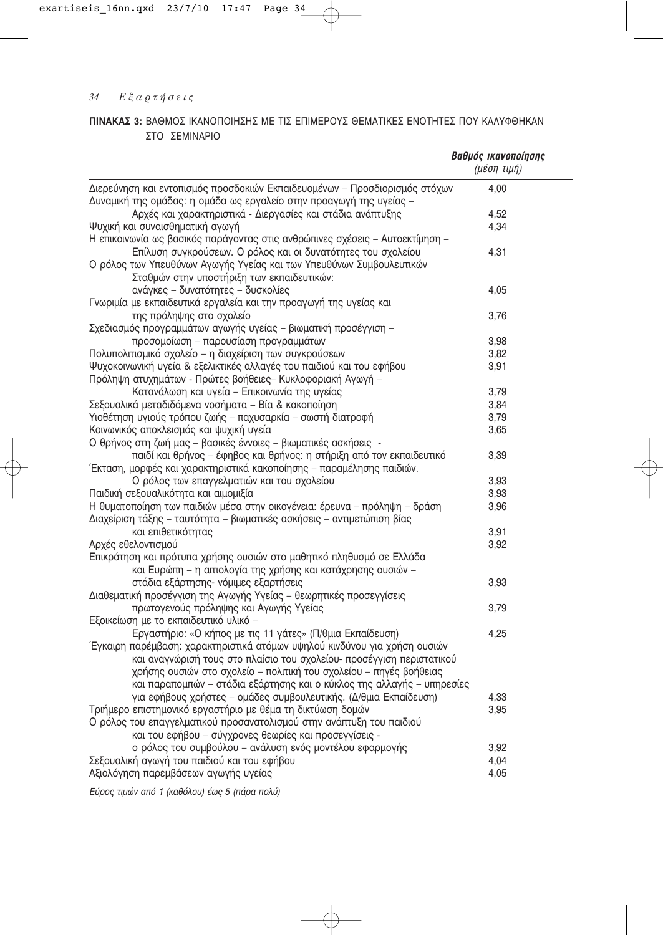# ΠΙΝΑΚΑΣ 3: ΒΑΘΜΟΣ ΙΚΑΝΟΠΟΙΗΣΗΣ ΜΕ ΤΙΣ ΕΠΙΜΕΡΟΥΣ ΘΕΜΑΤΙΚΕΣ ΕΝΟΤΗΤΕΣ ΠΟΥ ΚΑΛΥΦΘΗΚΑΝ ΣΤΟ ΣΕΜΙΝΑΡΙΟ

|                                                                              | Βαθμός ικανοποίησης<br>(μέση τιμή) |
|------------------------------------------------------------------------------|------------------------------------|
| Διερεύνηση και εντοπισμός προσδοκιών Εκπαιδευομένων - Προσδιορισμός στόχων   | 4,00                               |
| Δυναμική της ομάδας: η ομάδα ως εργαλείο στην προαγωγή της υγείας -          |                                    |
| Αρχές και χαρακτηριστικά - Διεργασίες και στάδια ανάπτυξης                   | 4,52                               |
| Ψυχική και συναισθηματική αγωγή                                              | 4,34                               |
| Η επικοινωνία ως βασικός παράγοντας στις ανθρώπινες σχέσεις - Αυτοεκτίμηση - |                                    |
| Επίλυση συγκρούσεων. Ο ρόλος και οι δυνατότητες του σχολείου                 | 4,31                               |
| Ο ρόλος των Υπευθύνων Αγωγής Υγείας και των Υπευθύνων Συμβουλευτικών         |                                    |
| Σταθμών στην υποστήριξη των εκπαιδευτικών:                                   |                                    |
| ανάγκες - δυνατότητες - δυσκολίες                                            | 4,05                               |
| Γνωριμία με εκπαιδευτικά εργαλεία και την προαγωγή της υγείας και            |                                    |
| της πρόληψης στο σχολείο                                                     | 3,76                               |
| Σχεδιασμός προγραμμάτων αγωγής υγείας - βιωματική προσέγγιση -               |                                    |
| προσομοίωση - παρουσίαση προγραμμάτων                                        | 3,98                               |
| Πολυπολιτισμικό σχολείο - η διαχείριση των συγκρούσεων                       | 3,82                               |
| Ψυχοκοινωνική υγεία & εξελικτικές αλλαγές του παιδιού και του εφήβου         | 3,91                               |
| Πρόληψη ατυχημάτων - Πρώτες βοήθειες - Κυκλοφοριακή Αγωγή -                  |                                    |
| Κατανάλωση και υγεία - Επικοινωνία της υγείας                                | 3.79                               |
| Σεξουαλικά μεταδιδόμενα νοσήματα - Βία & κακοποίηση                          | 3,84                               |
| Υιοθέτηση υγιούς τρόπου ζωής - παχυσαρκία - σωστή διατροφή                   | 3,79                               |
| Κοινωνικός αποκλεισμός και ψυχική υγεία                                      | 3,65                               |
| Ο θρήνος στη ζωή μας - βασικές έννοιες - βιωματικές ασκήσεις -               |                                    |
| παιδί και θρήνος - έφηβος και θρήνος: η στήριξη από τον εκπαιδευτικό         | 3,39                               |
| Έκταση, μορφές και χαρακτηριστικά κακοποίησης - παραμέλησης παιδιών.         |                                    |
| Ο ρόλος των επαγγελματιών και του σχολείου                                   | 3,93                               |
| Παιδική σεξουαλικότητα και αιμομιξία                                         | 3,93                               |
| Η θυματοποίηση των παιδιών μέσα στην οικογένεια: έρευνα – πρόληψη – δράση    | 3,96                               |
| Διαχείριση τάξης - ταυτότητα - βιωματικές ασκήσεις - αντιμετώπιση βίας       |                                    |
| και επιθετικότητας                                                           | 3,91                               |
| Αρχές εθελοντισμού                                                           | 3,92                               |
| Επικράτηση και πρότυπα χρήσης ουσιών στο μαθητικό πληθυσμό σε Ελλάδα         |                                    |
| και Ευρώπη - η αιτιολογία της χρήσης και κατάχρησης ουσιών -                 |                                    |
| στάδια εξάρτησης- νόμιμες εξαρτήσεις                                         | 3,93                               |
| Διαθεματική προσέγγιση της Αγωγής Υγείας - θεωρητικές προσεγγίσεις           |                                    |
| πρωτογενούς πρόληψης και Αγωγής Υγείας                                       | 3,79                               |
| Εξοικείωση με το εκπαιδευτικό υλικό -                                        |                                    |
| Εργαστήριο: «Ο κήπος με τις 11 γάτες» (Π/θμια Εκπαίδευση)                    | 4,25                               |
| Έγκαιρη παρέμβαση: χαρακτηριστικά ατόμων υψηλού κινδύνου για χρήση ουσιών    |                                    |
| και αναγνώρισή τους στο πλαίσιο του σχολείου- προσέγγιση περιστατικού        |                                    |
| χρήσης ουσιών στο σχολείο - πολιτική του σχολείου - πηγές βοήθειας           |                                    |
| και παραπομπών - στάδια εξάρτησης και ο κύκλος της αλλαγής - υπηρεσίες       |                                    |
| για εφήβους χρήστες - ομάδες συμβουλευτικής. (Δ/θμια Εκπαίδευση)             | 4,33                               |
| Τριήμερο επιστημονικό εργαστήριο με θέμα τη δικτύωση δομών                   | 3,95                               |
| Ο ρόλος του επαγγελματικού προσανατολισμού στην ανάπτυξη του παιδιού         |                                    |
| και του εφήβου - σύγχρονες θεωρίες και προσεγγίσεις -                        |                                    |
|                                                                              |                                    |
| ο ρόλος του συμβούλου - ανάλυση ενός μοντέλου εφαρμογής                      | 3,92                               |
| Σεξουαλική αγωγή του παιδιού και του εφήβου                                  | 4,04                               |
| Αξιολόγηση παρεμβάσεων αγωγής υγείας                                         | 4,05                               |

Εύρος τιμών από 1 (καθόλου) έως 5 (πάρα πολύ)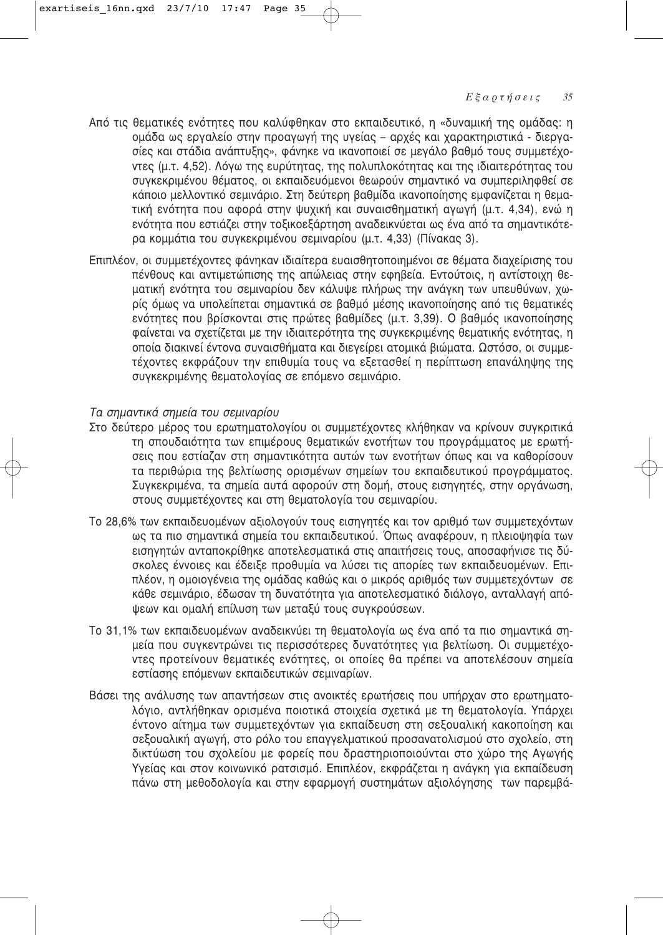- Από τις θεματικές ενότητες που καλύφθηκαν στο εκπαιδευτικό, η «δυναμική της ομάδας: η ομάδα ως εργαλείο στην προαγωγή της υγείας – αρχές και χαρακτηριστικά - διεργασίες και στάδια ανάπτυξης», φάνηκε να ικανοποιεί σε μεγάλο βαθμό τους συμμετέχοντες (μ.τ. 4,52). Λόγω της ευρύτητας, της πολυπλοκότητας και της ιδιαιτερότητας του συγκεκριμένου θέματος, οι εκπαιδευόμενοι θεωρούν σημαντικό να συμπεριληφθεί σε κάποιο μελλοντικό σεμινάριο. Στη δεύτερη βαθμίδα ικανοποίησης εμφανίζεται η θεματική ενότητα που αφορά στην ψυχική και συναισθηματική αγωγή (μ.τ. 4,34), ενώ η ενότητα που εστιάζει στην τοξικοεξάρτηση αναδεικνύεται ως ένα από τα σημαντικότερα κομμάτια του συγκεκριμένου σεμιναρίου (μ.τ. 4,33) (Πίνακας 3).
- Επιπλέον, οι συμμετέχοντες φάνηκαν ιδιαίτερα ευαισθητοποιημένοι σε θέματα διαχείρισης του πένθους και αντιμετώπισης της απώλειας στην εφηβεία. Εντούτοις, η αντίστοιχη θεματική ενότητα του σεμιναρίου δεν κάλυψε πλήρως την ανάγκη των υπευθύνων, χωρίς όμως να υπολείπεται σημαντικά σε βαθμό μέσης ικανοποίησης από τις θεματικές ενότητες που βρίσκονται στις πρώτες βαθμίδες (μ.τ. 3,39). Ο βαθμός ικανοποίησης φαίνεται να σχετίζεται με την ιδιαιτερότητα της συγκεκριμένης θεματικής ενότητας, η οποία διακινεί έντονα συναισθήματα και διενείρει ατομικά βιώματα. Ωστόσο, οι συμμετέχοντες εκφράζουν την επιθυμία τους να εξετασθεί η περίπτωση επανάληψης της συγκεκριμένης θεματολογίας σε επόμενο σεμινάριο.

# Τα σημαντικά σημεία του σεμιναρίου

- Στο δεύτερο μέρος του ερωτηματολογίου οι συμμετέχοντες κλήθηκαν να κρίνουν συγκριτικά τη σπουδαιότητα των επιμέρους θεματικών ενοτήτων του προγράμματος με ερωτήσεις που εστίαζαν στη σημαντικότητα αυτών των ενοτήτων όπως και να καθορίσουν τα περιθώρια της βελτίωσης ορισμένων σημείων του εκπαιδευτικού προγράμματος. Συγκεκριμένα, τα σημεία αυτά αφορούν στη δομή, στους εισηγητές, στην οργάνωση, στους συμμετέχοντες και στη θεματολογία του σεμιναρίου.
- Το 28,6% των εκπαιδευομένων αξιολογούν τους εισηγητές και τον αριθμό των συμμετεχόντων ως τα πιο σημαντικά σημεία του εκπαιδευτικού. Όπως αναφέρουν, η πλειοψηφία των εισηγητών ανταποκρίθηκε αποτελεσματικά στις απαιτήσεις τους, αποσαφήνισε τις δύσκολες έννοιες και έδειξε προθυμία να λύσει τις απορίες των εκπαιδευομένων. Επιπλέον, η ομοιογένεια της ομάδας καθώς και ο μικρός αριθμός των συμμετεχόντων σε κάθε σεμινάριο, έδωσαν τη δυνατότητα για αποτελεσματικό διάλογο, ανταλλαγή απόψεων και ομαλή επίλυση των μεταξύ τους συγκρούσεων.
- Το 31,1% των εκπαιδευομένων αναδεικνύει τη θεματολογία ως ένα από τα πιο σημαντικά σημεία που συγκεντρώνει τις περισσότερες δυνατότητες για βελτίωση. Οι συμμετέχοντες προτείνουν θεματικές ενότητες, οι οποίες θα πρέπει να αποτελέσουν σημεία εστίασης επόμενων εκπαιδευτικών σεμιναρίων.
- Βάσει της ανάλυσης των απαντήσεων στις ανοικτές ερωτήσεις που υπήρχαν στο ερωτηματολόγιο, αντλήθηκαν ορισμένα ποιοτικά στοιχεία σχετικά με τη θεματολογία. Υπάρχει έντονο αίτημα των συμμετεχόντων για εκπαίδευση στη σεξουαλική κακοποίηση και σεξουαλική αγωγή, στο ρόλο του επαγγελματικού προσανατολισμού στο σχολείο, στη δικτύωση του σχολείου με φορείς που δραστηριοποιούνται στο χώρο της Ανωνής Υγείας και στον κοινωνικό ρατσισμό. Επιπλέον, εκφράζεται η ανάγκη για εκπαίδευση πάνω στη μεθοδολογία και στην εφαρμογή συστημάτων αξιολόγησης των παρεμβά-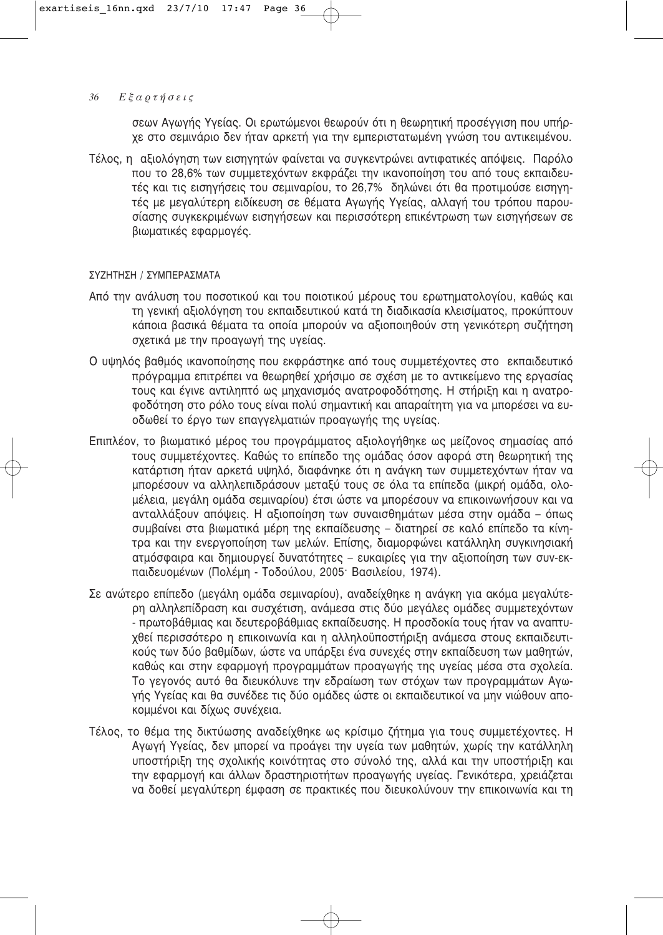σεων Αγωγής Υγείας. Οι ερωτώμενοι θεωρούν ότι η θεωρητική προσέγγιση που υπήρχε στο σεμινάριο δεν ήταν αρκετή για την εμπεριστατωμένη γνώση του αντικειμένου.

<u>Τέλος, η αξιολόνηση των εισηνητών φαίνεται να συνκεντρώνει αντιφατικές απόψεις. Παρόλο</u> που το 28,6% των συμμετεχόντων εκφράζει την ικανοποίηση του από τους εκπαιδευτές και τις εισηγήσεις του σεμιναρίου, το 26,7% δηλώνει ότι θα προτιμούσε εισηγητές με μεγαλύτερη ειδίκευση σε θέματα Αγωγής Υγείας, αλλαγή του τρόπου παρουσίασης συνκεκριμένων εισηνήσεων και περισσότερη επικέντρωση των εισηνήσεων σε βιωματικές εφαρμογές.

# ΣΥΖΗΤΗΣΗ / ΣΥΜΠΕΡΑΣΜΑΤΑ

- Aπό την ανάλυση του ποσοτικού και του ποιοτικού μέρους του ερωτηματολογίου, καθώς και τη γενική αξιολόγηση του εκπαιδευτικού κατά τη διαδικασία κλεισίματος, προκύπτουν κάποια βασικά θέματα τα οποία μπορούν να αξιοποιηθούν στη γενικότερη συζήτηση σχετικά με την προαγωγή της υγείας.
- Ο υψηλός βαθμός ικανοποίησης που εκφράστηκε από τους συμμετέχοντες στο εκπαιδευτικό πρόγραμμα επιτρέπει να θεωρηθεί χρήσιμο σε σχέση με το αντικείμενο της εργασίας τους και έγινε αντιληπτό ως μηχανισμός ανατροφοδότησης. Η στήριξη και η ανατρο-Φοδότηση στο ρόλο τους είναι πολύ σημαντική και απαραίτητη για να μπορέσει να ευοδωθεί το έργο των επαγγελματιών προαγωγής της υγείας.
- Επιπλέον, το βιωματικό μέρος του προγράμματος αξιολογήθηκε ως μείζονος σημασίας από τους συμμετέχοντες. Καθώς το επίπεδο της ομάδας όσον αφορά στη θεωρητική της κατάρτιση ήταν αρκετά υψηλό, διαφάνηκε ότι η ανάγκη των συμμετεχόντων ήταν να μπορέσουν να αλληλεπιδράσουν μεταξύ τους σε όλα τα επίπεδα (μικρή ομάδα, ολομέλεια, μεγάλη ομάδα σεμιναρίου) έτσι ώστε να μπορέσουν να επικοινωνήσουν και να ανταλλάξουν απόψεις. Η αξιοποίηση των συναισθημάτων μέσα στην ομάδα - όπως συμβαίνει στα βιωματικά μέρη της εκπαίδευσης – διατηρεί σε καλό επίπεδο τα κίνητρα και την ενεργοποίηση των μελών. Επίσης, διαμορφώνει κατάλληλη συγκινησιακή ατμόσφαιρα και δημιουργεί δυνατότητες – ευκαιρίες για την αξιοποίηση των συν-εκπαιδευομένων (Πολέμη - Τοδούλου, 2005<sup>·</sup> Βασιλείου, 1974).
- Σε ανώτερο επίπεδο (μεγάλη ομάδα σεμιναρίου), αναδείχθηκε η ανάγκη για ακόμα μεγαλύτερη αλληλεπίδραση και συσχέτιση, ανάμεσα στις δύο μεγάλες ομάδες συμμετεχόντων - πρωτοβάθμιας και δευτεροβάθμιας εκπαίδευσης. Η προσδοκία τους ήταν να αναπτυχθεί περισσότερο η επικοινωνία και η αλληλοϋποστήριξη ανάμεσα στους εκπαιδευτικούς των δύο βαθμίδων, ώστε να υπάρξει ένα συνεχές στην εκπαίδευση των μαθητών, καθώς και στην εφαρμογή προγραμμάτων προαγωγής της υγείας μέσα στα σχολεία. Το γεγονός αυτό θα διευκόλυνε την εδραίωση των στόχων των προγραμμάτων Αγωγής Υγείας και θα συνέδεε τις δύο ομάδες ώστε οι εκπαιδευτικοί να μην νιώθουν αποκομμένοι και δίχως συνέχεια.
- Τέλος, το θέμα της δικτύωσης αναδείχθηκε ως κρίσιμο ζήτημα για τους συμμετέχοντες. Η Αγωγή Υγείας, δεν μπορεί να προάγει την υγεία των μαθητών, χωρίς την κατάλληλη υποστήριξη της σχολικής κοινότητας στο σύνολό της, αλλά και την υποστήριξη και την εφαρμογή και άλλων δραστηριοτήτων προαγωγής υγείας. Γενικότερα, χρειάζεται να δοθεί μεγαλύτερη έμφαση σε πρακτικές που διευκολύνουν την επικοινωνία και τη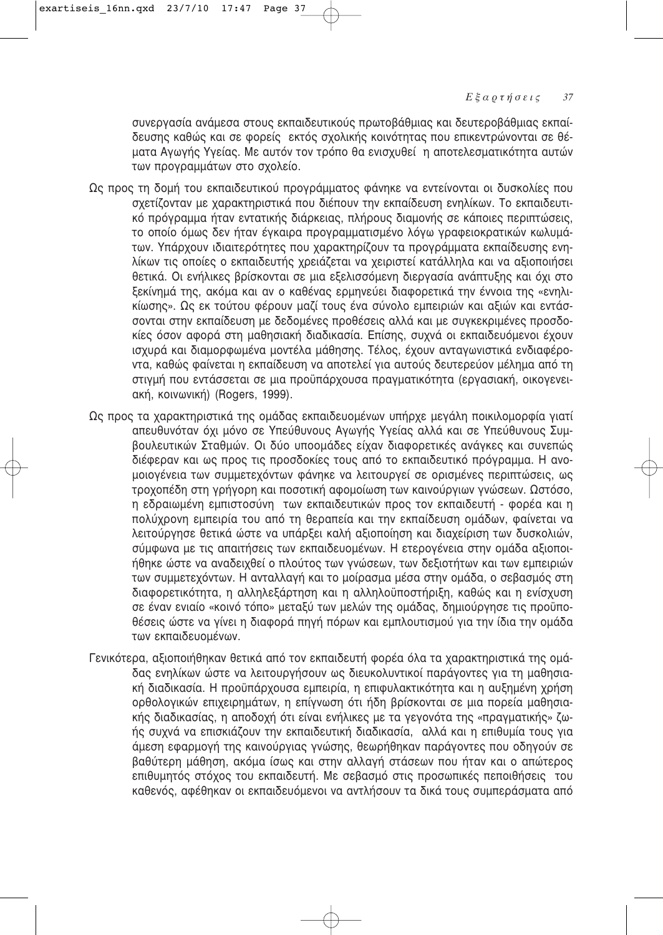exartiseis  $16nn.qxd$   $23/7/10$   $17:47$  Page

συνεργασία ανάμεσα στους εκπαιδευτικούς πρωτοβάθμιας και δευτεροβάθμιας εκπαίδευσης καθώς και σε φορείς εκτός σχολικής κοινότητας που επικεντρώνονται σε θέματα Αγωγής Υγείας. Με αυτόν τον τρόπο θα ενισχυθεί η αποτελεσματικότητα αυτών των προνραμμάτων στο σχολείο.

- Ως προς τη δομή του εκπαιδευτικού προγράμματος φάνηκε να εντείνονται οι δυσκολίες που σχετίζονταν με χαρακτηριστικά που διέπουν την εκπαίδευση ενηλίκων. Το εκπαιδευτι-Κό πρόγραμμα ήταν εντατικής διάρκειας, πλήρους διαμονής σε κάποιες περιπτώσεις, το οποίο όμως δεν ήταν έγκαιρα προγραμματισμένο λόγω γραφειοκρατικών κωλυμάτων. Υπάρχουν ιδιαιτερότητες που χαρακτηρίζουν τα προγράμματα εκπαίδευσης ενηλίκων τις οποίες ο εκπαιδευτής χρειάζεται να χειριστεί κατάλληλα και να αξιοποιήσει θετικά. Οι ενήλικες βρίσκονται σε μια εξελισσόμενη διεργασία ανάπτυξης και όχι στο ξεκίνημά της, ακόμα και αν ο καθένας ερμηνεύει διαφορετικά την έννοια της «ενηλικίωσης». Ως εκ τούτου φέρουν μαζί τους ένα σύνολο εμπειριών και αξιών και εντάσσονται στην εκπαίδευση με δεδομένες προθέσεις αλλά και με συγκεκριμένες προσδοκίες όσον αφορά στη μαθησιακή διαδικασία. Επίσης, συχνά οι εκπαιδευόμενοι έχουν ισχυρά και διαμορφωμένα μοντέλα μάθησης. Τέλος, έχουν ανταγωνιστικά ενδιαφέροντα, καθώς φαίνεται η εκπαίδευση να αποτελεί για αυτούς δευτερεύον μέλημα από τη στιγμή που εντάσσεται σε μια προϋπάρχουσα πραγματικότητα (εργασιακή, οικογενειακή, κοινωνική) (Rogers, 1999).
- Ως προς τα χαρακτηριστικά της ομάδας εκπαιδευομένων υπήρχε μεγάλη ποικιλομορφία γιατί απευθυνόταν όχι μόνο σε Υπεύθυνους Αγωγής Υγείας αλλά και σε Υπεύθυνους Συμβουλευτικών Σταθμών. Οι δύο υποομάδες είχαν διαφορετικές ανάγκες και συνεπώς διέφεραν και ως προς τις προσδοκίες τους από το εκπαιδευτικό πρόγραμμα. Η ανομοιογένεια των συμμετεχόντων φάνηκε να λειτουργεί σε ορισμένες περιπτώσεις, ως τροχοπέδη στη γρήγορη και ποσοτική αφομοίωση των καινούργιων γνώσεων. Ωστόσο, η εδραιωμένη εμπιστοσύνη των εκπαιδευτικών προς τον εκπαιδευτή - φορέα και η πολύχρονη εμπειρία του από τη θεραπεία και την εκπαίδευση ομάδων, φαίνεται να λειτούργησε θετικά ώστε να υπάρξει καλή αξιοποίηση και διαχείριση των δυσκολιών, σύμφωνα με τις απαιτήσεις των εκπαιδευομένων. Η ετερογένεια στην ομάδα αξιοποιήθηκε ώστε να αναδειχθεί ο πλούτος των γνώσεων, των δεξιοτήτων και των εμπειριών των συμμετεχόντων. Η ανταλλαγή και το μοίρασμα μέσα στην ομάδα, ο σεβασμός στη διαφορετικότητα, η αλληλεξάρτηση και η αλληλοϋποστήριξη, καθώς και η ενίσχυση σε έναν ενιαίο «κοινό τόπο» μεταξύ των μελών της ομάδας, δημιούργησε τις προϋποθέσεις ώστε να γίνει η διαφορά πηγή πόρων και εμπλουτισμού για την ίδια την ομάδα των εκπαιδευομένων.
- Γενικότερα, αξιοποιήθηκαν θετικά από τον εκπαιδευτή φορέα όλα τα χαρακτηριστικά της ομάδας ενηλίκων ώστε να λειτουργήσουν ως διευκολυντικοί παράγοντες για τη μαθησιακή διαδικασία. Η προϋπάρχουσα εμπειρία, η επιφυλακτικότητα και η αυξημένη χρήση ορθολογικών επιχειρημάτων, η επίγνωση ότι ήδη βρίσκονται σε μια πορεία μαθησιακής διαδικασίας, η αποδοχή ότι είναι ενήλικες με τα γεγονότα της «πραγματικής» ζωής συχνά να επισκιάζουν την εκπαιδευτική διαδικασία, αλλά και η επιθυμία τους για άμεση εφαρμογή της καινούργιας γνώσης, θεωρήθηκαν παράγοντες που οδηγούν σε βαθύτερη μάθηση, ακόμα ίσως και στην αλλαγή στάσεων που ήταν και ο απώτερος επιθυμητός στόχος του εκπαιδευτή. Με σεβασμό στις προσωπικές πεποιθήσεις του καθενός, αφέθηκαν οι εκπαιδευόμενοι να αντλήσουν τα δικά τους συμπεράσματα από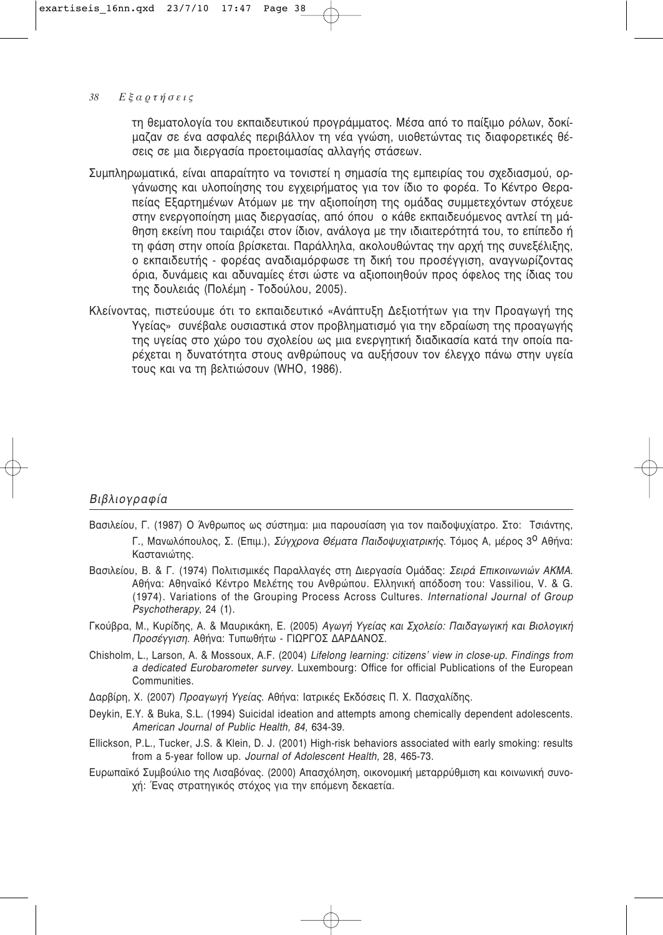τη θεματολογία του εκπαιδευτικού προγράμματος. Μέσα από το παίξιμο ρόλων, δοκίμαζαν σε ένα ασφαλές περιβάλλον τη νέα γνώση, υιοθετώντας τις διαφορετικές θέσεις σε μια διεργασία προετοιμασίας αλλαγής στάσεων.

- Συμπληρωματικά, είναι απαραίτητο να τονιστεί η σημασία της εμπειρίας του σχεδιασμού, οργάνωσης και υλοποίησης του εγχειρήματος για τον ίδιο το φορέα. Το Κέντρο Θεραπείας Εξαοτημένων Ατόμων με την αξιοποίηση της ομάδας συμμετεχόντων στόχευε στην ενεργοποίηση μιας διεργασίας, από όπου ο κάθε εκπαιδευόμενος αντλεί τη μάθηση εκείνη που ταιριάζει στον ίδιον, ανάλογα με την ιδιαιτερότητά του, το επίπεδο ή τη φάση στην οποία βρίσκεται. Παράλληλα, ακολουθώντας την αρχή της συνεξέλιξης, ο εκπαιδευτής - φορέας αναδιαμόρφωσε τη δική του προσέγγιση, αναγνωρίζοντας όρια, δυνάμεις και αδυναμίες έτσι ώστε να αξιοποιηθούν προς όφελος της ίδιας του της δουλειάς (Πολέμη - Τοδούλου, 2005).
- Κλείνοντας, πιστεύουμε ότι το εκπαιδευτικό «Ανάπτυξη Δεξιοτήτων για την Προαγωγή της Yνείας» συνέβαλε ουσιαστικά στον προβληματισμό για την εδραίωση της προαγωνής της υγείας στο χώρο του σχολείου ως μια ενεργητική διαδικασία κατά την οποία παρέχεται η δυνατότητα στους ανθρώπους να αυξήσουν τον έλεγχο πάνω στην υγεία τους και να τη βελτιώσουν (WHO, 1986).

# $B$ ιβλιογραφία

- Βασιλείου, Γ. (1987) Ο Άνθρωπος ως σύστημα: μια παρουσίαση για τον παιδοψυχίατρο. Στο: Τσιάντης, Γ., Μανωλόπουλος, Σ. (Επιμ.), *Σύγχρονα Θέματα Παιδοψυχιατρικής*. Τόμος Α, μέρος 3<sup>0</sup> Αθήνα: Καστανιώτης.
- Βασιλείου, Β. & Γ. (1974) Πολιτισμικές Παραλλαγές στη Διεργασία Ομάδας: *Σειρά Επικοινωνιών ΑΚΜΑ*. Αθήνα: Αθηναϊκό Κέντρο Μελέτης του Ανθρώπου. Ελληνική απόδοση του: Vassiliou, V. & G. (1974). Variations of the Grouping Process Across Cultures. *International Journal of Group Psychotherapy*, 24 (1).
- Γκούβρα, Μ., Κυρίδης, Α. & Μαυρικάκη, Ε. (2005) *Αγωγή Υγείας και Σχολείο: Παιδαγωγική και Βιολογική Προσέγγιση.* Αθήνα: Τυπωθήτω - ΓΙΩΡΓΟΣ ΔΑΡΔΑΝΟΣ.
- Chisholm, L., Larson, A. & Mossoux, A.F. (2004) *Lifelong learning: citizens' view in close-up. Findings from a dedicated Eurobarometer survey.* Luxembourg: Office for official Publications of the European Communities.
- **Δαρβίρη, Χ. (2007)** *Προαγωγή Υγείας*. Αθήνα: Ιατρικές Εκδόσεις Π. Χ. Πασχαλίδης.
- Deykin, E.Y. & Buka, S.L. (1994) Suicidal ideation and attempts among chemically dependent adolescents. *American Journal of Public Health, 84,* 634-39.
- Ellickson, P.L., Tucker, J.S. & Klein, D. J. (2001) High-risk behaviors associated with early smoking: results from a 5-year follow up. *Journal of Adolescent Health,* 28, 465-73.
- Ευρωπαϊκό Συμβούλιο της Λισαβόνας. (2000) Απασχόληση, οικονομική μεταρρύθμιση και κοινωνική συνοχή: Ένας στρατηγικός στόχος για την επόμενη δεκαετία.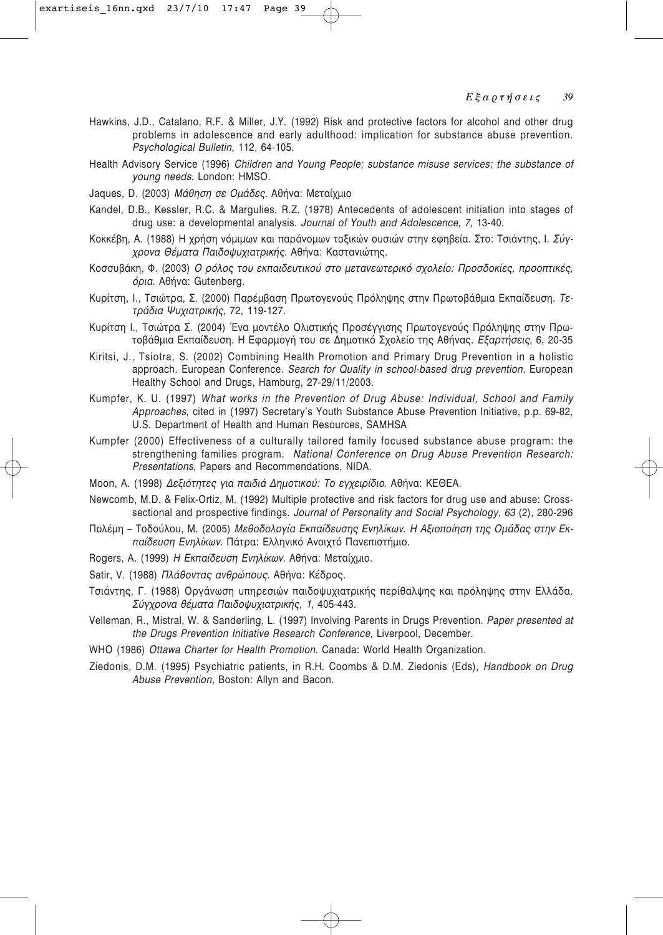exartiseis 16nn.qxd 23/7/10  $17:47$ Page 39

- Hawkins, J.D., Catalano, R.F. & Miller, J.Y. (1992) Risk and protective factors for alcohol and other drug problems in adolescence and early adulthood: implication for substance abuse prevention. Psychological Bulletin, 112, 64-105.
- Health Advisory Service (1996) Children and Young People: substance misuse services; the substance of young needs. London: HMSO.
- Jaques, D. (2003) Máθnon σε Ομάδες, Αθήνα: Μεταίχμιο
- Kandel, D.B., Kessler, R.C. & Margulies, R.Z. (1978) Antecedents of adolescent initiation into stages of drug use: a developmental analysis. Journal of Youth and Adolescence, 7, 13-40.
- Κοκκέβη, Α. (1988) Η χρήση νόμιμων και παράνομων τοξικών ουσιών στην εφηβεία. Στο: Τσιάντης, Ι. Σύγχρονα Θέματα Παιδοψυχιατρικής, Αθήνα: Καστανιώτης,
- Κοσσυβάκη, Φ. (2003) Ο ρόλος του εκπαιδευτικού στο μετανεωτερικό σχολείο: Προσδοκίες, προοπτικές, όρια. Αθήνα: Gutenberg.
- Κυρίτση, Ι., Τσιώτρα, Σ. (2000) Παρέμβαση Πρωτογενούς Πρόληψης στην Πρωτοβάθμια Εκπαίδευση. Τετράδια Ψυχιατρικής, 72, 119-127.
- Κυρίτση Ι., Τσιώτρα Σ. (2004) Ένα μοντέλο Ολιστικής Προσέγγισης Πρωτογενούς Πρόληψης στην Πρωτοβάθμια Εκπαίδευση. Η Εφαρμογή του σε Δημοτικό Σχολείο της Αθήνας. Εξαρτήσεις, 6, 20-35
- Kiritsi, J., Tsiotra, S. (2002) Combining Health Promotion and Primary Drug Prevention in a holistic approach. European Conference. Search for Quality in school-based drug prevention. European Healthy School and Drugs, Hamburg, 27-29/11/2003.
- Kumpfer, K. U. (1997) What works in the Prevention of Drug Abuse: Individual, School and Family Approaches, cited in (1997) Secretary's Youth Substance Abuse Prevention Initiative, p.p. 69-82, U.S. Department of Health and Human Resources, SAMHSA
- Kumpfer (2000) Effectiveness of a culturally tailored family focused substance abuse program: the strengthening families program. National Conference on Drug Abuse Prevention Research: Presentations, Papers and Recommendations, NIDA.
- Moon, A. (1998) Δεξιότητες για παιδιά Δημοτικού: Το εγχειρίδιο. Αθήνα: ΚΕΘΕΑ.
- Newcomb, M.D. & Felix-Ortiz, M. (1992) Multiple protective and risk factors for drug use and abuse: Crosssectional and prospective findings. Journal of Personality and Social Psychology, 63 (2), 280-296
- Πολέμη Τοδούλου, Μ. (2005) Μεθοδολογία Εκπαίδευσης Ενηλίκων. Η Αξιοποίηση της Ομάδας στην Εκπαίδευση Ενηλίκων. Πάτρα: Ελληνικό Ανοιχτό Πανεπιστήμιο.
- Rogers, A. (1999) Η Εκπαίδευση Ενηλίκων. Αθήνα: Μεταίχμιο.
- Satir, V. (1988) Πλάθοντας ανθρώπους. Αθήνα: Κέδρος.
- Τσιάντης, Γ. (1988) Οργάνωση υπηρεσιών παιδοψυχιατρικής περίθαλψης και πρόληψης στην Ελλάδα. Σύγχρονα θέματα Παιδοψυχιατρικής, 1, 405-443.
- Velleman, R., Mistral, W. & Sanderling, L. (1997) Involving Parents in Drugs Prevention. Paper presented at the Drugs Prevention Initiative Research Conference, Liverpool, December.
- WHO (1986) Ottawa Charter for Health Promotion. Canada: World Health Organization.
- Ziedonis, D.M. (1995) Psychiatric patients, in R.H. Coombs & D.M. Ziedonis (Eds), Handbook on Drug Abuse Prevention, Boston: Allyn and Bacon.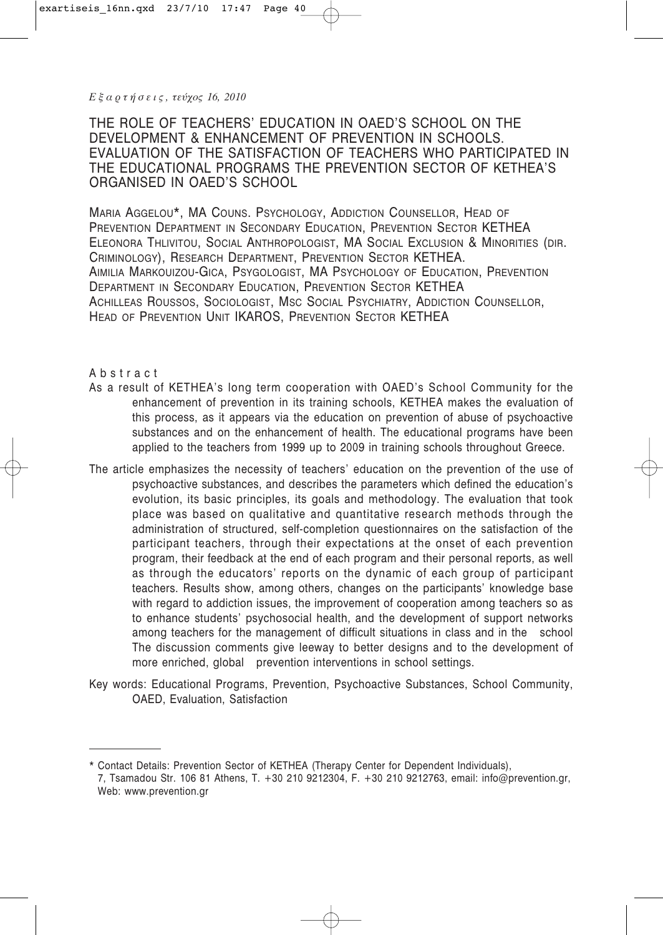*Ε ξ α ρ τ ή σ ε ι ς , τεύχος 16, 2010*

THE ROLE OF TEACHERS' EDUCATION IN OAED'S SCHOOL ON THE DEVELOPMENT & ENHANCEMENT OF PREVENTION IN SCHOOLS. EVALUATION OF THE SATISFACTION OF TEACHERS WHO PARTICIPATED IN THE EDUCATIONAL PROGRAMS THE PREVENTION SECTOR OF KETHEA'S ORGANISED IN OAED'S SCHOOL

MARIA AGGELOU\*, MA COUNS. PSYCHOLOGY, ADDICTION COUNSELLOR, HEAD OF PREVENTION DEPARTMENT IN SECONDARY EDUCATION, PREVENTION SECTOR KETHEA ELEONORA THLIVITOU, SOCIAL ANTHROPOLOGIST, MA SOCIAL EXCLUSION & MINORITIES (DIR. CRIMINOLOGY), RESEARCH DEPARTMENT, PREVENTION SECTOR KETHEA. AIMILIA MARKOUIZOU-GICA, PSYGOLOGIST, MA PSYCHOLOGY OF EDUCATION, PREVENTION DEPARTMENT IN SECONDARY EDUCATION, PREVENTION SECTOR KETHEA ACHILLEAS ROUSSOS, SOCIOLOGIST, MSC SOCIAL PSYCHIATRY, ADDICTION COUNSELLOR, HEAD OF PREVENTION UNIT IKAROS, PREVENTION SECTOR KETHEA

Abstract

- As a result of KETHEA's long term cooperation with OAED's School Community for the enhancement of prevention in its training schools, KETHEA makes the evaluation of this process, as it appears via the education on prevention of abuse of psychoactive substances and on the enhancement of health. The educational programs have been applied to the teachers from 1999 up to 2009 in training schools throughout Greece.
- The article emphasizes the necessity of teachers' education on the prevention of the use of psychoactive substances, and describes the parameters which defined the education's evolution, its basic principles, its goals and methodology. The evaluation that took place was based on qualitative and quantitative research methods through the administration of structured, self-completion questionnaires on the satisfaction of the participant teachers, through their expectations at the onset of each prevention program, their feedback at the end of each program and their personal reports, as well as through the educators' reports on the dynamic of each group of participant teachers. Results show, among others, changes on the participants' knowledge base with regard to addiction issues, the improvement of cooperation among teachers so as to enhance students' psychosocial health, and the development of support networks among teachers for the management of difficult situations in class and in the school The discussion comments give leeway to better designs and to the development of more enriched, global prevention interventions in school settings.
- Key words: Educational Programs, Prevention, Psychoactive Substances, School Community, OAED, Evaluation, Satisfaction

<sup>\*</sup> Contact Details: Prevention Sector of KETHEA (Therapy Center for Dependent Individuals),

<sup>7,</sup> Tsamadou Str. 106 81 Athens, T. +30 210 9212304, F. +30 210 9212763, email: info@prevention.gr, Web: www.prevention.gr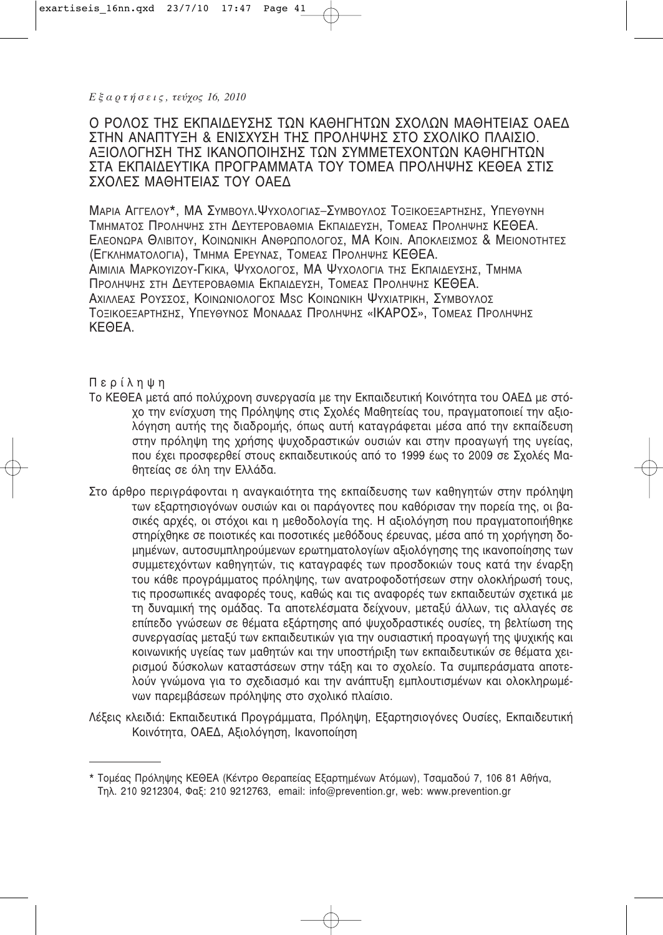*Ε ξ α ρ τ ή σ ε ι ς , τεύχος 16, 2010*

Ο ΡΟΛΟΣ ΤΗΣ ΕΚΠΑΙΔΕΥΣΗΣ ΤΩΝ ΚΑΘΗΓΗΤΩΝ ΣΧΟΛΩΝ ΜΑΘΗΤΕΙΑΣ ΟΑΕΔ ΣΤΗΝ ΑΝΑΠΤΥΞΗ & ΕΝΙΣΧΥΣΗ ΤΗΣ ΠΡΟΛΗΨΗΣ ΣΤΟ ΣΧΟΛΙΚΟ ΠΛΑΙΣΙΟ. ΑΞΙΟΛΟΓΗΣΗ ΤΗΣ ΙΚΑΝΟΠΟΙΗΣΗΣ ΤΩΝ ΣΥΜΜΕΤΕΧΟΝΤΩΝ ΚΑΘΗΓΗΤΩΝ ΣΤΑ ΕΚΠΑΙΔΕΥΤΙΚΑ ΠΡΟΓΡΑΜΜΑΤΑ ΤΟΥ ΤΟΜΕΑ ΠΡΟΛΗΨΗΣ ΚΕΘΕΑ ΣΤΙΣ ΣΧΟΛΕΣ ΜΑΘΗΤΕΙΑΣ ΤΟΥ ΟΑΕΔ

ΜΑΡΙΑ ΑΓΓΕΛΟΥ<sup>\*</sup>, ΜΑ ΣΎΜΒΟΥΛ, ΨΥΧΟΛΟΓΙΑΣ∕ΣΥΜΒΟΥΛΟΣ ΤΟΞΙΚΟΕΞΑΡΤΗΣΗΣ, ΥΠΕΥΘΥΝΗ ТΜΗΜΑΤΟΣ ΠΡΟΛΗΨΗΣ ΣΤΗ ΔΕΥΤΕΡΟΒΑΘΜΙΑ ΕΚΠΑΙΔΕΥΣΗ, ΤΟΜΕΑΣ ΠΡΟΛΗΨΗΣ ΚΕΘΕΑ. ΕΛΕΟΝΩΡΑ ΘΛΙΒΙΤΟΥ, ΚΟΙΝΩΝΙΚΗ ΑΝΘΡΩΠΟΛΟΓΟΣ, ΜΑ ΚΟΙΝ. ΑΠΟΚΛΕΙΣΜΟΣ & ΜΕΙΟΝΟΤΗΤΕΣ (ЕГКЛНМАТОЛОГІА), ТМНМА ЕРЕҮΝАΣ, ТОМЕАΣ ПРОЛНΨНΣ КЕӨЕА, AIMIAIA MAPKOYIZOY-ΓΚΙΚΑ, ΨΥΧΟΛΟΓΟΣ, ΜΑ ΨΥΧΟΛΟΓΙΑ ΤΗΣ ΕΚΠΑΙΔΕΥΣΗΣ, ΤΜΗΜΑ ПРОЛНФНІ ΣТН ДЕҮТЕРОВАӨМІА ЕКПАІДЕҮΣН, ТОМЕАΣ ПРОЛНФНІ КЕӨЕА. ΑΧΙΛΛΕΑΣ ΡΟΥΣΣΟΣ, ΚΟΙΝΩΝΙΟΛΟΓΟΣ ΜSC ΚΟΙΝΩΝΙΚΗ ΨΥΧΙΑΤΡΙΚΗ, ΣΥΜΒΟΥΛΟΣ ΤΟΞΙΚΟΕΞΑΡΤΗΣΗΣ, ΥΠΕΥΘΥΝΟΣ ΜΟΝΑΔΑΣ ΠΡΟΛΗΨΗΣ «ΙΚΑΡΟΣ», ΤΟΜΕΑΣ ΠΡΟΛΗΨΗΣ ∫∂£∂∞.

Περίληψη

- To KEΘEΑ μετά από πολύχρονη συνεργασία με την Εκπαιδευτική Κοινότητα του ΟΑΕΔ με στόχο την ενίσχυση της Πρόληψης στις Σχολές Μαθητείας του, πραγματοποιεί την αξιολόγηση αυτής της διαδρομής, όπως αυτή καταγράφεται μέσα από την εκπαίδευση στην πρόληψη της χρήσης ψυχοδραστικών ουσιών και στην προαγωγή της υγείας, που έχει προσφερθεί στους εκπαιδευτικούς από το 1999 έως το 2009 σε Σχολές Μαθητείας σε όλη την Ελλάδα.
- Στο άρθρο περιγράφονται η αναγκαιότητα της εκπαίδευσης των καθηγητών στην πρόληψη των εξαρτησιογόνων ουσιών και οι παράγοντες που καθόρισαν την πορεία της, οι βασικές αρχές, οι στόχοι και η μεθοδολογία της. Η αξιολόγηση που πραγματοποιήθηκε στηρίχθηκε σε ποιοτικές και ποσοτικές μεθόδους έρευνας, μέσα από τη χορήγηση δομημένων, αυτοσυμπληρούμενων ερωτηματολογίων αξιολόγησης της ικανοποίησης των συμμετεχόντων καθηγητών, τις καταγραφές των προσδοκιών τους κατά την έναρξη του κάθε προγράμματος πρόληψης, των ανατροφοδοτήσεων στην ολοκλήρωσή τους, τις προσωπικές αναφορές τους, καθώς και τις αναφορές των εκπαιδευτών σχετικά με τη δυναμική της ομάδας. Τα αποτελέσματα δείχνουν, μεταξύ άλλων, τις αλλαγές σε επίπεδο γνώσεων σε θέματα εξάρτησης από ψυχοδραστικές ουσίες, τη βελτίωση της συνεργασίας μεταξύ των εκπαιδευτικών για την ουσιαστική προαγωγή της ψυχικής και κοινωνικής υγείας των μαθητών και την υποστήριξη των εκπαιδευτικών σε θέματα χειρισμού δύσκολων καταστάσεων στην τάξη και το σχολείο. Τα συμπεράσματα αποτελούν γνώμονα για το σχεδιασμό και την ανάπτυξη εμπλουτισμένων και ολοκληρωμένων παρεμβάσεων πρόληψης στο σχολικό πλαίσιο.
- Λέξεις κλειδιά: Εκπαιδευτικά Προγράμματα, Πρόληψη, Εξαρτησιογόνες Ουσίες, Εκπαιδευτική Κοινότητα, ΟΑΕΔ, Αξιολόγηση, Ικανοποίηση

<sup>\*</sup> Τομέας Πρόληψης ΚΕΘΕΑ (Κέντρο Θεραπείας Εξαρτημένων Ατόμων), Τσαμαδού 7, 106 81 Αθήνα, Tηλ. 210 9212304, Φαξ: 210 9212763, email: info@prevention.gr, web: www.prevention.gr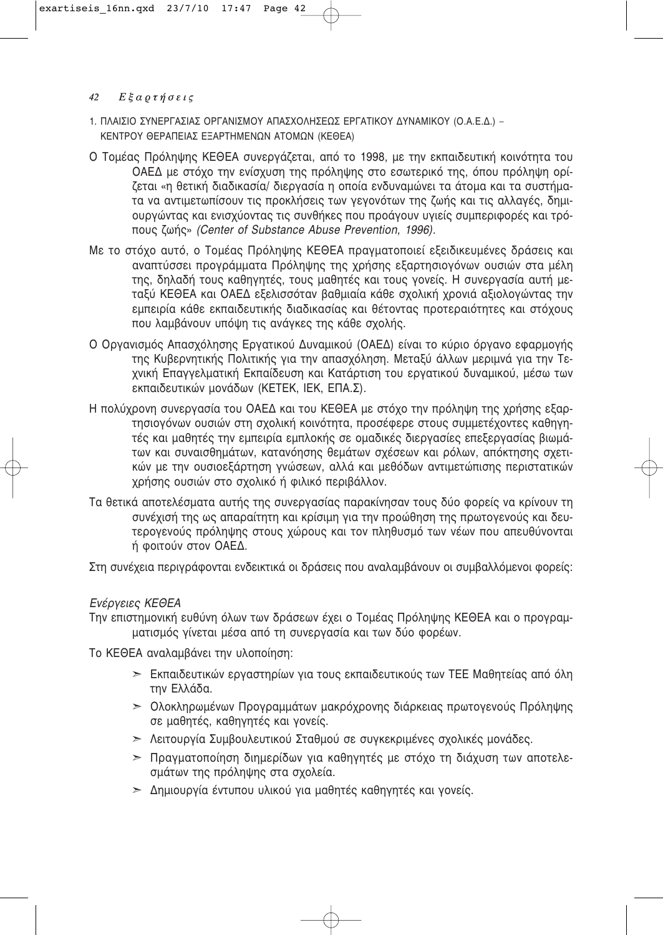- 1. ΠΛΑΙΣΙΟ ΣΥΝΕΡΓΑΣΙΑΣ ΟΡΓΑΝΙΣΜΟΥ ΑΠΑΣΧΟΛΗΣΕΩΣ ΕΡΓΑΤΙΚΟΥ ΔΥΝΑΜΙΚΟΥ (Ο.Α.Ε.Δ.) ΚΕΝΤΡΟΥ ΘΕΡΑΠΕΙΑΣ ΕΞΑΡΤΗΜΕΝΩΝ ΑΤΟΜΩΝ (ΚΕΘΕΑ)
- Ο Τομέας Πρόληψης ΚΕΘΕΑ συνεργάζεται, από το 1998, με την εκπαιδευτική κοινότητα του ΟΑΕΔ με στόχο την ενίσχυση της πρόληψης στο εσωτερικό της, όπου πρόληψη ορίζεται «η θετική διαδικασία/ διεργασία η οποία ενδυναμώνει τα άτομα και τα συστήματα να αντιμετωπίσουν τις προκλήσεις των γεγονότων της ζωής και τις αλλαγές, δημιουργώντας και ενισχύοντας τις συνθήκες που προάγουν υγιείς συμπεριφορές και τρόπους ζωής» *(Center of Substance Abuse Prevention, 1996).*
- Με το στόχο αυτό, ο Τομέας Πρόληψης ΚΕΘΕΑ πραγματοποιεί εξειδικευμένες δράσεις και αναπτύσσει προγράμματα Πρόληψης της χρήσης εξαρτησιογόνων ουσιών στα μέλη της, δηλαδή τους καθηγητές, τους μαθητές και τους γονείς. Η συνεργασία αυτή μεταξύ ΚΕΘΕΑ και ΟΑΕΔ εξελισσόταν βαθμιαία κάθε σχολική χρονιά αξιολογώντας την εμπειρία κάθε εκπαιδευτικής διαδικασίας και θέτοντας προτεραιότητες και στόχους που λαμβάνουν υπόψη τις ανάγκες της κάθε σχολής.
- Ο Οργανισμός Απασχόλησης Εργατικού Δυναμικού (ΟΑΕΔ) είναι το κύριο όργανο εφαρμογής της Κυβερνητικής Πολιτικής για την απασχόληση. Μεταξύ άλλων μεριμνά για την Τεχνική Επαγγελματική Εκπαίδευση και Κατάρτιση του εργατικού δυναμικού, μέσω των εκπαιδευτικών μονάδων (ΚΕΤΕΚ, ΙΕΚ, ΕΠΑ.Σ).
- Η πολύχρονη συνεργασία του ΟΑΕΔ και του ΚΕΘΕΑ με στόχο την πρόληψη της χρήσης εξαρ-<u>-</u><br>Τησιονόνων ουσιών στη σχολική κοινότητα, προσέφερε στους συμμετέχοντες καθηγη τές και μαθητές την εμπειρία εμπλοκής σε ομαδικές διεργασίες επεξεργασίας βιωμάτων και συναισθημάτων, κατανόησης θεμάτων σχέσεων και ρόλων, απόκτησης σχετι-Κών με την ουσιοεξάρτηση γνώσεων, αλλά και μεθόδων αντιμετώπισης περιστατικών χρήσης ουσιών στο σχολικό ή φιλικό περιβάλλον.
- Tα θετικά αποτελέσματα αυτής της συνεργασίας παρακίνησαν τους δύο φορείς να κρίνουν τη συνέχισή της ως απαραίτητη και κρίσιμη για την προώθηση της πρωτογενούς και δευτερογενούς πρόληψης στους χώρους και τον πληθυσμό των νέων που απευθύνονται ή φοιτούν στον ΟΑΕΔ.

Στη συνέχεια περιγράφονται ενδεικτικά οι δράσεις που αναλαμβάνουν οι συμβαλλόμενοι φορείς:

# *<i>Eνέργειες ΚΕΘΕΑ*

Την επιστημονική ευθύνη όλων των δράσεων έχει ο Τομέας Πρόληψης ΚΕΘΕΑ και ο προγραμματισμός γίνεται μέσα από τη συνεργασία και των δύο φορέων.

Το ΚΕΘΕΑ αναλαμβάνει την υλοποίηση:

- ≻ Εκπαιδευτικών εργαστηρίων για τους εκπαιδευτικούς των ΤΕΕ Μαθητείας από όλη την Ελλάδα.
- ≻ Ολοκληρωμένων Προγραμμάτων μακρόχρονης διάρκειας πρωτογενούς Πρόληψης σε μαθητές, καθηγητές και γονείς.
- ≥ Λειτουργία Συμβουλευτικού Σταθμού σε συγκεκριμένες σχολικές μονάδες.
- ≥ Πραγματοποίηση διημερίδων για καθηγητές με στόχο τη διάχυση των αποτελεσμάτων της πρόληψης στα σχολεία.
- > Δημιουργία έντυπου υλικού για μαθητές καθηγητές και γονείς.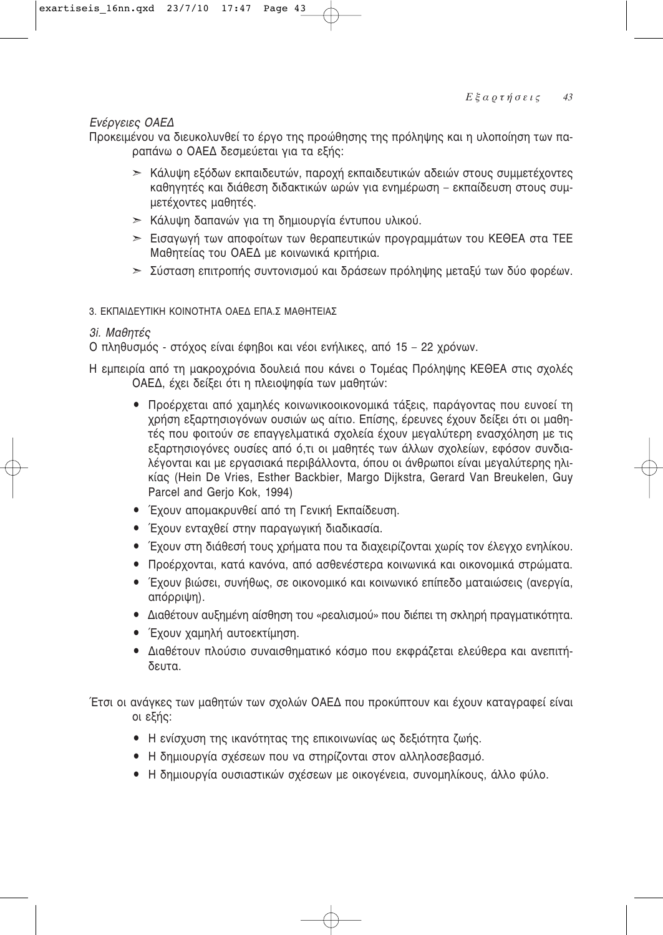*<i>Eνέργειες ΟΑΕΔ* 

Προκειμένου να διευκολυνθεί το έργο της προώθησης της πρόληψης και η υλοποίηση των παραπάνω ο ΟΑΕΔ δεσμεύεται για τα εξής:

- ≫ Κάλυψη εξόδων εκπαιδευτών, παροχή εκπαιδευτικών αδειών στους συμμετέχοντες καθηγητές και διάθεση διδακτικών ωρών για ενημέρωση – εκπαίδευση στους συμμετέχοντες μαθητές.
- $>$  Κάλυψη δαπανών για τη δημιουργία έντυπου υλικού.
- ≻ Εισανωνή των αποφοίτων των θεραπευτικών προνραμμάτων του ΚΕΘΕΑ στα ΤΕΕ Μαθητείας του ΟΑΕΔ με κοινωνικά κριτήρια.
- $>$  Σύσταση επιτροπής συντονισμού και δράσεων πρόληψης μεταξύ των δύο φορέων.

# 3. ΕΚΠΑΙΔΕΥΤΙΚΗ ΚΟΙΝΟΤΗΤΑ ΟΑΕΔ ΕΠΑ.Σ ΜΑΘΗΤΕΙΑΣ

# *3i. Μαθητές*

Ο πληθυσμός - στόχος είναι έφηβοι και νέοι ενήλικες, από 15 – 22 χρόνων.

- Η εμπειρία από τη μακροχρόνια δουλειά που κάνει ο Τομέας Πρόληψης ΚΕΘΕΑ στις σχολές ΟΑΕΔ, έχει δείξει ότι η πλειοψηφία των μαθητών:
	- Προέρχεται από χαμηλές κοινωνικοοικονομικά τάξεις, παράγοντας που ευνοεί τη χρήση εξαρτησιογόνων ουσιών ως αίτιο. Επίσης, έρευνες έχουν δείξει ότι οι μαθητές που φοιτούν σε επαγγελματικά σχολεία έχουν μεγαλύτερη ενασχόληση με τις εξαρτησιογόνες ουσίες από ό,τι οι μαθητές των άλλων σχολείων, εφόσον συνδιαλέγονται και με εργασιακά περιβάλλοντα, όπου οι άνθρωποι είναι μεγαλύτερης ηλικίας (Hein De Vries, Esther Backbier, Margo Dijkstra, Gerard Van Breukelen, Guy Parcel and Gerjo Kok, 1994)
	- Έχουν απομακρυνθεί από τη Γενική Εκπαίδευση.
	- Έχουν ενταχθεί στην παραγωγική διαδικασία.
	- Έχουν στη διάθεσή τους χρήματα που τα διαχειρίζονται χωρίς τον έλεγχο ενηλίκου.
	- Προέρχονται, κατά κανόνα, από ασθενέστερα κοινωνικά και οικονομικά στρώματα.
	- Έχουν βιώσει, συνήθως, σε οικονομικό και κοινωνικό επίπεδο ματαιώσεις (ανεργία, απόρριψη).
	- Διαθέτουν αυξημένη αίσθηση του «ρεαλισμού» που διέπει τη σκληρή πραγματικότητα.
	- Έχουν χαμηλή αυτοεκτίμηση.
	- Διαθέτουν πλούσιο συναισθηματικό κόσμο που εκφράζεται ελεύθερα και ανεπιτήδευτα.

Έτσι οι ανάγκες των μαθητών των σχολών ΟΑΕΔ που προκύπτουν και έχουν καταγραφεί είναι οι εξής:

- Η ενίσχυση της ικανότητας της επικοινωνίας ως δεξιότητα ζωής.
- Η δημιουργία σχέσεων που να στηρίζονται στον αλληλοσεβασμό.
- Η δημιουργία ουσιαστικών σχέσεων με οικογένεια, συνομηλίκους, άλλο φύλο.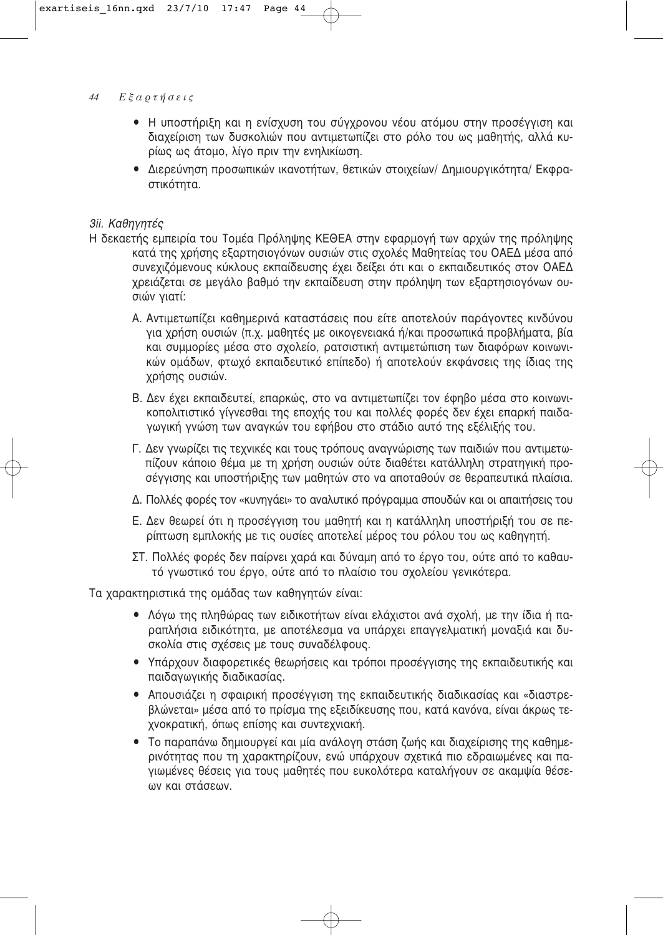- *44 Εξαρτήσεις*
	- Η υποστήριξη και η ενίσχυση του σύγχρονου νέου ατόμου στην προσέγγιση και διαχείριση των δυσκολιών που αντιμετωπίζει στο ρόλο του ως μαθητής, αλλά κυρίως ως άτομο, λίγο πριν την ενηλικίωση.
	- Διερεύνηση προσωπικών ικανοτήτων, θετικών στοιχείων/ Δημιουργικότητα/ Εκφραστικότητα.

### 3ii. Kaθηνητές

- Η δεκαετής εμπειρία του Τομέα Πρόληψης ΚΕΘΕΑ στην εφαρμονή των αρχών της πρόληψης κατά της χρήσης εξαρτησιογόνων ουσιών στις σχολές Μαθητείας του ΟΑΕΔ μέσα από συνεχιζόμενους κύκλους εκπαίδευσης έχει δείξει ότι και ο εκπαιδευτικός στον ΟΑΕΔ χρειάζεται σε μενάλο βαθμό την εκπαίδευση στην πρόληψη των εξαρτησιονόνων ουσιών γιατί:
	- Α. Αντιμετωπίζει καθημερινά καταστάσεις που είτε αποτελούν παράγοντες κινδύνου για χρήση ουσιών (π.χ. μαθητές με οικογενειακά ή/και προσωπικά προβλήματα, βία και συμμορίες μέσα στο σχολείο, ρατσιστική αντιμετώπιση των διαφόρων κοινωνι-Κών ομάδων, φτωχό εκπαιδευτικό επίπεδο) ή αποτελούν εκφάνσεις της ίδιας της χρήσης ουσιών.
	- B. Δεν έχει εκπαιδευτεί, επαρκώς, στο να αντιμετωπίζει τον έφηβο μέσα στο κοινωνικοπολιτιστικό γίγνεσθαι της εποχής του και πολλές φορές δεν έχει επαρκή παιδαγωνική γνώση των αναγκών του εφήβου στο στάδιο αυτό της εξέλιξής του.
	- Γ. Δεν γνωρίζει τις τεχνικές και τους τρόπους αναγνώρισης των παιδιών που αντιμετωπίζουν κάποιο θέμα με τη χρήση ουσιών ούτε διαθέτει κατάλληλη στρατηγική προσέγγισης και υποστήριξης των μαθητών στο να αποταθούν σε θεραπευτικά πλαίσια.
	- Δ. Πολλές φορές τον «κυνηγάει» το αναλυτικό πρόγραμμα σπουδών και οι απαιτήσεις του
	- Ε. Δεν θεωρεί ότι η προσέγγιση του μαθητή και η κατάλληλη υποστήριξή του σε περίπτωση εμπλοκής με τις ουσίες αποτελεί μέρος του ρόλου του ως καθηγητή.
	- ΣΤ. Πολλές φορές δεν παίρνει χαρά και δύναμη από το έργο του, ούτε από το καθαυτό γνωστικό του έργο, ούτε από το πλαίσιο του σχολείου γενικότερα.

Τα χαρακτηριστικά της ομάδας των καθηγητών είναι:

- Λόγω της πληθώρας των ειδικοτήτων είναι ελάχιστοι ανά σχολή, με την ίδια ή παραπλήσια ειδικότητα, με αποτέλεσμα να υπάρχει επαγγελματική μοναξιά και δυσκολία στις σχέσεις με τους συναδέλφους.
- Υπάρχουν διαφορετικές θεωρήσεις και τρόποι προσέγγισης της εκπαιδευτικής και παιδαγωγικής διαδικασίας.
- Απουσιάζει η σφαιρική προσέγγιση της εκπαιδευτικής διαδικασίας και «διαστρε-Bλώνεται» μέσα από το πρίσμα της εξειδίκευσης που, κατά κανόνα, είναι άκρως τεχνοκρατική, όπως επίσης και συντεχνιακή.
- Το παραπάνω δημιουργεί και μία ανάλογη στάση ζωής και διαχείρισης της καθημερινότητας που τη χαρακτηρίζουν, ενώ υπάρχουν σχετικά πιο εδραιωμένες και παγιωμένες θέσεις για τους μαθητές που ευκολότερα καταλήγουν σε ακαμψία θέσεων και στάσεων.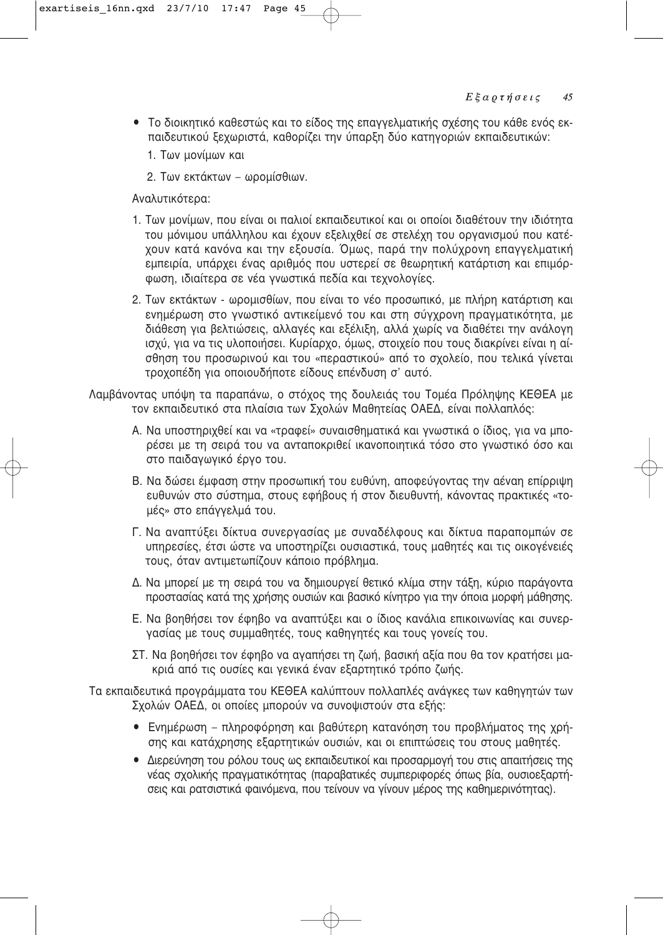exartiseis 16nn.qxd 23/7/10 Page  $17:47$ 

- Το διοικητικό καθεστώς και το είδος της επαγγελματικής σχέσης του κάθε ενός εκπαιδευτικού ξεχωριστά, καθορίζει την ύπαρξη δύο κατηγοριών εκπαιδευτικών:
	- 1. Των μονίμων και
	- 2. Των εκτάκτων ωρομίσθιων.

# Αναλυτικότερα:

- 1. Των μονίμων, που είναι οι παλιοί εκπαιδευτικοί και οι οποίοι διαθέτουν την ιδιότητα του μόνιμου υπάλληλου και έχουν εξελιχθεί σε στελέχη του οργανισμού που κατέχουν κατά κανόνα και την εξουσία. Όμως, παρά την πολύχρονη επαννελματική εμπειρία, υπάρχει ένας αριθμός που υστερεί σε θεωρητική κατάρτιση και επιμόρφωση, ιδιαίτερα σε νέα γνωστικά πεδία και τεχνολονίες.
- 2. Των εκτάκτων ωρομισθίων, που είναι το νέο προσωπικό, με πλήρη κατάρτιση και ενημέρωση στο γνωστικό αντικείμενό του και στη σύγχρονη πραγματικότητα, με διάθεση για βελτιώσεις, αλλαγές και εξέλιξη, αλλά χωρίς να διαθέτει την ανάλογη ισχύ, για να τις υλοποιήσει. Κυρίαρχο, όμως, στοιχείο που τους διακρίνει είναι η αίσθηση του προσωρινού και του «περαστικού» από το σχολείο, που τελικά γίνεται τροχοπέδη για οποιουδήποτε είδους επένδυση σ' αυτό.

Λαμβάνοντας υπόψη τα παραπάνω, ο στόχος της δουλειάς του Τομέα Πρόληψης ΚΕΘΕΑ με τον εκπαιδευτικό στα πλαίσια των Σχολών Μαθητείας ΟΑΕΔ, είναι πολλαπλός:

- A. Να υποστηριχθεί και να «τραφεί» συναισθηματικά και γνωστικά ο ίδιος, για να μπορέσει με τη σειρά του να ανταποκριθεί ικανοποιητικά τόσο στο γνωστικό όσο και στο παιδαγωγικό έργο του.
- Β. Να δώσει έμφαση στην προσωπική του ευθύνη, αποφεύγοντας την αέναη επίρριψη ευθυνών στο σύστημα, στους εφήβους ή στον διευθυντή, κάνοντας πρακτικές «τομές» στο επάγγελμά του.
- Γ. Να αναπτύξει δίκτυα συνεργασίας με συναδέλφους και δίκτυα παραπομπών σε υπηρεσίες, έτσι ώστε να υποστηρίζει ουσιαστικά, τους μαθητές και τις οικογένειές τους, όταν αντιμετωπίζουν κάποιο πρόβλημα.
- Δ. Να μπορεί με τη σειρά του να δημιουργεί θετικό κλίμα στην τάξη, κύριο παράγοντα προστασίας κατά της χρήσης ουσιών και βασικό κίνητρο για την όποια μορφή μάθησης.
- Ε. Να βοηθήσει τον έφηβο να αναπτύξει και ο ίδιος κανάλια επικοινωνίας και συνεργασίας με τους συμμαθητές, τους καθηγητές και τους γονείς του.
- ΣΤ. Να βοηθήσει τον έφηβο να αγαπήσει τη ζωή, βασική αξία που θα τον κρατήσει μακριά από τις ουσίες και γενικά έναν εξαρτητικό τρόπο ζωής.

Τα εκπαιδευτικά προγράμματα του ΚΕΘΕΑ καλύπτουν πολλαπλές ανάγκες των καθηγητών των Σχολών ΟΑΕΔ, οι οποίες μπορούν να συνοψιστούν στα εξής:

- Ενημέρωση πληροφόρηση και βαθύτερη κατανόηση του προβλήματος της χρήσης και κατάχρησης εξαρτητικών ουσιών, και οι επιπτώσεις του στους μαθητές.
- Διερεύνηση του ρόλου τους ως εκπαιδευτικοί και προσαρμογή του στις απαιτήσεις της νέας σχολικής πραγματικότητας (παραβατικές συμπεριφορές όπως βία, ουσιοεξαρτήσεις και ρατσιστικά φαινόμενα, που τείνουν να γίνουν μέρος της καθημερινότητας).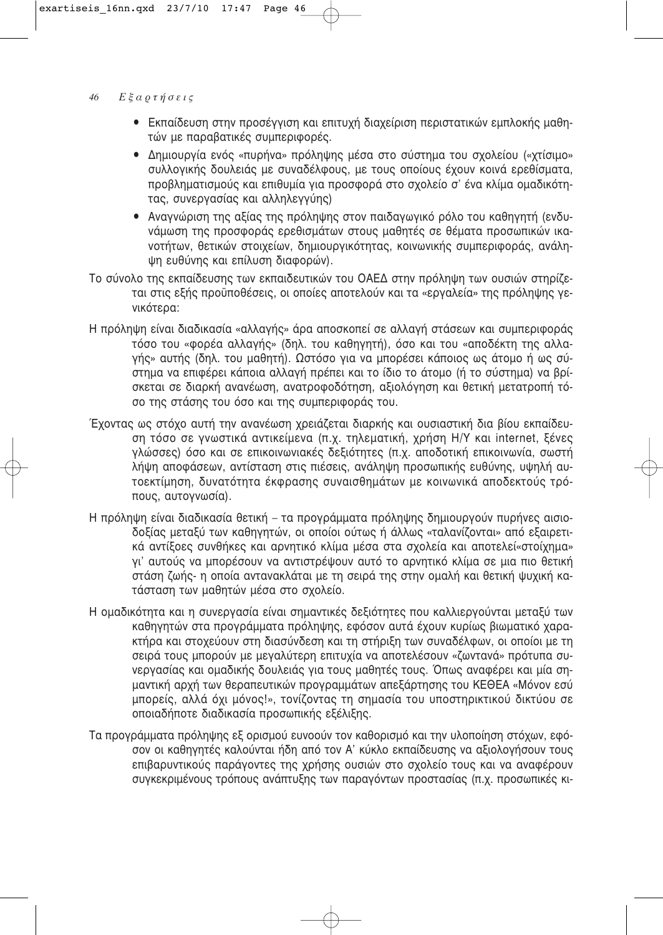- $46$ Εξαρτήσεις
	- Εκπαίδευση στην προσέγγιση και επιτυχή διαχείριση περιστατικών εμπλοκής μαθητών με παραβατικές συμπεριφορές.
	- Δημιουργία ενός «πυρήνα» πρόληψης μέσα στο σύστημα του σχολείου («χτίσιμο» συλλογικής δουλειάς με συναδέλφους, με τους οποίους έχουν κοινά ερεθίσματα, προβληματισμούς και επιθυμία για προσφορά στο σχολείο σ' ένα κλίμα ομαδικότητας, συνεργασίας και αλληλεγγύης)
	- Αναγγώριση της αξίας της πρόληψης στον παιδαγωγικό ρόλο του καθηγητή (ενδυνάμωση της προσφοράς ερεθισμάτων στους μαθητές σε θέματα προσωπικών ικανοτήτων, θετικών στοιχείων, δημιουργικότητας, κοινωνικής συμπεριφοράς, ανάληψη ευθύνης και επίλυση διαφορών).
- Το σύνολο της εκπαίδευσης των εκπαιδευτικών του ΟΑΕΔ στην πρόληψη των ουσιών στηρίζεται στις εξής προϋποθέσεις, οι οποίες αποτελούν και τα «εργαλεία» της πρόληψης γενικότερα:
- Η πρόληψη είναι διαδικασία «αλλαγής» άρα αποσκοπεί σε αλλαγή στάσεων και συμπεριφοράς τόσο του «φορέα αλλαγής» (δηλ. του καθηγητή), όσο και του «αποδέκτη της αλλαγής» αυτής (δηλ. του μαθητή). Ωστόσο για να μπορέσει κάποιος ως άτομο ή ως σύστημα να επιφέρει κάποια αλλαγή πρέπει και το ίδιο το άτομο (ή το σύστημα) να βρίσκεται σε διαρκή ανανέωση, ανατροφοδότηση, αξιολόγηση και θετική μετατροπή τόσο της στάσης του όσο και της συμπεριφοράς του.
- Έχοντας ως στόχο αυτή την ανανέωση χρειάζεται διαρκής και ουσιαστική δια βίου εκπαίδευση τόσο σε γνωστικά αντικείμενα (π.χ. τηλεματική, χρήση Η/Υ και internet, ξένες γλώσσες) όσο και σε επικοινωνιακές δεξιότητες (π.χ. αποδοτική επικοινωνία, σωστή λήψη αποφάσεων, αντίσταση στις πιέσεις, ανάληψη προσωπικής ευθύνης, υψηλή αυτοεκτίμηση, δυνατότητα έκφρασης συναισθημάτων με κοινωνικά αποδεκτούς τρόπους, αυτογνωσία).
- Η πρόληψη είναι διαδικασία θετική τα προγράμματα πρόληψης δημιουργούν πυρήνες αισιοδοξίας μεταξύ των καθηγητών, οι οποίοι ούτως ή άλλως «ταλανίζονται» από εξαιρετικά αντίξοες συνθήκες και αρνητικό κλίμα μέσα στα σχολεία και αποτελεί«στοίχημα» γι' αυτούς να μπορέσουν να αντιστρέψουν αυτό το αρνητικό κλίμα σε μια πιο θετική στάση ζωής- η οποία αντανακλάται με τη σειρά της στην ομαλή και θετική ψυχική κατάσταση των μαθητών μέσα στο σχολείο.
- Η ομαδικότητα και η συνεργασία είναι σημαντικές δεξιότητες που καλλιεργούνται μεταξύ των καθηγητών στα προγράμματα πρόληψης, εφόσον αυτά έχουν κυρίως βιωματικό χαρακτήρα και στοχεύουν στη διασύνδεση και τη στήριξη των συναδέλφων, οι οποίοι με τη σειρά τους μπορούν με μεγαλύτερη επιτυχία να αποτελέσουν «ζωντανά» πρότυπα συνεργασίας και ομαδικής δουλειάς για τους μαθητές τους. Όπως αναφέρει και μία σημαντική αρχή των θεραπευτικών προγραμμάτων απεξάρτησης του ΚΕΘΕΑ «Μόνον εσύ μπορείς, αλλά όχι μόνος!», τονίζοντας τη σημασία του υποστηρικτικού δικτύου σε οποιαδήποτε διαδικασία προσωπικής εξέλιξης.
- Τα προγράμματα πρόληψης εξ ορισμού ευνοούν τον καθορισμό και την υλοποίηση στόχων, εφόσον οι καθηγητές καλούνται ήδη από τον Α' κύκλο εκπαίδευσης να αξιολογήσουν τους επιβαρυντικούς παράγοντες της χρήσης ουσιών στο σχολείο τους και να αναφέρουν συγκεκριμένους τρόπους ανάπτυξης των παραγόντων προστασίας (π.χ. προσωπικές κι-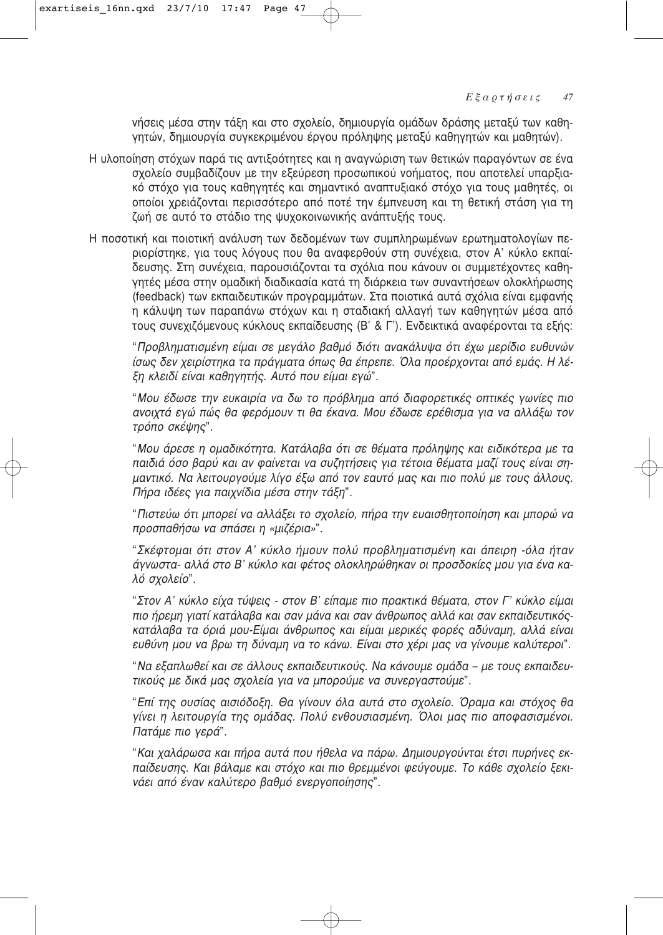#### Εξαρτήσεις  $\overline{47}$

νήσεις μέσα στην τάξη και στο σχολείο, δημιουργία ομάδων δράσης μεταξύ των καθηγητών, δημιουργία συγκεκριμένου έργου πρόληψης μεταξύ καθηγητών και μαθητών).

- Η υλοποίηση στόχων παρά τις αντιξοότητες και η αναγγώριση των θετικών παραγόντων σε ένα σχολείο συμβαδίζουν με την εξεύρεση προσωπικού νοήματος, που αποτελεί υπαρξιακό στόχο για τους καθηγητές και σημαντικό αναπτυξιακό στόχο για τους μαθητές, οι οποίοι χρειάζονται περισσότερο από ποτέ την έμπνευση και τη θετική στάση για τη ζωή σε αυτό το στάδιο της ψυχοκοινωνικής ανάπτυξής τους.
- Η ποσοτική και ποιοτική ανάλυση των δεδομένων των συμπληρωμένων ερωτηματολογίων περιορίστηκε, για τους λόγους που θα αναφερθούν στη συνέχεια, στον Α' κύκλο εκπαί-.<br>δευσης. Στη συνέχεια, παρουσιάζονται τα σχόλια που κάνουν οι συμμετέχοντες καθηνητές μέσα στην ομαδική διαδικασία κατά τη διάρκεια των συναντήσεων ολοκλήρωσης (feedback) των εκπαιδευτικών προγραμμάτων. Στα ποιοτικά αυτά σχόλια είναι εμφανής η κάλυψη των παραπάνω στόχων και η σταδιακή αλλαγή των καθηγητών μέσα από τους συνεχιζόμενους κύκλους εκπαίδευσης (Β' & Γ'). Ενδεικτικά αναφέρονται τα εξής:

"Προβληματισμένη είμαι σε μεγάλο βαθμό διότι ανακάλυψα ότι έχω μερίδιο ευθυνών ίσως δεν χειρίστηκα τα πράγματα όπως θα έπρεπε. Όλα προέρχονται από εμάς. Η λέ*ξη κλειδί είναι καθηγητής. Αυτό που είμαι εγώ*".

"Μου έδωσε την ευκαιρία να δω το πρόβλημα από διαφορετικές οπτικές γωνίες πιο ανοιχτά εγώ πώς θα φερόμουν τι θα έκανα. Μου έδωσε ερέθισμα για να αλλάξω τον τρόπο σκέψης".

"Μου άρεσε η ομαδικότητα. Κατάλαβα ότι σε θέματα πρόληψης και ειδικότερα με τα παιδιά όσο βαρύ και αν φαίνεται να συζητήσεις για τέτοια θέματα μαζί τους είναι σημαντικό. Να λειτουργούμε λίγο έξω από τον εαυτό μας και πιο πολύ με τους άλλους. Πήρα ιδέες για παιχνίδια μέσα στην τάξη".

"Πιστεύω ότι μπορεί να αλλάξει το σχολείο, πήρα την ευαισθητοποίηση και μπορώ να προσπαθήσω να σπάσει η «μιζέρια»".

"Σκέφτομαι ότι στον Α' κύκλο ήμουν πολύ προβληματισμένη και άπειρη -όλα ήταν άγνωστα- αλλά στο Β' κύκλο και φέτος ολοκληρώθηκαν οι προσδοκίες μου για ένα καλό σχολείο".

"Στον Α' κύκλο είχα τύψεις - στον Β' είπαμε πιο πρακτικά θέματα, στον Γ' κύκλο είμαι πιο ήρεμη γιατί κατάλαβα και σαν μάνα και σαν άνθρωπος αλλά και σαν εκπαιδευτικόςκατάλαβα τα όριά μου-Είμαι άνθρωπος και είμαι μερικές φορές αδύναμη, αλλά είναι ευθύνη μου να βρω τη δύναμη να το κάνω. Είναι στο χέρι μας να γίνουμε καλύτεροι".

"Να εξαπλωθεί και σε άλλους εκπαιδευτικούς. Να κάνουμε ομάδα – με τους εκπαιδευτικούς με δικά μας σχολεία για να μπορούμε να συνεργαστούμε".

"Επί της ουσίας αισιόδοξη. Θα γίνουν όλα αυτά στο σχολείο. Όραμα και στόχος θα γίνει η λειτουργία της ομάδας. Πολύ ενθουσιασμένη. Όλοι μας πιο αποφασισμένοι. Πατάμε πιο γερά".

"Και χαλάρωσα και πήρα αυτά που ήθελα να πάρω. Δημιουργούνται έτσι πυρήνες εκπαίδευσης. Και βάλαμε και στόχο και πιο θρεμμένοι φεύγουμε. Το κάθε σχολείο ξεκινάει από έναν καλύτερο βαθμό ενεργοποίησης".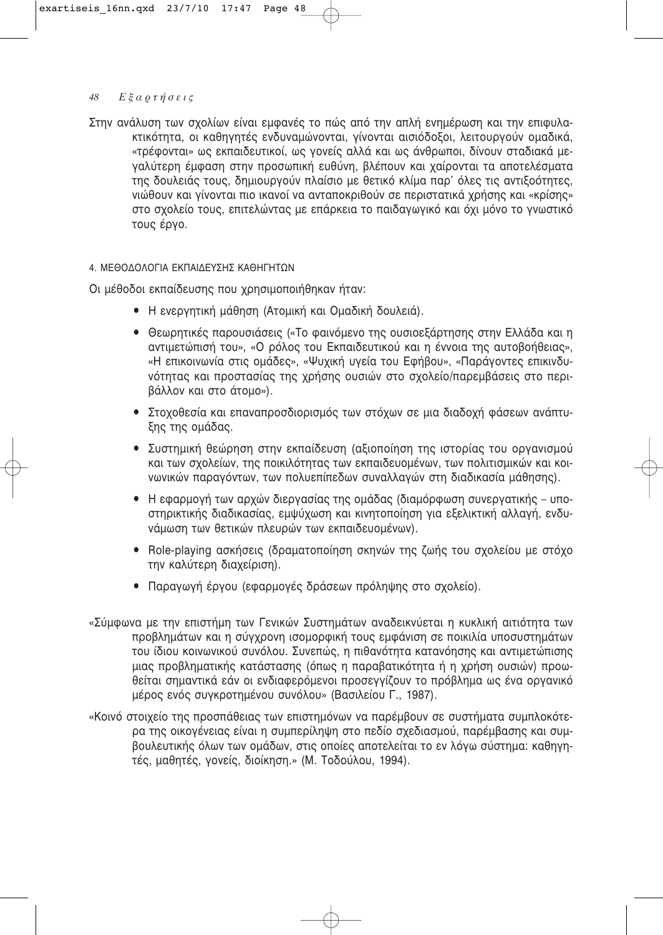Στην ανάλυση των σχολίων είναι εμφανές το πώς από την απλή ενημέρωση και την επιφυλακτικότητα, οι καθηγητές ενδυναμώνονται, γίνονται αισιόδοξοι, λειτουργούν ομαδικά, «τρέφονται» ως εκπαιδευτικοί, ως γονείς αλλά και ως άνθρωποι, δίνουν σταδιακά μεγαλύτερη έμφαση στην προσωπική ευθύνη, βλέπουν και χαίρονται τα αποτελέσματα της δουλειάς τους, δημιουργούν πλαίσιο με θετικό κλίμα παρ' όλες τις αντιξοότητες, νιώθουν και γίνονται πιο ικανοί να ανταποκριθούν σε περιστατικά χρήσης και «κρίσης» στο σχολείο τους, επιτελώντας με επάρκεια το παιδαγωγικό και όχι μόνο το γνωστικό τους έργο.

# 4. ΜΕΘΟΔΟΛΟΓΙΑ ΕΚΠΑΙΔΕΥΣΗΣ ΚΑΘΗΓΗΤΩΝ

- Οι μέθοδοι εκπαίδευσης που χρησιμοποιήθηκαν ήταν:
	- Η ενεργητική μάθηση (Ατομική και Ομαδική δουλειά).
	- · Θεωρητικές παρουσιάσεις («Το φαινόμενο της ουσιοεξάρτησης στην Ελλάδα και η αντιμετώπισή του», «Ο ρόλος του Εκπαιδευτικού και η έννοια της αυτοβοήθειας», «Η επικοινωνία στις ομάδες», «Ψυχική υγεία του Εφήβου», «Παράγοντες επικινδυνότητας και προστασίας της χρήσης ουσιών στο σχολείο/παρεμβάσεις στο περιβάλλον και στο άτομο»).
	- · Στοχοθεσία και επαναπροσδιορισμός των στόχων σε μια διαδοχή φάσεων ανάπτυξης της ομάδας.
	- · Συστημική θεώρηση στην εκπαίδευση (αξιοποίηση της ιστορίας του οργανισμού και των σχολείων, της ποικιλότητας των εκπαιδευομένων, των πολιτισμικών και κοινωνικών παραγόντων, των πολυεπίπεδων συναλλαγών στη διαδικασία μάθησης).
	- Η εφαρμογή των αρχών διεργασίας της ομάδας (διαμόρφωση συνεργατικής υποστηρικτικής διαδικασίας, εμψύχωση και κινητοποίηση για εξελικτική αλλαγή, ενδυνάμωση των θετικών πλευρών των εκπαιδευομένων).
	- · Role-playing ασκήσεις (δραματοποίηση σκηνών της ζωής του σχολείου με στόχο την καλύτερη διαχείριση).
	- Παραγωγή έργου (εφαρμογές δράσεων πρόληψης στο σχολείο).
- «Σύμφωνα με την επιστήμη των Γενικών Συστημάτων αναδεικνύεται η κυκλική αιτιότητα των προβλημάτων και η σύγχρονη ισομορφική τους εμφάνιση σε ποικιλία υποσυστημάτων του ίδιου κοινωνικού συνόλου. Συνεπώς, η πιθανότητα κατανόησης και αντιμετώπισης μιας προβληματικής κατάστασης (όπως η παραβατικότητα ή η χρήση ουσιών) προωθείται σημαντικά εάν οι ενδιαφερόμενοι προσεγγίζουν το πρόβλημα ως ένα οργανικό μέρος ενός συγκροτημένου συνόλου» (Βασιλείου Γ., 1987).
- «Κοινό στοιχείο της προσπάθειας των επιστημόνων να παρέμβουν σε συστήματα συμπλοκότερα της οικογένειας είναι η συμπερίληψη στο πεδίο σχεδιασμού, παρέμβασης και συμβουλευτικής όλων των ομάδων, στις οποίες αποτελείται το εν λόγω σύστημα: καθηγητές, μαθητές, γονείς, διοίκηση.» (Μ. Τοδούλου, 1994).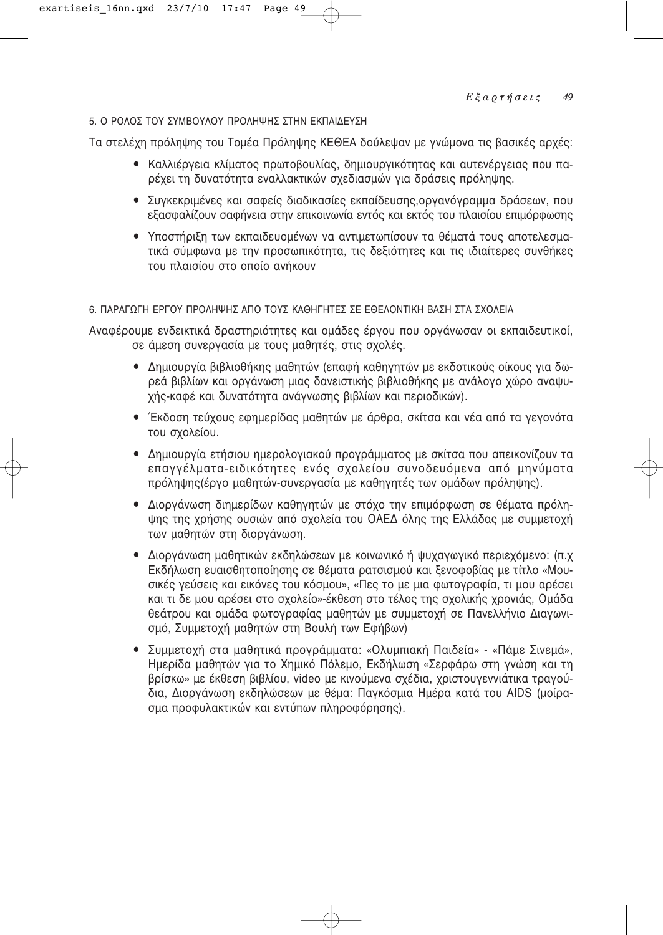#### exartiseis  $16nn.qxd$   $23/7/10$   $17:47$  Page

# 5. Ο ΡΟΛΟΣ ΤΟΥ ΣΥΜΒΟΥΛΟΥ ΠΡΟΛΗΨΗΣ ΣΤΗΝ ΕΚΠΑΙΔΕΥΣΗ

Τα στελέχη πρόληψης του Τομέα Πρόληψης ΚΕΘΕΑ δούλεψαν με γνώμονα τις βασικές αρχές:

- Καλλιέργεια κλίματος πρωτοβουλίας, δημιουργικότητας και αυτενέργειας που παοέχει τη δυνατότητα εναλλακτικών σχεδιασμών νια δράσεις πρόληψης.
- Συγκεκριμένες και σαφείς διαδικασίες εκπαίδευσης, οργανόγραμμα δράσεων, που εξασφαλίζουν σαφήνεια στην επικοινωνία εντός και εκτός του πλαισίου επιμόρφωσης
- Υποστήριξη των εκπαιδευομένων να αντιμετωπίσουν τα θέματά τους αποτελεσματικά σύμφωνα με την προσωπικότητα, τις δεξιότητες και τις ιδιαίτερες συνθήκες του πλαισίου στο οποίο ανήκουν

## 6. ΠΑΡΑΓΩΓΗ ΕΡΓΩΥ ΠΡΩΛΗΨΗΣ ΑΠΩ ΤΩΥΣ ΚΑΘΗΓΗΤΕΣ ΣΕ ΕΘΕΛΩΝΤΙΚΗ ΒΑΣΗ ΣΤΑ ΣΧΩΛΕΙΑ

Αναφέρουμε ενδεικτικά δραστηριότητες και ομάδες έργου που οργάνωσαν οι εκπαιδευτικοί, σε άμεση συνεργασία με τους μαθητές, στις σχολές.

- Δημιουργία βιβλιοθήκης μαθητών (επαφή καθηγητών με εκδοτικούς οίκους για δωρεά βιβλίων και οργάνωση μιας δανειστικής βιβλιοθήκης με ανάλογο χώρο αναψυχής-καφέ και δυνατότητα ανάγνωσης βιβλίων και περιοδικών).
- Έκδοση τεύχους εφημερίδας μαθητών με άρθρα, σκίτσα και νέα από τα γεγονότα του σχολείου.
- Δημιουργία ετήσιου ημερολογιακού προγράμματος με σκίτσα που απεικονίζουν τα επαγγέλματα-ειδικότητες ενός σχολείου συνοδευόμενα από μηνύματα πρόληψης (έργο μαθητών-συνεργασία με καθηγητές των ομάδων πρόληψης).
- Διοργάνωση διημερίδων καθηγητών με στόχο την επιμόρφωση σε θέματα πρόληψης της χρήσης ουσιών από σχολεία του ΟΑΕΔ όλης της Ελλάδας με συμμετοχή των μαθητών στη διοργάνωση.
- Διοργάνωση μαθητικών εκδηλώσεων με κοινωνικό ή ψυχαγωγικό περιεχόμενο: (π.χ Εκδήλωση ευαισθητοποίησης σε θέματα ρατσισμού και ξενοφοβίας με τίτλο «Μουσικές γεύσεις και εικόνες του κόσμου», «Πες το με μια φωτογραφία, τι μου αρέσει και τι δε μου αρέσει στο σχολείο»-έκθεση στο τέλος της σχολικής χρονιάς, Ομάδα θεάτρου και ομάδα φωτογραφίας μαθητών με συμμετοχή σε Πανελλήνιο Διαγωνισμό, Συμμετοχή μαθητών στη Βουλή των Εφήβων)
- Συμμετοχή στα μαθητικά προγράμματα: «Ολυμπιακή Παιδεία» «Πάμε Σινεμά», Ημερίδα μαθητών για το Χημικό Πόλεμο, Εκδήλωση «Σερφάρω στη γνώση και τη Bρίσκω» με έκθεση βιβλίου, video με κινούμενα σχέδια, χριστουνεννιάτικα τρανούδια, Διοργάνωση εκδηλώσεων με θέμα: Παγκόσμια Ημέρα κατά του AIDS (μοίρασμα προφυλακτικών και εντύπων πληροφόρησης).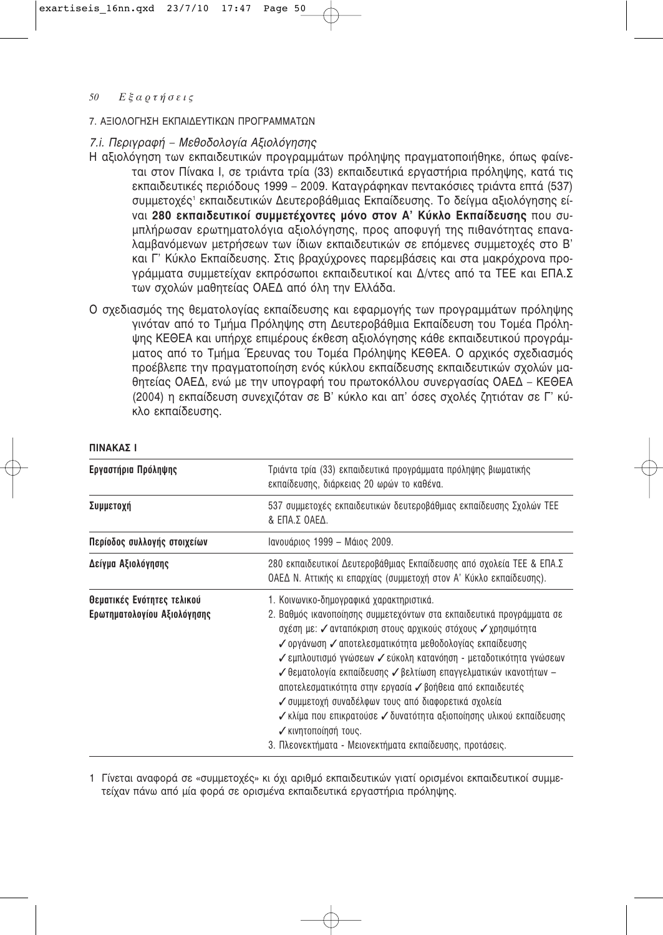# 7. ΑΞΙΟΛΟΓΗΣΗ ΕΚΠΑΙΔΕΥΤΙΚΩΝ ΠΡΟΓΡΑΜΜΑΤΩΝ

# *7.i. Περιγραφή – Μεθοδολογία Αξιολόγησης*

- Η αξιολόγηση των εκπαιδευτικών προγραμμάτων πρόληψης πραγματοποιήθηκε, όπως φαίνεται στον Πίνακα Ι, σε τριάντα τρία (33) εκπαιδευτικά εργαστήρια πρόληψης, κατά τις εκπαιδευτικές περιόδους 1999 – 2009. Καταγράφηκαν πεντακόσιες τριάντα επτά (537) συμμετοχές<sup>1</sup> εκπαιδευτικών Δευτεροβάθμιας Εκπαίδευσης. Το δείγμα αξιολόγησης εί-VOI 280 εκπαιδευτικοί συμμετέχοντες μόνο στον Α' Κύκλο Εκπαίδευσης που συμπλήρωσαν ερωτηματολόγια αξιολόγησης, προς αποφυγή της πιθανότητας επαναλαμβανόμενων μετρήσεων των ίδιων εκπαιδευτικών σε επόμενες συμμετοχές στο Β' και Γ' Κύκλο Εκπαίδευσης. Στις βραχύχρονες παρεμβάσεις και στα μακρόχρονα προγράμματα συμμετείχαν εκπρόσωποι εκπαιδευτικοί και Δ/ντες από τα ΤΕΕ και ΕΠΑ.Σ των σχολών μαθητείας ΟΑΕΔ από όλη την Ελλάδα.
- Ο σχεδιασμός της θεματολογίας εκπαίδευσης και εφαρμογής των προγραμμάτων πρόληψης γινόταν από το Τμήμα Πρόληψης στη Δευτεροβάθμια Εκπαίδευση του Τομέα Πρόληψης ΚΕΘΕΑ και υπήρχε επιμέρους έκθεση αξιολόγησης κάθε εκπαιδευτικού προγράμματος από το Τμήμα Έρευνας του Τομέα Πρόληψης ΚΕΘΕΑ. Ο αρχικός σχεδιασμός προέβλεπε την πραγματοποίηση ενός κύκλου εκπαίδευσης εκπαιδευτικών σχολών μαθητείας ΟΑΕΔ, ενώ με την υπογραφή του πρωτοκόλλου συνεργασίας ΟΑΕΔ – ΚΕΘΕΑ (2004) η εκπαίδευση συνεχιζόταν σε Β' κύκλο και απ' όσες σχολές ζητιόταν σε Γ' κύκλο εκπαίδευσης.

| Εργαστήρια Πρόληψης                                       | Τριάντα τρία (33) εκπαιδευτικά προγράμματα πρόληψης βιωματικής<br>εκπαίδευσης, διάρκειας 20 ωρών το καθένα.                                                                                                                                                                                                                                                                                                                                                                                                                                                                                                                                                          |
|-----------------------------------------------------------|----------------------------------------------------------------------------------------------------------------------------------------------------------------------------------------------------------------------------------------------------------------------------------------------------------------------------------------------------------------------------------------------------------------------------------------------------------------------------------------------------------------------------------------------------------------------------------------------------------------------------------------------------------------------|
| Συμμετοχή                                                 | 537 συμμετοχές εκπαιδευτικών δευτεροβάθμιας εκπαίδευσης Σχολών ΤΕΕ<br>& ΕΠΑ.Σ ΟΑΕΔ.                                                                                                                                                                                                                                                                                                                                                                                                                                                                                                                                                                                  |
| Περίοδος συλλογής στοιχείων                               | Ιανουάριος 1999 - Μάιος 2009.                                                                                                                                                                                                                                                                                                                                                                                                                                                                                                                                                                                                                                        |
| Δείγμα Αξιολόγησης                                        | 280 εκπαιδευτικοί Δευτεροβάθμιας Εκπαίδευσης από σχολεία ΤΕΕ & ΕΠΑ.Σ<br>ΟΑΕΔ Ν. Αττικής κι επαρχίας (συμμετοχή στον Α' Κύκλο εκπαίδευσης).                                                                                                                                                                                                                                                                                                                                                                                                                                                                                                                           |
| Θεματικές Ενότητες τελικού<br>Ερωτηματολογίου Αξιολόγησης | 1. Κοινωνικο-δημογραφικά χαρακτηριστικά.<br>2. Βαθμός ικανοποίησης συμμετεχόντων στα εκπαιδευτικά προγράμματα σε<br>σχέση με: ✔ ανταπόκριση στους αρχικούς στόχους ✔ χρησιμότητα<br>ν οργάνωση ν αποτελεσματικότητα μεθοδολογίας εκπαίδευσης<br>ν εμπλουτισμό γνώσεων ν εύκολη κατανόηση - μεταδοτικότητα γνώσεων<br>ν θεματολογία εκπαίδευσης ν βελτίωση επαγγελματικών ικανοτήτων –<br>αποτελεσματικότητα στην εργασία ν βοήθεια από εκπαιδευτές<br>✔ συμμετοχή συναδέλφων τους από διαφορετικά σχολεία<br>ν κλίμα που επικρατούσε ν δυνατότητα αξιοποίησης υλικού εκπαίδευσης<br>✔ κινητοποίησή τους.<br>3. Πλεονεκτήματα - Μειονεκτήματα εκπαίδευσης, προτάσεις. |

### **ΠΙΝΑΚΑΣΙ**

1 Γίνεται αναφορά σε «συμμετοχές» κι όχι αριθμό εκπαιδευτικών γιατί ορισμένοι εκπαιδευτικοί συμμετείχαν πάνω από μία φορά σε ορισμένα εκπαιδευτικά εργαστήρια πρόληψης.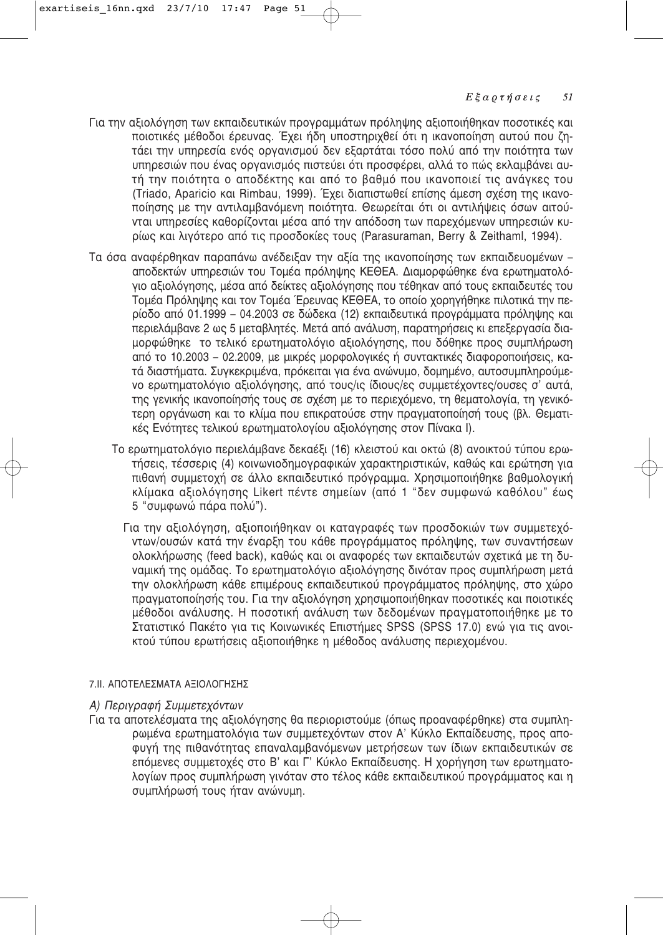- Για την αξιολόγηση των εκπαιδευτικών προγραμμάτων πρόληψης αξιοποιήθηκαν ποσοτικές και ποιοτικές μέθοδοι έρευνας. Έχει ήδη υποστηριχθεί ότι η ικανοποίηση αυτού που ζητάει την υπηρεσία ενός οργανισμού δεν εξαρτάται τόσο πολύ από την ποιότητα των υπηρεσιών που ένας οργανισμός πιστεύει ότι προσφέρει, αλλά το πώς εκλαμβάνει αυτή την ποιότητα ο αποδέκτης και από το βαθμό που ικανοποιεί τις ανάγκες του (Triado, Aparicio και Rimbau, 1999). Έχει διαπιστωθεί επίσης άμεση σχέση της ικανοποίησης με την αντιλαμβανόμενη ποιότητα. Θεωρείται ότι οι αντιλήψεις όσων αιτούνται υπηρεσίες καθορίζονται μέσα από την απόδοση των παρεχόμενων υπηρεσιών κυρίως και λιγότερο από τις προσδοκίες τους (Parasuraman, Berry & Zeithaml, 1994).
- Tα όσα αναφέρθηκαν παραπάνω ανέδειξαν την αξία της ικανοποίησης των εκπαιδευομένων αποδεκτών υπηρεσιών του Τομέα πρόληψης ΚΕΘΕΑ. Διαμορφώθηκε ένα ερωτηματολόγιο αξιολόγησης, μέσα από δείκτες αξιολόγησης που τέθηκαν από τους εκπαιδευτές του Τομέα Πρόληψης και τον Τομέα Έρευνας ΚΕΘΕΑ, το οποίο χορηγήθηκε πιλοτικά την περίοδο από 01.1999 – 04.2003 σε δώδεκα (12) εκπαιδευτικά προγράμματα πρόληψης και περιελάμβανε 2 ως 5 μεταβλητές. Μετά από ανάλυση, παρατηρήσεις κι επεξεργασία διαμορφώθηκε το τελικό ερωτηματολόγιο αξιολόγησης, που δόθηκε προς συμπλήρωση από το 10.2003 – 02.2009, με μικρές μορφολογικές ή συντακτικές διαφοροποιήσεις, κατά διαστήματα. Συγκεκριμένα, πρόκειται για ένα ανώνυμο, δομημένο, αυτοσυμπληρούμε-VO ερωτηματολόγιο αξιολόγησης, από τους/ις ίδιους/ες συμμετέχοντες/ουσες σ' αυτά, της γενικής ικανοποίησής τους σε σχέση με το περιεχόμενο, τη θεματολογία, τη γενικότερη οργάνωση και το κλίμα που επικρατούσε στην πραγματοποίησή τους (βλ. Θεματικές Ενότητες τελικού ερωτηματολογίου αξιολόγησης στον Πίνακα Ι).
	- Το ερωτηματολόγιο περιελάμβανε δεκαέξι (16) κλειστού και οκτώ (8) ανοικτού τύπου ερωτήσεις, τέσσερις (4) κοινωνιοδημογραφικών χαρακτηριστικών, καθώς και ερώτηση για πιθανή συμμετοχή σε άλλο εκπαιδευτικό πρόγραμμα. Χρησιμοποιήθηκε βαθμολογική κλίμακα αξιολόγησης Likert πέντε σημείων (από 1 "δεν συμφωνώ καθόλου" έως 5 "συμφωνώ πάρα πολύ").
		- Για την αξιολόγηση, αξιοποιήθηκαν οι καταγραφές των προσδοκιών των συμμετεχό-Vτων/ουσών κατά την έναρξη του κάθε προνράμματος πρόληψης, των συναντήσεων ολοκλήρωσης (feed back), καθώς και οι αναφορές των εκπαιδευτών σχετικά με τη δυναμική της ομάδας. Το ερωτηματολόγιο αξιολόγησης δινόταν προς συμπλήρωση μετά την ολοκλήρωση κάθε επιμέρους εκπαιδευτικού προγράμματος πρόληψης, στο χώρο πραγματοποίησής του. Για την αξιολόγηση χρησιμοποιήθηκαν ποσοτικές και ποιοτικές μέθοδοι ανάλυσης. Η ποσοτική ανάλυση των δεδομένων πραγματοποιήθηκε με το Στατιστικό Πακέτο για τις Κοινωνικές Επιστήμες SPSS (SPSS 17.0) ενώ για τις ανοικτού τύπου ερωτήσεις αξιοποιήθηκε η μέθοδος ανάλυσης περιεχομένου.

### 7.II. ΑΠΟΤΕΛΕΣΜΑΤΑ ΑΞΙΟΛΟΓΗΣΗΣ

exartiseis  $16nn.qxd$   $23/7/10$   $17:47$  Page

# *A) Περιγραφή Συμμετεχόντων*

Για τα αποτελέσματα της αξιολόγησης θα περιοριστούμε (όπως προαναφέρθηκε) στα συμπληρωμένα ερωτηματολόγια των συμμετεχόντων στον Α' Κύκλο Εκπαίδευσης, προς αποφυγή της πιθανότητας επαναλαμβανόμενων μετρήσεων των ίδιων εκπαιδευτικών σε επόμενες συμμετοχές στο Β' και Γ' Κύκλο Εκπαίδευσης. Η χορήγηση των ερωτηματολογίων προς συμπλήρωση γινόταν στο τέλος κάθε εκπαιδευτικού προγράμματος και η συμπλήρωσή τους ήταν ανώνυμη.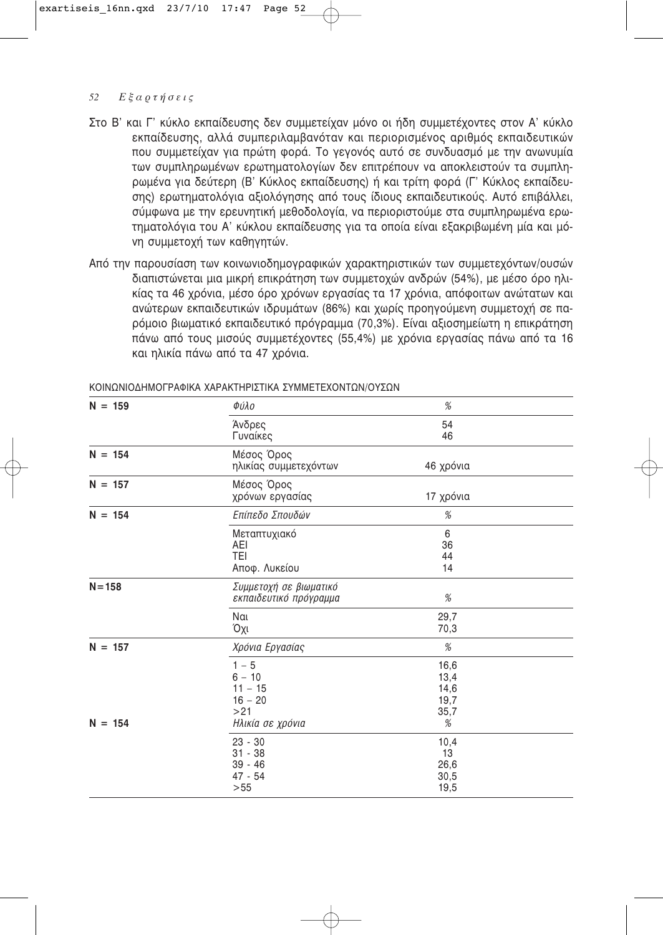- Στο Β' και Γ' κύκλο εκπαίδευσης δεν συμμετείχαν μόνο οι ήδη συμμετέχοντες στον Α' κύκλο εκπαίδευσης, αλλά συμπεριλαμβανόταν και περιορισμένος αριθμός εκπαιδευτικών που συμμετείχαν για πρώτη φορά. Το γεγονός αυτό σε συνδυασμό με την ανωνυμία των συμπληρωμένων ερωτηματολογίων δεν επιτρέπουν να αποκλειστούν τα συμπληρωμένα για δεύτερη (Β' Κύκλος εκπαίδευσης) ή και τρίτη φορά (Γ' Κύκλος εκπαίδευσης) ερωτηματολόγια αξιολόγησης από τους ίδιους εκπαιδευτικούς. Αυτό επιβάλλει, σύμφωνα με την ερευνητική μεθοδολογία, να περιοριστούμε στα συμπληρωμένα ερωτηματολόγια του Α' κύκλου εκπαίδευσης για τα οποία είναι εξακριβωμένη μία και μόνη συμμετοχή των καθηγητών.
- Aπό την παρουσίαση των κοινωνιοδημογραφικών χαρακτηριστικών των συμμετεχόντων/ουσών διαπιστώνεται μια μικρή επικράτηση των συμμετοχών ανδρών (54%), με μέσο όρο ηλικίας τα 46 χρόνια, μέσο όρο χρόνων εργασίας τα 17 χρόνια, απόφοιτων ανώτατων και ανώτερων εκπαιδευτικών ιδρυμάτων (86%) και χωρίς προηγούμενη συμμετοχή σε παρόμοιο βιωματικό εκπαιδευτικό πρόγραμμα (70,3%). Είναι αξιοσημείωτη η επικράτηση πάνω από τους μισούς συμμετέχοντες (55,4%) με χρόνια εργασίας πάνω από τα 16 και ηλικία πάνω από τα 47 χρόνια.

| $N = 159$ | Φύλο                                                                     | %                                         |  |
|-----------|--------------------------------------------------------------------------|-------------------------------------------|--|
|           | Άνδρες<br>Γυναίκες                                                       | 54<br>46                                  |  |
| $N = 154$ | Μέσος Όρος<br>ηλικίας συμμετεχόντων                                      | 46 χρόνια                                 |  |
| $N = 157$ | Μέσος Όρος<br>χρόνων εργασίας                                            | 17 χρόνια                                 |  |
| $N = 154$ | Επίπεδο Σπουδών                                                          | %                                         |  |
|           | Μεταπτυχιακό<br>AEI<br><b>TEI</b><br>Αποφ. Λυκείου                       | 6<br>36<br>44<br>14                       |  |
| $N = 158$ | Συμμετοχή σε βιωματικό<br>εκπαιδευτικό πρόγραμμα                         | %                                         |  |
|           | Nat<br>Όχι                                                               | 29,7<br>70,3                              |  |
| $N = 157$ | Χρόνια Εργασίας                                                          | $\%$                                      |  |
| $N = 154$ | $1 - 5$<br>$6 - 10$<br>$11 - 15$<br>$16 - 20$<br>>21<br>Ηλικία σε χρόνια | 16,6<br>13,4<br>14,6<br>19,7<br>35,7<br>% |  |
|           | $23 - 30$<br>$31 - 38$<br>$39 - 46$<br>47 - 54<br>>55                    | 10,4<br>13<br>26,6<br>30,5<br>19,5        |  |

ΚΟΙΝΩΝΙΟΔΗΜΟΓΡΑΦΙΚΑ ΧΑΡΑΚΤΗΡΙΣΤΙΚΑ ΣΥΜΜΕΤΕΧΟΝΤΩΝ/ΟΥΣΩΝ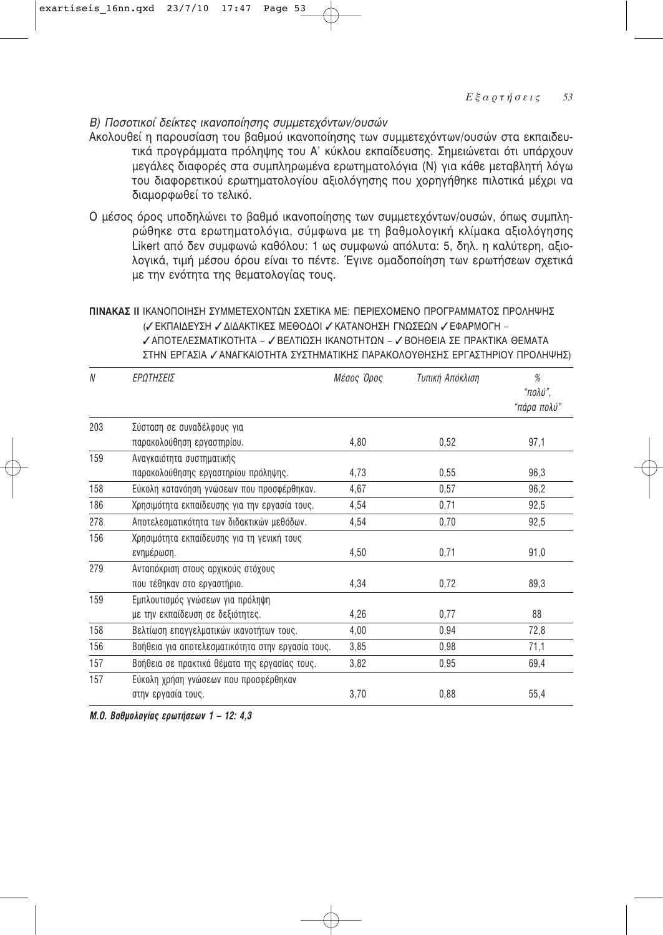#### exartiseis\_16nn.qxd 23/7/10 17:47 Page 53

# *Β) Ποσοτικοί δείκτες ικανοποίησης συμμετεχόντων/ουσών*

- Ακολουθεί η παρουσίαση του βαθμού ικανοποίησης των συμμετεχόντων/ουσών στα εκπαιδευτικά προγράμματα πρόληψης του Α' κύκλου εκπαίδευσης. Σημειώνεται ότι υπάρχουν μεγάλες διαφορές στα συμπληρωμένα ερωτηματολόγια (N) για κάθε μεταβλητή λόγω του διαφορετικού ερωτηματολογίου αξιολόγησης που χορηγήθηκε πιλοτικά μέχρι να διαμορφωθεί το τελικό.
- Ο μέσος όρος υποδηλώνει το βαθμό ικανοποίησης των συμμετεχόντων/ουσών, όπως συμπληρώθηκε στα ερωτηματολόγια, σύμφωνα με τη βαθμολογική κλίμακα αξιολόγησης Likert από δεν συμφωνώ καθόλου: 1 ως συμφωνώ απόλυτα: 5, δηλ. η καλύτερη, αξιολογικά, τιμή μέσου όρου είναι το πέντε. Έγινε ομαδοποίηση των ερωτήσεων σχετικά με την ενότητα της θεματολογίας τους.

# **ΠΙΝΑΚΑΣ ΙΙ** ΙΚΑΝΟΠΟΙΗΣΗ ΣΥΜΜΕΤΕΧΟΝΤΩΝ ΣΧΕΤΙΚΑ ΜΕ: ΠΕΡΙΕΧΟΜΕΝΟ ΠΡΟΓΡΑΜΜΑΤΟΣ ΠΡΟΛΗΨΗΣ (√ ΕΚΠΑΙΔΕΥΣΗ √ ΔΙΔΑΚΤΙΚΕΣ ΜΕΘΟΔΟΙ √ ΚΑΤΑΝΟΗΣΗ ΓΝΩΣΕΩΝ √ ΕΦΑΡΜΟΓΗ – √ ΑΠΟΤΕΛΕΣΜΑΤΙΚΟΤΗΤΑ – √ ΒΕΛΤΙΩΣΗ ΙΚΑΝΟΤΗΤΩΝ – √ ΒΟΗΘΕΙΑ ΣΕ ΠΡΑΚΤΙΚΑ ΘΕΜΑΤΑ ΣΤΗΝ ΕΡΓΑΣΙΑ √ ΑΝΑΓΚΑΙΟΤΗΤΑ ΣΥΣΤΗΜΑΤΙΚΗΣ ΠΑΡΑΚΟΛΟΥΘΗΣΗΣ ΕΡΓΑΣΤΗΡΙΟΥ ΠΡΟΛΗΨΗΣ)

| $\mathcal N$ | ΕΡΩΤΗΣΕΙΣ                                                         | Μέσος Όρος | Τυπική Απόκλιση | %<br>"πολύ",<br>"πάρα πολύ" |
|--------------|-------------------------------------------------------------------|------------|-----------------|-----------------------------|
| 203          | Σύσταση σε συναδέλφους για                                        |            |                 |                             |
|              | παρακολούθηση εργαστηρίου.                                        | 4,80       | 0,52            | 97,1                        |
| 159          | Αναγκαιότητα συστηματικής                                         |            |                 |                             |
|              | παρακολούθησης εργαστηρίου πρόληψης.                              | 4,73       | 0,55            | 96,3                        |
| 158          | Εύκολη κατανόηση γνώσεων που προσφέρθηκαν.                        | 4,67       | 0,57            | 96,2                        |
| 186          | Χρησιμότητα εκπαίδευσης για την εργασία τους.                     | 4,54       | 0,71            | 92,5                        |
| 278          | Αποτελεσματικότητα των διδακτικών μεθόδων.                        | 4,54       | 0,70            | 92,5                        |
| 156          | Χρησιμότητα εκπαίδευσης για τη γενική τους                        |            |                 |                             |
|              | ενημέρωση.                                                        | 4,50       | 0,71            | 91,0                        |
| 279          | Ανταπόκριση στους αρχικούς στόχους<br>που τέθηκαν στο εργαστήριο. | 4,34       | 0,72            | 89,3                        |
| 159          | Εμπλουτισμός γνώσεων για πρόληψη                                  |            |                 |                             |
|              | με την εκπαίδευση σε δεξιότητες.                                  | 4,26       | 0,77            | 88                          |
| 158          | Βελτίωση επαγγελματικών ικανοτήτων τους.                          | 4,00       | 0,94            | 72,8                        |
| 156          | Βοήθεια για αποτελεσματικότητα στην εργασία τους.                 | 3,85       | 0,98            | 71,1                        |
| 157          | Βοήθεια σε πρακτικά θέματα της εργασίας τους.                     | 3,82       | 0,95            | 69,4                        |
| 157          | Εύκολη χρήση γνώσεων που προσφέρθηκαν                             |            |                 |                             |
|              | στην εργασία τους.                                                | 3,70       | 0,88            | 55,4                        |

*M.O. Βαθμολογίας ερωτήσεων 1 – 12: 4,3*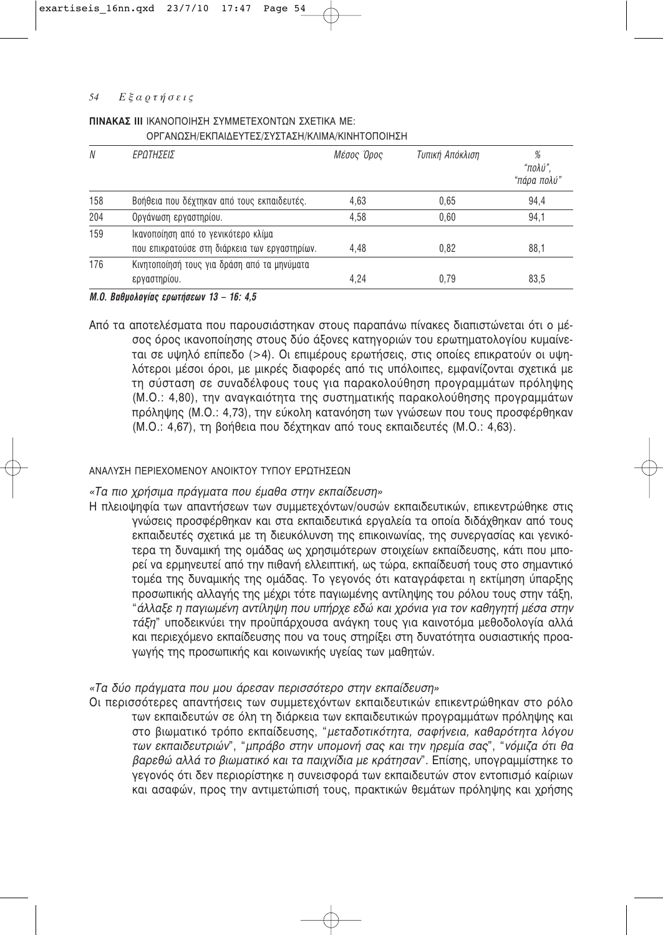# **ΠΙΝΑΚΑΣ ΙΙΙ** ΙΚΑΝΟΠΟΙΗΣΗ ΣΥΜΜΕΤΕΧΟΝΤΩΝ ΣΧΕΤΙΚΑ ΜΕ∶

ΟΡΓΑΝΩΣΗ/ΕΚΠΑΙΔΕΥΤΕΣ/ΣΥΣΤΑΣΗ/ΚΛΙΜΑ/ΚΙΝΗΤΟΠΟΙΗΣΗ

| N   | ΕΡΩΤΗΣΕΙΣ                                                                            | Μέσος Όρος | Τυπική Απόκλιση | %<br>"πολύ".<br>"πάρα πολύ" |
|-----|--------------------------------------------------------------------------------------|------------|-----------------|-----------------------------|
| 158 | Βοήθεια που δέχτηκαν από τους εκπαιδευτές.                                           | 4,63       | 0.65            | 94,4                        |
| 204 | Οργάνωση εργαστηρίου.                                                                | 4,58       | 0.60            | 94,1                        |
| 159 | Ικανοποίηση από το γενικότερο κλίμα<br>που επικρατούσε στη διάρκεια των εργαστηρίων. | 4.48       | 0.82            | 88,1                        |
| 176 | Κινητοποίησή τους για δράση από τα μηνύματα<br>εργαστηρίου.                          | 4,24       | 0,79            | 83,5                        |

*M.O. Βαθμολογίας ερωτήσεων 13 - 16: 4,5* 

Aπό τα αποτελέσματα που παρουσιάστηκαν στους παραπάνω πίνακες διαπιστώνεται ότι ο μέσος όρος ικανοποίησης στους δύο άξονες κατηνοριών του ερωτηματολονίου κυμαίνεται σε υψηλό επίπεδο (>4). Οι επιμέρους ερωτήσεις, στις οποίες επικρατούν οι υψηλότεροι μέσοι όροι, με μικρές διαφορές από τις υπόλοιπες, εμφανίζονται σχετικά με τη σύσταση σε συναδέλφους τους για παρακολούθηση προνραμμάτων πρόληψης (Μ.Ο.: 4,80), την αναγκαιότητα της συστηματικής παρακολούθησης προγραμμάτων πρόληψης (Μ.Ο.: 4,73), την εύκολη κατανόηση των γνώσεων που τους προσφέρθηκαν (Μ.Ο.: 4,67), τη βοήθεια που δέχτηκαν από τους εκπαιδευτές (Μ.Ο.: 4,63).

### ΑΝΑΛΥΣΗ ΠΕΡΙΕΧΟΜΕΝΟΥ ΑΝΟΙΚΤΟΥ ΤΥΠΟΥ ΕΡΩΤΗΣΕΩΝ

# *«Τα πιο χρήσιμα πράγματα που έμαθα στην εκπαίδευση»*

Η πλειοψηφία των απαντήσεων των συμμετεχόντων/ουσών εκπαιδευτικών, επικεντρώθηκε στις γνώσεις προσφέρθηκαν και στα εκπαιδευτικά εργαλεία τα οποία διδάχθηκαν από τους εκπαιδευτές σχετικά με τη διευκόλυνση της επικοινωνίας, της συνεργασίας και γενικότερα τη δυναμική της ομάδας ως χρησιμότερων στοιχείων εκπαίδευσης, κάτι που μπορεί να ερμηνευτεί από την πιθανή ελλειπτική, ως τώρα, εκπαίδευσή τους στο σημαντικό τομέα της δυναμικής της ομάδας. Το γεγονός ότι καταγράφεται η εκτίμηση ύπαρξης προσωπικής αλλαγής της μέχρι τότε παγιωμένης αντίληψης του ρόλου τους στην τάξη, "άλλαξε η παγιωμένη αντίληψη που υπήρχε εδώ και χρόνια για τον καθηγητή μέσα στην *τάξη*" υποδεικνύει την προϋπάρχουσα ανάγκη τους για καινοτόμα μεθοδολογία αλλά και περιεχόμενο εκπαίδευσης που να τους στηρίξει στη δυνατότητα ουσιαστικής προαγωγής της προσωπικής και κοινωνικής υγείας των μαθητών.

# «Τα δύο πράγματα που μου άρεσαν περισσότερο στην εκπαίδευση»

Οι περισσότερες απαντήσεις των συμμετεχόντων εκπαιδευτικών επικεντρώθηκαν στο ρόλο των εκπαιδευτών σε όλη τη διάρκεια των εκπαιδευτικών προγραμμάτων πρόληψης και στο βιωματικό τρόπο εκπαίδευσης, "μεταδοτικότητα, σαφήνεια, καθαρότητα λόγου *ÙˆÓ ÂÎ·È‰Â˘ÙÚÈÒÓ*", "*ÌÚ¿'Ô ÛÙËÓ ˘ÔÌÔÓ‹ Û·˜ Î·È ÙËÓ ËÚÂÌ›· Û·˜*", "*ÓfiÌÈ˙· fiÙÈ ı·* βαρεθώ αλλά το βιωματικό και τα παιχνίδια με κράτησαν". Επίσης, υπογραμμίστηκε το γεγονός ότι δεν περιορίστηκε η συνεισφορά των εκπαιδευτών στον εντοπισμό καίριων Και ασαφών, προς την αντιμετώπισή τους, πρακτικών θεμάτων πρόληψης και χρήσης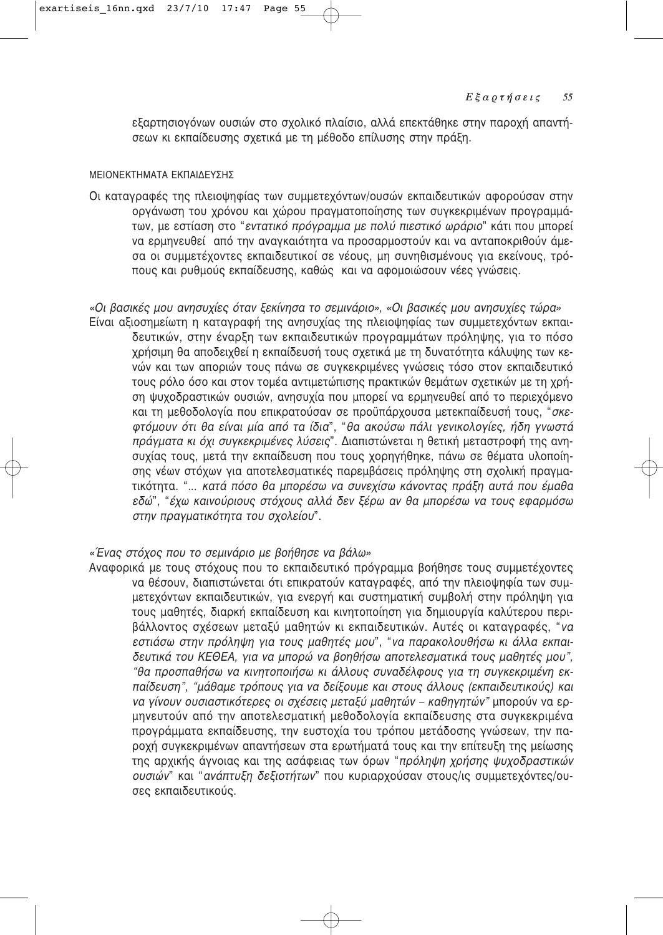εξαρτησιογόνων ουσιών στο σχολικό πλαίσιο, αλλά επεκτάθηκε στην παροχή απαντήσεων κι εκπαίδευσης σχετικά με τη μέθοδο επίλυσης στην πράξη.

## ΜΕΙΟΝΕΚΤΗΜΑΤΑ ΕΚΠΑΙΔΕΥΣΗΣ

Οι καταγραφές της πλειοψηφίας των συμμετεχόντων/ουσών εκπαιδευτικών αφορούσαν στην οργάγωση του χρόνου και χώρου πραγματοποίησης των συγκεκριμένων προγραμμάτων, με εστίαση στο "εντατικό πρόγραμμα με πολύ πιεστικό ωράριο" κάτι που μπορεί να ερμηνευθεί από την αναγκαιότητα να προσαρμοστούν και να ανταποκριθούν άμεσα οι συμμετέχοντες εκπαιδευτικοί σε νέους, μη συνηθισμένους για εκείνους, τρόπους και ρυθμούς εκπαίδευσης, καθώς και να αφομοιώσουν νέες γνώσεις.

«Οι βασικές μου ανησυχίες όταν ξεκίνησα το σεμινάριο», «Οι βασικές μου ανησυχίες τώρα» Είναι αξιοσημείωτη η καταγραφή της ανησυχίας της πλειοψηφίας των συμμετεχόντων εκπαιδευτικών, στην έναρξη των εκπαιδευτικών προγραμμάτων πρόληψης, για το πόσο γρήσιμη θα αποδειχθεί η εκπαίδευσή τους σχετικά με τη δυνατότητα κάλυψης των κε-Vών και των αποριών τους πάνω σε συγκεκριμένες γνώσεις τόσο στον εκπαιδευτικό τους ρόλο όσο και στον τομέα αντιμετώπισης πρακτικών θεμάτων σχετικών με τη χρήση ψυχοδραστικών ουσιών, ανησυχία που μπορεί να ερμηνευθεί από το περιεχόμενο και τη μεθοδολογία που επικρατούσαν σε προϋπάρχουσα μετεκπαίδευσή τους, "σκε-*ÊÙfiÌÔ˘Ó fiÙÈ ı· Â›Ó·È Ì›· ·fi Ù· ›‰È·*", "*ı· ·ÎÔ‡Ûˆ ¿ÏÈ ÁÂÓÈÎÔÏÔÁ›Â˜, ‹‰Ë ÁÓˆÛÙ¿* πράγματα κι όχι συγκεκριμένες λύσεις". Διαπιστώνεται η θετική μεταστροφή της ανησυχίας τους, μετά την εκπαίδευση που τους χορηγήθηκε, πάνω σε θέματα υλοποίησης νέων στόχων για αποτελεσματικές παρεμβάσεις πρόληψης στη σχολική πραγματικότητα. "... *κατά πόσο θα μπορέσω να συνεχίσω κάνοντας πράξη αυτά που έμαθα* εδώ", "έχω καινούριους στόχους αλλά δεν ξέρω αν θα μπορέσω να τους εφαρμόσω *ÛÙËÓ Ú·ÁÌ·ÙÈÎfiÙËÙ· ÙÔ˘ Û¯ÔÏ›Ԣ*".

# «Ένας στόχος που το σεμινάριο με βοήθησε να βάλω»

Αναφορικά με τους στόχους που το εκπαιδευτικό πρόγραμμα βοήθησε τους συμμετέχοντες να θέσουν, διαπιστώνεται ότι επικρατούν καταγραφές, από την πλειοψηφία των συμμετεχόντων εκπαιδευτικών, για ενεργή και συστηματική συμβολή στην πρόληψη για τους μαθητές, διαρκή εκπαίδευση και κινητοποίηση για δημιουργία καλύτερου περιβάλλοντος σχέσεων μεταξύ μαθητών κι εκπαιδευτικών. Αυτές οι καταγραφές, "*να* εστιάσω στην πρόληψη για τους μαθητές μου", "να παρακολουθήσω κι άλλα εκπαιδευτικά του KEΘEA, για να μπορώ να βοηθήσω αποτελεσματικά τους μαθητές μου", *"θα προσπαθήσω να κινητοποιήσω κι άλλους συναδέλφους για τη συγκεκριμένη εκ-·›‰Â˘ÛË", "Ì¿ı·Ì ÙÚfiÔ˘˜ ÁÈ· Ó· ‰Â›ÍÔ˘ÌÂ Î·È ÛÙÔ˘˜ ¿ÏÏÔ˘˜ (ÂÎ·È‰Â˘ÙÈÎÔ‡˜) ηÈ V*a γίνουν ουσιαστικότερες οι σχέσεις μεταξύ μαθητών – καθηνητών" μπορούν να ερμηνευτούν από την αποτελεσματική μεθοδολογία εκπαίδευσης στα συγκεκριμένα προγράμματα εκπαίδευσης, την ευστοχία του τρόπου μετάδοσης γνώσεων, την παροχή συγκεκριμένων απαντήσεων στα ερωτήματά τους και την επίτευξη της μείωσης της αρχικής άγνοιας και της ασάφειας των όρων "πρόληψη χρήσης ψυχοδραστικών *Ουσιών*" και "*ανάπτυξη δεξιοτήτων*" που κυριαρχούσαν στους/ις συμμετεχόντες/ουσες εκπαιδευτικούς.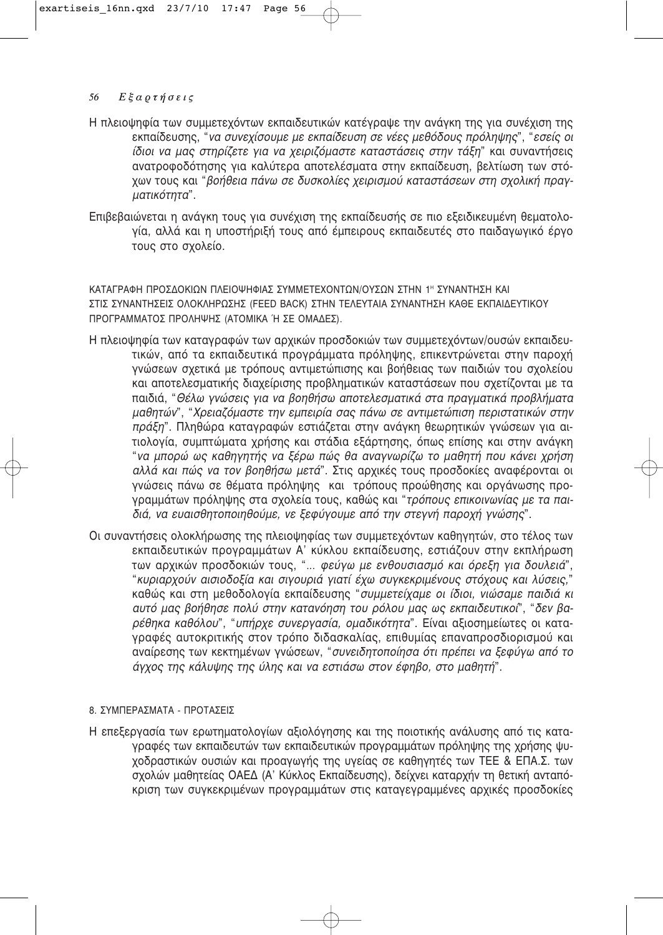- Η πλειοψηφία των συμμετεχόντων εκπαιδευτικών κατέγραψε την ανάγκη της για συνέχιση της εκπαίδευσης, "*να συνεχίσουμε με εκπαίδευση σε νέες μεθόδους πρόληψης*", "εσείς οι *iδιοι να μας στηρίζετε για να χειριζόμαστε καταστάσεις στην τάξη*" και συναντήσεις ανατροφοδότησης για καλύτερα αποτελέσματα στην εκπαίδευση, βελτίωση των στόχων τους και *"βοήθεια πάνω σε δυσκολίες χειρισμού καταστάσεων στη σχολική πραγ-* $\mu$ ατικότητα".
- Eπιβεβαιώνεται η ανάγκη τους για συνέχιση της εκπαίδευσής σε πιο εξειδικευμένη θεματολογία, αλλά και η υποστήριξή τους από έμπειρους εκπαιδευτές στο παιδαγωγικό έργο τους στο σχολείο.

ΚΑΤΑΓΡΑΦΗ ΠΡΟΣΔΟΚΙΩΝ ΠΛΕΙΟΨΗΦΙΑΣ ΣΥΜΜΕΤΕΧΟΝΤΩΝ/ΟΥΣΩΝ ΣΤΗΝ 1<sup>Η</sup> ΣΥΝΑΝΤΗΣΗ ΚΑΙ ΣΤΙΣ ΣΥΝΑΝΤΗΣΕΙΣ ΟΛΟΚΛΗΡΩΣΗΣ (FEED BACK) ΣΤΗΝ ΤΕΛΕΥΤΑΙΑ ΣΥΝΑΝΤΗΣΗ ΚΑΘΕ ΕΚΠΑΙΔΕΥΤΙΚΟΥ ΠΡΟΓΡΑΜΜΑΤΟΣ ΠΡΟΛΗΨΗΣ (ΑΤΟΜΙΚΑ Ή ΣΕ ΟΜΑΔΕΣ).

- Η πλειοψηφία των καταγραφών των αρχικών προσδοκιών των συμμετεχόντων/ουσών εκπαιδευτικών, από τα εκπαιδευτικά προγράμματα πρόληψης, επικεντρώνεται στην παροχή γνώσεων σχετικά με τρόπους αντιμετώπισης και βοήθειας των παιδιών του σχολείου και αποτελεσματικής διαχείρισης προβληματικών καταστάσεων που σχετίζονται με τα παιδιά, *"Θέλω γνώσεις για να βοηθήσω αποτελεσματικά στα πραγματικά προβλήματα* μαθητών", "Χρειαζόμαστε την εμπειρία σας πάνω σε αντιμετώπιση περιστατικών στην *πράξη*". Πληθώρα καταγραφών εστιάζεται στην ανάγκη θεωρητικών γνώσεων για αιτιολογία, συμπτώματα χρήσης και στάδια εξάρτησης, όπως επίσης και στην ανάγκη *"* να μπορώ ως καθηγητής να ξέρω πώς θα αναγνωρίζω το μαθητή που κάνει χρήση *αλλά και πώς να τον βοηθήσω μετά*". Στις αρχικές τους προσδοκίες αναφέρονται οι γνώσεις πάνω σε θέματα πρόληψης και τρόπους προώθησης και οργάνωσης προγραμμάτων πρόληψης στα σχολεία τους, καθώς και "*τρόπους επικοινωνίας με τα παι*διά, να ευαισθητοποιηθούμε, νε ξεφύγουμε από την στεγνή παροχή γνώσης".
- Οι συναντήσεις ολοκλήρωσης της πλειοψηφίας των συμμετεχόντων καθηγητών, στο τέλος των εκπαιδευτικών προγραμμάτων Α' κύκλου εκπαίδευσης, εστιάζουν στην εκπλήρωση των αρχικών προσδοκιών τους, "... *φεύγω με ενθουσιασμό και όρεξη για δουλειά*", *"κυριαρχούν αισιοδοξία και σιγουριά γιατί έχω συγκεκριμένους στόχους και λύσεις*," καθώς και στη μεθοδολογία εκπαίδευσης "*συμμετείχαμε οι ίδιοι, νιώσαμε παιδιά κι ·˘Ùfi Ì·˜ 'Ô‹ıËÛ Ôχ ÛÙËÓ Î·Ù·ÓfiËÛË ÙÔ˘ ÚfiÏÔ˘ Ì·˜ ˆ˜ ÂÎ·È‰Â˘ÙÈÎÔ›*", "*‰ÂÓ '·* ρέθηκα καθόλου", "υπήρχε συνεργασία, ομαδικότητα". Είναι αξιοσημείωτες οι καταγραφές αυτοκριτικής στον τρόπο διδασκαλίας, επιθυμίας επαναπροσδιορισμού και αναίρεσης των κεκτημένων γνώσεων, "συνειδητοποίησα ότι πρέπει να ξεφύγω από το *άγχος της κάλυψης της ύλης και να εστιάσω στον έφηβο, στο μαθητή*".

### 8. ΣΥΜΠΕΡΑΣΜΑΤΑ - ΠΡΟΤΑΣΕΙΣ

Η επεξεργασία των ερωτηματολογίων αξιολόγησης και της ποιοτικής ανάλυσης από τις καταγραφές των εκπαιδευτών των εκπαιδευτικών προγραμμάτων πρόληψης της χρήσης ψυχοδραστικών ουσιών και προαγωγής της υγείας σε καθηγητές των ΤΕΕ & ΕΠΑ.Σ. των σχολών μαθητείας ΟΑΕΔ (Α' Κύκλος Εκπαίδευσης), δείχνει καταρχήν τη θετική ανταπό-Κριση των συγκεκριμένων προγραμμάτων στις καταγεγραμμένες αρχικές προσδοκίες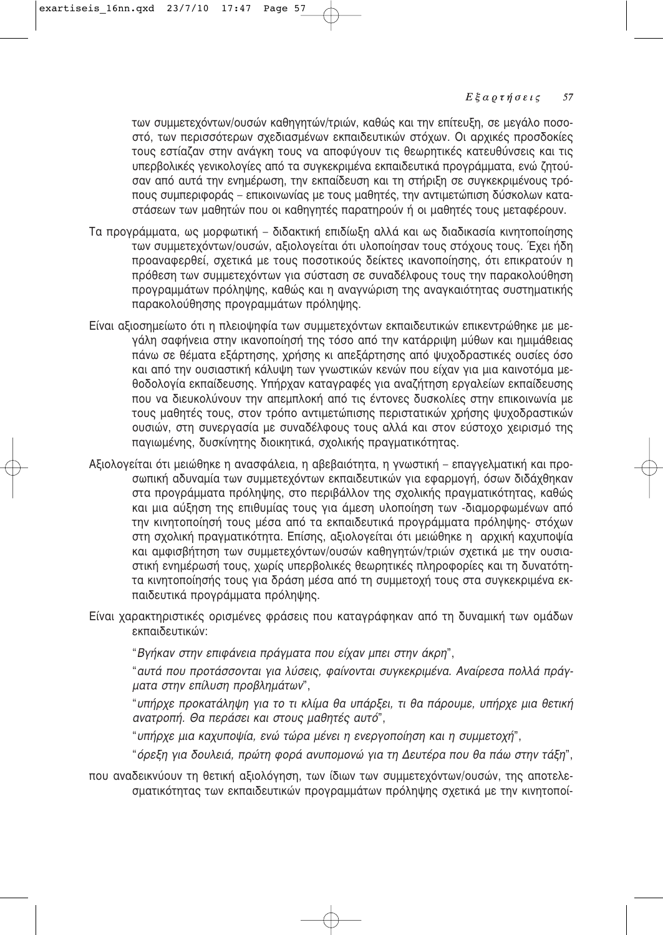των συμμετεχόντων/ουσών καθηγητών/τριών, καθώς και την επίτευξη, σε μεγάλο ποσοστό, των περισσότερων σχεδιασμένων εκπαιδευτικών στόχων. Οι αρχικές προσδοκίες τους εστίαζαν στην ανάγκη τους να αποφύγουν τις θεωρητικές κατευθύνσεις και τις υπερβολικές γενικολογίες από τα συγκεκριμένα εκπαιδευτικά προγράμματα, ενώ ζητούσαν από αυτά την ενημέρωση, την εκπαίδευση και τη στήριξη σε συγκεκριμένους τρόπους συμπεριφοράς – επικοινωνίας με τους μαθητές, την αντιμετώπιση δύσκολων καταστάσεων των μαθητών που οι καθηγητές παρατηρούν ή οι μαθητές τους μεταφέρουν.

Τα προγράμματα, ως μορφωτική – διδακτική επιδίωξη αλλά και ως διαδικασία κινητοποίησης των συμμετεχόντων/ουσών, αξιολογείται ότι υλοποίησαν τους στόχους τους. Έχει ήδη προαναφερθεί, σχετικά με τους ποσοτικούς δείκτες ικανοποίησης, ότι επικρατούν η πρόθεση των συμμετεχόντων για σύσταση σε συναδέλφους τους την παρακολούθηση προγραμμάτων πρόληψης, καθώς και η αναγνώριση της αναγκαιότητας συστηματικής παρακολούθησης προγραμμάτων πρόληψης.

exartiseis  $16nn.qxd$   $23/7/10$   $17:47$  Page

- Είναι αξιοσημείωτο ότι η πλειοψηφία των συμμετεχόντων εκπαιδευτικών επικεντρώθηκε με μεγάλη σαφήνεια στην ικανοποίησή της τόσο από την κατάρριψη μύθων και ημιμάθειας πάνω σε θέματα εξάρτησης, χρήσης κι απεξάρτησης από ψυχοδραστικές ουσίες όσο και από την ουσιαστική κάλυψη των γνωστικών κενών που είχαν για μια καινοτόμα μεθοδολογία εκπαίδευσης. Υπήρχαν καταγραφές για αναζήτηση εργαλείων εκπαίδευσης που να διευκολύνουν την απεμπλοκή από τις έντονες δυσκολίες στην επικοινωνία με τους μαθητές τους, στον τρόπο αντιμετώπισης περιστατικών χρήσης ψυχοδραστικών ουσιών, στη συνεργασία με συναδέλφους τους αλλά και στον εύστοχο χειρισμό της παγιωμένης, δυσκίνητης διοικητικά, σχολικής πραγματικότητας.
- Αξιολογείται ότι μειώθηκε η ανασφάλεια, η αβεβαιότητα, η γνωστική επαγγελματική και προσωπική αδυναμία των συμμετεχόντων εκπαιδευτικών για εφαρμογή, όσων διδάχθηκαν στα προγράμματα πρόληψης, στο περιβάλλον της σχολικής πραγματικότητας, καθώς και μια αύξηση της επιθυμίας τους για άμεση υλοποίηση των -διαμορφωμένων από την κινητοποίησή τους μέσα από τα εκπαιδευτικά προγράμματα πρόληψης- στόχων στη σχολική πραγματικότητα. Επίσης, αξιολογείται ότι μειώθηκε η αρχική καχυποψία και αμφισβήτηση των συμμετεχόντων/ουσών καθηγητών/τριών σχετικά με την ουσιαστική ενημέρωσή τους, χωρίς υπερβολικές θεωρητικές πληροφορίες και τη δυνατότητα κινητοποίησής τους για δράση μέσα από τη συμμετοχή τους στα συγκεκριμένα εκπαιδευτικά προγράμματα πρόληψης.
- Είναι χαρακτηριστικές ορισμένες φράσεις που καταγράφηκαν από τη δυναμική των ομάδων εκπαιδευτικών:

*"Βγήκαν στην επιφάνεια πράγματα που είχαν μπει στην άκρη*",

"*·˘Ù¿ Ô˘ ÚÔÙ¿ÛÛÔÓÙ·È ÁÈ· χÛÂȘ, Ê·›ÓÔÓÙ·È Û˘ÁÎÂÎÚÈ̤ӷ. ∞Ó·›ÚÂÛ· ÔÏÏ¿ Ú¿Á*ματα στην επίλυση προβλημάτων",

*"υπήρχε προκατάληψη για το τι κλίμα θα υπάρξει, τι θα πάρουμε, υπήρχε μια θετική ανατροπή. Θα περάσει και στους μαθητές αυτό*",

"*˘‹Ú¯Â ÌÈ· η¯˘Ô"›·, ÂÓÒ ÙÒÚ· ̤ÓÂÈ Ë ÂÓÂÚÁÔÔ›ËÛË Î·È Ë Û˘ÌÌÂÙÔ¯‹*",

"*fiÚÂÍË ÁÈ· ‰Ô˘ÏÂÈ¿, ÚÒÙË ÊÔÚ¿ ·Ó˘ÔÌÔÓÒ ÁÈ· ÙË ¢Â˘Ù¤Ú· Ô˘ ı· ¿ˆ ÛÙËÓ Ù¿ÍË*",

που αναδεικνύουν τη θετική αξιολόγηση, των ίδιων των συμμετεχόντων/ουσών, της αποτελεσματικότητας των εκπαιδευτικών προγραμμάτων πρόληψης σχετικά με την κινητοποί-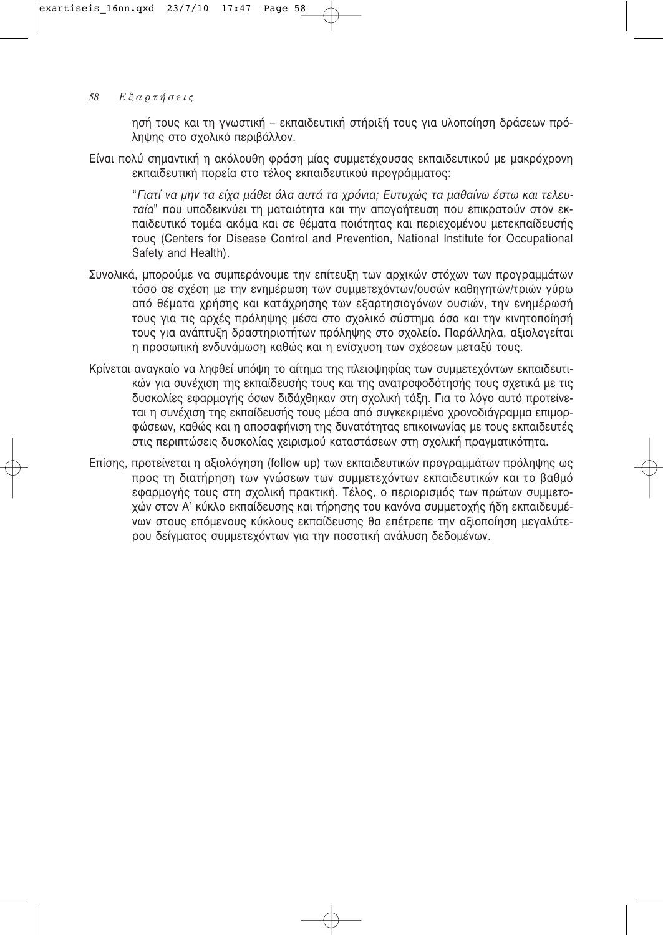ησή τους και τη γνωστική – εκπαιδευτική στήριξή τους για υλοποίηση δράσεων πρόληψης στο σχολικό περιβάλλον.

Είναι πολύ σημαντική η ακόλουθη φράση μίας συμμετέχουσας εκπαιδευτικού με μακρόχρονη εκπαιδευτική πορεία στο τέλος εκπαιδευτικού προγράμματος:

"*°È·Ù› Ó· ÌËÓ Ù· ›¯· Ì¿ıÂÈ fiÏ· ·˘Ù¿ Ù· ¯ÚfiÓÈ·; ∂˘Ù˘¯Ò˜ Ù· Ì·ı·›Óˆ ¤ÛÙˆ Î·È ÙÂÏ¢ ταία*" που υποδεικνύει τη ματαιότητα και την απογοήτευση που επικρατούν στον εκπαιδευτικό τομέα ακόμα και σε θέματα ποιότητας και περιεχομένου μετεκπαίδευσής Touc (Centers for Disease Control and Prevention, National Institute for Occupational Safety and Health).

- Συνολικά, μπορούμε να συμπεράνουμε την επίτευξη των αρχικών στόχων των προγραμμάτων τόσο σε σχέση με την ενημέρωση των συμμετεχόντων/ουσών καθηγητών/τριών γύρω από θέματα χρήσης και κατάχρησης των εξαρτησιογόνων ουσιών, την ενημέρωσή τους για τις αρχές πρόληψης μέσα στο σχολικό σύστημα όσο και την κινητοποίησή τους για ανάπτυξη δραστηριοτήτων πρόληψης στο σχολείο. Παράλληλα, αξιολογείται η προσωπική ενδυνάμωση καθώς και η ενίσχυση των σχέσεων μεταξύ τους.
- Κρίνεται αναγκαίο να ληφθεί υπόψη το αίτημα της πλειοψηφίας των συμμετεχόντων εκπαιδευτικών για συνέχιση της εκπαίδευσής τους και της ανατροφοδότησής τους σχετικά με τις δυσκολίες εφαρμογής όσων διδάχθηκαν στη σχολική τάξη. Για το λόγο αυτό προτείνεται η συνέχιση της εκπαίδευσής τους μέσα από συγκεκριμένο χρονοδιάγραμμα επιμορ-Φώσεων, καθώς και η αποσαφήνιση της δυνατότητας επικοινωνίας με τους εκπαιδευτές στις περιπτώσεις δυσκολίας χειρισμού καταστάσεων στη σχολική πραγματικότητα.
- Επίσης, προτείνεται η αξιολόγηση (follow up) των εκπαιδευτικών προγραμμάτων πρόληψης ως προς τη διατήρηση των γνώσεων των συμμετεχόντων εκπαιδευτικών και το βαθμό εφαρμογής τους στη σχολική πρακτική. Τέλος, ο περιορισμός των πρώτων συμμετοχών στον Α' κύκλο εκπαίδευσης και τήρησης του κανόνα συμμετοχής ήδη εκπαιδευμέ-Vων στους επόμενους κύκλους εκπαίδευσης θα επέτρεπε την αξιοποίηση μεγαλύτερου δείγματος συμμετεχόντων για την ποσοτική ανάλυση δεδομένων.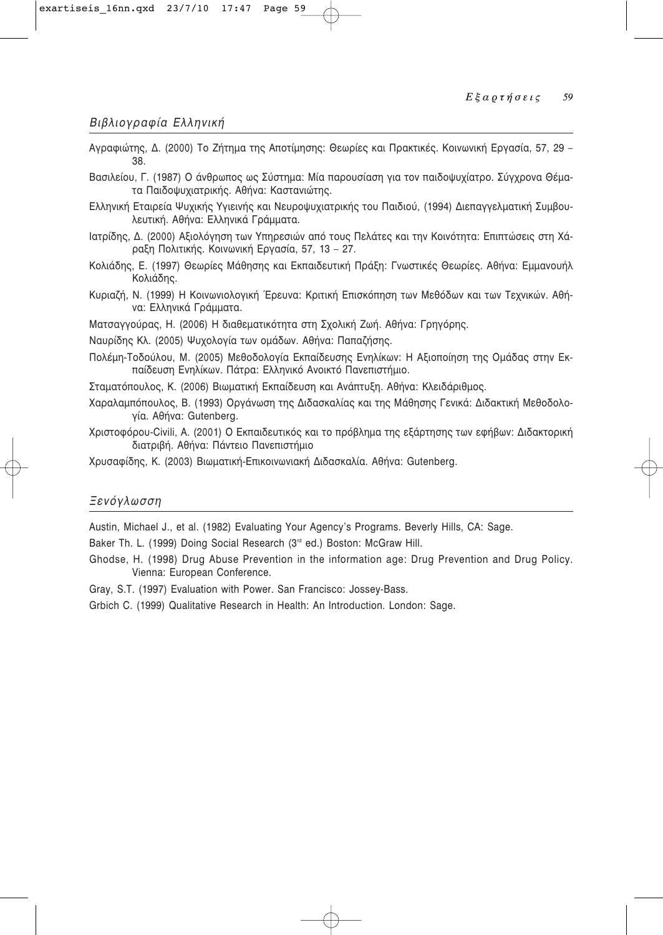### exartiseis\_16nn.qxd 23/7/10 17:47 Page 59

*Βιβλιογραφία Ελληνική* 

Αγραφιώτης, Δ. (2000) Το Ζήτημα της Αποτίμησης: Θεωρίες και Πρακτικές. Κοινωνική Εργασία, 57, 29 -38.

- Βασιλείου, Γ. (1987) Ο άνθρωπος ως Σύστημα: Μία παρουσίαση για τον παιδοψυχίατρο. Σύγχρονα Θέματα Παιδοψυχιατρικής. Αθήνα: Καστανιώτης.
- Ελληνική Εταιρεία Ψυχικής Υγιεινής και Νευροψυχιατρικής του Παιδιού, (1994) Διεπαγγελματική Συμβουλευτική. Αθήνα: Ελληνικά Γράμματα.
- Ιατρίδης, Δ. (2000) Αξιολόγηση των Υπηρεσιών από τους Πελάτες και την Κοινότητα: Επιπτώσεις στη Χάραξη Πολιτικής. Κοινωνική Εργασία, 57, 13 - 27.
- Κολιάδης, Ε. (1997) Θεωρίες Μάθησης και Εκπαιδευτική Πράξη: Γνωστικές Θεωρίες. Αθήνα: Εμμανουήλ Κολιάδης.
- Κυριαζή, Ν. (1999) Η Κοινωνιολογική Έρευνα: Κριτική Επισκόπηση των Μεθόδων και των Τεχνικών. Αθήνα: Ελληνικά Γράμματα.

Ματσαγγούρας, Η. (2006) Η διαθεματικότητα στη Σχολική Ζωή. Αθήνα: Γρηγόρης.

- Ναυρίδης Κλ. (2005) Ψυχολογία των ομάδων. Αθήνα: Παπαζήσης.
- Πολέμη-Τοδούλου, Μ. (2005) Μεθοδολογία Εκπαίδευσης Ενηλίκων: Η Αξιοποίηση της Ομάδας στην Εκπαίδευση Ενηλίκων. Πάτρα: Ελληνικό Ανοικτό Πανεπιστήμιο.

Σταματόπουλος, Κ. (2006) Βιωματική Εκπαίδευση και Ανάπτυξη. Αθήνα: Κλειδάριθμος.

- Χαραλαμπόπουλος, Β. (1993) Οργάνωση της Διδασκαλίας και της Μάθησης Γενικά: Διδακτική Μεθοδολογία. Αθήνα: Gutenberg.
- Χριστοφόρου-Civili, Α. (2001) Ο Εκπαιδευτικός και το πρόβλημα της εξάρτησης των εφήβων: Διδακτορική διατριβή. Αθήνα: Πάντειο Πανεπιστήμιο

Χρυσαφίδης, Κ. (2003) Βιωματική-Επικοινωνιακή Διδασκαλία. Αθήνα: Gutenberg.

### *Ξενόγλωσση*

Austin, Michael J., et al. (1982) Evaluating Your Agency's Programs. Beverly Hills, CA: Sage.

Baker Th. L. (1999) Doing Social Research (3<sup>rd</sup> ed.) Boston: McGraw Hill.

Ghodse, H. (1998) Drug Abuse Prevention in the information age: Drug Prevention and Drug Policy. Vienna: European Conference.

Gray, S.T. (1997) Evaluation with Power. San Francisco: Jossey-Bass.

Grbich C. (1999) Qualitative Research in Health: An Introduction. London: Sage.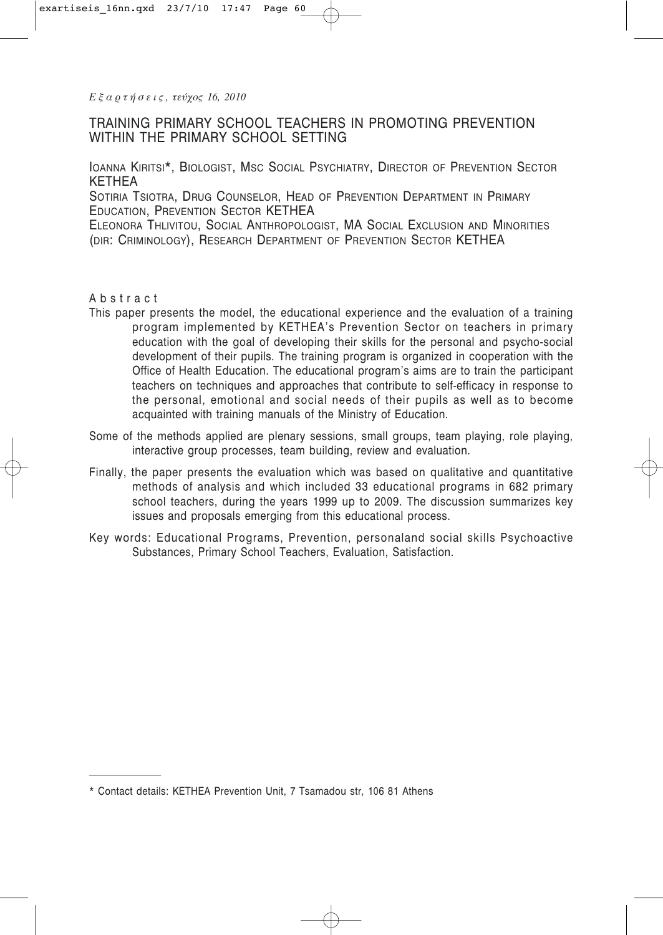*Ε ξ α ρ τ ή σ ε ι ς , τεύχος 16, 2010*

TRAINING PRIMARY SCHOOL TEACHERS IN PROMOTING PREVENTION WITHIN THE PRIMARY SCHOOL SETTING

IOANNA KIRITSI\*, BIOLOGIST, MSC SOCIAL PSYCHIATRY, DIRECTOR OF PREVENTION SECTOR KETHEA

SOTIRIA TSIOTRA, DRUG COUNSELOR, HEAD OF PREVENTION DEPARTMENT IN PRIMARY EDUCATION, PREVENTION SECTOR KETHEA

ELEONORA THLIVITOU, SOCIAL ANTHROPOLOGIST, MA SOCIAL EXCLUSION AND MINORITIES (DIR: CRIMINOLOGY), RESEARCH DEPARTMENT OF PREVENTION SECTOR KETHEA

- Abstract
- This paper presents the model, the educational experience and the evaluation of a training program implemented by KETHEA's Prevention Sector on teachers in primary education with the goal of developing their skills for the personal and psycho-social development of their pupils. The training program is organized in cooperation with the Office of Health Education. The educational program's aims are to train the participant teachers on techniques and approaches that contribute to self-efficacy in response to the personal, emotional and social needs of their pupils as well as to become acquainted with training manuals of the Ministry of Education.
- Some of the methods applied are plenary sessions, small groups, team playing, role playing, interactive group processes, team building, review and evaluation.
- Finally, the paper presents the evaluation which was based on qualitative and quantitative methods of analysis and which included 33 educational programs in 682 primary school teachers, during the years 1999 up to 2009. The discussion summarizes key issues and proposals emerging from this educational process.
- Key words: Educational Programs, Prevention, personaland social skills Psychoactive Substances, Primary School Teachers, Evaluation, Satisfaction.

<sup>\*</sup> Contact details: KETHEA Prevention Unit, 7 Tsamadou str, 106 81 Athens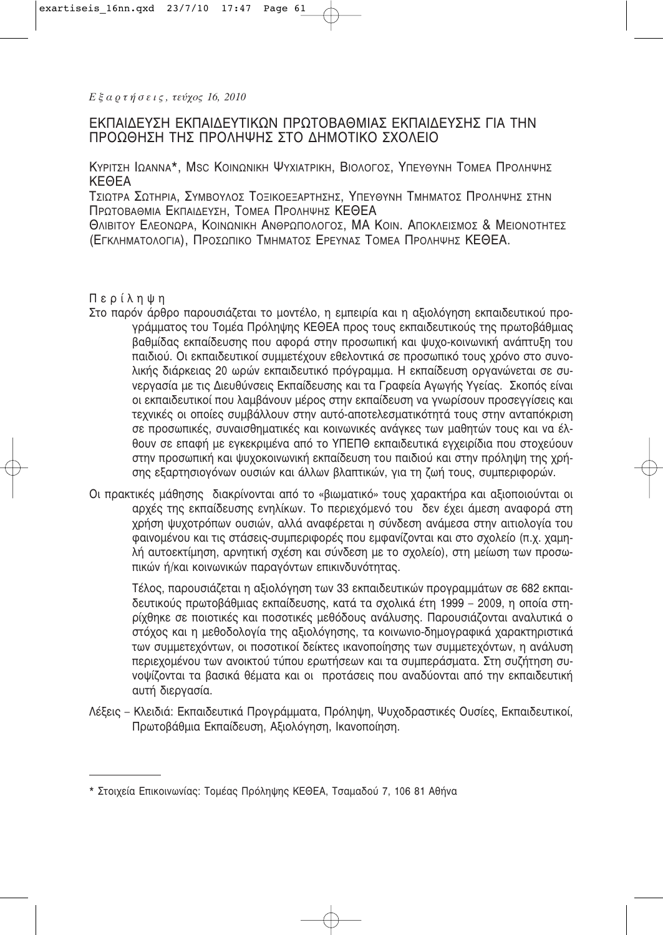*Ε ξ α ρ τ ή σ ε ι ς , τεύχος 16, 2010*

# ΕΚΠΑΙΔΕΥΣΗ ΕΚΠΑΙΔΕΥΤΙΚΩΝ ΠΡΩΤΟΒΑΘΜΙΑΣ ΕΚΠΑΙΔΕΥΣΗΣ ΓΙΑ ΤΗΝ ΠΡΟΩΘΗΣΗ ΤΗΣ ΠΡΟΛΗΨΗΣ ΣΤΟ ΔΗΜΟΤΙΚΟ ΣΧΟΛΕΙΟ

ΚΥΡΙΤΣΗ ΙΩΑΝΝΑ<sup>\*</sup>, MSC ΚΟΙΝΩΝΙΚΗ ΨΥΧΙΑΤΡΙΚΗ, ΒΙΟΛΟΓΟΣ, ΥΠΕΥΘΥΝΗ ΤΟΜΕΑ ΠΡΟΛΗΨΗΣ ∫∂£∂∞

ΤΣΙΩΤΡΑ ΣΩΤΗΡΙΑ, ΣΥΜΒΟΥΛΟΣ ΤΟΞΙΚΟΕΞΑΡΤΗΣΗΣ, ΥΠΕΥΘΥΝΗ ΤΜΗΜΑΤΟΣ ΠΡΟΛΗΨΗΣ ΣΤΗΝ ΠРΩТОВАӨМІА ЕКПАІДЕҮ∑Н, ТОМЕА ПРОЛНѰН∑ КЕӨЕА

ΘΛΙΒΙΤΟΥ ΕΛΕΟΝΩΡΑ, ΚΟΙΝΩΝΙΚΗ ΑΝΘΡΩΠΟΛΟΓΟΣ, ΜΑ ΚΟΙΝ. ΑΠΟΚΛΕΙΣΜΟΣ & ΜΕΙΟΝΟΤΗΤΕΣ (ΕΓΚΛΗΜΑΤΟΛΟΓΙΑ), ΠΡΟΣΩΠΙΚΟ ΤΜΗΜΑΤΟΣ ΕΡΕΥΝΑΣ ΤΟΜΕΑ ΠΡΟΛΗΨΗΣ ΚΕΘΕΑ.

# Περίληψη

- Στο παρόν άρθρο παρουσιάζεται το μοντέλο, η εμπειρία και η αξιολόγηση εκπαιδευτικού προγράμματος του Τομέα Πρόληψης ΚΕΘΕΑ προς τους εκπαιδευτικούς της πρωτοβάθμιας βαθμίδας εκπαίδευσης που αφορά στην προσωπική και ψυχο-κοινωνική ανάπτυξη του παιδιού. Οι εκπαιδευτικοί συμμετέχουν εθελοντικά σε προσωπικό τους χρόνο στο συνολικής διάρκειας 20 ωρών εκπαιδευτικό πρόγραμμα. Η εκπαίδευση οργανώνεται σε συνεργασία με τις Διευθύνσεις Εκπαίδευσης και τα Γραφεία Αγωγής Υγείας. Σκοπός είναι οι εκπαιδευτικοί που λαμβάνουν μέρος στην εκπαίδευση να γνωρίσουν προσεγγίσεις και τεχνικές οι οποίες συμβάλλουν στην αυτό-αποτελεσματικότητά τους στην ανταπόκριση σε προσωπικές, συναισθηματικές και κοινωνικές ανάγκες των μαθητών τους και να έλθουν σε επαφή με εγκεκριμένα από το ΥΠΕΠΘ εκπαιδευτικά εγχειρίδια που στοχεύουν στην προσωπική και ψυχοκοινωνική εκπαίδευση του παιδιού και στην πρόληψη της χρήσης εξαρτησιογόνων ουσιών και άλλων βλαπτικών, για τη ζωή τους, συμπεριφορών.
- Οι πρακτικές μάθησης διακρίνονται από το «βιωματικό» τους χαρακτήρα και αξιοποιούνται οι αρχές της εκπαίδευσης ενηλίκων. Το περιεχόμενό του δεν έχει άμεση αναφορά στη χρήση ψυχοτρόπων ουσιών, αλλά αναφέρεται η σύνδεση ανάμεσα στην αιτιολογία του φαινομένου και τις στάσεις-συμπεριφορές που εμφανίζονται και στο σχολείο (π.χ. χαμηλή αυτοεκτίμηση, αρνητική σχέση και σύνδεση με το σχολείο), στη μείωση των προσωπικών ή/και κοινωνικών παραγόντων επικινδυνότητας.

Τέλος, παρουσιάζεται η αξιολόγηση των 33 εκπαιδευτικών προγραμμάτων σε 682 εκπαιδευτικούς πρωτοβάθμιας εκπαίδευσης, κατά τα σχολικά έτη 1999 – 2009, η οποία στηρίχθηκε σε ποιοτικές και ποσοτικές μεθόδους ανάλυσης. Παρουσιάζονται αναλυτικά ο στόχος και η μεθοδολογία της αξιολόγησης, τα κοινωνιο-δημογραφικά χαρακτηριστικά των συμμετεχόντων, οι ποσοτικοί δείκτες ικανοποίησης των συμμετεχόντων, η ανάλυση περιεχομένου των ανοικτού τύπου ερωτήσεων και τα συμπεράσματα. Στη συζήτηση συνοψίζονται τα βασικά θέματα και οι προτάσεις που αναδύονται από την εκπαιδευτική αυτή διεργασία.

Λέξεις – Κλειδιά: Εκπαιδευτικά Προγράμματα, Πρόληψη, Ψυχοδραστικές Ουσίες, Εκπαιδευτικοί, Πρωτοβάθμια Εκπαίδευση, Αξιολόγηση, Ικανοποίηση.

<sup>\*</sup> Στοιχεία Επικοινωνίας: Τομέας Πρόληψης ΚΕΘΕΑ, Τσαμαδού 7, 106 81 Αθήνα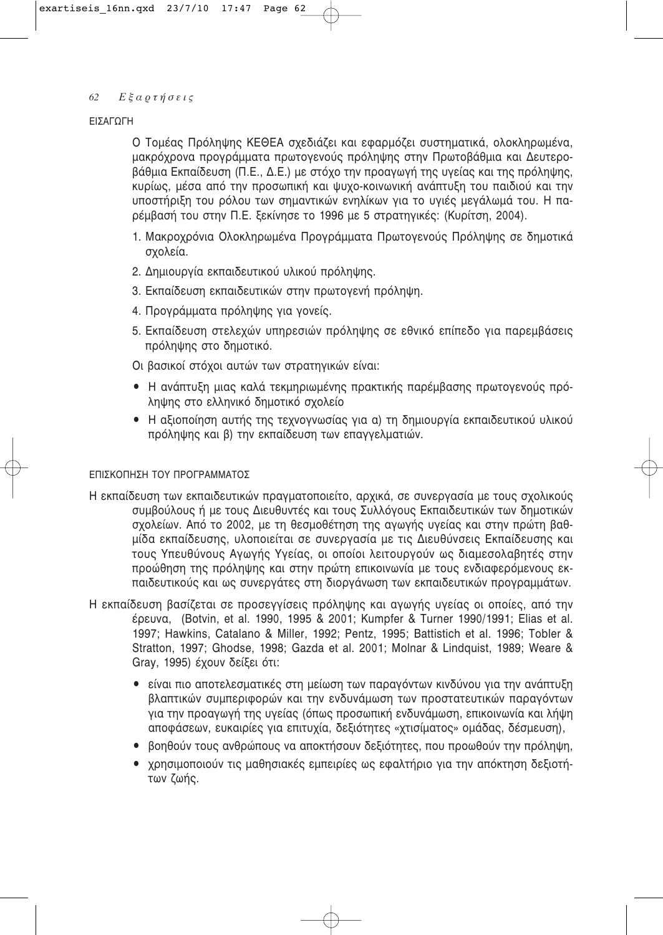### ΕΙΣΑΓΩΓΗ

Ο Τομέας Πρόληψης ΚΕΘΕΑ σχεδιάζει και εφαρμόζει συστηματικά, ολοκληρωμένα, μακρόχρονα προγράμματα πρωτογενούς πρόληψης στην Πρωτοβάθμια και Δευτεροβάθιμα Εκπαίδευση (Π.Ε., Δ.Ε.) με στόχο την προαγωγή της υγείας και της πρόληψης, κυρίως, μέσα από την προσωπική και ψυχο-κοινωνική ανάπτυξη του παιδιού και την υποστήριξη του ρόλου των σημαντικών ενηλίκων για το υγιές μεγάλωμά του. Η παρέμβασή του στην Π.Ε. ξεκίνησε το 1996 με 5 στρατηγικές: (Κυρίτση, 2004).

- 1. Μακροχρόνια Ολοκληρωμένα Προγράμματα Πρωτογενούς Πρόληψης σε δημοτικά σχολεία.
- 2. Δημιουργία εκπαιδευτικού υλικού πρόληψης.
- 3. Εκπαίδευση εκπαιδευτικών στην πρωτογενή πρόληψη.
- 4. Προγράμματα πρόληψης για γονείς.
- 5. Εκπαίδευση στελεχών υπηρεσιών πρόληψης σε εθνικό επίπεδο για παρεμβάσεις πρόληψης στο δημοτικό.
- Οι βασικοί στόχοι αυτών των στρατηγικών είναι:
- Η ανάπτυξη μιας καλά τεκμηριωμένης πρακτικής παρέμβασης πρωτογενούς πρόληψης στο ελληνικό δημοτικό σχολείο
- Η αξιοποίηση αυτής της τεχνογνωσίας για α) τη δημιουργία εκπαιδευτικού υλικού πρόληψης και β) την εκπαίδευση των επαγγελματιών.

# ΕΠΙΣΚΟΠΗΣΗ ΤΟΥ ΠΡΟΓΡΑΜΜΑΤΟΣ

- Η εκπαίδευση των εκπαιδευτικών πραγματοποιείτο, αρχικά, σε συνεργασία με τους σχολικούς συμβούλους ή με τους Διευθυντές και τους Συλλόγους Εκπαιδευτικών των δημοτικών σχολείων. Από το 2002, με τη θεσμοθέτηση της αγωγής υγείας και στην πρώτη βαθμίδα εκπαίδευσης, υλοποιείται σε συνεργασία με τις Διευθύνσεις Εκπαίδευσης και τους Υπευθύνους Αγωγής Υγείας, οι οποίοι λειτουργούν ως διαμεσολαβητές στην προώθηση της πρόληψης και στην πρώτη επικοινωνία με τους ενδιαφερόμενους εκπαιδευτικούς και ως συνεργάτες στη διοργάνωση των εκπαιδευτικών προγραμμάτων.
- Η εκπαίδευση βασίζεται σε προσεγγίσεις πρόληψης και αγωγής υγείας οι οποίες, από την έρευνα, (Botvin, et al. 1990, 1995 & 2001; Kumpfer & Turner 1990/1991; Elias et al. 1997; Hawkins, Catalano & Miller, 1992; Pentz, 1995; Battistich et al. 1996; Tobler & Stratton, 1997; Ghodse, 1998; Gazda et al. 2001; Molnar & Lindquist, 1989; Weare & Gray, 1995) έχουν δείξει ότι:
	- είναι πιο αποτελεσματικές στη μείωση των παραγόντων κινδύνου για την ανάπτυξη βλαπτικών συμπεριφορών και την ενδυνάμωση των προστατευτικών παραγόντων για την προαγωγή της υγείας (όπως προσωπική ενδυνάμωση, επικοινωνία και λήψη αποφάσεων, ευκαιρίες για επιτυχία, δεξιότητες «χτισίματος» ομάδας, δέσμευση),
	- βοηθούν τους ανθρώπους να αποκτήσουν δεξιότητες, που προωθούν την πρόληψη,
	- χρησιμοποιούν τις μαθησιακές εμπειρίες ως εφαλτήριο για την απόκτηση δεξιοτήτων ζωής.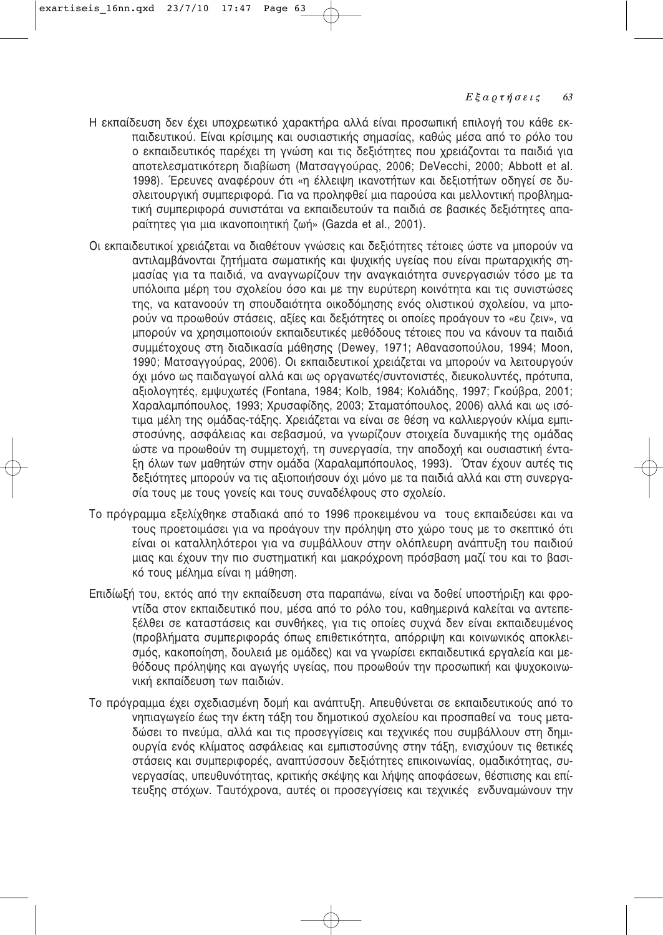Η εκπαίδευση δεν έχει υποχρεωτικό χαρακτήρα αλλά είναι προσωπική επιλογή του κάθε εκπαιδευτικού. Είναι κρίσιμης και ουσιαστικής σημασίας, καθώς μέσα από το ρόλο του ο εκπαιδευτικός παρέχει τη γνώση και τις δεξιότητες που χρειάζονται τα παιδιά για αποτελεσματικότερη διαβίωση (Ματσαγγούρας, 2006; DeVecchi, 2000; Abbott et al. 1998). Έρευνες αναφέρουν ότι «η έλλειψη ικανοτήτων και δεξιοτήτων οδηγεί σε δυσλειτουργική συμπεριφορά. Για να προληφθεί μια παρούσα και μελλοντική προβληματική συμπεριφορά συνιστάται να εκπαιδευτούν τα παιδιά σε βασικές δεξιότητες απαpαίτητες για μια ικανοποιητική ζωή» (Gazda et al., 2001).

exartiseis  $16nn.qxd$   $23/7/10$   $17:47$  Page

- Οι εκπαιδευτικοί χρειάζεται να διαθέτουν γνώσεις και δεξιότητες τέτοιες ώστε να μπορούν να αντιλαμβάνονται ζητήματα σωματικής και ψυχικής υγείας που είναι πρωταρχικής σημασίας για τα παιδιά, να αναγνωρίζουν την αναγκαιότητα συνεργασιών τόσο με τα υπόλοιπα μέρη του σχολείου όσο και με την ευρύτερη κοινότητα και τις συνιστώσες της, να κατανοούν τη σπουδαιότητα οικοδόμησης ενός ολιστικού σχολείου, να μπορούν να προωθούν στάσεις, αξίες και δεξιότητες οι οποίες προάγουν το «ευ ζειν», να μπορούν να χρησιμοποιούν εκπαιδευτικές μεθόδους τέτοιες που να κάνουν τα παιδιά συμμέτοχους στη διαδικασία μάθησης (Dewey, 1971; Αθανασοπούλου, 1994; Moon, 1990; Ματσαγγούρας, 2006). Οι εκπαιδευτικοί χρειάζεται να μπορούν να λειτουργούν όχι μόνο ως παιδαγωγοί αλλά και ως οργανωτές/συντονιστές, διευκολυντές, πρότυπα, αξιολογητές, εμψυχωτές (Fontana, 1984; Kolb, 1984; Κολιάδης, 1997; Γκούβρα, 2001; Χαραλαμπόπουλος, 1993; Χρυσαφίδης, 2003; Σταματόπουλος, 2006) αλλά και ως ισότιμα μέλη της ομάδας-τάξης. Χρειάζεται να είναι σε θέση να καλλιεργούν κλίμα εμπιστοσύνης, ασφάλειας και σεβασμού, να γνωρίζουν στοιχεία δυναμικής της ομάδας ώστε να προωθούν τη συμμετοχή, τη συνεργασία, την αποδοχή και ουσιαστική ένταξη όλων των μαθητών στην ομάδα (Χαραλαμπόπουλος, 1993). Όταν έχουν αυτές τις δεξιότητες μπορούν να τις αξιοποιήσουν όχι μόνο με τα παιδιά αλλά και στη συνεργασία τους με τους γονείς και τους συναδέλφους στο σχολείο.
- Το πρόγραμμα εξελίχθηκε σταδιακά από το 1996 προκειμένου να τους εκπαιδεύσει και να τους προετοιμάσει για να προάγουν την πρόληψη στο χώρο τους με το σκεπτικό ότι είναι οι καταλληλότεροι για να συμβάλλουν στην ολόπλευρη ανάπτυξη του παιδιού μιας και έχουν την πιο συστηματική και μακρόχρονη πρόσβαση μαζί του και το βασικό τους μέλημα είναι η μάθηση.
- Επιδίωξή του, εκτός από την εκπαίδευση στα παραπάνω, είναι να δοθεί υποστήριξη και φροντίδα στον εκπαιδευτικό που, μέσα από το ρόλο του, καθημερινά καλείται να αντεπεξέλθει σε καταστάσεις και συνθήκες, για τις οποίες συχνά δεν είναι εκπαιδευμένος (προβλήματα συμπεριφοράς όπως επιθετικότητα, απόρριψη και κοινωνικός αποκλεισμός, κακοποίηση, δουλειά με ομάδες) και να γνωρίσει εκπαιδευτικά εργαλεία και μεθόδους πρόληψης και αγωγής υγείας, που προωθούν την προσωπική και ψυχοκοινωνική εκπαίδευση των παιδιών.
- Το πρόγραμμα έχει σχεδιασμένη δομή και ανάπτυξη. Απευθύνεται σε εκπαιδευτικούς από το νηπιαγωγείο έως την έκτη τάξη του δημοτικού σχολείου και προσπαθεί να τους μεταδώσει το πνεύμα, αλλά και τις προσεγγίσεις και τεχνικές που συμβάλλουν στη δημιουργία ενός κλίματος ασφάλειας και εμπιστοσύνης στην τάξη, ενισχύουν τις θετικές στάσεις και συμπεριφορές, αναπτύσσουν δεξιότητες επικοινωνίας, ομαδικότητας, συνεργασίας, υπευθυνότητας, κριτικής σκέψης και λήψης αποφάσεων, θέσπισης και επίτευξης στόχων. Ταυτόχρονα, αυτές οι προσεγγίσεις και τεχνικές ενδυναμώνουν την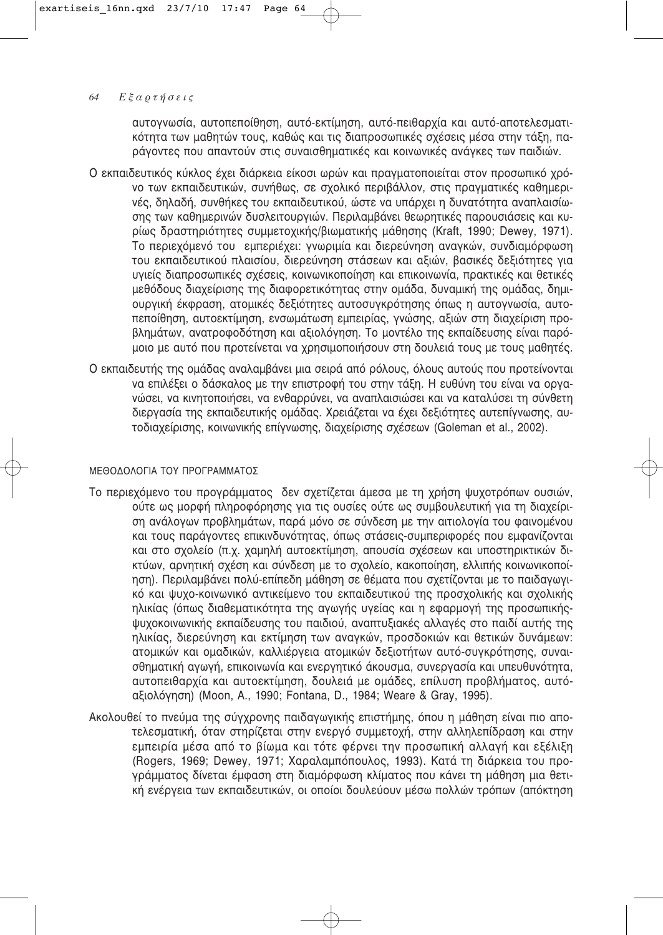αυτογνωσία, αυτοπεποίθηση, αυτό-εκτίμηση, αυτό-πειθαρχία και αυτό-αποτελεσματικότητα των μαθητών τους, καθώς και τις διαπροσωπικές σχέσεις μέσα στην τάξη, παράγοντες που απαντούν στις συναισθηματικές και κοινωνικές ανάγκες των παιδιών.

- Ο εκπαιδευτικός κύκλος έχει διάρκεια είκοσι ωρών και πραγματοποιείται στον προσωπικό χρόνο των εκπαιδευτικών, συνήθως, σε σχολικό περιβάλλον, στις πραγματικές καθημερινές, δηλαδή, συνθήκες του εκπαιδευτικού, ώστε να υπάρχει η δυνατότητα αναπλαισίωσης των καθημερινών δυσλειτουργιών. Περιλαμβάνει θεωρητικές παρουσιάσεις και κυρίως δραστηριότητες συμμετοχικής/βιωματικής μάθησης (Kraft, 1990; Dewey, 1971). Το περιεχόμενό του εμπεριέχει: γνωριμία και διερεύνηση αναγκών, συνδιαμόρφωση του εκπαιδευτικού πλαισίου, διερεύνηση στάσεων και αξιών, βασικές δεξιότητες για υγιείς διαπροσωπικές σχέσεις, κοινωνικοποίηση και επικοινωνία, πρακτικές και θετικές μεθόδους διαχείρισης της διαφορετικότητας στην ομάδα, δυναμική της ομάδας, δημιουργική έκφραση, ατομικές δεξιότητες αυτοσυγκρότησης όπως η αυτογγωσία, αυτοπεποίθηση, αυτοεκτίμηση, ενσωμάτωση εμπειρίας, γνώσης, αξιών στη διαχείριση προβλημάτων, ανατροφοδότηση και αξιολόγηση. Το μοντέλο της εκπαίδευσης είναι παρόμοιο με αυτό που προτείνεται να χρησιμοποιήσουν στη δουλειά τους με τους μαθητές.
- Ο εκπαιδευτής της ομάδας αναλαμβάνει μια σειρά από ρόλους, όλους αυτούς που προτείνονται να επιλέξει ο δάσκαλος με την επιστροφή του στην τάξη. Η ευθύνη του είναι να οργανώσει, να κινητοποιήσει, να ενθαρρύνει, να αναπλαισιώσει και να καταλύσει τη σύνθετη διεργασία της εκπαιδευτικής ομάδας. Χρειάζεται να έχει δεξιότητες αυτεπίγνωσης, αυτοδιαχείρισης, κοινωνικής επίγνωσης, διαχείρισης σχέσεων (Goleman et al., 2002).

### ΜΕΘΟΔΟΛΟΓΙΑ ΤΟΥ ΠΡΟΓΡΑΜΜΑΤΟΣ

- Το περιεχόμενο του προγράμματος δεν σχετίζεται άμεσα με τη χρήση ψυχοτρόπων ουσιών, ούτε ως μορφή πληροφόρησης για τις ουσίες ούτε ως συμβουλευτική για τη διαχείριση ανάλογων προβλημάτων, παρά μόνο σε σύνδεση με την αιτιολογία του φαινομένου και τους παράγοντες επικινδυνότητας, όπως στάσεις-συμπεριφορές που εμφανίζονται και στο σχολείο (π.χ. χαμηλή αυτοεκτίμηση, απουσία σχέσεων και υποστηρικτικών δικτύων, αρνητική σχέση και σύνδεση με το σχολείο, κακοποίηση, ελλιπής κοινωνικοποίηση). Περιλαμβάνει πολύ-επίπεδη μάθηση σε θέματα που σχετίζονται με το παιδαγωγι-Κό Και ψυχο-Κοινωνικό αντικείμενο του εκπαιδευτικού της προσχολικής και σχολικής ηλικίας (όπως διαθεματικότητα της αγωγής υγείας και η εφαρμογή της προσωπικήςψυχοκοινωνικής εκπαίδευσης του παιδιού, αναπτυξιακές αλλανές στο παιδί αυτής της ηλικίας, διερεύνηση και εκτίμηση των αναγκών, προσδοκιών και θετικών δυνάμεων: ατομικών και ομαδικών, καλλιέργεια ατομικών δεξιοτήτων αυτό-συγκρότησης, συναισθηματική αγωνή, επικοινωνία και ενερνητικό άκουσμα, συνερνασία και υπευθυνότητα, αυτοπειθαρχία και αυτοεκτίμηση, δουλειά με ομάδες, επίλυση προβλήματος, αυτόαξιολόγηση) (Moon, A., 1990; Fontana, D., 1984; Weare & Gray, 1995).
- Ακολουθεί το πνεύμα της σύγχρονης παιδαγωγικής επιστήμης, όπου η μάθηση είναι πιο αποτελεσματική, όταν στηρίζεται στην ενεργό συμμετοχή, στην αλληλεπίδραση και στην εμπειρία μέσα από το βίωμα και τότε φέρνει την προσωπική αλλαγή και εξέλιξη (Rogers, 1969; Dewey, 1971; Χαραλαμπόπουλος, 1993). Κατά τη διάρκεια του προγράμματος δίνεται έμφαση στη διαμόρφωση κλίματος που κάνει τη μάθηση μια θετική ενέργεια των εκπαιδευτικών, οι οποίοι δουλεύουν μέσω πολλών τρόπων (απόκτηση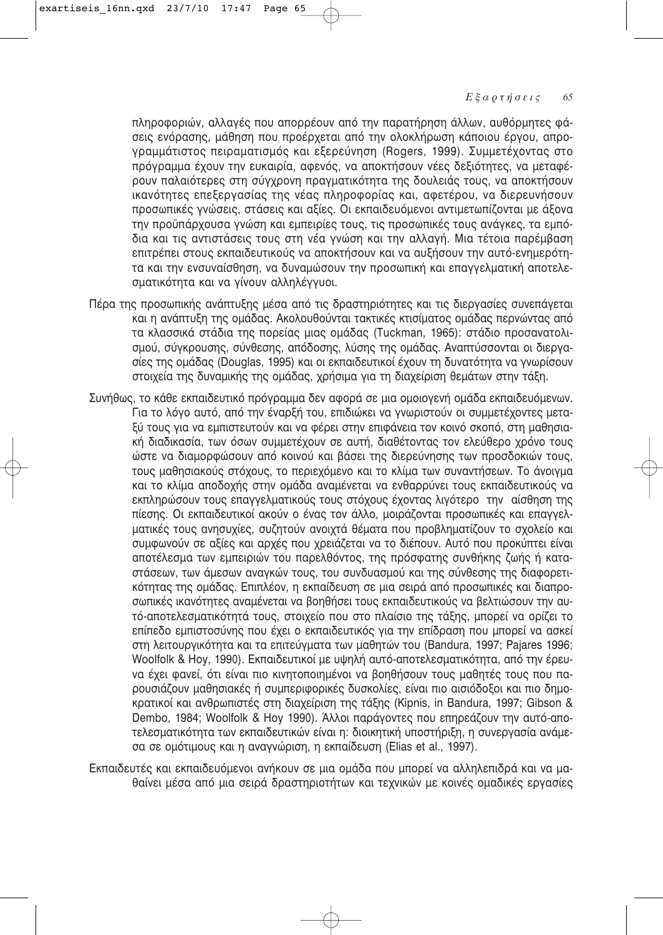exartiseis  $16nn.qxd$   $23/7/10$   $17:47$  Page

πληροφοριών, αλλαγές που απορρέουν από την παρατήρηση άλλων, αυθόρμητες φάσεις ενόρασης, μάθηση που προέρχεται από την ολοκλήρωση κάποιου έργου, απρογραμμάτιστος πειραματισμός και εξερεύνηση (Rogers, 1999). Συμμετέχοντας στο πρόγραμμα έχουν την ευκαιρία, αφενός, να αποκτήσουν νέες δεξιότητες, να μεταφέρουν παλαιότερες στη σύγχρονη πραγματικότητα της δουλειάς τους, να αποκτήσουν ικανότητες επεξεργασίας της νέας πληροφορίας και, αφετέρου, να διερευνήσουν προσωπικές γνώσεις, στάσεις και αξίες. Οι εκπαιδευόμενοι αντιμετωπίζονται με άξονα την προϋπάρχουσα γνώση και εμπειρίες τους, τις προσωπικές τους ανάγκες, τα εμπόδια και τις αντιστάσεις τους στη νέα γνώση και την αλλαγή. Μια τέτοια παρέμβαση επιτρέπει στους εκπαιδευτικούς να αποκτήσουν και να αυξήσουν την αυτό-ενημερότητα και την ενσυναίσθηση, να δυναμώσουν την προσωπική και επαγγελματική αποτελεσματικότητα και να νίνουν αλληλέννυοι.

- Πέρα της προσωπικής ανάπτυξης μέσα από τις δραστηριότητες και τις διεργασίες συνεπάγεται και η ανάπτυξη της ομάδας. Ακολουθούνται τακτικές κτισίματος ομάδας περνώντας από τα κλασσικά στάδια της πορείας μιας ομάδας (Tuckman, 1965): στάδιο προσανατολισμού, σύγκρουσης, σύνθεσης, απόδοσης, λύσης της ομάδας. Αναπτύσσονται οι διεργασίες της ομάδας (Douglas, 1995) και οι εκπαιδευτικοί έχουν τη δυνατότητα να γνωρίσουν στοιχεία της δυναμικής της ομάδας, χρήσιμα για τη διαχείριση θεμάτων στην τάξη.
- Συνήθως, το κάθε εκπαιδευτικό πρόγραμμα δεν αφορά σε μια ομοιογενή ομάδα εκπαιδευόμενων. Για το λόγο αυτό, από την έναρξή του, επιδιώκει να γνωριστούν οι συμμετέχοντες μεταξύ τους για να εμπιστευτούν και να φέρει στην επιφάνεια τον κοινό σκοπό, στη μαθησιακή διαδικασία, των όσων συμμετέχουν σε αυτή, διαθέτοντας τον ελεύθερο χρόνο τους ώστε να διαμορφώσουν από κοινού και βάσει της διερεύνησης των προσδοκιών τους, τους μαθησιακούς στόχους, το περιεχόμενο και το κλίμα των συναντήσεων. Το άνοιγμα και το κλίμα αποδοχής στην ομάδα αναμένεται να ενθαρρύνει τους εκπαιδευτικούς να εκπληρώσουν τους επαγγελματικούς τους στόχους έχοντας λιγότερο την αίσθηση της πίεσης. Οι εκπαιδευτικοί ακούν ο ένας τον άλλο, μοιράζονται προσωπικές και επαγγελματικές τους ανησυχίες, συζητούν ανοιχτά θέματα που προβληματίζουν το σχολείο και συμφωνούν σε αξίες και αρχές που χρειάζεται να το διέπουν. Αυτό που προκύπτει είναι αποτέλεσμα των εμπειριών του παρελθόντος, της πρόσφατης συνθήκης ζωής ή καταστάσεων, των άμεσων αναγκών τους, του συνδυασμού και της σύνθεσης της διαφορετικότητας της ομάδας. Επιπλέον, η εκπαίδευση σε μια σειρά από προσωπικές και διαπροσωπικές ικανότητες αναμένεται να βοηθήσει τους εκπαιδευτικούς να βελτιώσουν την αυτό-αποτελεσματικότητά τους, στοιχείο που στο πλαίσιο της τάξης, μπορεί να ορίζει το επίπεδο εμπιστοσύνης που έχει ο εκπαιδευτικός για την επίδραση που μπορεί να ασκεί στη λειτουργικότητα και τα επιτεύγματα των μαθητών του (Bandura, 1997; Pajares 1996; Woolfolk & Hoy, 1990). Εκπαιδευτικοί με υψηλή αυτό-αποτελεσματικότητα, από την έρευνα έχει φανεί, ότι είναι πιο κινητοποιημένοι να βοηθήσουν τους μαθητές τους που παρουσιάζουν μαθησιακές ή συμπεριφορικές δυσκολίες, είναι πιο αισιόδοξοι και πιο δημο-Κρατικοί και ανθρωπιστές στη διαχείριση της τάξης (Kipnis, in Bandura, 1997; Gibson & Dembo, 1984; Woolfolk & Hoy 1990). Άλλοι παράγοντες που επηρεάζουν την αυτό-αποτελεσματικότητα των εκπαιδευτικών είναι η: διοικητική υποστήριξη, η συνεργασία ανάμεσα σε ομότιμους και η αναγνώριση, η εκπαίδευση (Elias et al., 1997).
- Εκπαιδευτές και εκπαιδευόμενοι ανήκουν σε μια ομάδα που μπορεί να αλληλεπιδρά και να μαθαίνει μέσα από μια σειρά δραστηριοτήτων και τεχνικών με κοινές ομαδικές εργασίες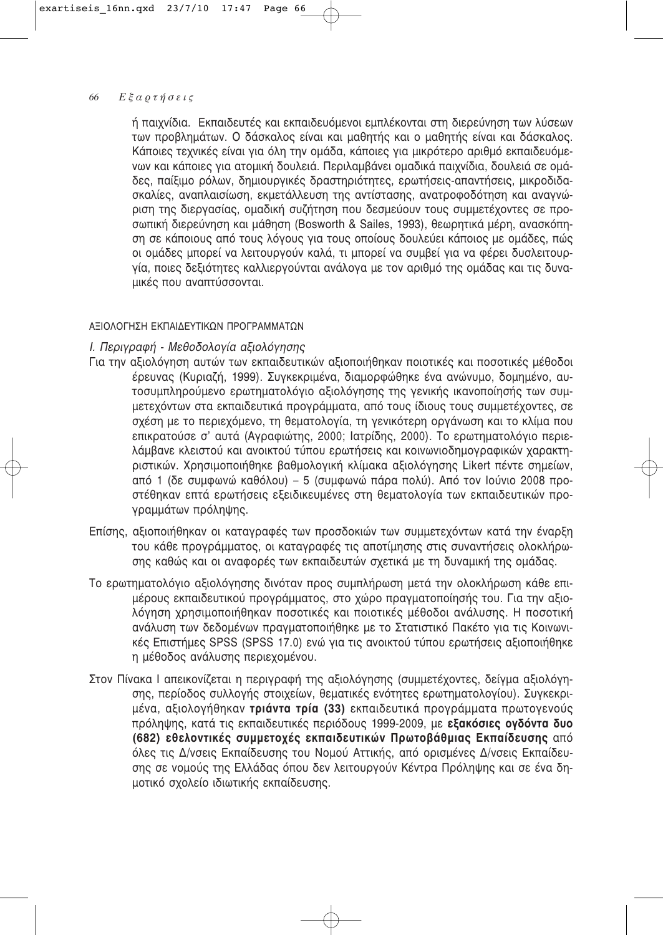ή παιχνίδια. Εκπαιδευτές και εκπαιδευόμενοι εμπλέκονται στη διερεύνηση των λύσεων των προβλημάτων. Ο δάσκαλος είναι και μαθητής και ο μαθητής είναι και δάσκαλος. Κάποιες τεχνικές είναι για όλη την ομάδα, κάποιες για μικρότερο αριθμό εκπαιδευόμενων και κάποιες για ατομική δουλειά. Περιλαμβάνει ομαδικά παιχνίδια, δουλειά σε ομάδες, παίξιμο ρόλων, δημιουργικές δραστηριότητες, ερωτήσεις-απαντήσεις, μικροδιδασκαλίες, αναπλαισίωση, εκμετάλλευση της αντίστασης, ανατροφοδότηση και αναγνώριση της διεργασίας, ομαδική συζήτηση που δεσμεύουν τους συμμετέχοντες σε προσωπική διερεύνηση και μάθηση (Bosworth & Sailes, 1993), θεωρητικά μέρη, ανασκόπηση σε κάποιους από τους λόγους για τους οποίους δουλεύει κάποιος με ομάδες, πώς οι ομάδες μπορεί να λειτουργούν καλά, τι μπορεί να συμβεί για να φέρει δυσλειτουργία, ποιες δεξιότητες καλλιεργούνται ανάλογα με τον αριθμό της ομάδας και τις δυναμικές που αναπτύσσονται.

# ΑΞΙΟΛΟΓΗΣΗ ΕΚΠΑΙΛΕΥΤΙΚΟΝ ΠΡΟΓΡΑΜΜΑΤΟΝ

# Ι. Περιγραφή - Μεθοδολογία αξιολόγησης

- Για την αξιολόγηση αυτών των εκπαιδευτικών αξιοποιήθηκαν ποιοτικές και ποσοτικές μέθοδοι έρευνας (Κυριαζή, 1999). Συγκεκριμένα, διαμορφώθηκε ένα ανώνυμο, δομημένο, αυτοσυμπληρούμενο ερωτηματολόγιο αξιολόγησης της γενικής ικανοποίησής των συμμετεχόντων στα εκπαιδευτικά προγράμματα, από τους ίδιους τους συμμετέχοντες, σε σχέση με το περιεχόμενο, τη θεματολογία, τη γενικότερη οργάνωση και το κλίμα που επικρατούσε σ' αυτά (Αγραφιώτης, 2000; Ιατρίδης, 2000). Το ερωτηματολόγιο περιελάμβανε κλειστού και ανοικτού τύπου ερωτήσεις και κοινωνιοδημογραφικών χαρακτηριστικών. Χρησιμοποιήθηκε βαθμολογική κλίμακα αξιολόγησης Likert πέντε σημείων, από 1 (δε συμφωνώ καθόλου) – 5 (συμφωνώ πάρα πολύ). Από τον Ιούνιο 2008 προστέθηκαν επτά ερωτήσεις εξειδικευμένες στη θεματολογία των εκπαιδευτικών προγραμμάτων πρόληψης.
- Επίσης, αξιοποιήθηκαν οι καταγραφές των προσδοκιών των συμμετεχόντων κατά την έναρξη του κάθε προγράμματος, οι καταγραφές τις αποτίμησης στις συναντήσεις ολοκλήρωσης καθώς και οι αναφορές των εκπαιδευτών σχετικά με τη δυναμική της ομάδας.
- Το ερωτηματολόγιο αξιολόγησης δινόταν προς συμπλήρωση μετά την ολοκλήρωση κάθε επιμέρους εκπαιδευτικού προγράμματος, στο χώρο πραγματοποίησής του. Για την αξιολόγηση χρησιμοποιήθηκαν ποσοτικές και ποιοτικές μέθοδοι ανάλυσης. Η ποσοτική ανάλυση των δεδομένων πραγματοποιήθηκε με το Στατιστικό Πακέτο για τις Κοινωνικές Επιστήμες SPSS (SPSS 17.0) ενώ για τις ανοικτού τύπου ερωτήσεις αξιοποιήθηκε η μέθοδος ανάλυσης περιεχομένου.
- Στον Πίνακα Ι απεικονίζεται η περιγραφή της αξιολόγησης (συμμετέχοντες, δείγμα αξιολόγησης, περίοδος συλλογής στοιχείων, θεματικές ενότητες ερωτηματολογίου). Συγκεκριμένα, αξιολογήθηκαν τριάντα τρία (33) εκπαιδευτικά προγράμματα πρωτογενούς πρόληψης, κατά τις εκπαιδευτικές περιόδους 1999-2009, με εξακόσιες ογδόντα δυο (682) εθελοντικές συμμετοχές εκπαιδευτικών Πρωτοβάθμιας Εκπαίδευσης από όλες τις Δ/νσεις Εκπαίδευσης του Νομού Αττικής, από ορισμένες Δ/νσεις Εκπαίδευσης σε νομούς της Ελλάδας όπου δεν λειτουργούν Κέντρα Πρόληψης και σε ένα δημοτικό σχολείο ιδιωτικής εκπαίδευσης.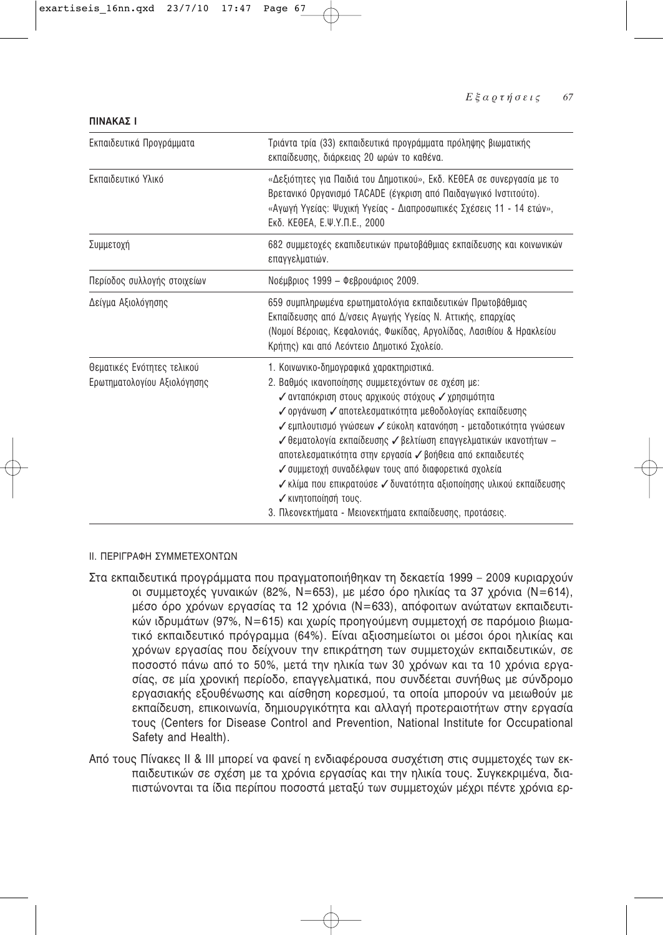**ΠΙΝΑΚΑΣΙ** 

| Εκπαιδευτικά Προγράμματα                                  | Τριάντα τρία (33) εκπαιδευτικά προγράμματα πρόληψης βιωματικής<br>εκπαίδευσης, διάρκειας 20 ωρών το καθένα.                                                                                                                                                                                                                                                                                                                                                                                                                                                                                                                            |
|-----------------------------------------------------------|----------------------------------------------------------------------------------------------------------------------------------------------------------------------------------------------------------------------------------------------------------------------------------------------------------------------------------------------------------------------------------------------------------------------------------------------------------------------------------------------------------------------------------------------------------------------------------------------------------------------------------------|
| Εκπαιδευτικό Υλικό                                        | «Δεξιότητες για Παιδιά του Δημοτικού», Εκδ. ΚΕΘΕΑ σε συνεργασία με το<br>Βρετανικό Οργανισμό ΤΑCADE (έγκριση από Παιδαγωγικό Ινστιτούτο).<br>«Αγωγή Υγείας: Ψυχική Υγείας - Διαπροσωπικές Σχέσεις 11 - 14 ετών»,<br>Екб. КЕӨЕА, Е.Ф.Ү.П.Е., 2000                                                                                                                                                                                                                                                                                                                                                                                       |
| Συμμετοχή                                                 | 682 συμμετοχές εκαπιδευτικών πρωτοβάθμιας εκπαίδευσης και κοινωνικών<br>επαγγελματιών.                                                                                                                                                                                                                                                                                                                                                                                                                                                                                                                                                 |
| Περίοδος συλλογής στοιχείων                               | Νοέμβριος 1999 - Φεβρουάριος 2009.                                                                                                                                                                                                                                                                                                                                                                                                                                                                                                                                                                                                     |
| Δείγμα Αξιολόγησης                                        | 659 συμπληρωμένα ερωτηματολόγια εκπαιδευτικών Πρωτοβάθμιας<br>Εκπαίδευσης από Δ/νσεις Αγωγής Υγείας Ν. Αττικής, επαρχίας<br>(Νομοί Βέροιας, Κεφαλονιάς, Φωκίδας, Αργολίδας, Λασιθίου & Ηρακλείου<br>Κρήτης) και από Λεόντειο Δημοτικό Σχολείο.                                                                                                                                                                                                                                                                                                                                                                                         |
| Θεματικές Ενότητες τελικού<br>Ερωτηματολογίου Αξιολόγησης | 1. Κοινωνικο-δημογραφικά χαρακτηριστικά.<br>2. Βαθμός ικανοποίησης συμμετεχόντων σε σχέση με:<br>√ ανταπόκριση στους αρχικούς στόχους √ χρησιμότητα<br>√οργάνωση √ αποτελεσματικότητα μεθοδολογίας εκπαίδευσης<br>ν εμπλουτισμό γνώσεων ν εύκολη κατανόηση - μεταδοτικότητα γνώσεων<br>ν θεματολογία εκπαίδευσης ν βελτίωση επαγγελματικών ικανοτήτων –<br>αποτελεσματικότητα στην εργασία / βοήθεια από εκπαιδευτές<br>✔ συμμετοχή συναδέλφων τους από διαφορετικά σχολεία<br>ν κλίμα που επικρατούσε ν δυνατότητα αξιοποίησης υλικού εκπαίδευσης<br>√ κινητοποίησή τους.<br>3. Πλεονεκτήματα - Μειονεκτήματα εκπαίδευσης, προτάσεις. |

# ΙΙ. ΠΕΡΙΓΡΑΦΗ ΣΥΜΜΕΤΕΧΟΝΤΩΝ

- Στα εκπαιδευτικά προγράμματα που πραγματοποιήθηκαν τη δεκαετία 1999 2009 κυριαρχούν ΟΙ συμμετοχές γυναικών (82%, N=653), με μέσο όρο ηλικίας τα 37 χρόνια (N=614), μέσο όρο χρόνων εργασίας τα 12 χρόνια (N=633), απόφοιτων ανώτατων εκπαιδευτικών ιδρυμάτων (97%, N=615) και χωρίς προηγούμενη συμμετοχή σε παρόμοιο βιωματικό εκπαιδευτικό πρόγραμμα (64%). Είναι αξιοσημείωτοι οι μέσοι όροι ηλικίας και χρόνων εργασίας που δείχνουν την επικράτηση των συμμετοχών εκπαιδευτικών, σε ποσοστό πάνω από το 50%, μετά την ηλικία των 30 χρόνων και τα 10 χρόνια εργασίας, σε μία χρονική περίοδο, επαγγελματικά, που συνδέεται συνήθως με σύνδρομο εργασιακής εξουθένωσης και αίσθηση κορεσμού, τα οποία μπορούν να μειωθούν με εκπαίδευση, επικοινωνία, δημιουργικότητα και αλλαγή προτεραιοτήτων στην εργασία Touc (Centers for Disease Control and Prevention, National Institute for Occupational Safety and Health).
- Aπό τους Πίνακες II & III μπορεί να φανεί η ενδιαφέρουσα συσχέτιση στις συμμετοχές των εκπαιδευτικών σε σχέση με τα χρόνια εργασίας και την ηλικία τους. Συγκεκριμένα, διαπιστώνονται τα ίδια περίπου ποσοστά μεταξύ των συμμετοχών μέχρι πέντε χρόνια ερ-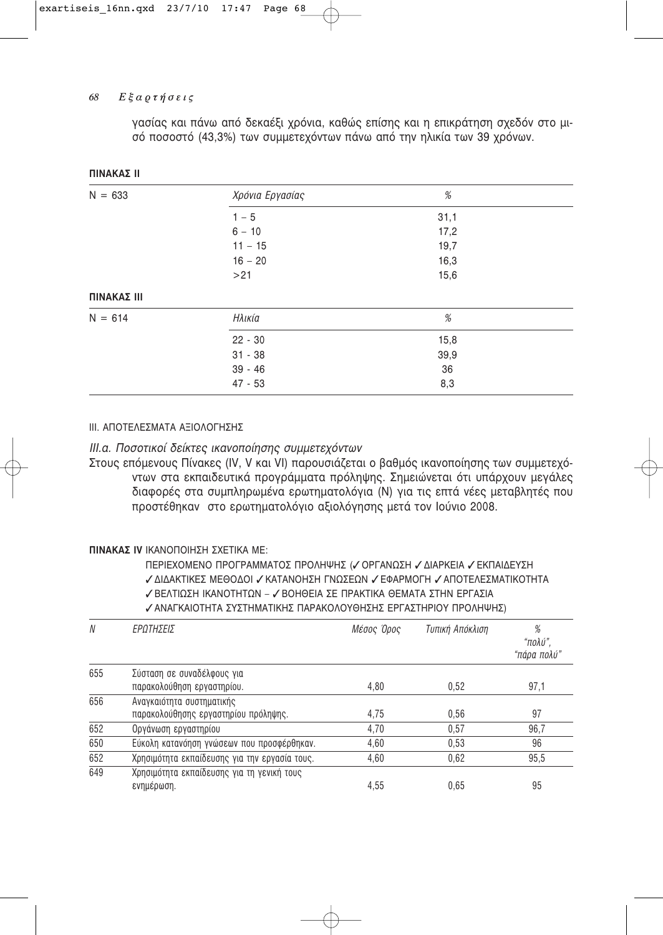γασίας και πάνω από δεκαέξι χρόνια, καθώς επίσης και η επικράτηση σχεδόν στο μισό ποσοστό (43,3%) των συμμετεχόντων πάνω από την ηλικία των 39 χρόνων.

### **ΠΙΝΑΚΑΣ ΙΙ**

| $N = 633$   | Χρόνια Εργασίας | %    |  |
|-------------|-----------------|------|--|
|             | $1 - 5$         | 31,1 |  |
|             | $6 - 10$        | 17,2 |  |
|             | $11 - 15$       | 19,7 |  |
|             | $16 - 20$       | 16,3 |  |
|             | $>21$           | 15,6 |  |
| ΠΙΝΑΚΑΣ ΙΙΙ |                 |      |  |
| $N = 614$   | Ηλικία          | %    |  |
|             | $22 - 30$       | 15,8 |  |
|             | $31 - 38$       | 39,9 |  |
|             | $39 - 46$       | 36   |  |
|             | $47 - 53$       | 8,3  |  |

### ΙΙΙ. ΑΠΟΤΕΛΕΣΜΑΤΑ ΑΞΙΟΛΟΓΗΣΗΣ

*III.a. Ποσοτικοί δείκτες ικανοποίησης συμμετεχόντων* 

Στους επόμενους Πίνακες (IV, V και VI) παρουσιάζεται ο βαθμός ικανοποίησης των συμμετεχόντων στα εκπαιδευτικά προγράμματα πρόληψης. Σημειώνεται ότι υπάρχουν μεγάλες διαφορές στα συμπληρωμένα ερωτηματολόγια (N) για τις επτά νέες μεταβλητές που προστέθηκαν στο ερωτηματολόγιο αξιολόγησης μετά τον Ιούνιο 2008.

# **ΠΙΝΑΚΑΣ ΙV** ΙΚΑΝΟΠΟΙΗΣΗ ΣΧΕΤΙΚΑ ΜΕ:

ΠΕΡΙΕΧΟΜΕΝΟ ΠΡΟΓΡΑΜΜΑΤΟΣ ΠΡΟΛΗΨΗΣ (√ ΟΡΓΑΝΩΣΗ √ ΔΙΑΡΚΕΙΑ √ ΕΚΠΑΙΔΕΥΣΗ √ ΔΙΔΑΚΤΙΚΕΣ ΜΕΘΟΔΟΙ √ ΚΑΤΑΝΟΗΣΗ ΓΝΩΣΕΩΝ √ ΕΦΑΡΜΟΓΗ √ ΑΠΟΤΕΛΕΣΜΑΤΙΚΟΤΗΤΑ √ ΒΕΛΤΙΩΣΗ ΙΚΑΝΟΤΗΤΩΝ – √ ΒΟΗΘΕΙΑ ΣΕ ΠΡΑΚΤΙΚΑ ΘΕΜΑΤΑ ΣΤΗΝ ΕΡΓΑΣΙΑ √ΑΝΑΓΚΑΙΟΤΗΤΑ ΣΥΣΤΗΜΑΤΙΚΗΣ ΠΑΡΑΚΟΛΟΥΘΗΣΗΣ ΕΡΓΑΣΤΗΡΙΟΥ ΠΡΟΛΗΨΗΣ)

| N   | <b>FPOTHYFIY</b>                                                  | Μέσος Όρος | Τυπική Απόκλιση | %<br>"πολύ".<br>"πάρα πολύ" |
|-----|-------------------------------------------------------------------|------------|-----------------|-----------------------------|
| 655 | Σύσταση σε συναδέλφους για<br>παρακολούθηση εργαστηρίου.          | 4,80       | 0,52            | 97,1                        |
| 656 | Αναγκαιότητα συστηματικής<br>παρακολούθησης εργαστηρίου πρόληψης. | 4,75       | 0,56            | 97                          |
| 652 | Οργάνωση εργαστηρίου                                              | 4.70       | 0,57            | 96,7                        |
| 650 | Εύκολη κατανόηση γνώσεων που προσφέρθηκαν.                        | 4,60       | 0.53            | 96                          |
| 652 | Χρησιμότητα εκπαίδευσης για την εργασία τους.                     | 4,60       | 0.62            | 95,5                        |
| 649 | Χρησιμότητα εκπαίδευσης για τη γενική τους<br>ενημέρωση.          | 4,55       | 0.65            | 95                          |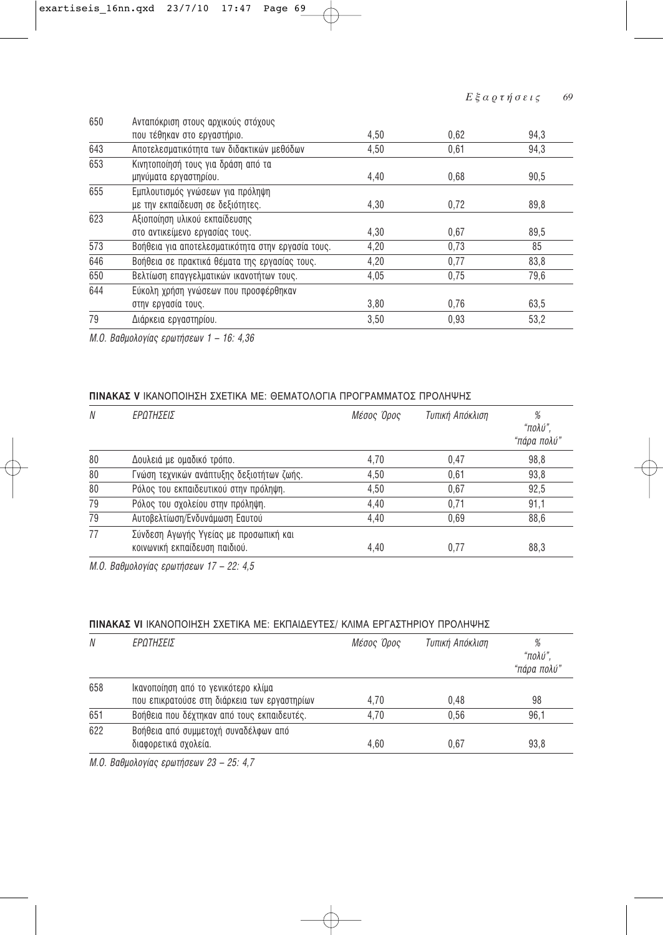| exartiseis 16nn.qxd 23/7/10 17:47 Page 69 |  |  |  |  |
|-------------------------------------------|--|--|--|--|
|-------------------------------------------|--|--|--|--|

| 650 | Ανταπόκριση στους αρχικούς στόχους                |      |      |      |
|-----|---------------------------------------------------|------|------|------|
|     | που τέθηκαν στο εργαστήριο.                       | 4.50 | 0.62 | 94,3 |
| 643 | Αποτελεσματικότητα των διδακτικών μεθόδων         | 4,50 | 0,61 | 94,3 |
| 653 | Κινητοποίησή τους για δράση από τα                |      |      |      |
|     | μηνύματα εργαστηρίου.                             | 4,40 | 0.68 | 90,5 |
| 655 | Εμπλουτισμός γνώσεων για πρόληψη                  |      |      |      |
|     | με την εκπαίδευση σε δεξιότητες.                  | 4,30 | 0,72 | 89,8 |
| 623 | Αξιοποίηση υλικού εκπαίδευσης                     |      |      |      |
|     | στο αντικείμενο εργασίας τους.                    | 4.30 | 0.67 | 89,5 |
| 573 | Βοήθεια για αποτελεσματικότητα στην εργασία τους. | 4,20 | 0.73 | 85   |
| 646 | Βοήθεια σε πρακτικά θέματα της εργασίας τους.     | 4,20 | 0,77 | 83,8 |
| 650 | Βελτίωση επαγγελματικών ικανοτήτων τους.          | 4,05 | 0.75 | 79,6 |
| 644 | Εύκολη χρήση γνώσεων που προσφέρθηκαν             |      |      |      |
|     | στην εργασία τους.                                | 3,80 | 0,76 | 63,5 |
| 79  | Διάρκεια εργαστηρίου.                             | 3,50 | 0.93 | 53,2 |

*M.Ο. Βαθμολογίας ερωτήσεων 1 - 16: 4,36* 

# **ΠΙΝΑΚΑΣ V** ΙΚΑΝΟΠΟΙΗΣΗ ΣΧΕΤΙΚΑ ΜΕ: ΘΕΜΑΤΟΛΟΓΙΑ ΠΡΟΓΡΑΜΜΑΤΟΣ ΠΡΟΛΗΨΗΣ

| N  | ΕΡΩΤΗΣΕΙΣ                                                               | Μέσος Όρος | Τυπική Απόκλιση | %<br>"πολύ".<br>"πάρα πολύ" |
|----|-------------------------------------------------------------------------|------------|-----------------|-----------------------------|
| 80 | Δουλειά με ομαδικό τρόπο.                                               | 4,70       | 0.47            | 98,8                        |
| 80 | Γνώση τεχνικών ανάπτυξης δεξιοτήτων ζωής.                               | 4,50       | 0,61            | 93,8                        |
| 80 | Ρόλος του εκπαιδευτικού στην πρόληψη.                                   | 4,50       | 0.67            | 92,5                        |
| 79 | Ρόλος του σχολείου στην πρόληψη.                                        | 4,40       | 0,71            | 91,1                        |
| 79 | Αυτοβελτίωση/Ενδυνάμωση Εαυτού                                          | 4.40       | 0.69            | 88,6                        |
| 77 | Σύνδεση Αγωγής Υγείας με προσωπική και<br>κοινωνική εκπαίδευση παιδιού. | 4.40       | 0.77            | 88,3                        |

*M.Ο. Βαθμολογίας ερωτήσεων 17 – 22: 4,5* 

# ΠΙΝΑΚΑΣ VI ΙΚΑΝΟΠΟΙΗΣΗ ΣΧΕΤΙΚΑ ΜΕ: ΕΚΠΑΙΔΕΥΤΕΣ/ ΚΛΙΜΑ ΕΡΓΑΣΤΗΡΙΟΥ ΠΡΟΛΗΨΗΣ

| N   | ΕΡΩΤΗΣΕΙΣ                                                                           | Μέσος Όρος | Τυπική Απόκλιση | %<br>"πολύ".<br>"πάρα πολύ" |
|-----|-------------------------------------------------------------------------------------|------------|-----------------|-----------------------------|
| 658 | Ικανοποίηση από το γενικότερο κλίμα<br>που επικρατούσε στη διάρκεια των εργαστηρίων | 4.70       | 0.48            | 98                          |
| 651 | Βοήθεια που δέχτηκαν από τους εκπαιδευτές.                                          | 4.70       | 0.56            | 96,1                        |
| 622 | Βοήθεια από συμμετοχή συναδέλφων από<br>διαφορετικά σχολεία.                        | 4.60       | 0.67            | 93,8                        |

*M.Ο. Βαθμολογίας ερωτήσεων 23 - 25: 4,7*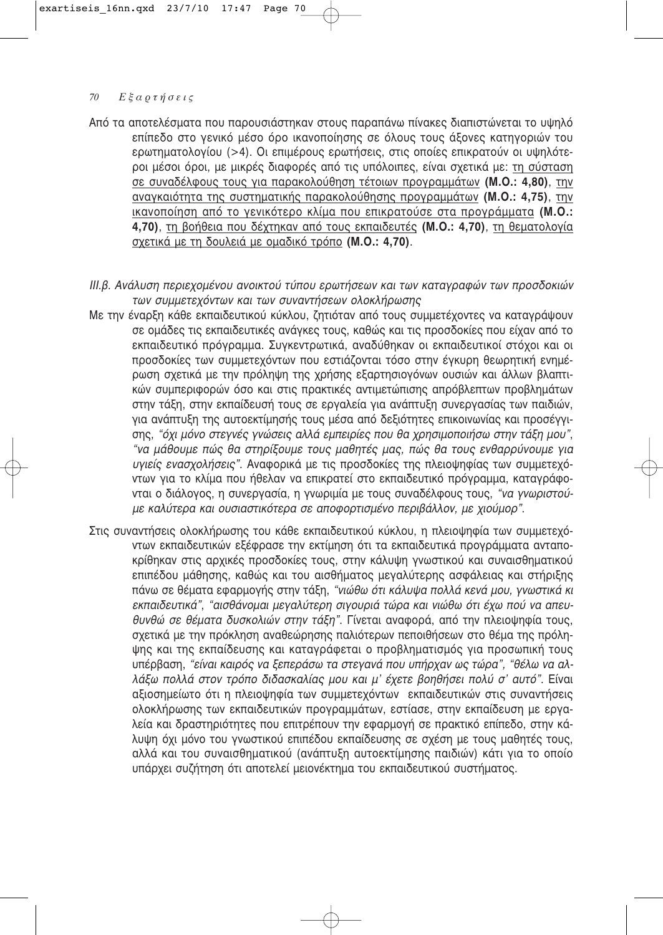Aπό τα αποτελέσματα που παρουσιάστηκαν στους παραπάνω πίνακες διαπιστώνεται το υψηλό επίπεδο στο γενικό μέσο όρο ικανοποίησης σε όλους τους άξονες κατηγοριών του ερωτηματολογίου (>4). Οι επιμέρους ερωτήσεις, στις οποίες επικρατούν οι υψηλότεροι μέσοι όροι, με μικρές διαφορές από τις υπόλοιπες, είναι σχετικά με: τη σύσταση σε συναδέλφους τους για παρακολούθηση τέτοιων προγραμμάτων (M.O.: 4,80), την αναγκαιότητα της συστηματικής παρακολούθησης προγραμμάτων (M.O.: 4,75), την ικανοποίηση από το γενικότερο κλίμα που επικρατούσε στα προγράμματα **(M.O.: 4,70)**, τη βοήθεια που δέχτηκαν από τους εκπαιδευτές (Μ.Ο.: 4,70), τη θεματολογία Οχετικά με τη δουλειά με ομαδικό τρόπο (Μ.Ο.: 4,70).

- *III.β. Ανάλυση περιεχομένου ανοικτού τύπου ερωτήσεων και των καταγραφών των προσδοκιών* των συμμετεχόντων και των συναντήσεων ολοκλήρωσης
- Με την έναρξη κάθε εκπαιδευτικού κύκλου, ζητιόταν από τους συμμετέχοντες να καταγράψουν σε ομάδες τις εκπαιδευτικές ανάγκες τους, καθώς και τις προσδοκίες που είχαν από το εκπαιδευτικό πρόγραμμα. Συγκεντρωτικά, αναδύθηκαν οι εκπαιδευτικοί στόχοι και οι προσδοκίες των συμμετεχόντων που εστιάζονται τόσο στην έγκυρη θεωρητική ενημέρωση σχετικά με την πρόληψη της χρήσης εξαρτησιογόνων ουσιών και άλλων βλαπτι-Κών συμπεριφορών όσο και στις πρακτικές αντιμετώπισης απρόβλεπτων προβλημάτων στην τάξη, στην εκπαίδευσή τους σε εργαλεία για ανάπτυξη συνεργασίας των παιδιών, για ανάπτυξη της αυτοεκτίμησής τους μέσα από δεξιότητες επικοινωνίας και προσέγγισης, "*όχι μόνο στεγνές γνώσεις αλλά εμπειρίες που θα χρησιμοποιήσω στην τάξη μου"*, *"Ó· Ì¿ıÔ˘Ì Ҙ ı· ÛÙËÚ›ÍÔ˘Ì ÙÔ˘˜ Ì·ıËÙ¤˜ Ì·˜, Ò˜ ı· ÙÔ˘˜ ÂÓı·ÚÚ‡ÓÔ˘Ì ÁÈ· υγιείς ενασχολήσεις"*. Αναφορικά με τις προσδοκίες της πλειοψηφίας των συμμετεχόντων για το κλίμα που ήθελαν να επικρατεί στο εκπαιδευτικό πρόγραμμα, καταγράφο-Vται ο διάλογος, η συνεργασία, η γνωριμία με τους συναδέλφους τους, *"να γνωριστού*με καλύτερα και ουσιαστικότερα σε αποφορτισμένο περιβάλλον, με χιούμορ".
- Στις συναντήσεις ολοκλήρωσης του κάθε εκπαιδευτικού κύκλου, η πλειοψηφία των συμμετεχό-Vτων εκπαιδευτικών εξέφρασε την εκτίμηση ότι τα εκπαιδευτικά προγράμματα ανταπο-Κρίθηκαν στις αρχικές προσδοκίες τους, στην κάλυψη γνωστικού και συναισθηματικού επιπέδου μάθησης, καθώς και του αισθήματος μεγαλύτερης ασφάλειας και στήριξης πάνω σε θέματα εφαρμογής στην τάξη, *"νιώθω ότι κάλυψα πολλά κενά μου, γνωστικά κι* εκπαιδευτικά", "αισθάνομαι μεγαλύτερη σιγουριά τώρα και νιώθω ότι έχω πού να απευθυνθώ σε θέματα δυσκολιών στην τάξη". Γίνεται αναφορά, από την πλειοψηφία τους, σχετικά με την πρόκληση αναθεώρησης παλιότερων πεποιθήσεων στο θέμα της πρόληψης και της εκπαίδευσης και καταγράφεται ο προβληματισμός για προσωπική τους υπέρβαση, *"είναι καιρός να ξεπεράσω τα στεγανά που υπήρχαν ως τώρα", "θέλω να αλλάξω πολλά στον τρόπο διδασκαλίας μου και μ' έχετε βοηθήσει πολύ σ' αυτό".* Είναι αξιοσημείωτο ότι η πλειοψηφία των συμμετεχόντων εκπαιδευτικών στις συναντήσεις ολοκλήρωσης των εκπαιδευτικών προγραμμάτων, εστίασε, στην εκπαίδευση με εργαλεία και δραστηριότητες που επιτρέπουν την εφαρμογή σε πρακτικό επίπεδο, στην κάλυψη όχι μόνο του γνωστικού επιπέδου εκπαίδευσης σε σχέση με τους μαθητές τους, αλλά και του συναισθηματικού (ανάπτυξη αυτοεκτίμησης παιδιών) κάτι για το οποίο υπάρχει συζήτηση ότι αποτελεί μειονέκτημα του εκπαιδευτικού συστήματος.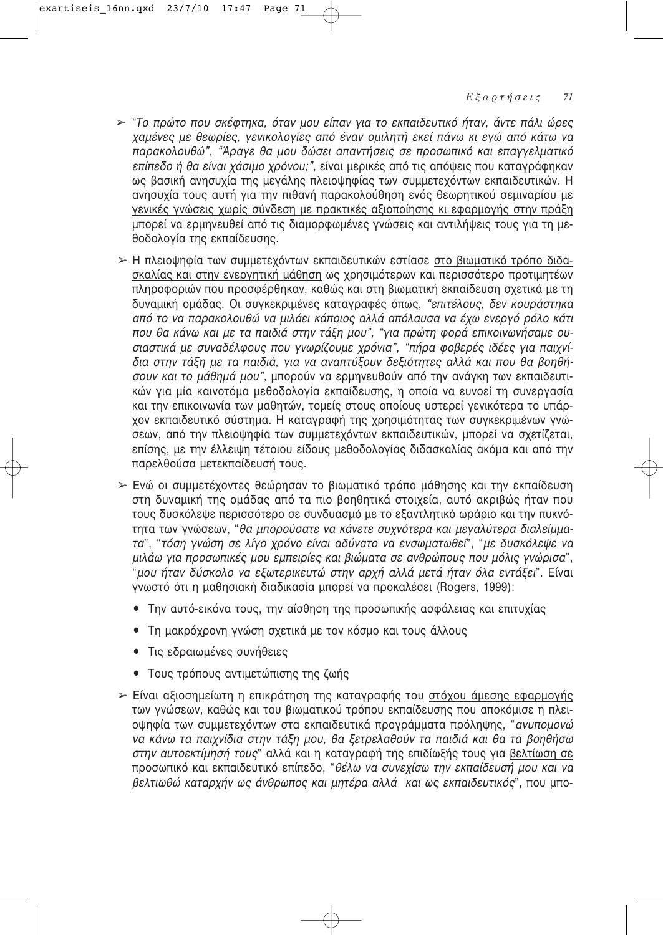- > "Το πρώτο που σκέφτηκα, όταν μου είπαν για το εκπαιδευτικό ήταν, άντε πάλι ώρες χαμένες με θεωρίες, γενικολογίες από έναν ομιλητή εκεί πάνω κι εγώ από κάτω να παρακολουθώ", "Άραγε θα μου δώσει απαντήσεις σε προσωπικό και επαγγελματικό επίπεδο ή θα είναι χάσιμο χρόνου;", είναι μερικές από τις απόψεις που καταγράφηκαν ως βασική ανησυχία της μεγάλης πλειοψηφίας των συμμετεχόντων εκπαιδευτικών. Η ανησυχία τους αυτή για την πιθανή παρακολούθηση ενός θεωρητικού σεμιναρίου με γενικές γνώσεις χωρίς σύνδεση με πρακτικές αξιοποίησης κι εφαρμογής στην πράξη μπορεί να ερμηνευθεί από τις διαμορφωμένες γνώσεις και αντιλήψεις τους για τη μεθοδολογία της εκπαίδευσης.
- > Η πλειοψηφία των συμμετεχόντων εκπαιδευτικών εστίασε στο βιωματικό τρόπο διδασκαλίας και στην ενεργητική μάθηση ως χρησιμότερων και περισσότερο προτιμητέων πληροφοριών που προσφέρθηκαν, καθώς και στη βιωματική εκπαίδευση σχετικά με τη δυναμική ομάδας. Οι συγκεκριμένες καταγραφές όπως, "επιτέλους, δεν κουράστηκα από το να παρακολουθώ να μιλάει κάποιος αλλά απόλαυσα να έχω ενεργό ρόλο κάτι που θα κάνω και με τα παιδιά στην τάξη μου", "για πρώτη φορά επικοινωνήσαμε ουσιαστικά με συναδέλφους που γνωρίζουμε χρόνια", "πήρα φοβερές ιδέες για παιχνίδια στην τάξη με τα παιδιά, για να αναπτύξουν δεξιότητες αλλά και που θα βοηθήσουν και το μάθημά μου", μπορούν να ερμηνευθούν από την ανάγκη των εκπαιδευτικών για μία καινοτόμα μεθοδολογία εκπαίδευσης, η οποία να ευνοεί τη συνεργασία και την επικοινωνία των μαθητών, τομείς στους οποίους υστερεί γενικότερα το υπάρχον εκπαιδευτικό σύστημα. Η καταγραφή της χρησιμότητας των συγκεκριμένων γνώσεων, από την πλειοψηφία των συμμετεχόντων εκπαιδευτικών, μπορεί να σχετίζεται, επίσης, με την έλλειψη τέτοιου είδους μεθοδολογίας διδασκαλίας ακόμα και από την παρελθούσα μετεκπαίδευσή τους.
- > Ενώ οι συμμετέχοντες θεώρησαν το βιωματικό τρόπο μάθησης και την εκπαίδευση στη δυναμική της ομάδας από τα πιο βοηθητικά στοιχεία, αυτό ακριβώς ήταν που τους δυσκόλεψε περισσότερο σε συνδυασμό με το εξαντλητικό ωράριο και την πυκνότητα των γνώσεων, "θα μπορούσατε να κάνετε συχνότερα και μεγαλύτερα διαλείμματα", "τόση γνώση σε λίγο χρόνο είναι αδύνατο να ενσωματωθεί", "με δυσκόλεψε να μιλάω για προσωπικές μου εμπειρίες και βιώματα σε ανθρώπους που μόλις γνώρισα", "μου ήταν δύσκολο να εξωτερικευτώ στην αρχή αλλά μετά ήταν όλα εντάξει". Είναι γνωστό ότι η μαθησιακή διαδικασία μπορεί να προκαλέσει (Rogers, 1999):
	- Την αυτό-εικόνα τους, την αίσθηση της προσωπικής ασφάλειας και επιτυχίας
	- Τη μακρόχρονη γνώση σχετικά με τον κόσμο και τους άλλους
	- Τις εδραιωμένες συνήθειες

exartiseis 16nn.qxd 23/7/10

 $17:47$ 

Page

- Τους τρόπους αντιμετώπισης της ζωής
- > Είναι αξιοσημείωτη η επικράτηση της καταγραφής του στόχου άμεσης εφαρμογής των γνώσεων, καθώς και του βιωματικού τρόπου εκπαίδευσης που αποκόμισε η πλειοψηφία των συμμετεχόντων στα εκπαιδευτικά προγράμματα πρόληψης, "ανυπομονώ να κάνω τα παιχνίδια στην τάξη μου, θα ξετρελαθούν τα παιδιά και θα τα βοηθήσω στην αυτοεκτίμησή τους" αλλά και η καταγραφή της επιδίωξής τους για βελτίωση σε προσωπικό και εκπαιδευτικό επίπεδο, "θέλω να συνεχίσω την εκπαίδευσή μου και να βελτιωθώ καταρχήν ως άνθρωπος και μητέρα αλλά και ως εκπαιδευτικός", που μπο-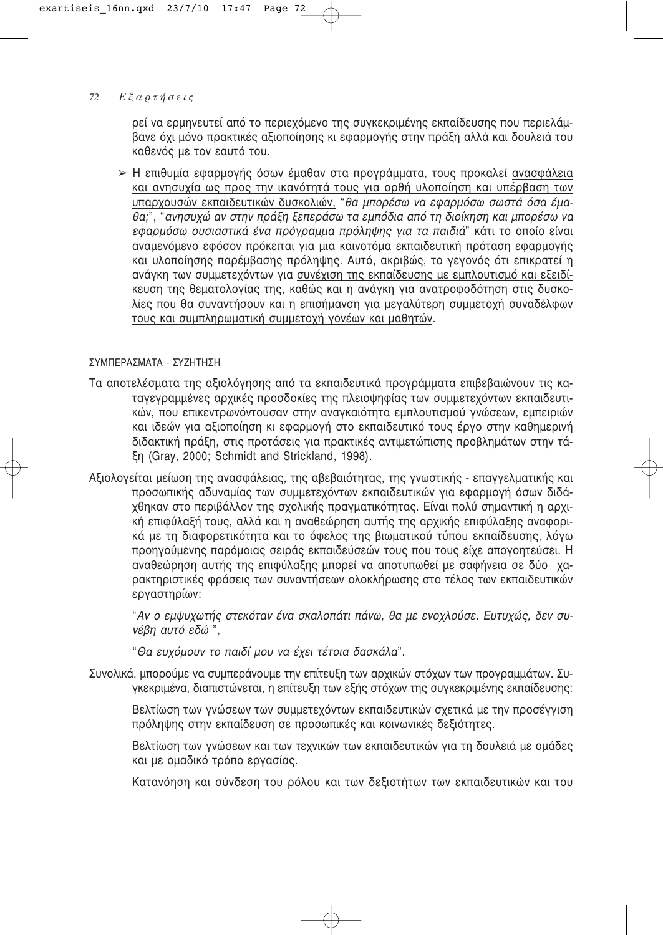ρεί να ερμηνευτεί από το περιεχόμενο της συγκεκριμένης εκπαίδευσης που περιελάμβανε όχι μόνο πρακτικές αξιοποίησης κι εφαρμογής στην πράξη αλλά και δουλειά του καθενός με τον εαυτό του.

 $>$  Η επιθυμία εφαρμονής όσων έμαθαν στα προνράμματα, τους προκαλεί ανασφάλεια και ανησυχία ως προς την ικανότητά τους για ορθή υλοποίηση και υπέρβαση των υπαρχουσών εκπαιδευτικών δυσκολιών, *"θα μπορέσω να εφαρμόσω σωστά όσα έμα*θαː", "*aνησυχώ αν στην πράξη ξεπεράσω τα ε*μπόδια από τη διοίκηση και μπορέσω να εφαρμόσω ουσιαστικά ένα πρόγραμμα πρόληψης για τα παιδιά" κάτι το οποίο είναι αναμενόμενο εφόσον πρόκειται για μια καινοτόμα εκπαιδευτική πρόταση εφαρμογής και υλοποίησης παρέμβασης πρόληψης. Αυτό, ακριβώς, το γεγονός ότι επικρατεί η ανάγκη των συμμετεχόντων για συνέχιση της εκπαίδευσης με εμπλουτισμό και εξειδίκευση της θεματολογίας της, καθώς και η ανάγκη για ανατροφοδότηση στις δυσκολίες που θα συναντήσουν και η επισήμανση νια μεναλύτερη συμμετοχή συναδέλφων τους και συμπληρωματική συμμετοχή νονέων και μαθητών.

# $∑$ ΥΜΠΕΡΑΣΜΑΤΑ - ΣΥΖΗΤΗΣΗ

- Tα αποτελέσματα της αξιολόγησης από τα εκπαιδευτικά προγράμματα επιβεβαιώνουν τις καταγεγραμμένες αρχικές προσδοκίες της πλειοψηφίας των συμμετεχόντων εκπαιδευτικών, που επικεντρωνόντουσαν στην αναγκαιότητα εμπλουτισμού γνώσεων, εμπειριών και ιδεών για αξιοποίηση κι εφαρμονή στο εκπαιδευτικό τους έρνο στην καθημερινή διδακτική πράξη, στις προτάσεις για πρακτικές αντιμετώπισης προβλημάτων στην τά-ÍË (Gray, 2000; Schmidt and Strickland, 1998).
- Αξιολογείται μείωση της ανασφάλειας, της αβεβαιότητας, της γνωστικής επαγγελματικής και προσωπικής αδυναμίας των συμμετεχόντων εκπαιδευτικών για εφαρμογή όσων διδάχθηκαν στο περιβάλλον της σχολικής πραγματικότητας. Είναι πολύ σημαντική η αρχική επιφύλαξή τους, αλλά και η αναθεώρηση αυτής της αρχικής επιφύλαξης αναφορικά με τη διαφορετικότητα και το όφελος της βιωματικού τύπου εκπαίδευσης, λόγω προηγούμενης παρόμοιας σειράς εκπαιδεύσεών τους που τους είχε απογοητεύσει. Η αναθεώρηση αυτής της επιφύλαξης μπορεί να αποτυπωθεί με σαφήνεια σε δύο χαρακτηριστικές φράσεις των συναντήσεων ολοκλήρωσης στο τέλος των εκπαιδευτικών εργαστηρίων:

"Αν ο εμψυχωτής στεκόταν ένα σκαλοπάτι πάνω, θα με ενοχλούσε. Ευτυχώς, δεν συ*νέβη αυτό εδώ*",

"*£· ¢¯fiÌÔ˘Ó ÙÔ ·È‰› ÌÔ˘ Ó· ¤¯ÂÈ Ù¤ÙÔÈ· ‰·ÛοϷ*".

Συνολικά, μπορούμε να συμπεράνουμε την επίτευξη των αρχικών στόχων των προγραμμάτων. Συγκεκριμένα, διαπιστώνεται, η επίτευξη των εξής στόχων της συγκεκριμένης εκπαίδευσης:

Βελτίωση των γνώσεων των συμμετεχόντων εκπαιδευτικών σχετικά με την προσέγγιση πρόληψης στην εκπαίδευση σε προσωπικές και κοινωνικές δεξιότητες.

Βελτίωση των γνώσεων και των τεχνικών των εκπαιδευτικών για τη δουλειά με ομάδες και με ομαδικό τρόπο εργασίας.

Κατανόηση και σύνδεση του ρόλου και των δεξιοτήτων των εκπαιδευτικών και του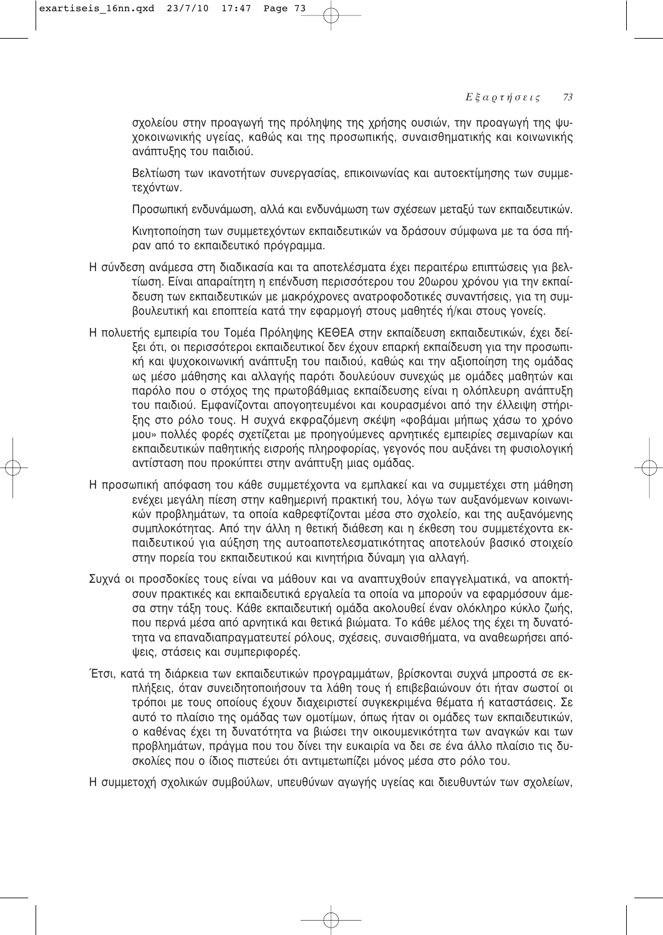exartiseis  $16nn.qxd$   $23/7/10$   $17:47$  Page

σχολείου στην προαγωγή της πρόληψης της χρήσης ουσιών, την προαγωγή της ψυχοκοινωνικής υγείας, καθώς και της προσωπικής, συναισθηματικής και κοινωνικής ανάπτυξης του παιδιού.

Βελτίωση των ικανοτήτων συνεργασίας, επικοινωνίας και αυτοεκτίμησης των συμμετεχόντων.

Προσωπική ενδυνάμωση, αλλά και ενδυνάμωση των σχέσεων μεταξύ των εκπαιδευτικών.

Κινητοποίηση των συμμετεχόντων εκπαιδευτικών να δράσουν σύμφωνα με τα όσα πήραν από το εκπαιδευτικό πρόγραμμα.

- Η σύνδεση ανάμεσα στη διαδικασία και τα αποτελέσματα έχει περαιτέρω επιπτώσεις για βελτίωση. Είναι απαραίτητη η επένδυση περισσότερου του 20ωρου χρόνου για την εκπαίδευση των εκπαιδευτικών με μακρόχρονες ανατροφοδοτικές συναντήσεις, για τη συμβουλευτική και εποπτεία κατά την εφαρμογή στους μαθητές ή/και στους γονείς.
- Η πολυετής εμπειρία του Τομέα Πρόληψης ΚΕΘΕΑ στην εκπαίδευση εκπαιδευτικών, έχει δείξει ότι, οι περισσότεροι εκπαιδευτικοί δεν έχουν επαρκή εκπαίδευση για την προσωπική και ψυχοκοινωνική ανάπτυξη του παιδιού, καθώς και την αξιοποίηση της ομάδας ως μέσο μάθησης και αλλαγής παρότι δουλεύουν συνεχώς με ομάδες μαθητών και παρόλο που ο στόχος της πρωτοβάθμιας εκπαίδευσης είναι η ολόπλευρη ανάπτυξη του παιδιού. Εμφανίζονται απονοητευμένοι και κουρασμένοι από την έλλειψη στήριξης στο ρόλο τους. Η συχνά εκφραζόμενη σκέψη «φοβάμαι μήπως χάσω το χρόνο μου» πολλές φορές σχετίζεται με προηγούμενες αρνητικές εμπειρίες σεμιναρίων και εκπαιδευτικών παθητικής εισροής πληροφορίας, γεγονός που αυξάνει τη φυσιολογική αντίσταση που προκύπτει στην ανάπτυξη μιας ομάδας.
- Η προσωπική απόφαση του κάθε συμμετέχοντα να εμπλακεί και να συμμετέχει στη μάθηση ενέχει μεγάλη πίεση στην καθημερινή πρακτική του, λόγω των αυξανόμενων κοινωνικών προβλημάτων, τα οποία καθρεφτίζονται μέσα στο σχολείο, και της αυξανόμενης συμπλοκότητας. Από την άλλη η θετική διάθεση και η έκθεση του συμμετέχοντα εκπαιδευτικού για αύξηση της αυτοαποτελεσματικότητας αποτελούν βασικό στοιχείο στην πορεία του εκπαιδευτικού και κινητήρια δύναμη για αλλαγή.
- Συχνά οι προσδοκίες τους είναι να μάθουν και να αναπτυχθούν επαγγελματικά, να αποκτήσουν πρακτικές και εκπαιδευτικά εργαλεία τα οποία να μπορούν να εφαρμόσουν άμεσα στην τάξη τους. Κάθε εκπαιδευτική ομάδα ακολουθεί έναν ολόκληρο κύκλο ζωής, που περνά μέσα από αρνητικά και θετικά βιώματα. Το κάθε μέλος της έχει τη δυνατότητα να επαναδιαπραγματευτεί ρόλους, σχέσεις, συναισθήματα, να αναθεωρήσει από-Ψεις, στάσεις και συμπεριφορές.
- Έτσι, κατά τη διάρκεια των εκπαιδευτικών προγραμμάτων, βρίσκονται συχνά μπροστά σε εκπλήξεις, όταν συνειδητοποιήσουν τα λάθη τους ή επιβεβαιώνουν ότι ήταν σωστοί οι τρόποι με τους οποίους έχουν διαχειριστεί συγκεκριμένα θέματα ή καταστάσεις. Σε αυτό το πλαίσιο της ομάδας των ομοτίμων, όπως ήταν οι ομάδες των εκπαιδευτικών, ο καθένας έχει τη δυνατότητα να βιώσει την οικουμενικότητα των αναγκών και των προβλημάτων, πράγμα που του δίνει την ευκαιρία να δει σε ένα άλλο πλαίσιο τις δυσκολίες που ο ίδιος πιστεύει ότι αντιμετωπίζει μόνος μέσα στο ρόλο του.

Η συμμετοχή σχολικών συμβούλων, υπευθύνων αγωγής υγείας και διευθυντών των σχολείων,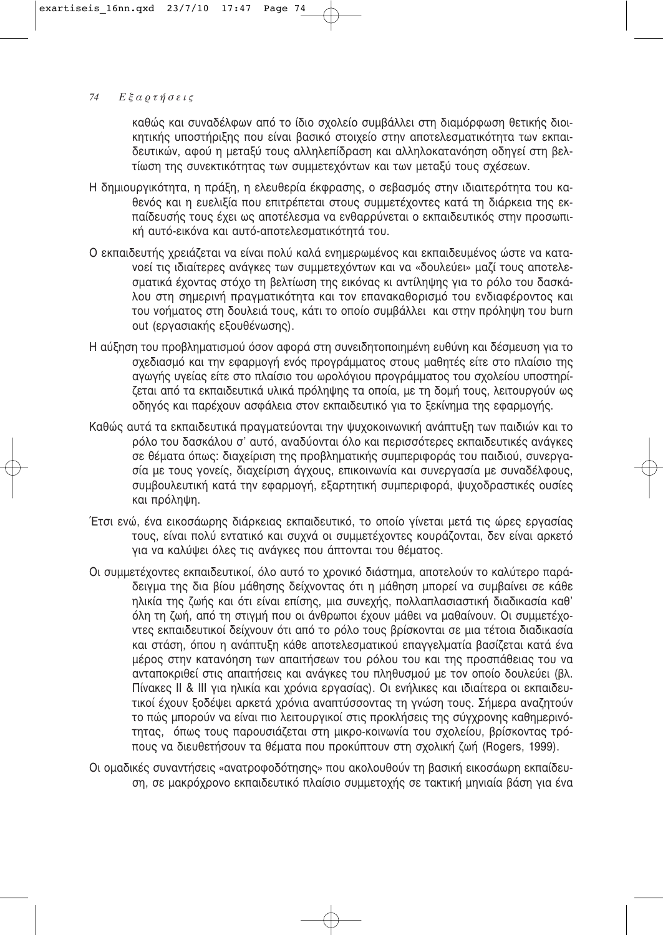καθώς και συναδέλφων από το ίδιο σχολείο συμβάλλει στη διαμόρφωση θετικής διοικητικής υποστήριξης που είναι βασικό στοιχείο στην αποτελεσματικότητα των εκπαιδευτικών, αφού η μεταξύ τους αλληλεπίδραση και αλληλοκατανόηση οδηγεί στη βελτίωση της συνεκτικότητας των συμμετεχόντων και των μεταξύ τους σχέσεων.

- Η δημιουργικότητα, η πράξη, η ελευθερία έκφρασης, ο σεβασμός στην ιδιαιτερότητα του καθενός και η ευελιξία που επιτρέπεται στους συμμετέχοντες κατά τη διάρκεια της εκπαίδευσής τους έχει ως αποτέλεσμα να ενθαρρύνεται ο εκπαιδευτικός στην προσωπική αυτό-εικόνα και αυτό-αποτελεσματικότητά του.
- Ο εκπαιδευτής χρειάζεται να είναι πολύ καλά ενημερωμένος και εκπαιδευμένος ώστε να κατα-VOΕί τις ιδιαίτερες ανάγκες των συμμετεχόντων και να «δουλεύει» μαζί τους αποτελεσματικά έχοντας στόχο τη βελτίωση της εικόνας κι αντίληψης για το ρόλο του δασκάλου στη σημερινή πραγματικότητα και τον επανακαθορισμό του ενδιαφέροντος και του νοήματος στη δουλειά τους, κάτι το οποίο συμβάλλει και στην πρόληψη του burn out (εργασιακής εξουθένωσης).
- Η αύξηση του προβληματισμού όσον αφορά στη συνειδητοποιημένη ευθύνη και δέσμευση για το σχεδιασμό και την εφαρμογή ενός προγράμματος στους μαθητές είτε στο πλαίσιο της αγωγής υγείας είτε στο πλαίσιο του ωρολόγιου προγράμματος του σχολείου υποστηρίζεται από τα εκπαιδευτικά υλικά πρόληψης τα οποία, με τη δομή τους, λειτουργούν ως οδηγός και παρέχουν ασφάλεια στον εκπαιδευτικό για το ξεκίνημα της εφαρμογής.
- Καθώς αυτά τα εκπαιδευτικά πραγματεύονται την ψυχοκοινωνική ανάπτυξη των παιδιών και το ρόλο του δασκάλου σ' αυτό, αναδύονται όλο και περισσότερες εκπαιδευτικές ανάγκες σε θέματα όπως: διαχείριση της προβληματικής συμπεριφοράς του παιδιού, συνεργασία με τους γονείς, διαχείριση άγχους, επικοινωνία και συνεργασία με συναδέλφους, συμβουλευτική κατά την εφαρμογή, εξαρτητική συμπεριφορά, ψυχοδραστικές ουσίες και πρόληψη.
- Έτσι ενώ, ένα εικοσάωρης διάρκειας εκπαιδευτικό, το οποίο γίνεται μετά τις ώρες εργασίας τους, είναι πολύ εντατικό και συχνά οι συμμετέχοντες κουράζονται, δεν είναι αρκετό για να καλύψει όλες τις ανάγκες που άπτονται του θέματος.
- Οι συμμετέχοντες εκπαιδευτικοί, όλο αυτό το χρονικό διάστημα, αποτελούν το καλύτερο παράδειγμα της δια βίου μάθησης δείχνοντας ότι η μάθηση μπορεί να συμβαίνει σε κάθε ηλικία της ζωής και ότι είναι επίσης, μια συνεχής, πολλαπλασιαστική διαδικασία καθ' όλη τη ζωή, από τη στιγμή που οι άνθρωποι έχουν μάθει να μαθαίνουν. Οι συμμετέχοντες εκπαιδευτικοί δείχνουν ότι από το ρόλο τους βρίσκονται σε μια τέτοια διαδικασία και στάση, όπου η ανάπτυξη κάθε αποτελεσματικού επαννελματία βασίζεται κατά ένα μέρος στην κατανόηση των απαιτήσεων του ρόλου του και της προσπάθειας του να ανταποκριθεί στις απαιτήσεις και ανάγκες του πληθυσμού με τον οποίο δουλεύει (βλ. Πίνακες ΙΙ & ΙΙΙ για ηλικία και χρόνια εργασίας). Οι ενήλικες και ιδιαίτερα οι εκπαιδευτικοί έχουν ξοδέψει αρκετά χρόνια αναπτύσσοντας τη γνώση τους. Σήμερα αναζητούν το πώς μπορούν να είναι πιο λειτουργικοί στις προκλήσεις της σύγχρονης καθημερινότητας, όπως τους παρουσιάζεται στη μικρο-κοινωνία του σχολείου, βρίσκοντας τρόπους να διευθετήσουν τα θέματα που προκύπτουν στη σχολική ζωή (Rogers, 1999).
- Οι ομαδικές συναντήσεις «ανατροφοδότησης» που ακολουθούν τη βασική εικοσάωρη εκπαίδευση, σε μακρόχρονο εκπαιδευτικό πλαίσιο συμμετοχής σε τακτική μηνιαία βάση για ένα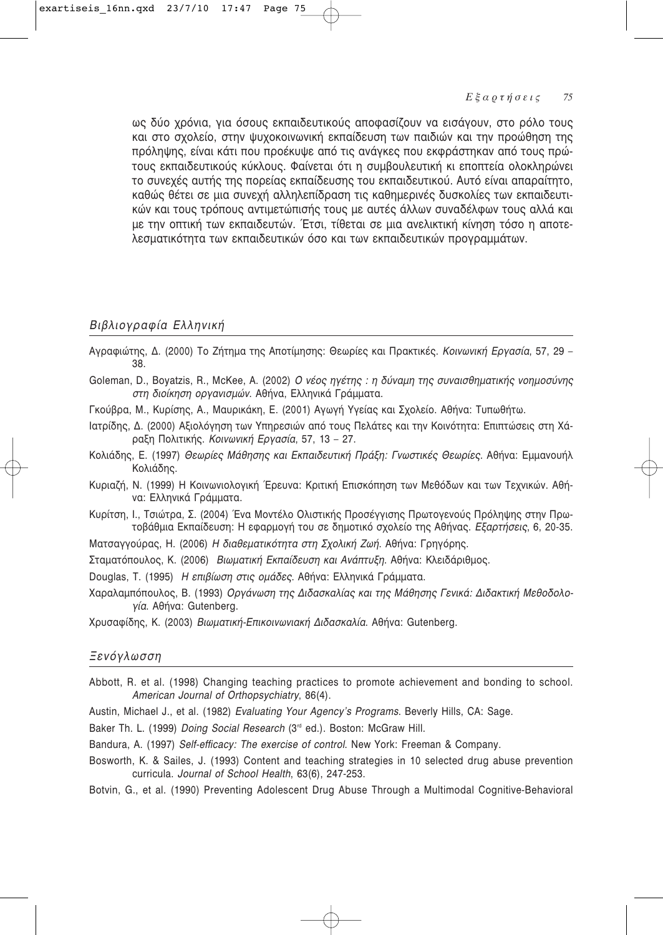ως δύο χρόνια, για όσους εκπαιδευτικούς αποφασίζουν να εισάγουν, στο ρόλο τους και στο σχολείο, στην ψυχοκοινωνική εκπαίδευση των παιδιών και την προώθηση της πρόληψης, είναι κάτι που προέκυψε από τις ανάγκες που εκφράστηκαν από τους πρώτους εκπαιδευτικούς κύκλους. Φαίνεται ότι η συμβουλευτική κι εποπτεία ολοκληρώνει το συνεχές αυτής της πορείας εκπαίδευσης του εκπαιδευτικού. Αυτό είναι απαραίτητο, καθώς θέτει σε μια συνεχή αλληλεπίδραση τις καθημερινές δυσκολίες των εκπαιδευτι-Κών και τους τρόπους αντιμετώπισής τους με αυτές άλλων συναδέλφων τους αλλά και με την οπτική των εκπαιδευτών. Έτσι, τίθεται σε μια ανελικτική κίνηση τόσο η αποτελεσματικότητα των εκπαιδευτικών όσο και των εκπαιδευτικών προγραμμάτων.

# **Βιβλιογραφία Ελληνική**

exartiseis 16nn.qxd 23/7/10 17:47 Page

- Αγραφιώτης, Δ. (2000) Το Ζήτημα της Αποτίμησης: Θεωρίες και Πρακτικές. Κοινωνική Εργασία, 57, 29 -38.
- Goleman, D., Boyatzis, R., McKee, A. (2002) *Ο νέος ηγέτης : η δύναμη της συναισθηματικής νοημοσύνης* στη διοίκηση οργανισμών. Αθήνα, Ελληνικά Γράμματα.
- Γκούβρα, Μ., Κυρίσης, Α., Μαυρικάκη, Ε. (2001) Αγωγή Υγείας και Σχολείο. Αθήνα: Τυπωθήτω.
- Ιατρίδης, Δ. (2000) Αξιολόγηση των Υπηρεσιών από τους Πελάτες και την Κοινότητα: Επιπτώσεις στη Χάραξη Πολιτικής. *Κοινωνική Εργασία*, 57, 13 - 27.
- Κολιάδης, Ε. (1997) *Θεωρίες Μάθησης και Εκπαιδευτική Πράξη: Γνωστικές Θεωρίες. Αθήνα: Εμμανουήλ* Κολιάδης.
- Κυριαζή, Ν. (1999) Η Κοινωνιολογική Έρευνα: Κριτική Επισκόπηση των Μεθόδων και των Τεχνικών. Αθήνα: Ελληνικά Γράμματα.
- Κυρίτση, Ι., Τσιώτρα, Σ. (2004) Ένα Μοντέλο Ολιστικής Προσέγγισης Πρωτογενούς Πρόληψης στην Πρωτοβάθμια Εκπαίδευση: Η εφαρμογή του σε δημοτικό σχολείο της Αθήνας. *Εξαρτήσεις*, 6, 20-35.

Ματσαγγούρας, Η. (2006) *Η διαθεματικότητα στη Σχολική Ζωή*. Αθήνα: Γρηγόρης.

Σταματόπουλος, Κ. (2006) *Βιωματική Εκπαίδευση και Ανάπτυξη*. Αθήνα: Κλειδάριθμος.

Douglas, T. (1995) *Η επιβίωση στις ομάδες*. Αθήνα: Ελληνικά Γράμματα.

Χαραλαμπόπουλος, Β. (1993) Οργάνωση της Διδασκαλίας και της Μάθησης Γενικά: Διδακτική Μεθοδολο*γία. Αθήνα: Gutenberg.* 

Χρυσαφίδης, Κ. (2003) *Βιωματική-Επικοινωνιακή Διδασκαλία*. Αθήνα: Gutenberg.

## *Ξενόγλωσση*

Abbott, R. et al. (1998) Changing teaching practices to promote achievement and bonding to school. *American Journal of Orthopsychiatry*, 86(4).

Austin, Michael J., et al. (1982) *Evaluating Your Agency's Programs*. Beverly Hills, CA: Sage.

Baker Th. L. (1999) *Doing Social Research* (3<sup>rd</sup> ed.). Boston: McGraw Hill.

μandura, A. (1997) *Self-efficacy: The exercise of control*. New York: Freeman & Company.

Bosworth, K. & Sailes, J. (1993) Content and teaching strategies in 10 selected drug abuse prevention curricula. *Journal of School Health*, 63(6), 247-253.

Botvin, G., et al. (1990) Preventing Adolescent Drug Abuse Through a Multimodal Cognitive-Behavioral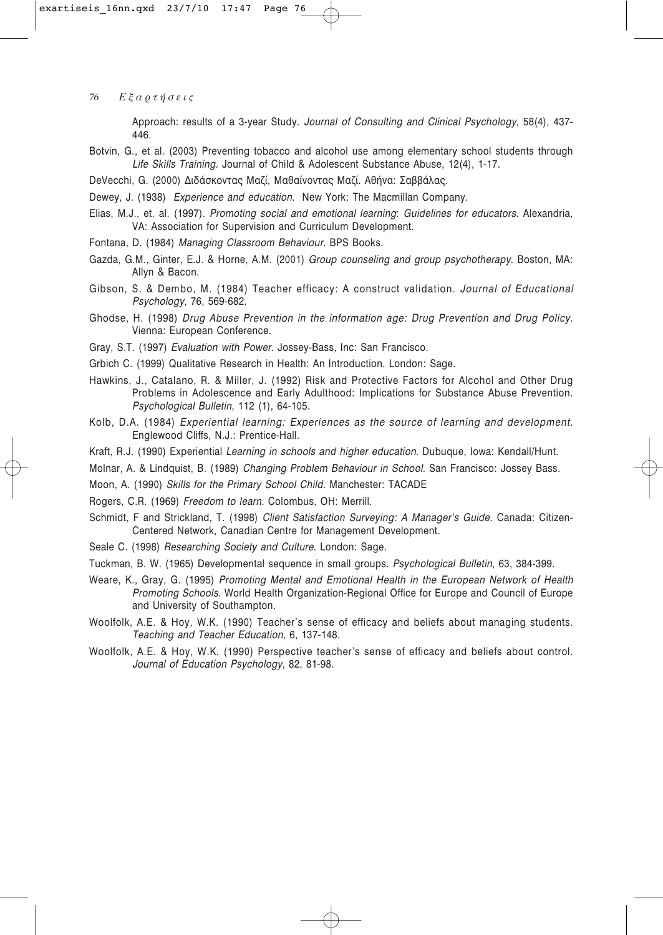> Approach: results of a 3-year Study. Journal of Consulting and Clinical Psychology, 58(4), 437-446.

Botvin, G., et al. (2003) Preventing tobacco and alcohol use among elementary school students through Life Skills Training. Journal of Child & Adolescent Substance Abuse, 12(4), 1-17.

DeVecchi, G. (2000) Διδάσκοντας Μαζί, Μαθαίνοντας Μαζί. Αθήνα: Σαββάλας.

Dewey, J. (1938) Experience and education. New York: The Macmillan Company.

- Elias, M.J., et. al. (1997). Promoting social and emotional learning: Guidelines for educators. Alexandria, VA: Association for Supervision and Curriculum Development.
- Fontana, D. (1984) Managing Classroom Behaviour. BPS Books.
- Gazda, G.M., Ginter, E.J. & Horne, A.M. (2001) Group counseling and group psychotherapy. Boston, MA: Allyn & Bacon.
- Gibson, S. & Dembo, M. (1984) Teacher efficacy: A construct validation. Journal of Educational Psychology, 76, 569-682.
- Ghodse, H. (1998) Drug Abuse Prevention in the information age: Drug Prevention and Drug Policy. Vienna: European Conference.
- Gray, S.T. (1997) Evaluation with Power. Jossey-Bass, Inc: San Francisco.
- Grbich C. (1999) Qualitative Research in Health: An Introduction. London: Sage.
- Hawkins, J., Catalano, R. & Miller, J. (1992) Risk and Protective Factors for Alcohol and Other Drug Problems in Adolescence and Early Adulthood: Implications for Substance Abuse Prevention. Psychological Bulletin, 112 (1), 64-105.
- Kolb, D.A. (1984) Experiential learning: Experiences as the source of learning and development. Englewood Cliffs, N.J.: Prentice-Hall.
- Kraft, R.J. (1990) Experiential Learning in schools and higher education. Dubuque, Iowa: Kendall/Hunt.

Molnar, A. & Lindquist, B. (1989) Changing Problem Behaviour in School. San Francisco: Jossey Bass.

Moon, A. (1990) Skills for the Primary School Child. Manchester: TACADE

Rogers, C.R. (1969) Freedom to learn. Colombus, OH: Merrill.

- Schmidt, F and Strickland, T. (1998) Client Satisfaction Surveying: A Manager's Guide. Canada: Citizen-Centered Network, Canadian Centre for Management Development.
- Seale C. (1998) Researching Society and Culture. London: Sage.

Tuckman, B. W. (1965) Developmental sequence in small groups. Psychological Bulletin, 63, 384-399.

- Weare, K., Gray, G. (1995) Promoting Mental and Emotional Health in the European Network of Health Promoting Schools. World Health Organization-Regional Office for Europe and Council of Europe and University of Southampton.
- Woolfolk, A.E. & Hoy, W.K. (1990) Teacher's sense of efficacy and beliefs about managing students. Teaching and Teacher Education, 6, 137-148.
- Woolfolk, A.E. & Hoy, W.K. (1990) Perspective teacher's sense of efficacy and beliefs about control. Journal of Education Psychology, 82, 81-98.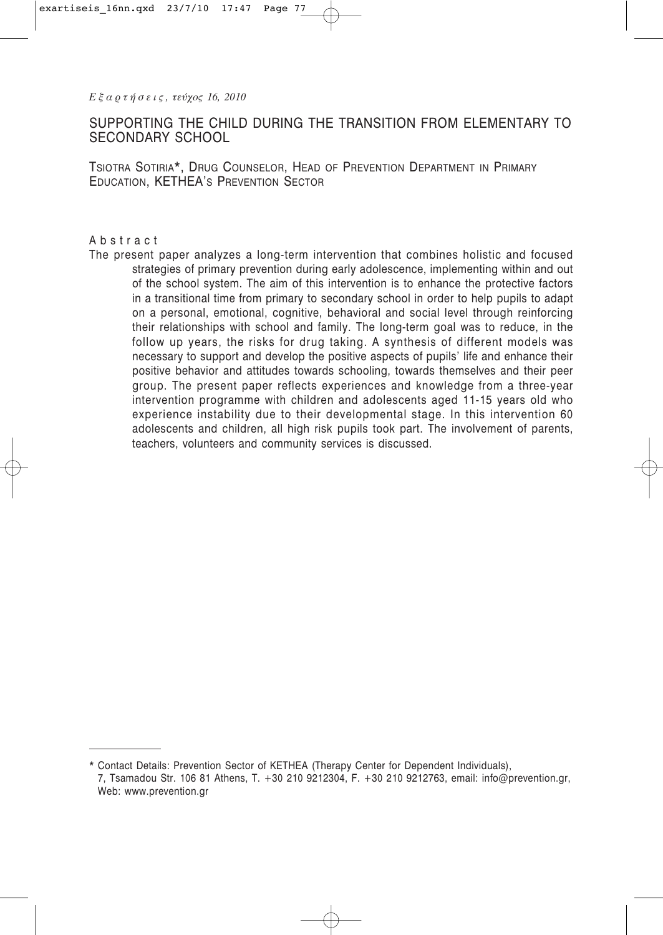*Ε ξ α ρ τ ή σ ε ι ς , τεύχος 16, 2010*

# SUPPORTING THE CHILD DURING THE TRANSITION FROM ELEMENTARY TO SECONDARY SCHOOL

TSIOTRA SOTIRIA\*, DRUG COUNSELOR, HEAD OF PREVENTION DEPARTMENT IN PRIMARY EDUCATION, KETHEA'S PREVENTION SECTOR

# Abstract

The present paper analyzes a long-term intervention that combines holistic and focused strategies of primary prevention during early adolescence, implementing within and out of the school system. The aim of this intervention is to enhance the protective factors in a transitional time from primary to secondary school in order to help pupils to adapt on a personal, emotional, cognitive, behavioral and social level through reinforcing their relationships with school and family. The long-term goal was to reduce, in the follow up years, the risks for drug taking. A synthesis of different models was necessary to support and develop the positive aspects of pupils' life and enhance their positive behavior and attitudes towards schooling, towards themselves and their peer group. The present paper reflects experiences and knowledge from a three-year intervention programme with children and adolescents aged 11-15 years old who experience instability due to their developmental stage. In this intervention 60 adolescents and children, all high risk pupils took part. The involvement of parents, teachers, volunteers and community services is discussed.

<sup>\*</sup> Contact Details: Prevention Sector of KETHEA (Therapy Center for Dependent Individuals), 7, Tsamadou Str. 106 81 Athens, T. +30 210 9212304, F. +30 210 9212763, email: info@prevention.gr, Web: www.prevention.gr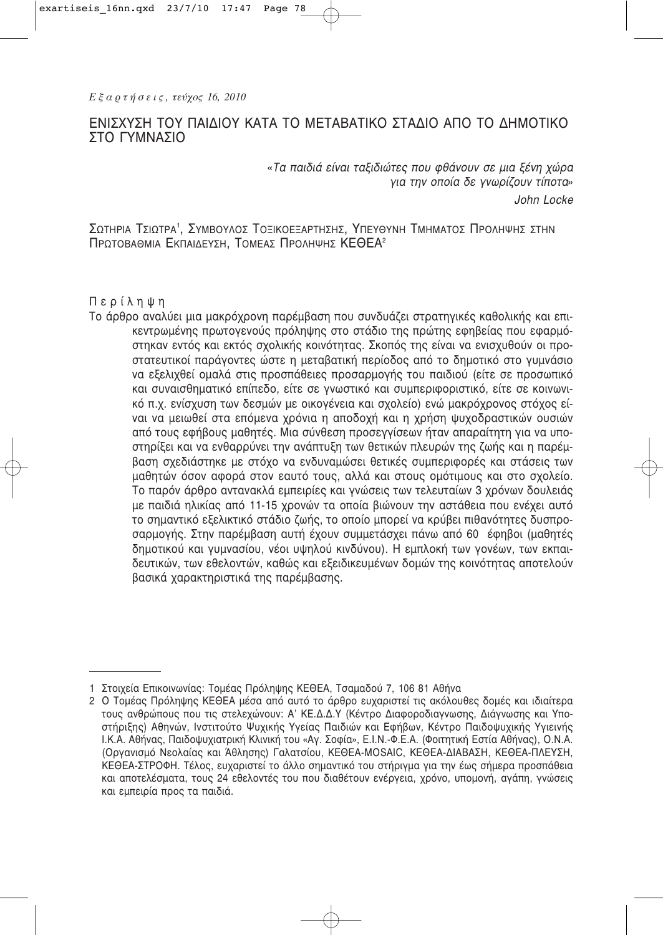Εξαρτήσεις, τεύγος 16, 2010

# ΕΝΙΣΧΥΣΗ ΤΟΥ ΠΑΙΔΙΟΥ ΚΑΤΑ ΤΟ ΜΕΤΑΒΑΤΙΚΟ ΣΤΑΔΙΟ ΑΠΟ ΤΟ ΔΗΜΟΤΙΚΟ ΣΤΟ ΓΥΜΝΑΣΙΟ

«Τα παιδιά είναι ταξιδιώτες που φθάνουν σε μια ξένη χώρα για την οποία δε γνωρίζουν τίποτα» John Locke

ΣΩΤΗΡΙΑ ΤΣΙΩΤΡΑΊ, ΣΥΜΒΟΥΛΟΣ ΤΟΞΙΚΟΕΞΑΡΤΗΣΗΣ, ΥΠΕΥΘΥΝΗ ΤΜΗΜΑΤΟΣ ΠΡΟΛΗΨΗΣ ΣΤΗΝ ΠΡΩΤΟΒΑΘΜΙΑ ΕΚΠΑΙΔΕΥΣΗ, ΤΟΜΕΑΣ ΠΡΟΛΗΨΗΣ ΚΕΘΕΑ<sup>2</sup>

Περίληψη

Το άρθρο αναλύει μια μακρόχρονη παρέμβαση που συνδυάζει στρατηγικές καθολικής και επικεντρωμένης πρωτογενούς πρόληψης στο στάδιο της πρώτης εφηβείας που εφαρμόστηκαν εντός και εκτός σχολικής κοινότητας. Σκοπός της είναι να ενισχυθούν οι προστατευτικοί παράγοντες ώστε η μεταβατική περίοδος από το δημοτικό στο γυμνάσιο να εξελιχθεί ομαλά στις προσπάθειες προσαρμογής του παιδιού (είτε σε προσωπικό και συναισθηματικό επίπεδο, είτε σε γνωστικό και συμπεριφοριστικό, είτε σε κοινωνικό π.χ. ενίσχυση των δεσμών με οικογένεια και σχολείο) ενώ μακρόχρονος στόχος είναι να μειωθεί στα επόμενα χρόνια η αποδοχή και η χρήση ψυχοδραστικών ουσιών από τους εφήβους μαθητές. Μια σύνθεση προσεγγίσεων ήταν απαραίτητη για να υποστηρίξει και να ενθαρρύνει την ανάπτυξη των θετικών πλευρών της ζωής και η παρέμβαση σχεδιάστηκε με στόχο να ενδυναμώσει θετικές συμπεριφορές και στάσεις των μαθητών όσον αφορά στον εαυτό τους, αλλά και στους ομότιμους και στο σχολείο. Το παρόν άρθρο αντανακλά εμπειρίες και γνώσεις των τελευταίων 3 χρόνων δουλειάς με παιδιά ηλικίας από 11-15 χρονών τα οποία βιώνουν την αστάθεια που ενέχει αυτό το σημαντικό εξελικτικό στάδιο ζωής, το οποίο μπορεί να κρύβει πιθανότητες δυσπροσαρμογής. Στην παρέμβαση αυτή έχουν συμμετάσχει πάνω από 60 έφηβοι (μαθητές δημοτικού και γυμνασίου, νέοι υψηλού κινδύνου). Η εμπλοκή των γονέων, των εκπαιδευτικών, των εθελοντών, καθώς και εξειδικευμένων δομών της κοινότητας αποτελούν βασικά χαρακτηριστικά της παρέμβασης.

<sup>1</sup> Στοιχεία Επικοινωνίας: Τομέας Πρόληψης ΚΕΘΕΑ, Τσαμαδού 7, 106 81 Αθήνα

<sup>2.</sup> Ο Τομέας Πρόληψης ΚΕΘΕΑ μέσα από αυτό το άρθρο ευχαριστεί τις ακόλουθες δομές και ιδιαίτερα τους ανθρώπους που τις στελεχώνουν: Α' ΚΕ.Δ.Δ.Υ (Κέντρο Διαφοροδιαγνωσης, Διάγνωσης και Υποστήριξης) Αθηνών, Ινστιτούτο Ψυχικής Υγείας Παιδιών και Εφήβων, Κέντρο Παιδοψυχικής Υγιεινής Ι.Κ.Α. Αθήνας, Παιδοψυχιατρική Κλινική του «Αγ. Σοφία», Ε.Ι.Ν.-Φ.Ε.Α. (Φοιτητική Εστία Αθήνας), Ο.Ν.Α. (Οργανισμό Νεολαίας και Άθλησης) Γαλατσίου, ΚΕΘΕΑ-ΜΟSAIC, ΚΕΘΕΑ-ΔΙΑΒΑΣΗ, ΚΕΘΕΑ-ΠΛΕΥΣΗ, ΚΕΘΕΑ-ΣΤΡΟΦΗ. Τέλος, ευχαριστεί το άλλο σημαντικό του στήριγμα για την έως σήμερα προσπάθεια και αποτελέσματα, τους 24 εθελοντές του που διαθέτουν ενέργεια, χρόνο, υπομονή, αγάπη, γνώσεις και εμπειρία προς τα παιδιά.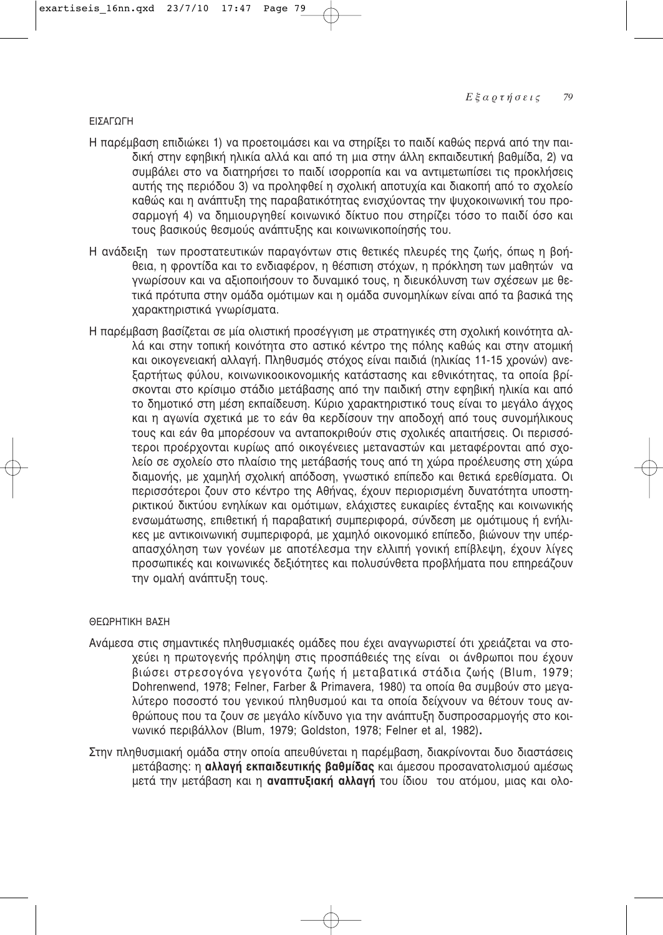ΕΙΣΑΓΩΓΗ

- Η παρέμβαση επιδιώκει 1) να προετοιμάσει και να στηρίξει το παιδί καθώς περνά από την παιδική στην εφηβική ηλικία αλλά και από τη μια στην άλλη εκπαιδευτική βαθμίδα, 2) να συμβάλει στο να διατηρήσει το παιδί ισορροπία και να αντιμετωπίσει τις προκλήσεις αυτής της περιόδου 3) να προληφθεί η σχολική αποτυχία και διακοπή από το σχολείο καθώς και η ανάπτυξη της παραβατικότητας ενισχύοντας την ψυχοκοινωνική του προσαρμογή 4) να δημιουργηθεί κοινωνικό δίκτυο που στηρίζει τόσο το παιδί όσο και τους βασικούς θεσμούς ανάπτυξης και κοινωνικοποίησής του.
- Η ανάδειξη των προστατευτικών παραγόντων στις θετικές πλευρές της ζωής, όπως η βοήθεια, η φροντίδα και το ενδιαφέρον, η θέσπιση στόχων, η πρόκληση των μαθητών να γνωρίσουν και να αξιοποιήσουν το δυναμικό τους, η διευκόλυνση των σχέσεων με θετικά πρότυπα στην ομάδα ομότιμων και η ομάδα συνομηλίκων είναι από τα βασικά της χαρακτηριστικά γνωρίσματα.
- Η παρέμβαση βασίζεται σε μία ολιστική προσέννιση με στρατηνικές στη σχολική κοινότητα αλλά και στην τοπική κοινότητα στο αστικό κέντρο της πόλης καθώς και στην ατομική και οικογενειακή αλλαγή. Πληθυσμός στόχος είναι παιδιά (ηλικίας 11-15 χρονών) ανεξαρτήτως φύλου, κοινωνικοοικονομικής κατάστασης και εθνικότητας, τα οποία βρίσκονται στο κρίσιμο στάδιο μετάβασης από την παιδική στην εφηβική ηλικία και από το δημοτικό στη μέση εκπαίδευση. Κύριο χαρακτηριστικό τους είναι το μεγάλο άγχος και η αγωνία σχετικά με το εάν θα κερδίσουν την αποδοχή από τους συνομήλικους τους και εάν θα μπορέσουν να ανταποκριθούν στις σχολικές απαιτήσεις. Οι περισσότεροι προέρχονται κυρίως από οικογένειες μεταναστών και μεταφέρονται από σχολείο σε σχολείο στο πλαίσιο της μετάβασής τους από τη χώρα προέλευσης στη χώρα διαμονής, με χαμηλή σχολική απόδοση, γνωστικό επίπεδο και θετικά ερεθίσματα. Οι περισσότεροι ζουν στο κέντρο της Αθήνας, έχουν περιορισμένη δυνατότητα υποστηρικτικού δικτύου ενηλίκων και ομότιμων, ελάχιστες ευκαιρίες ένταξης και κοινωνικής ενσωμάτωσης, επιθετική ή παραβατική συμπεριφορά, σύνδεση με ομότιμους ή ενήλικες με αντικοινωνική συμπεριφορά, με χαμηλό οικονομικό επίπεδο, βιώνουν την υπέραπασχόληση των γονέων με αποτέλεσμα την ελλιπή γονική επίβλεψη, έχουν λίγες προσωπικές και κοινωνικές δεξιότητες και πολυσύνθετα προβλήματα που επηρεάζουν την ομαλή ανάπτυξη τους.

#### ΘΕΩΡΗΤΙΚΗ ΒΑΣΗ

- Ανάμεσα στις σημαντικές πληθυσμιακές ομάδες που έχει αναγνωριστεί ότι χρειάζεται να στοχεύει η πρωτογενής πρόληψη στις προσπάθειές της είναι οι άνθρωποι που έχουν βιώσει στρεσογόνα γεγονότα ζωής ή μεταβατικά στάδια ζωής (Blum, 1979; Dohrenwend, 1978; Felner, Farber & Primavera, 1980) τα οποία θα συμβούν στο μεγαλύτερο ποσοστό του γενικού πληθυσμού και τα οποία δείχνουν να θέτουν τους ανθρώπους που τα ζουν σε μεγάλο κίνδυνο για την ανάπτυξη δυσπροσαρμογής στο κοινωνικό περιβάλλον (Blum, 1979; Goldston, 1978; Felner et al, 1982).
- Στην πληθυσμιακή ομάδα στην οποία απευθύνεται η παρέμβαση, διακρίνονται δυο διαστάσεις μετάβασης: η αλλαγή εκπαιδευτικής βαθμίδας και άμεσου προσανατολισμού αμέσως μετά την μετάβαση και η αναπτυξιακή αλλαγή του ίδιου του ατόμου, μιας και ολο-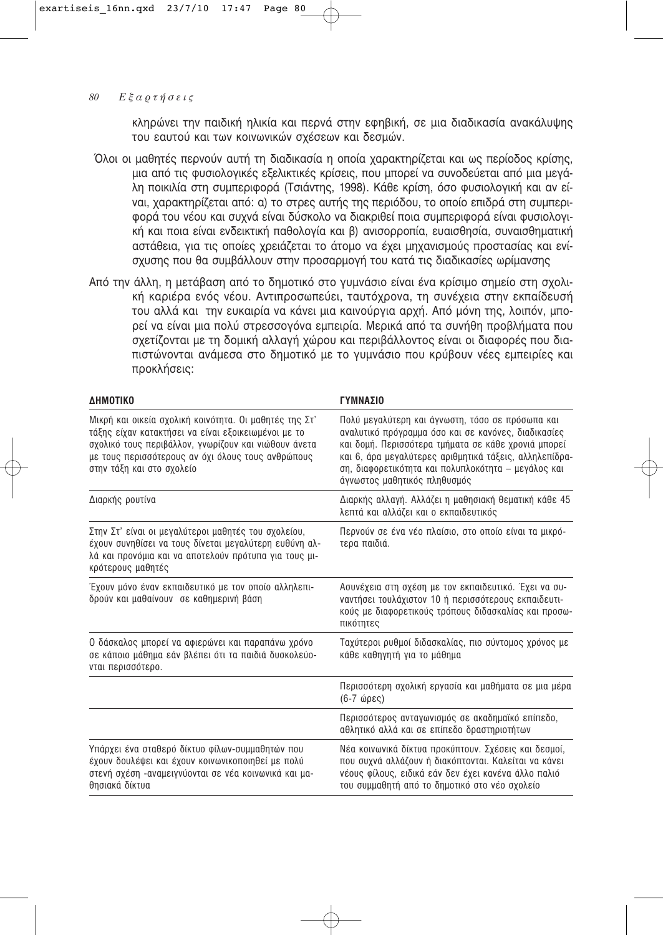κληρώνει την παιδική ηλικία και περνά στην εφηβική, σε μια διαδικασία ανακάλυψης του εαυτού και των κοινωνικών σχέσεων και δεσμών.

- Όλοι οι μαθητές περνούν αυτή τη διαδικασία η οποία χαρακτηρίζεται και ως περίοδος κρίσης, μια από τις φυσιολονικές εξελικτικές κρίσεις, που μπορεί να συνοδεύεται από μια μενάλη ποικιλία στη συμπεριφορά (Τσιάντης, 1998). Κάθε κρίση, όσο φυσιολογική και αν είναι, χαρακτηρίζεται από: α) το στρες αυτής της περιόδου, το οποίο επιδρά στη συμπεριφορά του νέου και συχνά είναι δύσκολο να διακριθεί ποια συμπεριφορά είναι φυσιολογική και ποια είναι ενδεικτική παθολογία και β) ανισορροπία, ευαισθησία, συναισθηματική αστάθεια, για τις οποίες χρειάζεται το άτομο να έχει μηχανισμούς προστασίας και ενίσχυσης που θα συμβάλλουν στην προσαρμογή του κατά τις διαδικασίες ωρίμανσης
- Από την άλλη, η μετάβαση από το δημοτικό στο γυμνάσιο είναι ένα κρίσιμο σημείο στη σχολική καριέρα ενός νέου. Αντιπροσωπεύει, ταυτόχρονα, τη συνέχεια στην εκπαίδευσή του αλλά και την ευκαιρία να κάνει μια καινούργια αρχή. Από μόνη της, λοιπόν, μπορεί να είναι μια πολύ στρεσσονόνα εμπειρία. Μερικά από τα συνήθη προβλήματα που σχετίζονται με τη δομική αλλαγή χώρου και περιβάλλοντος είναι οι διαφορές που διαπιστώνονται ανάμεσα στο δημοτικό με το γυμνάσιο που κρύβουν νέες εμπειρίες και προκλήσεις:

| ΔΗΜΟΤΙΚΟ                                                                                                                                                                                                                                                | ΓΥΜΝΑΣΙΟ                                                                                                                                                                                                                                                                                                        |
|---------------------------------------------------------------------------------------------------------------------------------------------------------------------------------------------------------------------------------------------------------|-----------------------------------------------------------------------------------------------------------------------------------------------------------------------------------------------------------------------------------------------------------------------------------------------------------------|
| Μικρή και οικεία σχολική κοινότητα. Οι μαθητές της Στ'<br>τάξης είχαν κατακτήσει να είναι εξοικειωμένοι με το<br>σχολικό τους περιβάλλον, γνωρίζουν και νιώθουν άνετα<br>με τους περισσότερους αν όχι όλους τους ανθρώπους<br>στην τάξη και στο σχολείο | Πολύ μεγαλύτερη και άγνωστη, τόσο σε πρόσωπα και<br>αναλυτικό πρόγραμμα όσο και σε κανόνες, διαδικασίες<br>και δομή. Περισσότερα τμήματα σε κάθε χρονιά μπορεί<br>και 6, άρα μεγαλύτερες αριθμητικά τάξεις, αλληλεπίδρα-<br>ση, διαφορετικότητα και πολυπλοκότητα – μεγάλος και<br>άγνωστος μαθητικός πληθυσμός |
| Διαρκής ρουτίνα                                                                                                                                                                                                                                         | Διαρκής αλλαγή. Αλλάζει η μαθησιακή θεματική κάθε 45<br>λεπτά και αλλάζει και ο εκπαιδευτικός                                                                                                                                                                                                                   |
| Στην Στ' είναι οι μεγαλύτεροι μαθητές του σχολείου,<br>έχουν συνηθίσει να τους δίνεται μεγαλύτερη ευθύνη αλ-<br>λά και προνόμια και να αποτελούν πρότυπα για τους μι-<br>κρότερους μαθητές                                                              | Περνούν σε ένα νέο πλαίσιο, στο οποίο είναι τα μικρό-<br>τερα παιδιά.                                                                                                                                                                                                                                           |
| Έχουν μόνο έναν εκπαιδευτικό με τον οποίο αλληλεπι-<br>δρούν και μαθαίνουν σε καθημερινή βάση                                                                                                                                                           | Ασυνέχεια στη σχέση με τον εκπαιδευτικό. Έχει να συ-<br>ναντήσει τουλάχιστον 10 ή περισσότερους εκπαιδευτι-<br>κούς με διαφορετικούς τρόπους διδασκαλίας και προσω-<br>πικότητες                                                                                                                                |
| Ο δάσκαλος μπορεί να αφιερώνει και παραπάνω χρόνο<br>σε κάποιο μάθημα εάν βλέπει ότι τα παιδιά δυσκολεύο-<br>νται περισσότερο.                                                                                                                          | Ταχύτεροι ρυθμοί διδασκαλίας, πιο σύντομος χρόνος με<br>κάθε καθηγητή για το μάθημα                                                                                                                                                                                                                             |
|                                                                                                                                                                                                                                                         | Περισσότερη σχολική εργασία και μαθήματα σε μια μέρα<br>$(6-7 \omega$ ρες)                                                                                                                                                                                                                                      |
|                                                                                                                                                                                                                                                         | Περισσότερος ανταγωνισμός σε ακαδημαϊκό επίπεδο,<br>αθλητικό αλλά και σε επίπεδο δραστηριοτήτων                                                                                                                                                                                                                 |
| Υπάρχει ένα σταθερό δίκτυο φίλων-συμμαθητών που<br>έχουν δουλέψει και έχουν κοινωνικοποιηθεί με πολύ<br>στενή σχέση -αναμειγνύονται σε νέα κοινωνικά και μα-<br>θησιακά δίκτυα                                                                          | Νέα κοινωνικά δίκτυα προκύπτουν. Σχέσεις και δεσμοί,<br>που συχνά αλλάζουν ή διακόπτονται. Καλείται να κάνει<br>νέους φίλους, ειδικά εάν δεν έχει κανένα άλλο παλιό<br>του συμμαθητή από το δημοτικό στο νέο σχολείο                                                                                            |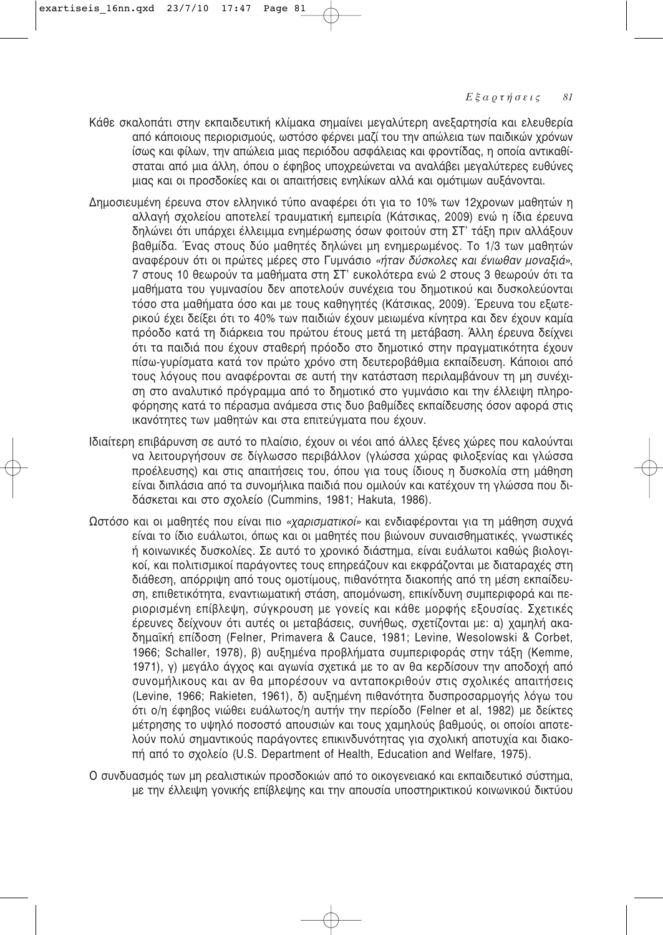- Κάθε σκαλοπάτι στην εκπαιδευτική κλίμακα σημαίνει μεγαλύτερη ανεξαρτησία και ελευθερία από κάποιους περιορισμούς, ωστόσο φέρνει μαζί του την απώλεια των παιδικών χρόνων ίσως και φίλων, την απώλεια μιας περιόδου ασφάλειας και φροντίδας, η οποία αντικαθίσταται από μια άλλη, όπου ο έφηβος υποχρεώνεται να αναλάβει μεγαλύτερες ευθύνες μιας και οι προσδοκίες και οι απαιτήσεις ενηλίκων αλλά και ομότιμων αυξάνονται.
- Δημοσιευμένη έρευνα στον ελληνικό τύπο αναφέρει ότι για το 10% των 12χρονων μαθητών η αλλανή σχολείου αποτελεί τραυματική εμπειρία (Κάτσικας, 2009) ενώ η ίδια έρευνα δηλώνει ότι υπάρχει έλλειμμα ενημέρωσης όσων φοιτούν στη ΣΤ' τάξη πριν αλλάξουν βαθμίδα. Ένας στους δύο μαθητές δηλώνει μη ενημερωμένος. Το 1/3 των μαθητών αναφέρουν ότι οι πρώτες μέρες στο Γυμνάσιο «ήταν δύσκολες και ένιωθαν μοναξιά», 7 στους 10 θεωρούν τα μαθήματα στη ΣΤ' ευκολότερα ενώ 2 στους 3 θεωρούν ότι τα μαθήματα του γυμνασίου δεν αποτελούν συνέχεια του δημοτικού και δυσκολεύονται τόσο στα μαθήματα όσο και με τους καθηγητές (Κάτσικας, 2009). Έρευνα του εξωτερικού έχει δείξει ότι το 40% των παιδιών έχουν μειωμένα κίνητρα και δεν έχουν καμία πρόοδο κατά τη διάρκεια του πρώτου έτους μετά τη μετάβαση. Άλλη έρευνα δείχνει ότι τα παιδιά που έχουν σταθερή πρόοδο στο δημοτικό στην πρανματικότητα έχουν πίσω-γυρίσματα κατά τον πρώτο χρόνο στη δευτεροβάθμια εκπαίδευση. Κάποιοι από τους λόγους που αναφέρονται σε αυτή την κατάσταση περιλαμβάνουν τη μη συνέχιση στο αναλυτικό πρόγραμμα από το δημοτικό στο γυμνάσιο και την έλλειψη πληρο-<u>φόρησης κατά το πέρασμα ανάμεσα στις δυο βαθμίδες εκπαίδευσης όσον αφορά στις </u> ικανότητες των μαθητών και στα επιτεύγματα που έχουν.
- Ιδιαίτερη επιβάρυνση σε αυτό το πλαίσιο, έχουν οι νέοι από άλλες ξένες χώρες που καλούνται να λειτουργήσουν σε δίγλωσσο περιβάλλον (γλώσσα χώρας φιλοξενίας και γλώσσα προέλευσης) και στις απαιτήσεις του, όπου για τους ίδιους η δυσκολία στη μάθηση είναι διπλάσια από τα συνομήλικα παιδιά που ομιλούν και κατέχουν τη γλώσσα που διδάσκεται και στο σχολείο (Cummins, 1981; Hakuta, 1986).
- Ωστόσο και οι μαθητές που είναι πιο «χαρισματικοί» και ενδιαφέρονται για τη μάθηση συχνά είναι το ίδιο ευάλωτοι, όπως και οι μαθητές που βιώνουν συναισθηματικές, γνωστικές ή κοινωνικές δυσκολίες. Σε αυτό το χρονικό διάστημα, είναι ευάλωτοι καθώς βιολογικοί, και πολιτισμικοί παράγοντες τους επηρεάζουν και εκφράζονται με διαταραχές στη διάθεση, απόρριψη από τους ομοτίμους, πιθανότητα διακοπής από τη μέση εκπαίδευση, επιθετικότητα, εναντιωματική στάση, απομόνωση, επικίνδυνη συμπεριφορά και περιορισμένη επίβλεψη, σύγκρουση με γονείς και κάθε μορφής εξουσίας. Σχετικές έρευνες δείχνουν ότι αυτές οι μεταβάσεις, συνήθως, σχετίζονται με: α) χαμηλή ακαδημαϊκή επίδοση (Felner, Primavera & Cauce, 1981; Levine, Wesolowski & Corbet, 1966; Schaller, 1978), β) αυξημένα προβλήματα συμπεριφοράς στην τάξη (Kemme, 1971), γ) μεγάλο άγχος και αγωνία σχετικά με το αν θα κερδίσουν την αποδοχή από συνομήλικους και αν θα μπορέσουν να ανταποκριθούν στις σχολικές απαιτήσεις (Levine, 1966; Rakieten, 1961), δ) αυξημένη πιθανότητα δυσπροσαρμογής λόγω του ότι ο/η έφηβος νιώθει ευάλωτος/η αυτήν την περίοδο (Felner et al, 1982) με δείκτες μέτρησης το υψηλό ποσοστό απουσιών και τους χαμηλούς βαθμούς, οι οποίοι αποτελούν πολύ σημαντικούς παράγοντες επικινδυνότητας για σχολική αποτυχία και διακοπή από το σχολείο (U.S. Department of Health, Education and Welfare, 1975).
- Ο συνδυασμός των μη ρεαλιστικών προσδοκιών από το οικονενειακό και εκπαιδευτικό σύστημα. με την έλλειψη γονικής επίβλεψης και την απουσία υποστηρικτικού κοινωνικού δικτύου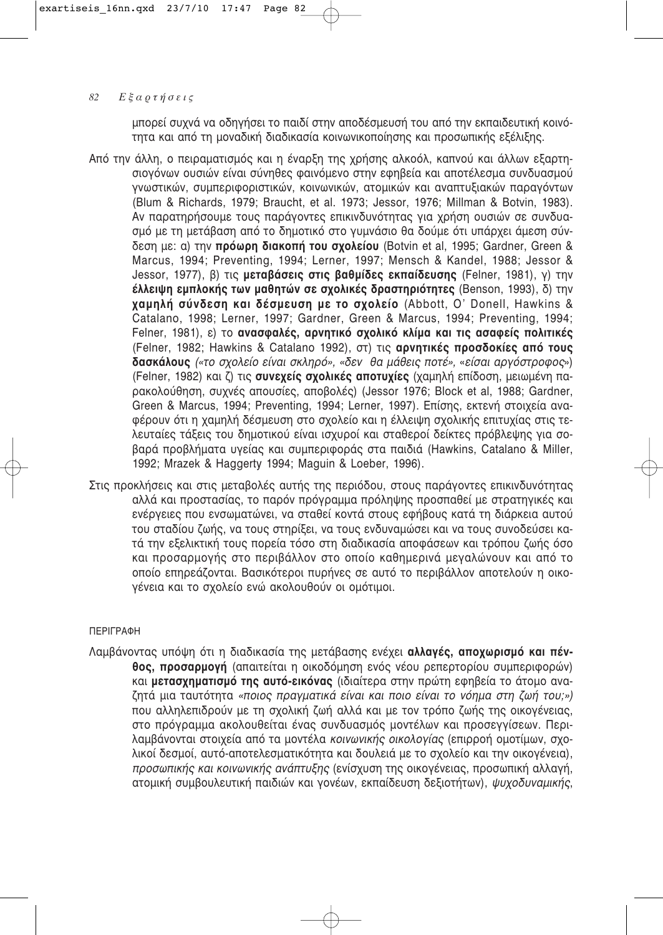μπορεί συχνά να οδηγήσει το παιδί στην αποδέσμευσή του από την εκπαιδευτική κοινότητα και από τη μοναδική διαδικασία κοινωνικοποίησης και προσωπικής εξέλιξης.

- Από την άλλη, ο πειραματισμός και η έναρξη της χρήσης αλκοόλ, καπνού και άλλων εξαρτησιονόνων ουσιών είναι σύνηθες φαινόμενο στην εφηβεία και αποτέλεσμα συνδυασμού γνωστικών, συμπεριφοριστικών, κοινωνικών, ατομικών και αναπτυξιακών παραγόντων (Blum & Richards, 1979; Braucht, et al. 1973; Jessor, 1976; Millman & Botvin, 1983). Αν παρατηρήσουμε τους παράγοντες επικινδυνότητας για χρήση ουσιών σε συνδυασμό με τη μετάβαση από το δημοτικό στο γυμνάσιο θα δούμε ότι υπάρχει άμεση σύνδεση με: α) την πρόωρη διακοπή του σχολείου (Botvin et al, 1995; Gardner, Green & Marcus, 1994; Preventing, 1994; Lerner, 1997; Mensch & Kandel, 1988; Jessor & Jessor, 1977), β) τις μεταβάσεις στις βαθμίδες εκπαίδευσης (Felner, 1981), γ) την έλλειψη εμπλοκής των μαθητών σε σχολικές δραστηριότητες (Benson, 1993), δ) την χαμηλή σύνδεση και δέσμευση με το σχολείο (Abbott, O' Donell, Hawkins & Catalano, 1998; Lerner, 1997; Gardner, Green & Marcus, 1994; Preventing, 1994; Felner, 1981), ε) το ανασφαλές, αρνητικό σχολικό κλίμα και τις ασαφείς πολιτικές (Felner, 1982; Hawkins & Catalano 1992), στ) τις αρνητικές προσδοκίες από τους **δασκάλους** («το σχολείο είναι σκληρό», «δεν θα μάθεις ποτέ», «είσαι αργόστροφος») (Felner, 1982) και ζ) τις συνεχείς σχολικές αποτυχίες (χαμηλή επίδοση, μειωμένη παρακολούθηση, συχνές απουσίες, αποβολές) (Jessor 1976; Block et al, 1988; Gardner, Green & Marcus, 1994; Preventing, 1994; Lerner, 1997). Επίσης, εκτενή στοιχεία αναφέρουν ότι η χαμηλή δέσμευση στο σχολείο και η έλλειψη σχολικής επιτυχίας στις τελευταίες τάξεις του δημοτικού είναι ισχυροί και σταθεροί δείκτες πρόβλεψης για σοβαρά προβλήματα υγείας και συμπεριφοράς στα παιδιά (Hawkins, Catalano & Miller, 1992; Mrazek & Haggerty 1994; Maguin & Loeber, 1996).
- Στις προκλήσεις και στις μεταβολές αυτής της περιόδου, στους παράγοντες επικινδυνότητας αλλά και προστασίας, το παρόν πρόγραμμα πρόληψης προσπαθεί με στρατηγικές και ενέργειες που ενσωματώνει, να σταθεί κοντά στους εφήβους κατά τη διάρκεια αυτού του σταδίου ζωής, να τους στηρίξει, να τους ενδυναμώσει και να τους συνοδεύσει κατά την εξελικτική τους πορεία τόσο στη διαδικασία αποφάσεων και τρόπου ζωής όσο και προσαρμογής στο περιβάλλον στο οποίο καθημερινά μεγαλώνουν και από το οποίο επηρεάζονται. Βασικότεροι πυρήνες σε αυτό το περιβάλλον αποτελούν η οικογένεια και το σχολείο ενώ ακολουθούν οι ομότιμοι.

## **ПЕРІГРАФН**

Λαμβάνοντας υπόψη ότι η διαδικασία της μετάβασης ενέχει αλλαγές, αποχωρισμό και πένθος, προσαρμογή (απαιτείται η οικοδόμηση ενός νέου ρεπερτορίου συμπεριφορών) και μετασχηματισμό της αυτό-εικόνας (ιδιαίτερα στην πρώτη εφηβεία το άτομο αναζητά μια ταυτότητα «ποιος πραγματικά είναι και ποιο είναι το νόημα στη ζωή του;») που αλληλεπιδρούν με τη σχολική ζωή αλλά και με τον τρόπο ζωής της οικογένειας, στο πρόγραμμα ακολουθείται ένας συνδυασμός μοντέλων και προσεγγίσεων. Περιλαμβάνονται στοιχεία από τα μοντέλα κοινωνικής οικολογίας (επιρροή ομοτίμων, σχολικοί δεσμοί, αυτό-αποτελεσματικότητα και δουλειά με το σχολείο και την οικονένεια). προσωπικής και κοινωνικής ανάπτυξης (ενίσχυση της οικογένειας, προσωπική αλλαγή, ατομική συμβουλευτική παιδιών και γονέων, εκπαίδευση δεξιοτήτων), ψυχοδυναμικής,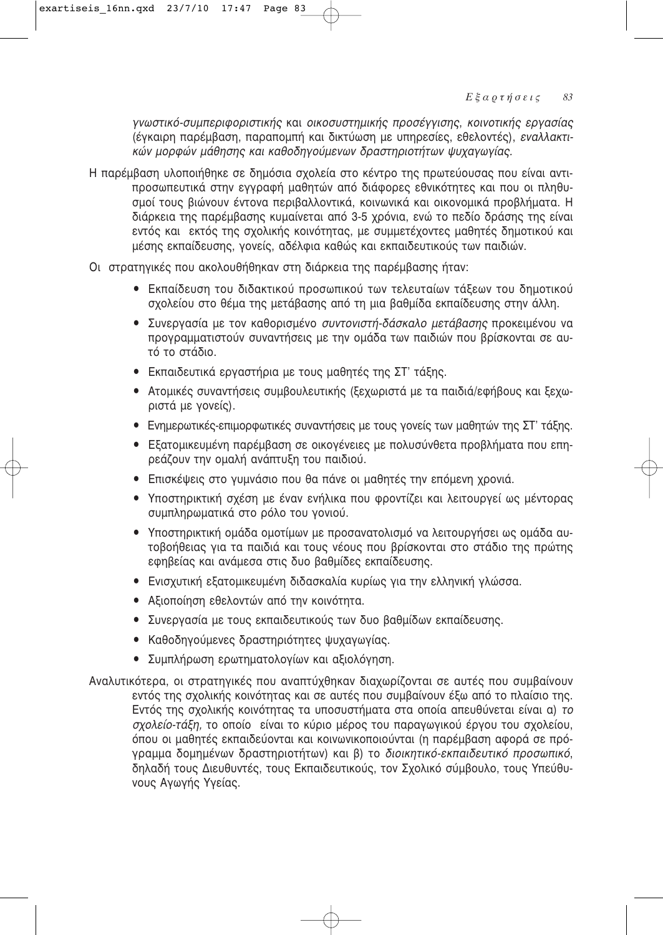γνωστικό-συμπεριφοριστικής και οικοσυστημικής προσέγγισης, κοινοτικής εργασίας (έγκαιρη παρέμβαση, παραπομπή και δικτύωση με υπηρεσίες, εθελοντές), *εναλλακτι-Κών μορφών μάθησης και καθοδηγούμενων δραστηριοτήτων ψυχαγωγίας.* 

Η παρέμβαση υλοποιήθηκε σε δημόσια σχολεία στο κέντρο της πρωτεύουσας που είναι αντιπροσωπευτικά στην εγγραφή μαθητών από διάφορες εθνικότητες και που οι πληθυσμοί τους βιώνουν έντονα περιβαλλοντικά, κοινωνικά και οικονομικά προβλήματα. Η διάρκεια της παρέμβασης κυμαίνεται από 3-5 χρόνια, ενώ το πεδίο δράσης της είναι εντός και εκτός της σχολικής κοινότητας, με συμμετέχοντες μαθητές δημοτικού και μέσης εκπαίδευσης, γονείς, αδέλφια καθώς και εκπαιδευτικούς των παιδιών.

Οι στρατηγικές που ακολουθήθηκαν στη διάρκεια της παρέμβασης ήταν:

exartiseis\_16nn.qxd 23/7/10 17:47 Page 83

- Εκπαίδευση του διδακτικού προσωπικού των τελευταίων τάξεων του δημοτικού σχολείου στο θέμα της μετάβασης από τη μια βαθμίδα εκπαίδευσης στην άλλη.
- Συνεργασία με τον καθορισμένο *συντονιστή-δάσκαλο μετάβασης* προκειμένου να προγραμματιστούν συναντήσεις με την ομάδα των παιδιών που βρίσκονται σε αυτό το στάδιο.
- Εκπαιδευτικά εργαστήρια με τους μαθητές της ΣΤ' τάξης.
- Ατομικές συναντήσεις συμβουλευτικής (ξεχωριστά με τα παιδιά/εφήβους και ξεχωριστά με γονείς).
- Ενημερωτικές-επιμορφωτικές συναντήσεις με τους γονείς των μαθητών της ΣΤ' τάξης.
- Εξατομικευμένη παρέμβαση σε οικογένειες με πολυσύνθετα προβλήματα που επηρεάζουν την ομαλή ανάπτυξη του παιδιού.
- Επισκέψεις στο γυμνάσιο που θα πάνε οι μαθητές την επόμενη χρονιά.
- Υποστηρικτική σχέση με έναν ενήλικα που φροντίζει και λειτουργεί ως μέντορας συμπληρωματικά στο ρόλο του γονιού.
- Υποστηρικτική ομάδα ομοτίμων με προσανατολισμό να λειτουργήσει ως ομάδα αυτοβοήθειας για τα παιδιά και τους νέους που βρίσκονται στο στάδιο της πρώτης εφηβείας και ανάμεσα στις δυο βαθμίδες εκπαίδευσης.
- Ενισχυτική εξατομικευμένη διδασκαλία κυρίως για την ελληνική γλώσσα.
- Αξιοποίηση εθελοντών από την κοινότητα.
- Συνεργασία με τους εκπαιδευτικούς των δυο βαθμίδων εκπαίδευσης.
- Καθοδηγούμενες δραστηριότητες ψυχαγωγίας.
- Συμπλήρωση ερωτηματολογίων και αξιολόγηση.
- Αναλυτικότερα, οι στρατηγικές που αναπτύχθηκαν διαχωρίζονται σε αυτές που συμβαίνουν εντός της σχολικής κοινότητας και σε αυτές που συμβαίνουν έξω από το πλαίσιο της. Εντός της σχολικής κοινότητας τα υποσυστήματα στα οποία απευθύνεται είναι α) *το*  $\sigma$ χολείο-τάξη, το οποίο είναι το κύριο μέρος του παραγωγικού έργου του σχολείου, όπου οι μαθητές εκπαιδεύονται και κοινωνικοποιούνται (η παρέμβαση αφορά σε πρόγραμμα δομημένων δραστηριοτήτων) και β) το *διοικητικό-εκπαιδευτικό προσωπικό*, δηλαδή τους Διευθυντές, τους Εκπαιδευτικούς, τον Σχολικό σύμβουλο, τους Υπεύθυνους Αγωγής Υγείας.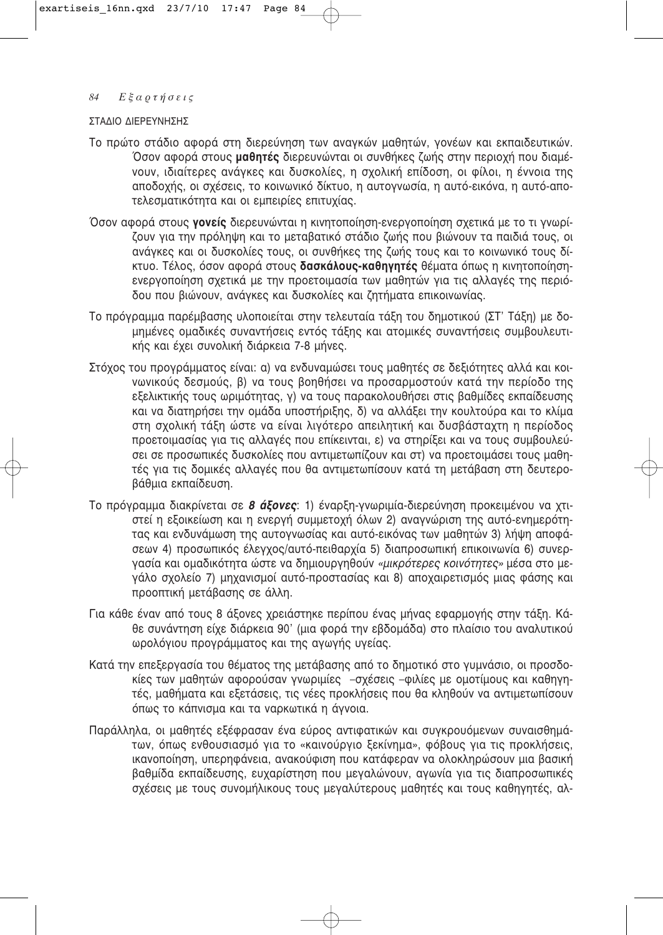# ΣΤΑΔΙΟ ΔΙΕΡΕΥΝΗΣΗΣ

- Το πρώτο στάδιο αφορά στη διερεύνηση των αναγκών μαθητών, γονέων και εκπαιδευτικών. Όσον αφορά στους **μαθητές** διερευνώνται οι συνθήκες ζωής στην περιοχή που διαμένουν, ιδιαίτερες ανάγκες και δυσκολίες, η σχολική επίδοση, οι φίλοι, η έννοια της αποδοχής, οι σχέσεις, το κοινωνικό δίκτυο, η αυτογνωσία, η αυτό-εικόνα, η αυτό-αποτελεσματικότητα και οι εμπειρίες επιτυχίας.
- Όσον αφορά στους **νονείς** διερευνώνται η κινητοποίηση-ενερνοποίηση σχετικά με το τι ννωρίζουν για την πρόληψη και το μεταβατικό στάδιο ζωής που βιώνουν τα παιδιά τους, οι ανάγκες και οι δυσκολίες τους, οι συνθήκες της ζωής τους και το κοινωνικό τους δί-KTUO. Τέλος, όσον αφορά στους δασκάλους-καθηγητές θέματα όπως η κινητοποίησηενεργοποίηση σχετικά με την προετοιμασία των μαθητών για τις αλλαγές της περιόδου που βιώνουν, ανάγκες και δυσκολίες και ζητήματα επικοινωνίας.
- Το πρόγραμμα παρέμβασης υλοποιείται στην τελευταία τάξη του δημοτικού (ΣΤ' Τάξη) με δομημένες ομαδικές συναντήσεις εντός τάξης και ατομικές συναντήσεις συμβουλευτικής και έχει συνολική διάρκεια 7-8 μήνες.
- Στόχος του προγράμματος είναι: α) να ενδυναμώσει τους μαθητές σε δεξιότητες αλλά και κοινωνικούς δεσμούς, β) να τους βοηθήσει να προσαρμοστούν κατά την περίοδο της εξελικτικής τους ωριμότητας, γ) να τους παρακολουθήσει στις βαθμίδες εκπαίδευσης και να διατηρήσει την ομάδα υποστήριξης, δ) να αλλάξει την κουλτούρα και το κλίμα στη σχολική τάξη ώστε να είναι λιγότερο απειλητική και δυσβάσταχτη η περίοδος προετοιμασίας για τις αλλαγές που επίκεινται, ε) να στηρίξει και να τους συμβουλεύσει σε προσωπικές δυσκολίες που αντιμετωπίζουν και στ) να προετοιμάσει τους μαθητές για τις δομικές αλλαγές που θα αντιμετωπίσουν κατά τη μετάβαση στη δευτερο- $\beta$ άθμια εκπαίδευση.
- Το πρόγραμμα διακρίνεται σε 8 άξονες: 1) έναρξη-γνωριμία-διερεύνηση προκειμένου να χτιστεί η εξοικείωση και η ενεργή συμμετοχή όλων 2) αναγνώριση της αυτό-ενημερότητας και ενδυνάμωση της αυτογνωσίας και αυτό-εικόνας των μαθητών 3) λήψη αποφάσεων 4) προσωπικός έλεγχος/αυτό-πειθαρχία 5) διαπροσωπική επικοινωνία 6) συνεργασία και ομαδικότητα ώστε να δημιουργηθούν «μικρότερες κοινότητες» μέσα στο μεγάλο σχολείο 7) μηχανισμοί αυτό-προστασίας και 8) αποχαιρετισμός μιας φάσης και προοπτική μετάβασης σε άλλη.
- Για κάθε έναν από τους 8 άξονες χρειάστηκε περίπου ένας μήνας εφαρμογής στην τάξη. Κάθε συνάντηση είχε διάρκεια 90' (μια φορά την εβδομάδα) στο πλαίσιο του αναλυτικού ωρολόγιου προγράμματος και της αγωγής υγείας.
- Κατά την επεξεργασία του θέματος της μετάβασης από το δημοτικό στο γυμνάσιο, οι προσδοκίες των μαθητών αφορούσαν γνωριμίες -σχέσεις -φιλίες με ομοτίμους και καθηγητές, μαθήματα και εξετάσεις, τις νέες προκλήσεις που θα κληθούν να αντιμετωπίσουν όπως το κάπνισμα και τα ναρκωτικά η άγνοια.
- Παράλληλα, οι μαθητές εξέφρασαν ένα εύρος αντιφατικών και συγκρουόμενων συναισθημάτων, όπως ενθουσιασμό για το «καινούργιο ξεκίνημα», φόβους για τις προκλήσεις, ικανοποίηση, υπερηφάνεια, ανακούφιση που κατάφεραν να ολοκληρώσουν μια βασική βαθμίδα εκπαίδευσης, ευχαρίστηση που μεγαλώνουν, αγωνία για τις διαπροσωπικές σχέσεις με τους συνομήλικους τους μεγαλύτερους μαθητές και τους καθηγητές, αλ-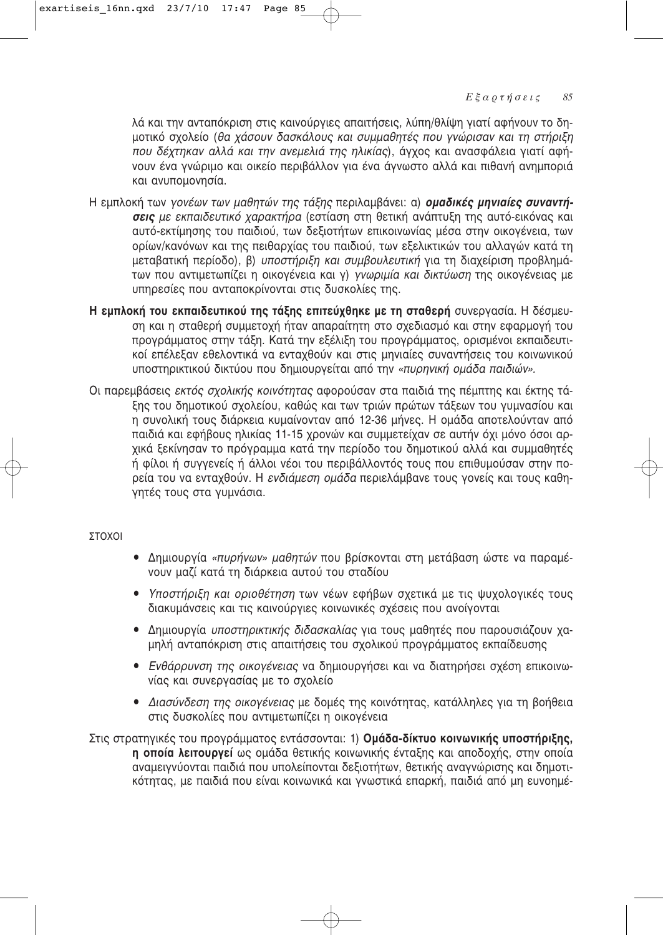exartiseis 16nn.qxd 23/7/10 17:47 Page 85

> λά και την ανταπόκριση στις καινούργιες απαιτήσεις, λύπη/θλίψη γιατί αφήνουν το δημοτικό σχολείο (θα χάσουν δασκάλους και συμμαθητές που γνώρισαν και τη στήριξη που δέχτηκαν αλλά και την ανεμελιά της ηλικίας), άγχος και ανασφάλεια γιατί αφήνουν ένα γνώριμο και οικείο περιβάλλον για ένα άγνωστο αλλά και πιθανή ανημποριά και ανυπομονησία.

- Η εμπλοκή των γονέων των μαθητών της τάξης περιλαμβάνει: α) ομαδικές μηνιαίες συναντήσεις με εκπαιδευτικό χαρακτήρα (εστίαση στη θετική ανάπτυξη της αυτό-εικόνας και αυτό-εκτίμησης του παιδιού, των δεξιοτήτων επικοινωνίας μέσα στην οικογένεια, των ορίων/κανόνων και της πειθαρχίας του παιδιού, των εξελικτικών του αλλαγών κατά τη μεταβατική περίοδο), β) υποστήριξη και συμβουλευτική για τη διαχείριση προβλημάτων που αντιμετωπίζει η οικογένεια και γ) γνωριμία και δικτύωση της οικογένειας με υπηρεσίες που ανταποκρίνονται στις δυσκολίες της.
- Η εμπλοκή του εκπαιδευτικού της τάξης επιτεύχθηκε με τη σταθερή συνεργασία. Η δέσμευση και η σταθερή συμμετοχή ήταν απαραίτητη στο σχεδιασμό και στην εφαρμονή του προγράμματος στην τάξη. Κατά την εξέλιξη του προγράμματος, ορισμένοι εκπαιδευτικοί επέλεξαν εθελοντικά να ενταχθούν και στις μηνιαίες συναντήσεις του κοινωνικού υποστηρικτικού δικτύου που δημιουργείται από την «πυρηνική ομάδα παιδιών».
- Οι παρεμβάσεις εκτός σχολικής κοινότητας αφορούσαν στα παιδιά της πέμπτης και έκτης τάξης του δημοτικού σχολείου, καθώς και των τριών πρώτων τάξεων του γυμνασίου και η συνολική τους διάρκεια κυμαίνονταν από 12-36 μήνες. Η ομάδα αποτελούνταν από παιδιά και εφήβους ηλικίας 11-15 χρονών και συμμετείχαν σε αυτήν όχι μόνο όσοι αρχικά ξεκίνησαν το πρόγραμμα κατά την περίοδο του δημοτικού αλλά και συμμαθητές ή φίλοι ή συγγενείς ή άλλοι νέοι του περιβάλλοντός τους που επιθυμούσαν στην πορεία του να ενταχθούν. Η ενδιάμεση ομάδα περιελάμβανε τους γονείς και τους καθηγητές τους στα γυμνάσια.

# ΣΤΟΧΟΙ

- Δημιουργία «πυρήνων» μαθητών που βρίσκονται στη μετάβαση ώστε να παραμένουν μαζί κατά τη διάρκεια αυτού του σταδίου
- Υποστήριξη και οριοθέτηση των νέων εφήβων σχετικά με τις ψυχολογικές τους διακυμάνσεις και τις καινούργιες κοινωνικές σχέσεις που ανοίγονται
- Δημιουργία *υποστηρικτικής διδασκαλίας* για τους μαθητές που παρουσιάζουν χαμηλή ανταπόκριση στις απαιτήσεις του σχολικού προγράμματος εκπαίδευσης
- Ενθάρρυνση της οικογένειας να δημιουργήσει και να διατηρήσει σχέση επικοινωνίας και συνεργασίας με το σχολείο
- Διασύνδεση της οικογένειας με δομές της κοινότητας, κατάλληλες για τη βοήθεια στις δυσκολίες που αντιμετωπίζει η οικογένεια
- Στις στρατηγικές του προγράμματος εντάσσονται: 1) Ομάδα-δίκτυο κοινωνικής υποστήριξης, η οποία λειτουργεί ως ομάδα θετικής κοινωνικής ένταξης και αποδοχής, στην οποία αναμειγνύονται παιδιά που υπολείπονται δεξιοτήτων, θετικής αναγνώρισης και δημοτικότητας, με παιδιά που είναι κοινωνικά και γνωστικά επαρκή, παιδιά από μη ευνοημέ-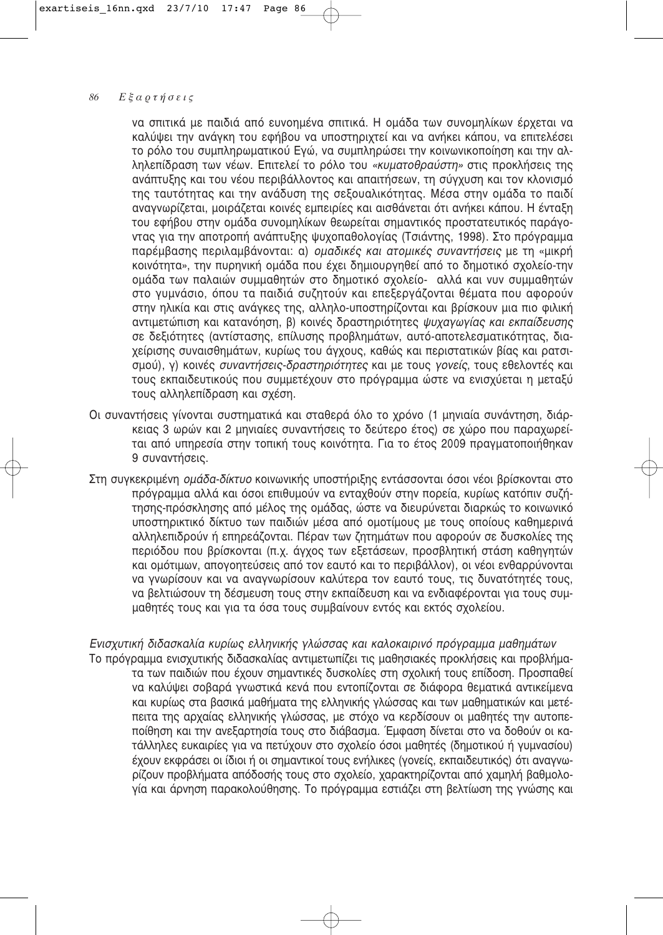να σπιτικά με παιδιά από ευνοημένα σπιτικά. Η ομάδα των συνομηλίκων έρχεται να καλύψει την ανάνκη του εφήβου να υποστηριχτεί και να ανήκει κάπου, να επιτελέσει το ρόλο του συμπληρωματικού Εγώ, να συμπληρώσει την κοινωνικοποίηση και την αλληλεπίδραση των νέων. Επιτελεί το ρόλο του *«κυματοθραύστη»* στις προκλήσεις της ανάπτυξης και του νέου περιβάλλοντος και απαιτήσεων, τη σύγχυση και τον κλονισμό της ταυτότητας και την ανάδυση της σεξουαλικότητας. Μέσα στην ομάδα το παιδί αναγνωρίζεται, μοιράζεται κοινές εμπειρίες και αισθάνεται ότι ανήκει κάπου. Η ένταξη του εφήβου στην ομάδα συνομηλίκων θεωρείται σημαντικός προστατευτικός παράγοντας για την αποτροπή ανάπτυξης ψυχοπαθολογίας (Τσιάντης, 1998). Στο πρόγραμμα παρέμβασης περιλαμβάνονται: α) *ομαδικές και ατομικές συναντήσεις* με τη «μικρή κοινότητα», την πυρηνική ομάδα που έχει δημιουργηθεί από το δημοτικό σχολείο-την ομάδα των παλαιών συμμαθητών στο δημοτικό σχολείο- αλλά και νυν συμμαθητών στο γυμνάσιο, όπου τα παιδιά συζητούν και επεξεργάζονται θέματα που αφορούν στην ηλικία και στις ανάγκες της, αλληλο-υποστηρίζονται και βρίσκουν μια πιο φιλική αντιμετώπιση και κατανόηση, β) κοινές δραστηριότητες ψυχαγωγίας και εκπαίδευσης σε δεξιότητες (αντίστασης, επίλυσης προβλημάτων, αυτό-αποτελεσματικότητας, διαχείρισης συναισθημάτων, κυρίως του άγχους, καθώς και περιστατικών βίας και ρατσισμού), γ) κοινές *συναντήσεις-δραστηριότητες* και με τους *γονείς*, τους εθελοντές και τους εκπαιδευτικούς που συμμετέχουν στο πρόγραμμα ώστε να ενισχύεται η μεταξύ τους αλληλεπίδραση και σχέση.

- Οι συναντήσεις γίνονται συστηματικά και σταθερά όλο το χρόνο (1 μηνιαία συνάντηση, διάρ-Κειας 3 ωρών και 2 μηνιαίες συναντήσεις το δεύτερο έτος) σε χώρο που παραχωρείται από υπηρεσία στην τοπική τους κοινότητα. Για το έτος 2009 πραγματοποιήθηκαν 9 συναντήσεις.
- Στη συγκεκριμένη *ομάδα-δίκτυο* κοινωνικής υποστήριξης εντάσσονται όσοι νέοι βρίσκονται στο πρόγραμμα αλλά και όσοι επιθυμούν να ενταχθούν στην πορεία, κυρίως κατόπιν συζήτησης-πρόσκλησης από μέλος της ομάδας, ώστε να διευρύνεται διαρκώς το κοινωνικό υποστηρικτικό δίκτυο των παιδιών μέσα από ομοτίμους με τους οποίους καθημερινά αλληλεπιδρούν ή επηρεάζονται. Πέραν των ζητημάτων που αφορούν σε δυσκολίες της περιόδου που βρίσκονται (π.χ. άγχος των εξετάσεων, προσβλητική στάση καθηγητών και ομότιμων, απογοητεύσεις από τον εαυτό και το περιβάλλον), οι νέοι ενθαρρύνονται να γνωρίσουν και να αναγνωρίσουν καλύτερα τον εαυτό τους, τις δυνατότητές τους, να βελτιώσουν τη δέσμευση τους στην εκπαίδευση και να ενδιαφέρονται για τους συμμαθητές τους και για τα όσα τους συμβαίνουν εντός και εκτός σχολείου.

# *Eνισχυτική διδασκαλία κυρίως ελληνικής γλώσσας και καλοκαιρινό πρόγραμμα μαθημάτων*

Το πρόγραμμα ενισχυτικής διδασκαλίας αντιμετωπίζει τις μαθησιακές προκλήσεις και προβλήματα των παιδιών που έχουν σημαντικές δυσκολίες στη σχολική τους επίδοση. Προσπαθεί να καλύψει σοβαρά γνωστικά κενά που εντοπίζονται σε διάφορα θεματικά αντικείμενα και κυρίως στα βασικά μαθήματα της ελληνικής γλώσσας και των μαθηματικών και μετέπειτα της αρχαίας ελληνικής γλώσσας, με στόχο να κερδίσουν οι μαθητές την αυτοπεποίθηση και την ανεξαρτησία τους στο διάβασμα. Έμφαση δίνεται στο να δοθούν οι κατάλληλες ευκαιρίες για να πετύχουν στο σχολείο όσοι μαθητές (δημοτικού ή γυμνασίου) έχουν εκφράσει οι ίδιοι ή οι σημαντικοί τους ενήλικες (γονείς, εκπαιδευτικός) ότι αναγνωρίζουν προβλήματα απόδοσής τους στο σχολείο, χαρακτηρίζονται από χαμηλή βαθμολογία και άρνηση παρακολούθησης. Το πρόγραμμα εστιάζει στη βελτίωση της γνώσης και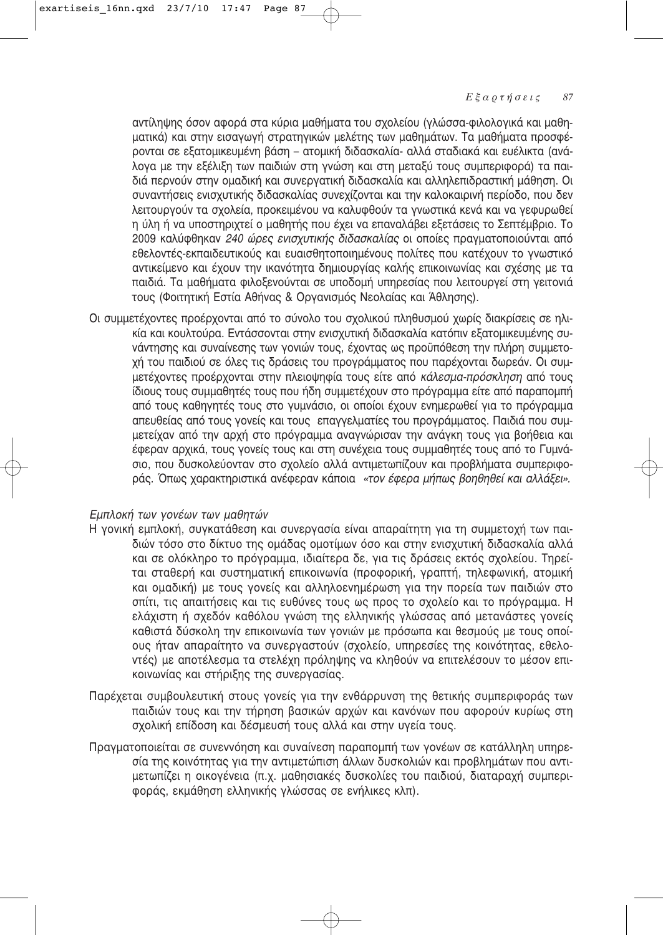αντίληψης όσον αφορά στα κύρια μαθήματα του σχολείου (γλώσσα-φιλολογικά και μαθηματικά) και στην εισαγωγή στρατηγικών μελέτης των μαθημάτων. Τα μαθήματα προσφέρονται σε εξατομικευμένη βάση – ατομική διδασκαλία- αλλά σταδιακά και ευέλικτα (ανάλογα με την εξέλιξη των παιδιών στη γνώση και στη μεταξύ τους συμπεριφορά) τα παιδιά περνούν στην ομαδική και συνεργατική διδασκαλία και αλληλεπιδραστική μάθηση. Οι συναντήσεις ενισχυτικής διδασκαλίας συνεχίζονται και την καλοκαιρινή περίοδο, που δεν λειτουργούν τα σχολεία, προκειμένου να καλυφθούν τα γνωστικά κενά και να γεφυρωθεί η ύλη ή να υποστηριχτεί ο μαθητής που έχει να επαναλάβει εξετάσεις το Σεπτέμβριο. Το 2009 καλύφθηκαν 240 ώρες ενισχυτικής διδασκαλίας οι οποίες πραγματοποιούνται από εθελοντές-εκπαιδευτικούς και ευαισθητοποιημένους πολίτες που κατέχουν το γνωστικό αντικείμενο και έχουν την ικανότητα δημιουργίας καλής επικοινωνίας και σχέσης με τα παιδιά. Τα μαθήματα φιλοξενούνται σε υποδομή υπηρεσίας που λειτουργεί στη γειτονιά τους (Φοιτητική Εστία Αθήνας & Οργανισμός Νεολαίας και Άθλησης).

Οι συμμετέχοντες προέρχονται από το σύνολο του σχολικού πληθυσμού χωρίς διακρίσεις σε ηλικία και κουλτούρα. Εντάσσονται στην ενισχυτική διδασκαλία κατόπιν εξατομικευμένης συνάντησης και συναίνεσης των γονιών τους, έχοντας ως προϋπόθεση την πλήρη συμμετοχή του παιδιού σε όλες τις δράσεις του προγράμματος που παρέχονται δωρεάν. Οι συμμετέχοντες προέρχονται στην πλειοψηφία τους είτε από κάλεσμα-πρόσκληση από τους ίδιους τους συμμαθητές τους που ήδη συμμετέχουν στο πρόγραμμα είτε από παραπομπή από τους καθηγητές τους στο γυμνάσιο, οι οποίοι έχουν ενημερωθεί για το πρόγραμμα απευθείας από τους γονείς και τους επαγγελματίες του προγράμματος. Παιδιά που συμμετείχαν από την αρχή στο πρόγραμμα αναγνώρισαν την ανάγκη τους για βοήθεια και έφεραν αρχικά, τους γονείς τους και στη συνέχεια τους συμμαθητές τους από το Γυμνάσιο, που δυσκολεύονταν στο σχολείο αλλά αντιμετωπίζουν και προβλήματα συμπεριφοράς. Όπως χαρακτηριστικά ανέφεραν κάποια «τον έφερα μήπως βοηθηθεί και αλλάξει».

# *<i>Ēμπλοκή των γονέων των μαθητών*

- Η νονική εμπλοκή, συνκατάθεση και συνερνασία είναι απαραίτητη νια τη συμμετοχή των παιδιών τόσο στο δίκτυο της ομάδας ομοτίμων όσο και στην ενισχυτική διδασκαλία αλλά και σε ολόκληρο το πρόγραμμα, ιδιαίτερα δε, για τις δράσεις εκτός σχολείου. Τηρείται σταθερή και συστηματική επικοινωνία (προφορική, γραπτή, τηλεφωνική, ατομική και ομαδική) με τους γονείς και αλληλοενημέρωση για την πορεία των παιδιών στο σπίτι, τις απαιτήσεις και τις ευθύνες τους ως προς το σχολείο και το πρόγραμμα. Η ελάχιστη ή σχεδόν καθόλου γνώση της ελληνικής γλώσσας από μετανάστες γονείς καθιστά δύσκολη την επικοινωνία των γονιών με πρόσωπα και θεσμούς με τους οποίους ήταν απαραίτητο να συνεργαστούν (σχολείο, υπηρεσίες της κοινότητας, εθελοντές) με αποτέλεσμα τα στελέχη πρόληψης να κληθούν να επιτελέσουν το μέσον επικοινωνίας και στήριξης της συνεργασίας.
- Παρέχεται συμβουλευτική στους γονείς για την ενθάρρυνση της θετικής συμπεριφοράς των παιδιών τους και την τήρηση βασικών αρχών και κανόνων που αφορούν κυρίως στη σχολική επίδοση και δέσμευσή τους αλλά και στην υγεία τους.
- Πραγματοποιείται σε συνεννόηση και συναίνεση παραπομπή των γονέων σε κατάλληλη υπηρεσία της κοινότητας για την αντιμετώπιση άλλων δυσκολιών και προβλημάτων που αντιμετωπίζει η οικογένεια (π.χ. μαθησιακές δυσκολίες του παιδιού, διαταραχή συμπεριφοράς, εκμάθηση ελληνικής γλώσσας σε ενήλικες κλπ).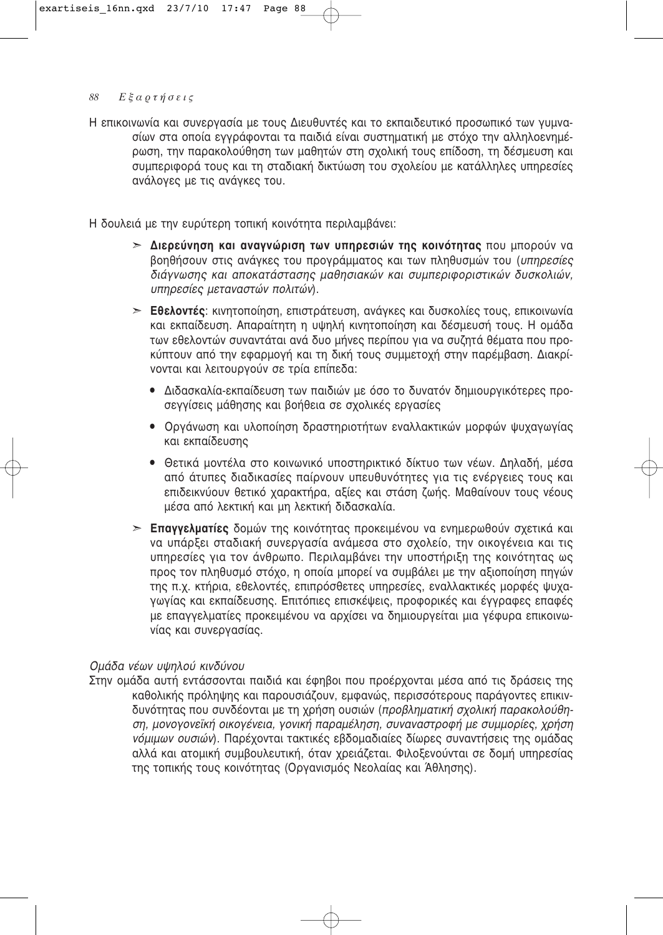Η επικοινωνία και συνεργασία με τους Διευθυντές και το εκπαιδευτικό προσωπικό των γυμνασίων στα οποία εγγράφονται τα παιδιά είναι συστηματική με στόχο την αλληλοενημέρωση, την παρακολούθηση των μαθητών στη σχολική τους επίδοση, τη δέσμευση και συμπεριφορά τους και τη σταδιακή δικτύωση του σχολείου με κατάλληλες υπηρεσίες ανάλογες με τις ανάγκες του.

Η δουλειά με την ευρύτερη τοπική κοινότητα περιλαμβάνει:

- ► Διερεύνηση και αναγνώριση των υπηρεσιών της κοινότητας που μπορούν να Bonθήσουν στις ανάγκες του προγράμματος και των πληθυσμών του (*υπηρεσίες* διάγνωσης και αποκατάστασης μαθησιακών και συμπεριφοριστικών δυσκολιών, *υπηρεσίες μεταναστών πολιτών).*
- > **Εθελοντές**: κινητοποίηση, επιστράτευση, ανάγκες και δυσκολίες τους, επικοινωνία και εκπαίδευση. Απαραίτητη η υψηλή κινητοποίηση και δέσμευσή τους. Η ομάδα των εθελοντών συναντάται ανά δυο μήνες περίπου για να συζητά θέματα που προκύπτουν από την εφαρμογή και τη δική τους συμμετοχή στην παρέμβαση. Διακρίνονται και λειτουργούν σε τρία επίπεδα:
	- Διδασκαλία-εκπαίδευση των παιδιών με όσο το δυνατόν δημιουργικότερες προσεγγίσεις μάθησης και βοήθεια σε σχολικές εργασίες
	- Οργάνωση και υλοποίηση δραστηριοτήτων εναλλακτικών μορφών ψυχαγωγίας και εκπαίδευσης
	- Θετικά μοντέλα στο κοινωνικό υποστηρικτικό δίκτυο των νέων. Δηλαδή, μέσα από άτυπες διαδικασίες παίρνουν υπευθυνότητες για τις ενέργειες τους και επιδεικνύουν θετικό χαρακτήρα, αξίες και στάση ζωής. Μαθαίνουν τους νέους μέσα από λεκτική και μη λεκτική διδασκαλία.
- > **Επαγγελματίες** δομών της κοινότητας προκειμένου να ενημερωθούν σχετικά και να υπάρξει σταδιακή συνεργασία ανάμεσα στο σχολείο, την οικογένεια και τις υπηρεσίες για τον άνθρωπο. Περιλαμβάνει την υποστήριξη της κοινότητας ως προς τον πληθυσμό στόχο, η οποία μπορεί να συμβάλει με την αξιοποίηση πηγών της π.χ. κτήρια, εθελοντές, επιπρόσθετες υπηρεσίες, εναλλακτικές μορφές ψυχαγωγίας και εκπαίδευσης. Επιτόπιες επισκέψεις, προφορικές και έγγραφες επαφές με επαγγελματίες προκειμένου να αρχίσει να δημιουργείται μια γέφυρα επικοινωνίας και συνεργασίας.

# Ομάδα νέων υψηλού κινδύνου

Στην ομάδα αυτή εντάσσονται παιδιά και έφηβοι που προέρχονται μέσα από τις δράσεις της καθολικής πρόληψης και παρουσιάζουν, εμφανώς, περισσότερους παράγοντες επικινδυνότητας που συνδέονται με τη χρήση ουσιών (*προβληματική σχολική παρακολούθη*ση, μονογονεϊκή οικογένεια, γονική παραμέληση, συναναστροφή με συμμορίες, χρήση *VÓμιμων ουσιών*). Παρέχονται τακτικές εβδομαδιαίες δίωρες συναντήσεις της ομάδας αλλά και ατομική συμβουλευτική, όταν χρειάζεται. Φιλοξενούνται σε δομή υπηρεσίας της τοπικής τους κοινότητας (Οργανισμός Νεολαίας και Άθλησης).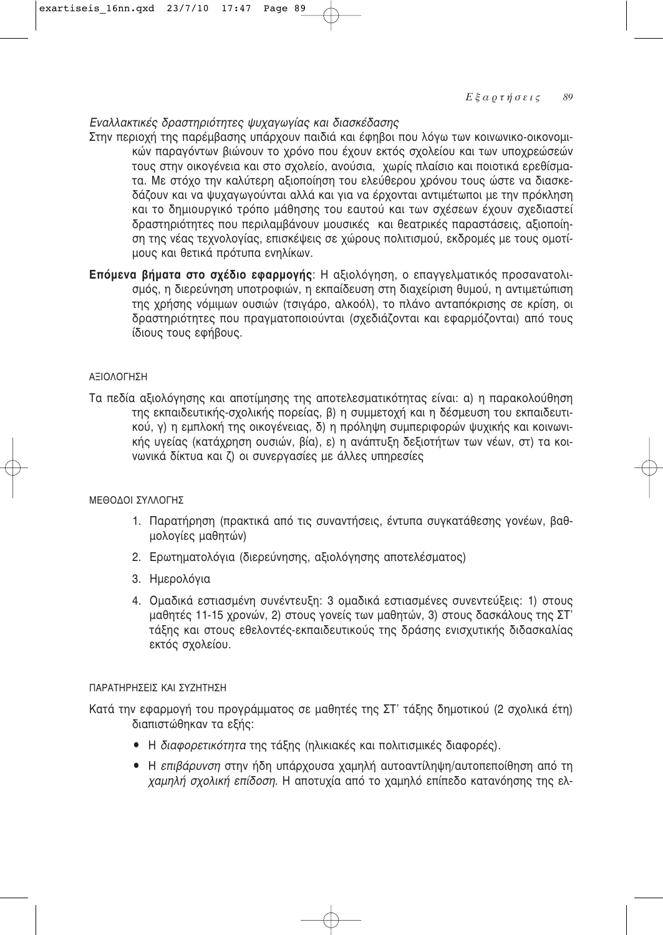#### exartiseis 16nn.qxd 23/7/10 17:47 Page 89

# Εναλλακτικές δραστηριότητες ψυχαγωγίας και διασκέδασης

- Στην περιοχή της παρέμβασης υπάρχουν παιδιά και έφηβοι που λόγω των κοινωνικο-οικονομικών παραγόντων βιώνουν το χρόνο που έχουν εκτός σχολείου και των υποχρεώσεών τους στην οικογένεια και στο σχολείο, ανούσια, γωρίς πλαίσιο και ποιοτικά ερεθίσματα. Με στόχο την καλύτερη αξιοποίηση του ελεύθερου χρόνου τους ώστε να διασκεδάζουν και να ψυχαγωγούνται αλλά και για να έρχονται αντιμέτωποι με την πρόκληση και το δημιουργικό τρόπο μάθησης του εαυτού και των σχέσεων έχουν σχεδιαστεί δραστηριότητες που περιλαμβάνουν μουσικές και θεατρικές παραστάσεις, αξιοποίηση της νέας τεχνολογίας, επισκέψεις σε χώρους πολιτισμού, εκδρομές με τους ομοτίμους και θετικά πρότυπα ενηλίκων.
- Επόμενα βήματα στο σχέδιο εφαρμογής: Η αξιολόγηση, ο επαγγελματικός προσανατολισμός, η διερεύνηση υποτροφιών, η εκπαίδευση στη διαχείριση θυμού, η αντιμετώπιση της χρήσης νόμιμων ουσιών (τσιγάρο, αλκοόλ), το πλάνο ανταπόκρισης σε κρίση, οι δραστηριότητες που πραγματοποιούνται (σχεδιάζονται και εφαρμόζονται) από τους ίδιους τους εφήβους.

## ΑΞΙΟΛΟΓΗΣΗ

Τα πεδία αξιολόγησης και αποτίμησης της αποτελεσματικότητας είναι: α) η παρακολούθηση της εκπαιδευτικής-σχολικής πορείας, β) η συμμετοχή και η δέσμευση του εκπαιδευτικού, γ) η εμπλοκή της οικονένειας, δ) η πρόληψη συμπεριφορών ψυχικής και κοινωνικής υγείας (κατάχρηση ουσιών, βία), ε) η ανάπτυξη δεξιοτήτων των νέων, στ) τα κοινωνικά δίκτυα και ζ) οι συνεργασίες με άλλες υπηρεσίες

# ΜΕΘΩΛΩΙ ΣΥΛΛΩΓΗΣ

- 1. Παρατήρηση (πρακτικά από τις συναντήσεις, έντυπα συγκατάθεσης γονέων, βαθμολογίες μαθητών)
- 2. Ερωτηματολόγια (διερεύνησης, αξιολόγησης αποτελέσματος)
- 3. Ημερολόγια
- 4. Ομαδικά εστιασμένη συνέντευξη: 3 ομαδικά εστιασμένες συνεντεύξεις: 1) στους μαθητές 11-15 χρονών, 2) στους γονείς των μαθητών, 3) στους δασκάλους της ΣΤ' τάξης και στους εθελοντές-εκπαιδευτικούς της δράσης ενισχυτικής διδασκαλίας εκτός σχολείου.

### ΠΑΡΑΤΗΡΗΣΕΙΣ ΚΑΙ ΣΥΖΗΤΗΣΗ

Κατά την εφαρμογή του προγράμματος σε μαθητές της ΣΤ' τάξης δημοτικού (2 σχολικά έτη) διαπιστώθηκαν τα εξής:

- Η διαφορετικότητα της τάξης (ηλικιακές και πολιτισμικές διαφορές).
- Η επιβάρυνση στην ήδη υπάρχουσα χαμηλή αυτοαντίληψη/αυτοπεποίθηση από τη χαμηλή σχολική επίδοση. Η αποτυχία από το χαμηλό επίπεδο κατανόησης της ελ-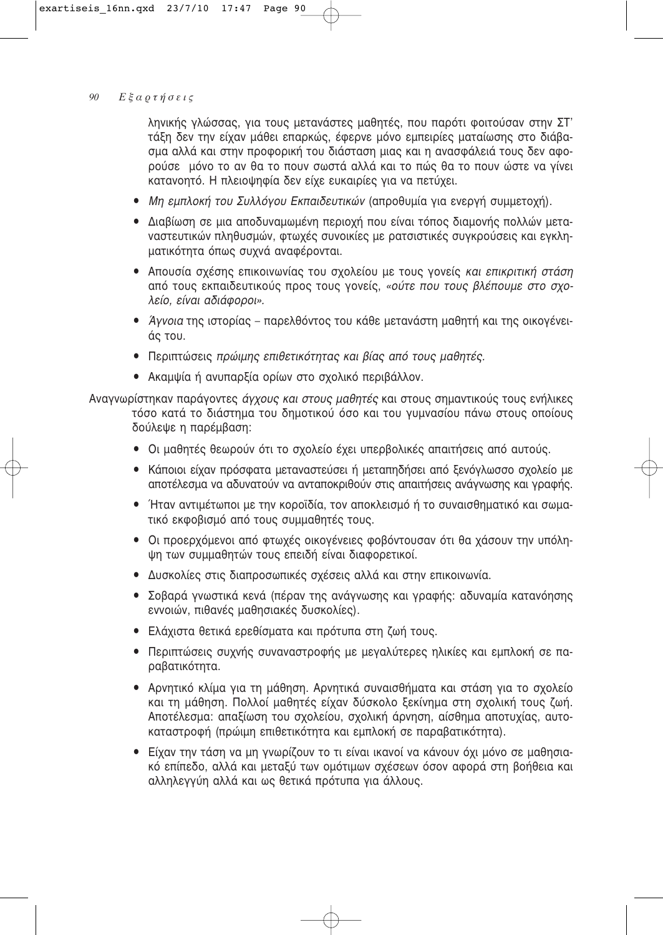ληνικής γλώσσας, για τους μετανάστες μαθητές, που παρότι φοιτούσαν στην ΣΤ' τάξη δεν την είχαν μάθει επαρκώς, έφερνε μόνο εμπειρίες ματαίωσης στο διάβασμα αλλά και στην προφορική του διάσταση μιας και η ανασφάλειά τους δεν αφορούσε μόνο το αν θα το πουν σωστά αλλά και το πώς θα το πουν ώστε να γίνει κατανοητό. Η πλειοψηφία δεν είχε ευκαιρίες για να πετύχει.

- <sup>•</sup> Μη εμπλοκή του Συλλόγου Εκπαιδευτικών (απροθυμία για ενεργή συμμετοχή).
- Διαβίωση σε μια αποδυναμωμένη περιοχή που είναι τόπος διαμονής πολλών μεταναστευτικών πληθυσμών, φτωχές συνοικίες με ρατσιστικές συγκρούσεις και εγκληματικότητα όπως συχνά αναφέρονται.
- Απουσία σχέσης επικοινωνίας του σχολείου με τους γονείς και επικριτική στάση από τους εκπαιδευτικούς προς τους γονείς, «ούτε που τους βλέπουμε στο σχο- $\lambda$ είο, είναι αδιάφοροι».
- **•** *Άγγοια* της ιστορίας παρελθόντος του κάθε μετανάστη μαθητή και της οικονένειάς του.
- Περιπτώσεις *πρώιμης επιθετικότητας και βίας από τους μαθητές.*
- Ακαμψία ή ανυπαρξία ορίων στο σχολικό περιβάλλον.

Αναγνωρίστηκαν παράγοντες *άγχους και στους μαθητές* και στους σημαντικούς τους ενήλικες τόσο κατά το διάστημα του δημοτικού όσο και του γυμνασίου πάνω στους οποίους δούλεψε η παρέμβαση:

- Οι μαθητές θεωρούν ότι το σχολείο έχει υπερβολικές απαιτήσεις από αυτούς.
- Κάποιοι είχαν πρόσφατα μεταναστεύσει ή μεταπηδήσει από ξενόγλωσσο σχολείο με αποτέλεσμα να αδυνατούν να ανταποκριθούν στις απαιτήσεις ανάγνωσης και γραφής.
- Ήταν αντιμέτωποι με την κοροϊδία, τον αποκλεισμό ή το συναισθηματικό και σωματικό εκφοβισμό από τους συμμαθητές τους.
- Οι προερχόμενοι από φτωχές οικογένειες φοβόντουσαν ότι θα χάσουν την υπόληψη των συμμαθητών τους επειδή είναι διαφορετικοί.
- Δυσκολίες στις διαπροσωπικές σχέσεις αλλά και στην επικοινωνία.
- Σοβαρά γνωστικά κενά (πέραν της ανάγνωσης και γραφής: αδυναμία κατανόησης εννοιών, πιθανές μαθησιακές δυσκολίες).
- Ελάχιστα θετικά ερεθίσματα και πρότυπα στη ζωή τους.
- Περιπτώσεις συχνής συναναστροφής με μεγαλύτερες ηλικίες και εμπλοκή σε πα- $\alpha\beta$ ατικότητα.
- Αρνητικό κλίμα για τη μάθηση. Αρνητικά συναισθήματα και στάση για το σχολείο και τη μάθηση. Πολλοί μαθητές είχαν δύσκολο ξεκίνημα στη σχολική τους ζωή. Αποτέλεσμα: απαξίωση του σχολείου, σχολική άρνηση, αίσθημα αποτυχίας, αυτοκαταστροφή (πρώιμη επιθετικότητα και εμπλοκή σε παραβατικότητα).
- Είχαν την τάση να μη γνωρίζουν το τι είναι ικανοί να κάνουν όχι μόνο σε μαθησια-Κό επίπεδο, αλλά και μεταξύ των ομότιμων σχέσεων όσον αφορά στη βοήθεια και αλληλεγγύη αλλά και ως θετικά πρότυπα για άλλους.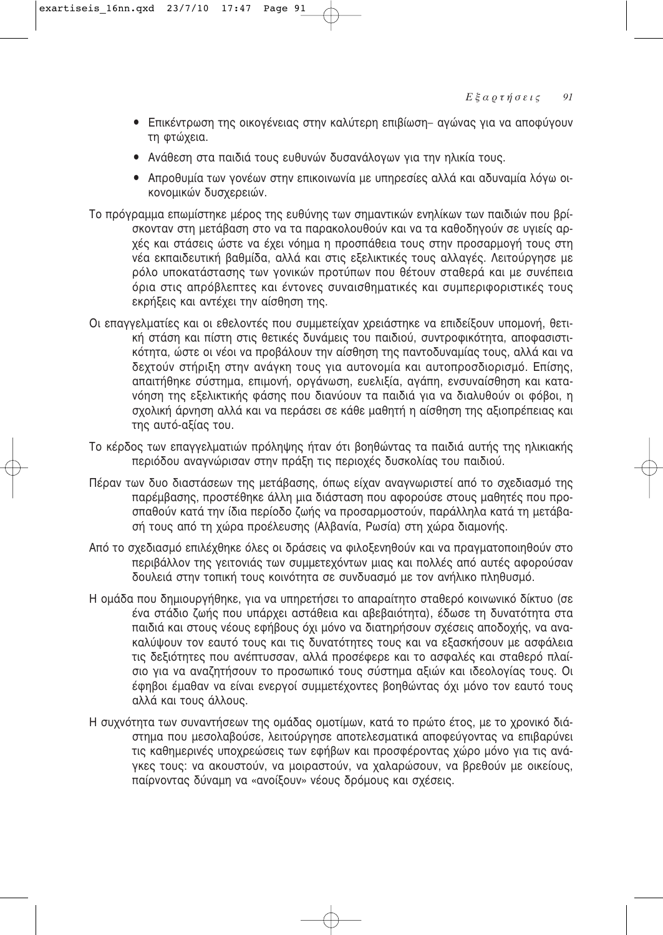- · Επικέντρωση της οικογένειας στην καλύτερη επιβίωση- αγώνας για να αποφύγουν τη φτώχεια.
- · Ανάθεση στα παιδιά τους ευθυνών δυσανάλογων για την ηλικία τους.
- Απροθυμία των γονέων στην επικοινωνία με υπηρεσίες αλλά και αδυναμία λόγω οικονομικών δυσχερειών.
- Το πρόγραμμα επωμίστηκε μέρος της ευθύνης των σημαντικών ενηλίκων των παιδιών που βρίσκονταν στη μετάβαση στο να τα παρακολουθούν και να τα καθοδηγούν σε υγιείς αρχές και στάσεις ώστε να έχει νόημα η προσπάθεια τους στην προσαρμογή τους στη νέα εκπαιδευτική βαθμίδα, αλλά και στις εξελικτικές τους αλλαγές. Λειτούργησε με ρόλο υποκατάστασης των γονικών προτύπων που θέτουν σταθερά και με συνέπεια όρια στις απρόβλεπτες και έντονες συναισθηματικές και συμπεριφοριστικές τους εκρήξεις και αντέχει την αίσθηση της.
- Οι επαγγελματίες και οι εθελοντές που συμμετείχαν χρειάστηκε να επιδείξουν υπομονή, θετική στάση και πίστη στις θετικές δυνάμεις του παιδιού, συντροφικότητα, αποφασιστικότητα, ώστε οι νέοι να προβάλουν την αίσθηση της παντοδυναμίας τους, αλλά και να δεχτούν στήριξη στην ανάγκη τους για αυτονομία και αυτοπροσδιορισμό. Επίσης, απαιτήθηκε σύστημα, επιμονή, οργάνωση, ευελιξία, αγάπη, ενσυναίσθηση και κατανόηση της εξελικτικής φάσης που διανύουν τα παιδιά για να διαλυθούν οι φόβοι, η σχολική άρνηση αλλά και να περάσει σε κάθε μαθητή η αίσθηση της αξιοπρέπειας και της αυτό-αξίας του.
- Το κέρδος των επαγγελματιών πρόληψης ήταν ότι βοηθώντας τα παιδιά αυτής της ηλικιακής περιόδου αναγνώρισαν στην πράξη τις περιοχές δυσκολίας του παιδιού.
- Πέραν των δυο διαστάσεων της μετάβασης, όπως είχαν αναγνωριστεί από το σχεδιασμό της παρέμβασης, προστέθηκε άλλη μια διάσταση που αφορούσε στους μαθητές που προσπαθούν κατά την ίδια περίοδο ζωής να προσαρμοστούν, παράλληλα κατά τη μετάβασή τους από τη χώρα προέλευσης (Αλβανία, Ρωσία) στη χώρα διαμονής.
- Από το σχεδιασμό επιλέχθηκε όλες οι δράσεις να φιλοξενηθούν και να πραγματοποιηθούν στο περιβάλλον της γειτονιάς των συμμετεχόντων μιας και πολλές από αυτές αφορούσαν δουλειά στην τοπική τους κοινότητα σε συνδυασμό με τον ανήλικο πληθυσμό.
- Η ομάδα που δημιουργήθηκε, για να υπηρετήσει το απαραίτητο σταθερό κοινωνικό δίκτυο (σε ένα στάδιο ζωής που υπάρχει αστάθεια και αβεβαιότητα), έδωσε τη δυνατότητα στα παιδιά και στους νέους εφήβους όχι μόνο να διατηρήσουν σχέσεις αποδοχής, να ανακαλύψουν τον εαυτό τους και τις δυνατότητες τους και να εξασκήσουν με ασφάλεια τις δεξιότητες που ανέπτυσσαν, αλλά προσέφερε και το ασφαλές και σταθερό πλαίσιο για να αναζητήσουν το προσωπικό τους σύστημα αξιών και ιδεολογίας τους. Οι έφηβοι έμαθαν να είναι ενεργοί συμμετέχοντες βοηθώντας όχι μόνο τον εαυτό τους αλλά και τους άλλους.
- Η συχνότητα των συναντήσεων της ομάδας ομοτίμων, κατά το πρώτο έτος, με το χρονικό διάστημα που μεσολαβούσε, λειτούργησε αποτελεσματικά αποφεύγοντας να επιβαρύνει τις καθημερινές υποχρεώσεις των εφήβων και προσφέροντας χώρο μόνο για τις ανάγκες τους: να ακουστούν, να μοιραστούν, να χαλαρώσουν, να βρεθούν με οικείους, παίρνοντας δύναμη να «ανοίξουν» νέους δρόμους και σχέσεις.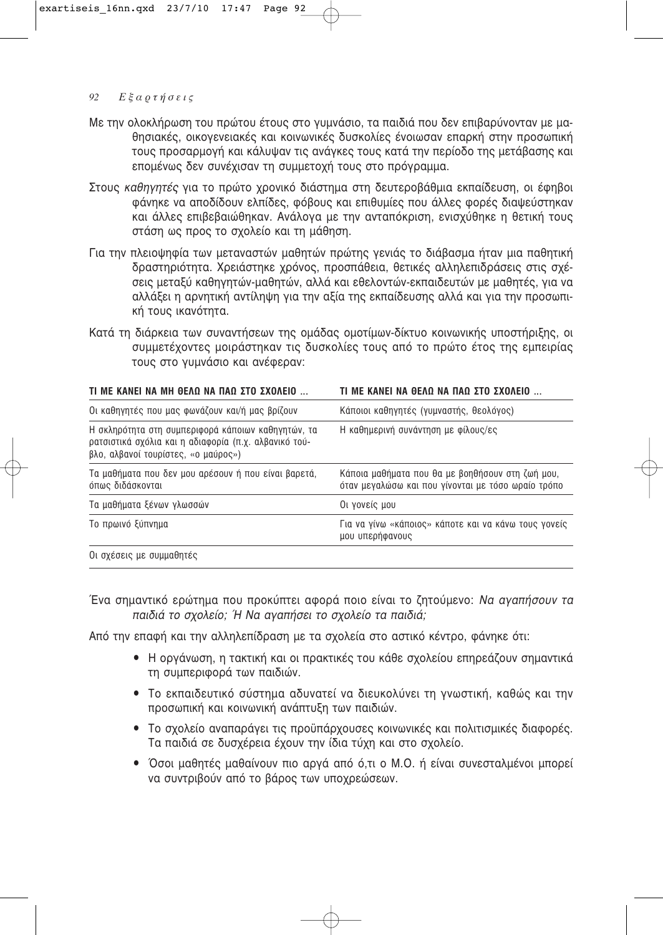- Με την ολοκλήρωση του πρώτου έτους στο γυμνάσιο, τα παιδιά που δεν επιβαρύνονταν με μαθησιακές, οικογενειακές και κοινωνικές δυσκολίες ένοιωσαν επαρκή στην προσωπική τους προσαρμογή και κάλυψαν τις ανάγκες τους κατά την περίοδο της μετάβασης και επομένως δεν συνέχισαν τη συμμετοχή τους στο πρόγραμμα.
- Στους καθηγητές για το πρώτο χρονικό διάστημα στη δευτεροβάθμια εκπαίδευση, οι έφηβοι φάνηκε να αποδίδουν ελπίδες, φόβους και επιθυμίες που άλλες φορές διαψεύστηκαν και άλλες επιβεβαιώθηκαν. Ανάλονα με την ανταπόκριση, ενισχύθηκε η θετική τους στάση ως προς το σχολείο και τη μάθηση.
- Για την πλειοψηφία των μεταναστών μαθητών πρώτης γενιάς το διάβασμα ήταν μια παθητική δραστηριότητα. Χρειάστηκε χρόνος, προσπάθεια, θετικές αλληλεπιδράσεις στις σχέσεις μεταξύ καθηνητών-μαθητών, αλλά και εθελοντών-εκπαιδευτών με μαθητές, για να αλλάξει η αρνητική αντίληψη για την αξία της εκπαίδευσης αλλά και για την προσωπική τους ικανότητα.
- Κατά τη διάρκεια των συναντήσεων της ομάδας ομοτίμων-δίκτυο κοινωνικής υποστήριξης, οι συμμετέχοντες μοιράστηκαν τις δυσκολίες τους από το πρώτο έτος της εμπειρίας τους στο γυμνάσιο και ανέφεραν:

| TI ME KANEI NA MH OEAQ NA ΠΑΩ ΣΤΟ ΣΧΟΛΕΙΟ                                                                                                          | ΤΙ ΜΕ ΚΑΝΕΙ ΝΑ ΘΕΛΩ ΝΑ ΠΑΩ ΣΤΟ ΣΧΟΛΕΙΟ                                                                 |
|----------------------------------------------------------------------------------------------------------------------------------------------------|--------------------------------------------------------------------------------------------------------|
| Οι καθηγητές που μας φωνάζουν και/ή μας βρίζουν                                                                                                    | Κάποιοι καθηγητές (γυμναστής, θεολόγος)                                                                |
| Η σκληρότητα στη συμπεριφορά κάποιων καθηγητών, τα<br>ρατσιστικά σχόλια και η αδιαφορία (π.χ. αλβανικό τού-<br>βλο, αλβανοί τουρίστες, «ο μαύρος») | Η καθημερινή συνάντηση με φίλους/ες                                                                    |
| Τα μαθήματα που δεν μου αρέσουν ή που είναι βαρετά,<br>όπως διδάσκονται                                                                            | Κάποια μαθήματα που θα με βοηθήσουν στη ζωή μου,<br>όταν μεγαλώσω και που γίνονται με τόσο ωραίο τρόπο |
| Τα μαθήματα ξένων γλωσσών                                                                                                                          | Οι γονείς μου                                                                                          |
| Το πρωινό ξύπνημα                                                                                                                                  | Για να γίνω «κάποιος» κάποτε και να κάνω τους γονείς<br>μου υπερήφανους                                |
| Οι σχέσεις με συμμαθητές                                                                                                                           |                                                                                                        |

Ένα σημαντικό ερώτημα που προκύπτει αφορά ποιο είναι το ζητούμενο: Να αγαπήσουν τα παιδιά το σχολείο; Ή Να αγαπήσει το σχολείο τα παιδιά;

Από την επαφή και την αλληλεπίδραση με τα σχολεία στο αστικό κέντρο, φάνηκε ότι:

- Η οργάνωση, η τακτική και οι πρακτικές του κάθε σχολείου επηρεάζουν σημαντικά τη συμπεριφορά των παιδιών.
- Το εκπαιδευτικό σύστημα αδυνατεί να διευκολύνει τη γνωστική, καθώς και την προσωπική και κοινωνική ανάπτυξη των παιδιών.
- Το σχολείο αναπαράγει τις προϋπάρχουσες κοινωνικές και πολιτισμικές διαφορές. Τα παιδιά σε δυσχέρεια έχουν την ίδια τύχη και στο σχολείο.
- Όσοι μαθητές μαθαίνουν πιο αργά από ό,τι ο Μ.Ο. ή είναι συνεσταλμένοι μπορεί να συντριβούν από το βάρος των υποχρεώσεων.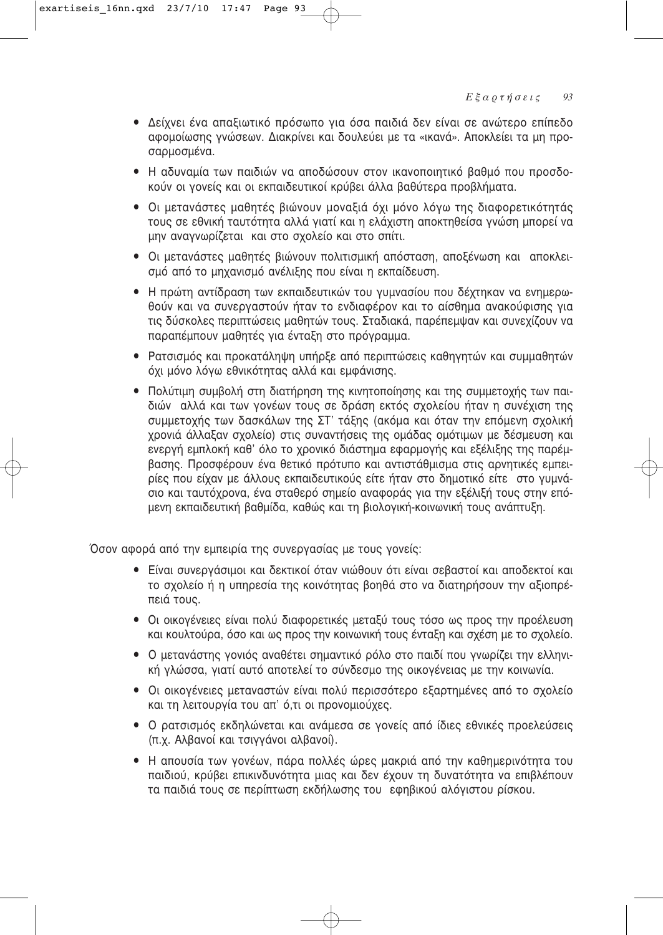- Δείχνει ένα απαξιωτικό πρόσωπο για όσα παιδιά δεν είναι σε ανώτερο επίπεδο αφομοίωσης γνώσεων. Διακρίνει και δουλεύει με τα «ικανά». Αποκλείει τα μη προσαρμοσμένα.
- Η αδυναμία των παιδιών να αποδώσουν στον ικανοποιητικό βαθμό που προσδοκούν οι γονείς και οι εκπαιδευτικοί κρύβει άλλα βαθύτερα προβλήματα.
- Οι μετανάστες μαθητές βιώνουν μοναξιά όχι μόνο λόνω της διαφορετικότητάς τους σε εθνική ταυτότητα αλλά γιατί και η ελάχιστη αποκτηθείσα γνώση μπορεί να μην αναγνωρίζεται και στο σχολείο και στο σπίτι.
- Οι μετανάστες μαθητές βιώνουν πολιτισμική απόσταση, αποξένωση και αποκλεισμό από το μηχανισμό ανέλιξης που είναι η εκπαίδευση.
- Η πρώτη αντίδραση των εκπαιδευτικών του γυμνασίου που δέχτηκαν να ενημερωθούν και να συνεργαστούν ήταν το ενδιαφέρον και το αίσθημα ανακούφισης για τις δύσκολες περιπτώσεις μαθητών τους. Σταδιακά, παρέπεμψαν και συνεχίζουν να παραπέμπουν μαθητές για ένταξη στο πρόγραμμα.
- Ρατσισμός και προκατάληψη υπήρξε από περιπτώσεις καθηγητών και συμμαθητών όχι μόνο λόγω εθνικότητας αλλά και εμφάνισης.
- Πολύτιμη συμβολή στη διατήρηση της κινητοποίησης και της συμμετοχής των παιδιών αλλά και των γονέων τους σε δράση εκτός σχολείου ήταν η συνέχιση της συμμετοχής των δασκάλων της ΣΤ' τάξης (ακόμα και όταν την επόμενη σχολική χρονιά άλλαξαν σχολείο) στις συναντήσεις της ομάδας ομότιμων με δέσμευση και ενεργή εμπλοκή καθ' όλο το χρονικό διάστημα εφαρμογής και εξέλιξης της παρέμβασης. Προσφέρουν ένα θετικό πρότυπο και αντιστάθμισμα στις αρνητικές εμπειρίες που είχαν με άλλους εκπαιδευτικούς είτε ήταν στο δημοτικό είτε στο γυμνάσιο και ταυτόχρονα, ένα σταθερό σημείο αναφοράς για την εξέλιξή τους στην επόμενη εκπαιδευτική βαθμίδα, καθώς και τη βιολογική-κοινωνική τους ανάπτυξη.

Όσον αφορά από την εμπειρία της συνεργασίας με τους γονείς:

- · Είναι συνεργάσιμοι και δεκτικοί όταν νιώθουν ότι είναι σεβαστοί και αποδεκτοί και το σχολείο ή η υπηρεσία της κοινότητας βοηθά στο να διατηρήσουν την αξιοπρέπειά τους.
- Οι οικογένειες είναι πολύ διαφορετικές μεταξύ τους τόσο ως προς την προέλευση και κουλτούρα, όσο και ως προς την κοινωνική τους ένταξη και σχέση με το σχολείο.
- Ο μετανάστης γονιός αναθέτει σημαντικό ρόλο στο παιδί που γνωρίζει την ελληνική γλώσσα, γιατί αυτό αποτελεί το σύνδεσμο της οικογένειας με την κοινωνία.
- Οι οικογένειες μεταναστών είναι πολύ περισσότερο εξαρτημένες από το σχολείο και τη λειτουργία του απ' ό,τι οι προνομιούχες.
- Ο ρατσισμός εκδηλώνεται και ανάμεσα σε γονείς από ίδιες εθνικές προελεύσεις (π.χ. Αλβανοί και τσιγγάνοι αλβανοί).
- Η απουσία των γονέων, πάρα πολλές ώρες μακριά από την καθημερινότητα του παιδιού, κρύβει επικινδυνότητα μιας και δεν έχουν τη δυνατότητα να επιβλέπουν τα παιδιά τους σε περίπτωση εκδήλωσης του εφηβικού αλόγιστου ρίσκου.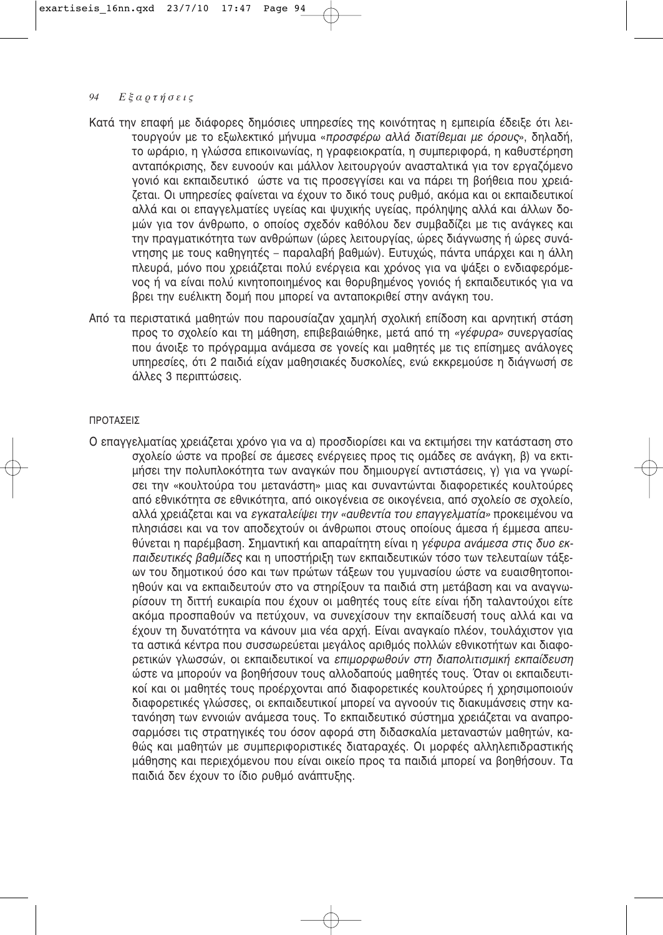- Κατά την επαφή με διάφορες δημόσιες υπηρεσίες της κοινότητας η εμπειρία έδειξε ότι λειτουργούν με το εξωλεκτικό μήνυμα «προσφέρω αλλά διατίθεμαι με όρους», δηλαδή, το ωράριο, η γλώσσα επικοινωνίας, η γραφειοκρατία, η συμπεριφορά, η καθυστέρηση ανταπόκρισης, δεν ευνοούν και μάλλον λειτουργούν ανασταλτικά για τον εργαζόμενο γονιό και εκπαιδευτικό ώστε να τις προσεγγίσει και να πάρει τη βοήθεια που χρειάζεται. Οι υπηρεσίες φαίνεται να έχουν το δικό τους ρυθμό, ακόμα και οι εκπαιδευτικοί αλλά και οι επαγγελματίες υγείας και ψυχικής υγείας, πρόληψης αλλά και άλλων δομών για τον άνθρωπο, ο οποίος σχεδόν καθόλου δεν συμβαδίζει με τις ανάγκες και την πραγματικότητα των ανθρώπων (ώρες λειτουργίας, ώρες διάγνωσης ή ώρες συνάντησης με τους καθηγητές - παραλαβή βαθμών). Ευτυχώς, πάντα υπάρχει και η άλλη πλευρά, μόνο που χρειάζεται πολύ ενέργεια και χρόνος για να ψάξει ο ενδιαφερόμενος ή να είναι πολύ κινητοποιημένος και θορυβημένος γονιός ή εκπαιδευτικός για να βρει την ευέλικτη δομή που μπορεί να ανταποκριθεί στην ανάγκη του.
- Από τα περιστατικά μαθητών που παρουσίαζαν χαμηλή σχολική επίδοση και αρνητική στάση προς το σχολείο και τη μάθηση, επιβεβαιώθηκε, μετά από τη «γέφυρα» συνεργασίας που άνοιξε το πρόγραμμα ανάμεσα σε γονείς και μαθητές με τις επίσημες ανάλογες υπηρεσίες, ότι 2 παιδιά είχαν μαθησιακές δυσκολίες, ενώ εκκρεμούσε η διάγνωσή σε άλλες 3 περιπτώσεις.

## ΠΡΟΤΑΣΕΙΣ

Ο επαγγελματίας χρειάζεται χρόνο για να α) προσδιορίσει και να εκτιμήσει την κατάσταση στο σχολείο ώστε να προβεί σε άμεσες ενέργειες προς τις ομάδες σε ανάγκη, β) να εκτιμήσει την πολυπλοκότητα των αναγκών που δημιουργεί αντιστάσεις, γ) για να γνωρίσει την «κουλτούρα του μετανάστη» μιας και συναντώνται διαφορετικές κουλτούρες από εθνικότητα σε εθνικότητα, από οικογένεια σε οικογένεια, από σχολείο σε σχολείο, αλλά χρειάζεται και να *εγκαταλείψει την «αυθεντία του επαγγελματία»* προκειμένου να πλησιάσει και να τον αποδεχτούν οι άνθρωποι στους οποίους άμεσα ή έμμεσα απευθύνεται η παρέμβαση. Σημαντική και απαραίτητη είναι η γέφυρα ανάμεσα στις δυο εκπαιδευτικές βαθμίδες και η υποστήριξη των εκπαιδευτικών τόσο των τελευταίων τάξεων του δημοτικού όσο και των πρώτων τάξεων του γυμνασίου ώστε να ευαισθητοποιηθούν και να εκπαιδευτούν στο να στηρίξουν τα παιδιά στη μετάβαση και να αναγνωρίσουν τη διττή ευκαιρία που έχουν οι μαθητές τους είτε είναι ήδη ταλαντούχοι είτε ακόμα προσπαθούν να πετύχουν, να συνεχίσουν την εκπαίδευσή τους αλλά και να έχουν τη δυνατότητα να κάνουν μια νέα αρχή. Είναι αναγκαίο πλέον, τουλάχιστον για τα αστικά κέντρα που συσσωρεύεται μεγάλος αριθμός πολλών εθνικοτήτων και διαφορετικών γλωσσών, οι εκπαιδευτικοί να επιμορφωθούν στη διαπολιτισμική εκπαίδευση ώστε να μπορούν να βοηθήσουν τους αλλοδαπούς μαθητές τους. Όταν οι εκπαιδευτικοί και οι μαθητές τους προέρχονται από διαφορετικές κουλτούρες ή χρησιμοποιούν διαφορετικές γλώσσες, οι εκπαιδευτικοί μπορεί να αγνοούν τις διακυμάνσεις στην κατανόηση των εννοιών ανάμεσα τους. Το εκπαιδευτικό σύστημα χρειάζεται να αναπροσαρμόσει τις στρατηνικές του όσον αφορά στη διδασκαλία μεταναστών μαθητών, καθώς και μαθητών με συμπεριφοριστικές διαταραχές. Οι μορφές αλληλεπιδραστικής μάθησης και περιεχόμενου που είναι οικείο προς τα παιδιά μπορεί να βοηθήσουν. Τα παιδιά δεν έχουν το ίδιο ρυθμό ανάπτυξης.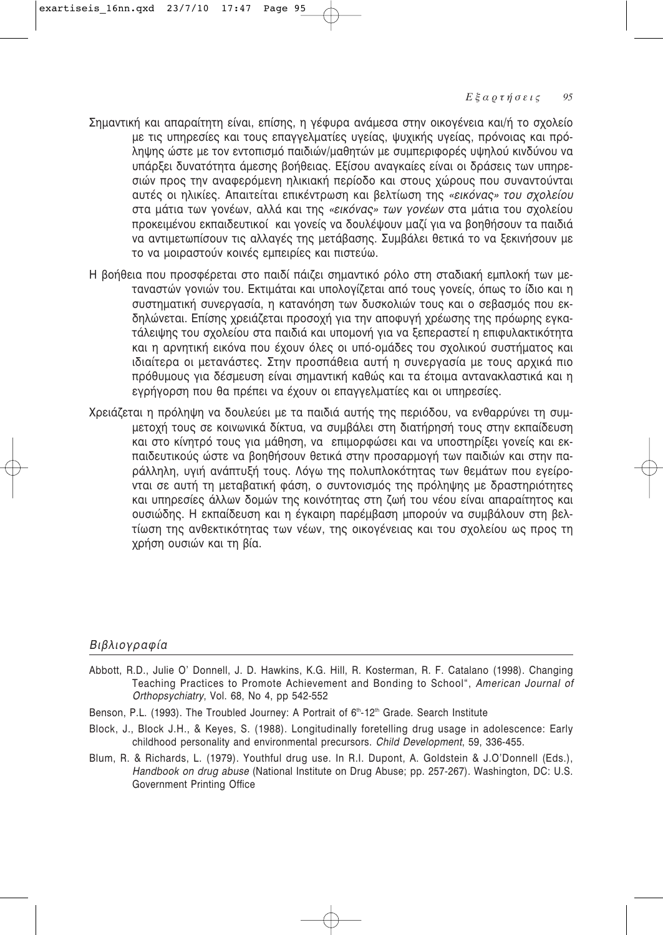- Σημαντική και απαραίτητη είναι, επίσης, η γέφυρα ανάμεσα στην οικογένεια και/ή το σχολείο με τις υπηρεσίες και τους επαγγελματίες υγείας, ψυχικής υγείας, πρόνοιας και πρόληψης ώστε με τον εντοπισμό παιδιών/μαθητών με συμπεριφορές υψηλού κινδύνου να υπάρξει δυνατότητα άμεσης βοήθειας. Εξίσου αναγκαίες είναι οι δράσεις των υπηρεσιών προς την αναφερόμενη ηλικιακή περίοδο και στους χώρους που συναντούνται αυτές οι ηλικίες. Απαιτείται επικέντρωση και βελτίωση της «εικόνας» του σχολείου στα μάτια των γονέων, αλλά και της «εικόνας» των γονέων στα μάτια του σχολείου προκειμένου εκπαιδευτικοί και γονείς να δουλέψουν μαζί για να βοηθήσουν τα παιδιά να αντιμετωπίσουν τις αλλαγές της μετάβασης. Συμβάλει θετικά το να ξεκινήσουν με το να μοιραστούν κοινές εμπειρίες και πιστεύω.
- Η βοήθεια που προσφέρεται στο παιδί πάιζει σημαντικό ρόλο στη σταδιακή εμπλοκή των μεταναστών γονιών του. Εκτιμάται και υπολογίζεται από τους γονείς, όπως το ίδιο και η συστηματική συνεργασία, η κατανόηση των δυσκολιών τους και ο σεβασμός που εκδηλώνεται. Επίσης χρειάζεται προσοχή για την αποφυγή χρέωσης της πρόωρης εγκατάλειψης του σχολείου στα παιδιά και υπομονή για να ξεπεραστεί η επιφυλακτικότητα και η αρνητική εικόνα που έχουν όλες οι υπό-ομάδες του σχολικού συστήματος και ιδιαίτερα οι μετανάστες. Στην προσπάθεια αυτή η συνεργασία με τους αρχικά πιο πρόθυμους για δέσμευση είναι σημαντική καθώς και τα έτοιμα αντανακλαστικά και η εγρήγορση που θα πρέπει να έχουν οι επαγγελματίες και οι υπηρεσίες.
- Χρειάζεται η πρόληψη να δουλεύει με τα παιδιά αυτής της περιόδου, να ενθαρρύνει τη συμμετοχή τους σε κοινωνικά δίκτυα, να συμβάλει στη διατήρησή τους στην εκπαίδευση και στο κίνητρό τους για μάθηση, να επιμορφώσει και να υποστηρίξει γονείς και εκπαιδευτικούς ώστε να βοηθήσουν θετικά στην προσαρμογή των παιδιών και στην παράλληλη, υγιή ανάπτυξή τους. Λόγω της πολυπλοκότητας των θεμάτων που εγείρονται σε αυτή τη μεταβατική φάση, ο συντονισμός της πρόληψης με δραστηριότητες και υπηρεσίες άλλων δομών της κοινότητας στη ζωή του νέου είναι απαραίτητος και ουσιώδης. Η εκπαίδευση και η έγκαιρη παρέμβαση μπορούν να συμβάλουν στη βελτίωση της ανθεκτικότητας των νέων, της οικογένειας και του σχολείου ως προς τη χρήση ουσιών και τη βία.

# Βιβλιογραφία

exartiseis 16nn.qxd

 $23/7/10$ 

Abbott, R.D., Julie O' Donnell, J. D. Hawkins, K.G. Hill, R. Kosterman, R. F. Catalano (1998). Changing Teaching Practices to Promote Achievement and Bonding to School", American Journal of Orthopsychiatry, Vol. 68, No 4, pp 542-552

Benson, P.L. (1993). The Troubled Journey: A Portrait of 6<sup>th</sup>-12<sup>th</sup> Grade. Search Institute

- Block, J., Block J.H., & Keyes, S. (1988). Longitudinally foretelling drug usage in adolescence: Early childhood personality and environmental precursors. Child Development, 59, 336-455.
- Blum, R. & Richards, L. (1979). Youthful drug use. In R.I. Dupont, A. Goldstein & J.O'Donnell (Eds.), Handbook on drug abuse (National Institute on Drug Abuse; pp. 257-267). Washington, DC: U.S. Government Printing Office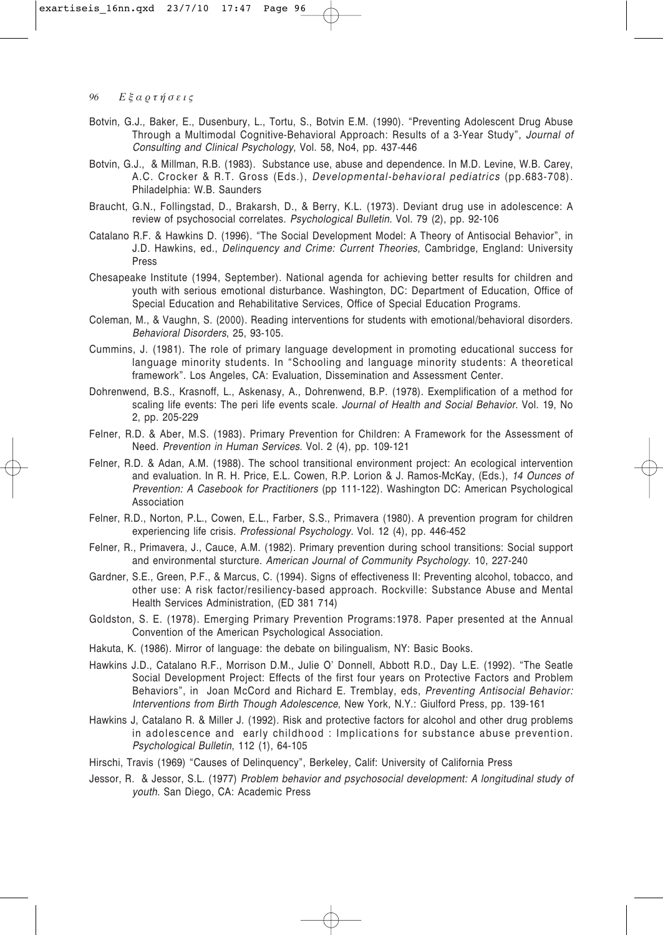- Botvin, G.J., Baker, E., Dusenbury, L., Tortu, S., Botvin E.M. (1990). "Preventing Adolescent Drug Abuse Through a Multimodal Cognitive-Behavioral Approach: Results of a 3-Year Study", *Journal of Consulting and Clinical Psychology*, Vol. 58, No4, pp. 437-446
- Botvin, G.J., & Millman, R.B. (1983). Substance use, abuse and dependence. In M.D. Levine, W.B. Carey, A.C. Crocker & R.T. Gross (Eds.), *Developmental-behavioral pediatrics* (pp.683-708). Philadelphia: W.B. Saunders
- Braucht, G.N., Follingstad, D., Brakarsh, D., & Berry, K.L. (1973). Deviant drug use in adolescence: A review of psychosocial correlates. *Psychological Bulletin*. Vol. 79 (2), pp. 92-106
- Catalano R.F. & Hawkins D. (1996). "The Social Development Model: A Theory of Antisocial Behavior", in J.D. Hawkins, ed., *Delinquency and Crime: Current Theories*, Cambridge, England: University Press
- Chesapeake Institute (1994, September). National agenda for achieving better results for children and youth with serious emotional disturbance. Washington, DC: Department of Education, Office of Special Education and Rehabilitative Services, Office of Special Education Programs.
- Coleman, M., & Vaughn, S. (2000). Reading interventions for students with emotional/behavioral disorders. *Behavioral Disorders*, 25, 93-105.
- Cummins, J. (1981). The role of primary language development in promoting educational success for language minority students. In "Schooling and language minority students: A theoretical framework". Los Angeles, CA: Evaluation, Dissemination and Assessment Center.
- Dohrenwend, B.S., Krasnoff, L., Askenasy, A., Dohrenwend, B.P. (1978). Exemplification of a method for scaling life events: The peri life events scale. *Journal of Health and Social Behavior*. Vol. 19, No 2, pp. 205-229
- Felner, R.D. & Aber, M.S. (1983). Primary Prevention for Children: A Framework for the Assessment of Need. *Prevention in Human Services*. Vol. 2 (4), pp. 109-121
- Felner, R.D. & Adan, A.M. (1988). The school transitional environment project: An ecological intervention and evaluation. In R. H. Price, E.L. Cowen, R.P. Lorion & J. Ramos-McKay, (Eds.), *14 Ounces of Prevention: A Casebook for Practitioners* (pp 111-122). Washington DC: American Psychological Association
- Felner, R.D., Norton, P.L., Cowen, E.L., Farber, S.S., Primavera (1980). A prevention program for children experiencing life crisis. *Professional Psychology*. Vol. 12 (4), pp. 446-452
- Felner, R., Primavera, J., Cauce, A.M. (1982). Primary prevention during school transitions: Social support and environmental sturcture. *American Journal of Community Psychology*. 10, 227-240
- Gardner, S.E., Green, P.F., & Marcus, C. (1994). Signs of effectiveness II: Preventing alcohol, tobacco, and other use: A risk factor/resiliency-based approach. Rockville: Substance Abuse and Mental Health Services Administration, (ED 381 714)
- Goldston, S. E. (1978). Emerging Primary Prevention Programs:1978. Paper presented at the Annual Convention of the American Psychological Association.
- Hakuta, K. (1986). Mirror of language: the debate on bilingualism, NY: Basic Books.
- Hawkins J.D., Catalano R.F., Morrison D.M., Julie O' Donnell, Abbott R.D., Day L.E. (1992). "The Seatle Social Development Project: Effects of the first four years on Protective Factors and Problem Behaviors", in Joan McCord and Richard E. Tremblay, eds, *Preventing Antisocial Behavior: Interventions from Birth Though Adolescence*, New York, N.Y.: Giulford Press, pp. 139-161
- Hawkins J, Catalano R. & Miller J. (1992). Risk and protective factors for alcohol and other drug problems in adolescence and early childhood : Implications for substance abuse prevention. *Psychological Bulletin*, 112 (1), 64-105
- Hirschi, Travis (1969) "Causes of Delinquency", Berkeley, Calif: University of California Press
- Jessor, R. & Jessor, S.L. (1977) *Problem behavior and psychosocial development: A longitudinal study of youth*. San Diego, CA: Academic Press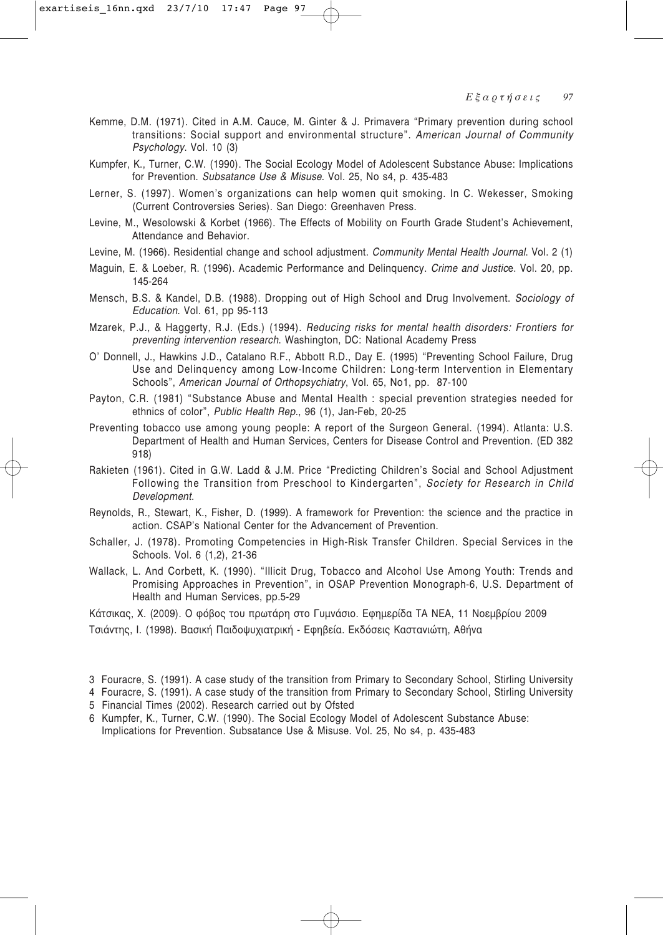exartiseis  $16nn.qxd$   $23/7/10$   $17:47$  Page

- Kemme, D.M. (1971). Cited in A.M. Cauce, M. Ginter & J. Primavera "Primary prevention during school transitions: Social support and environmental structure". *American Journal of Community Psychology*. Vol. 10 (3)
- Kumpfer, K., Turner, C.W. (1990). The Social Ecology Model of Adolescent Substance Abuse: Implications for Prevention. *Subsatance Use & Misuse*. Vol. 25, No s4, p. 435-483
- Lerner, S. (1997). Women's organizations can help women quit smoking. In C. Wekesser, Smoking (Current Controversies Series). San Diego: Greenhaven Press.
- Levine, M., Wesolowski & Korbet (1966). The Effects of Mobility on Fourth Grade Student's Achievement, Attendance and Behavior.
- Levine, M. (1966). Residential change and school adjustment. *Community Mental Health Journal*. Vol. 2 (1)
- Maguin, E. & Loeber, R. (1996). Academic Performance and Delinquency. *Crime and Justic*e. Vol. 20, pp. 145-264
- Mensch, B.S. & Kandel, D.B. (1988). Dropping out of High School and Drug Involvement. *Sociology of Education*. Vol. 61, pp 95-113
- Mzarek, P.J., & Haggerty, R.J. (Eds.) (1994). *Reducing risks for mental health disorders: Frontiers for preventing intervention research*. Washington, DC: National Academy Press
- O' Donnell, J., Hawkins J.D., Catalano R.F., Abbott R.D., Day E. (1995) "Preventing School Failure, Drug Use and Delinquency among Low-Income Children: Long-term Intervention in Elementary Schools", *American Journal of Orthopsychiatry*, Vol. 65, No1, pp. 87-100
- Payton, C.R. (1981) "Substance Abuse and Mental Health : special prevention strategies needed for ethnics of color", *Public Health Rep*., 96 (1), Jan-Feb, 20-25
- Preventing tobacco use among young people: A report of the Surgeon General. (1994). Atlanta: U.S. Department of Health and Human Services, Centers for Disease Control and Prevention. (ED 382 918)
- Rakieten (1961). Cited in G.W. Ladd & J.M. Price "Predicting Children's Social and School Adjustment Following the Transition from Preschool to Kindergarten", *Society for Research in Child Development*.
- Reynolds, R., Stewart, K., Fisher, D. (1999). A framework for Prevention: the science and the practice in action. CSAP's National Center for the Advancement of Prevention.
- Schaller, J. (1978). Promoting Competencies in High-Risk Transfer Children. Special Services in the Schools. Vol. 6 (1,2), 21-36
- Wallack, L. And Corbett, K. (1990). "Illicit Drug, Tobacco and Alcohol Use Among Youth: Trends and Promising Approaches in Prevention", in OSAP Prevention Monograph-6, U.S. Department of Health and Human Services, pp.5-29
- Κάτσικας, Χ. (2009). Ο φόβος του πρωτάρη στο Γυμνάσιο. Εφημερίδα ΤΑ ΝΕΑ, 11 Νοεμβρίου 2009

Τσιάντης, Ι. (1998). Βασική Παιδοψυχιατρική - Εφηβεία. Εκδόσεις Καστανιώτη, Αθήνα

- 3 Fouracre, S. (1991). A case study of the transition from Primary to Secondary School, Stirling University
- 4 Fouracre, S. (1991). A case study of the transition from Primary to Secondary School, Stirling University
- 5 Financial Times (2002). Research carried out by Ofsted
- 6 Kumpfer, K., Turner, C.W. (1990). The Social Ecology Model of Adolescent Substance Abuse: Implications for Prevention. Subsatance Use & Misuse. Vol. 25, No s4, p. 435-483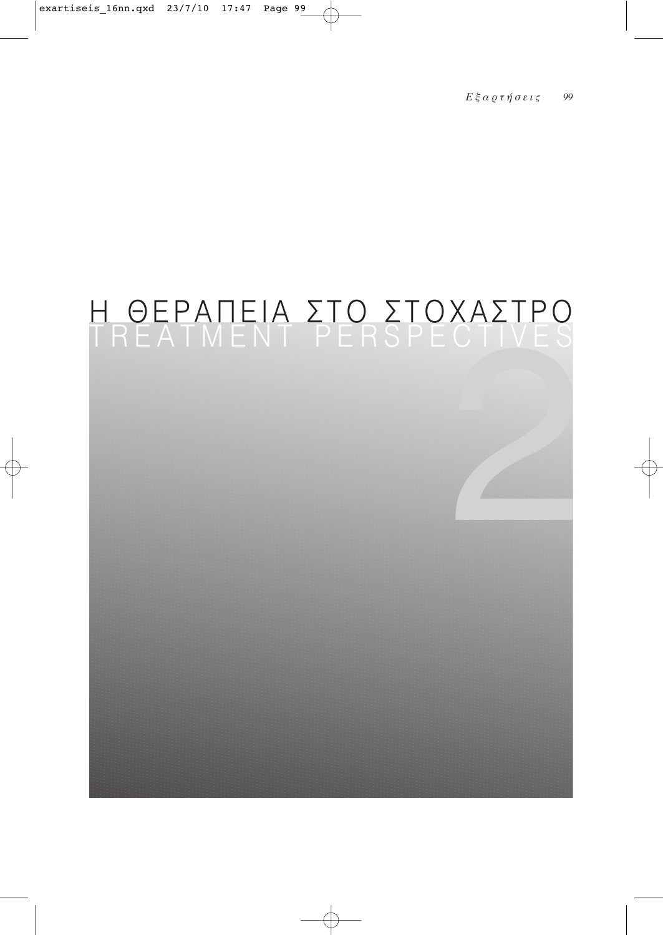# exartiseis\_16nn.qxd 23/7/10 17:47 Page 99

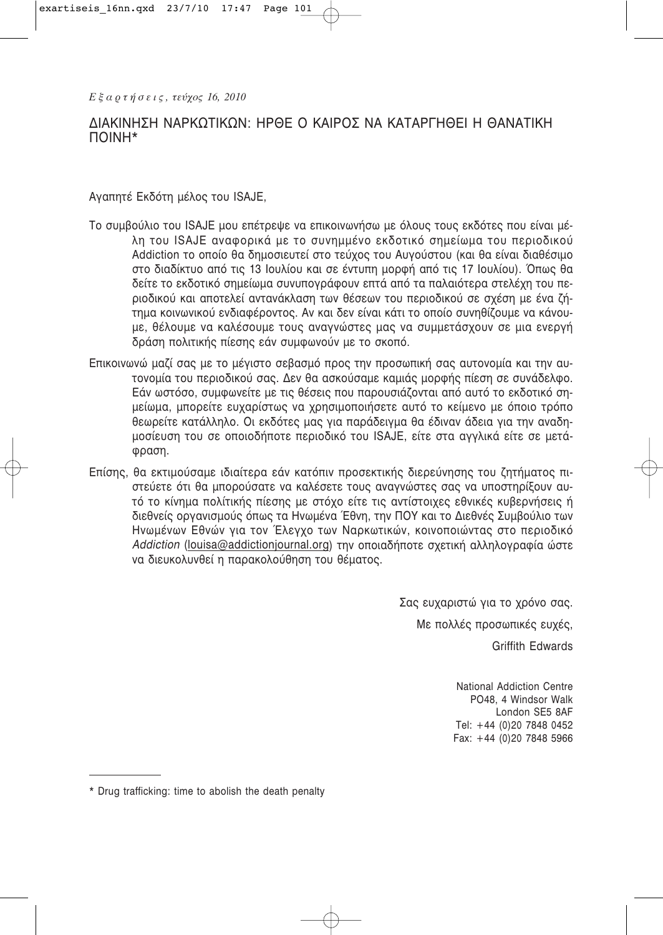*Ε ξ α ρ τ ή σ ε ι ς , τεύχος 16, 2010*

# ΔΙΑΚΙΝΗΣΗ ΝΑΡΚΩΤΙΚΩΝ: ΗΡΘΕ Ο ΚΑΙΡΟΣ ΝΑ ΚΑΤΑΡΓΗΘΕΙ Η ΘΑΝΑΤΙΚΗ  $\P$  $O$  $NH*$

Αγαπητέ Εκδότη μέλος του ISAJE,

- Το συμβούλιο του ISAJE μου επέτρεψε να επικοινωνήσω με όλους τους εκδότες που είναι μέλη του ISAJE αναφορικά με το συνημμένο εκδοτικό σημείωμα του περιοδικού Addiction το οποίο θα δημοσιευτεί στο τεύχος του Αυνούστου (και θα είναι διαθέσιμο στο διαδίκτυο από τις 13 Ιουλίου και σε έντυπη μορφή από τις 17 Ιουλίου). Όπως θα δείτε το εκδοτικό σημείωμα συνυπογράφουν επτά από τα παλαιότερα στελέχη του περιοδικού και αποτελεί αντανάκλαση των θέσεων του περιοδικού σε σχέση με ένα ζήτημα κοινωνικού ενδιαφέροντος. Αν και δεν είναι κάτι το οποίο συνηθίζουμε να κάνουμε, θέλουμε να καλέσουμε τους αναγνώστες μας να συμμετάσχουν σε μια ενεργή δράση πολιτικής πίεσης εάν συμφωνούν με το σκοπό.
- Επικοινωνώ μαζί σας με το μέγιστο σεβασμό προς την προσωπική σας αυτονομία και την αυτονομία του περιοδικού σας. Δεν θα ασκούσαμε καμιάς μορφής πίεση σε συνάδελφο. Εάν ωστόσο, συμφωνείτε με τις θέσεις που παρουσιάζονται από αυτό το εκδοτικό σημείωμα, μπορείτε ευχαρίστως να χρησιμοποιήσετε αυτό το κείμενο με όποιο τρόπο θεωρείτε κατάλληλο. Οι εκδότες μας για παράδειγμα θα έδιναν άδεια για την αναδημοσίευση του σε οποιοδήποτε περιοδικό του ISAJE, είτε στα αγγλικά είτε σε μετάφραση.
- Επίσης, θα εκτιμούσαμε ιδιαίτερα εάν κατόπιν προσεκτικής διερεύνησης του ζητήματος πιστεύετε ότι θα μπορούσατε να καλέσετε τους αναγνώστες σας να υποστηρίξουν αυτό το κίνημα πολίτικής πίεσης με στόχο είτε τις αντίστοιχες εθνικές κυβερνήσεις ή διεθνείς οργανισμούς όπως τα Ηνωμένα Έθνη, την ΠΟΥ και το Διεθνές Συμβούλιο των Ηνωμένων Εθνών για τον Έλεγχο των Ναρκωτικών, κοινοποιώντας στο περιοδικό Addiction (louisa@addictionjournal.org) την οποιαδήποτε σχετική αλληλογραφία ώστε να διευκολυνθεί η παρακολούθηση του θέματος.

Σας ευχαριστώ για το χρόνο σας. Με πολλές προσωπικές ευχές, Griffith Edwards

> National Addiction Centre PO48, 4 Windsor Walk London SE5 8AF Tel: +44 (0)20 7848 0452 Fax: +44 (0)20 7848 5966

<sup>\*</sup> Drug trafficking: time to abolish the death penalty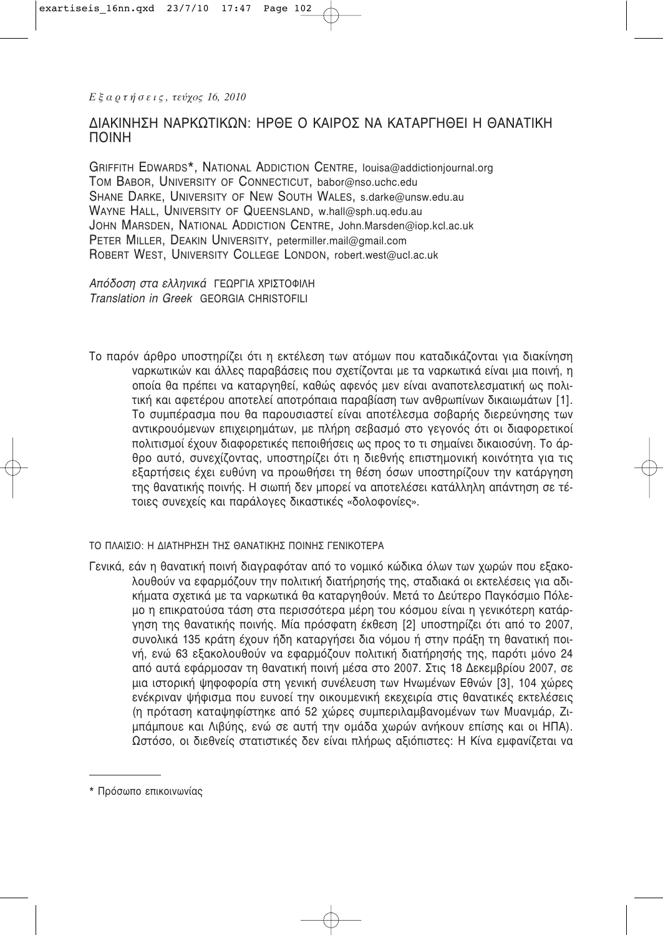Εξαρτήσεις, τεύγος 16, 2010

# ΔΙΑΚΙΝΗΣΗ ΝΑΡΚΩΤΙΚΩΝ: ΗΡΘΕ Ο ΚΑΙΡΟΣ ΝΑ ΚΑΤΑΡΓΗΘΕΙ Η ΘΑΝΑΤΙΚΗ **NOINH**

GRIFFITH EDWARDS\*, NATIONAL ADDICTION CENTRE, louisa@addictioniournal.org TOM BABOR, UNIVERSITY OF CONNECTICUT, babor@nso.uchc.edu SHANE DARKE, UNIVERSITY OF NEW SOUTH WALES, s.darke@unsw.edu.au WAYNE HALL, UNIVERSITY OF QUEENSLAND, w.hall@sph.ug.edu.au JOHN MARSDEN, NATIONAL ADDICTION CENTRE, John.Marsden@iop.kcl.ac.uk PETER MILLER, DEAKIN UNIVERSITY, petermiller.mail@gmail.com ROBERT WEST, UNIVERSITY COLLEGE LONDON, robert, west@ucl.ac.uk

Απόδοση στα ελληνικά ΓΕΩΡΓΙΑ ΧΡΙΣΤΟΦΙΛΗ Translation in Greek GEORGIA CHRISTOFILI

Το παρόν άρθρο υποστηρίζει ότι η εκτέλεση των ατόμων που καταδικάζονται για διακίνηση ναρκωτικών και άλλες παραβάσεις που σχετίζονται με τα ναρκωτικά είναι μια ποινή, η οποία θα πρέπει να καταργηθεί, καθώς αφενός μεν είναι αναποτελεσματική ως πολιτική και αφετέρου αποτελεί αποτρόπαια παραβίαση των ανθρωπίνων δικαιωμάτων [1]. Το συμπέρασμα που θα παρουσιαστεί είναι αποτέλεσμα σοβαρής διερεύνησης των αντικρουόμενων επιχειρημάτων, με πλήρη σεβασμό στο γεγονός ότι οι διαφορετικοί πολιτισμοί έχουν διαφορετικές πεποιθήσεις ως προς το τι σημαίνει δικαιοσύνη. Το άρθρο αυτό, συνεχίζοντας, υποστηρίζει ότι η διεθνής επιστημονική κοινότητα για τις εξαρτήσεις έχει ευθύνη να προωθήσει τη θέση όσων υποστηρίζουν την κατάργηση της θανατικής ποινής. Η σιωπή δεν μπορεί να αποτελέσει κατάλληλη απάντηση σε τέτοιες συνεχείς και παράλογες δικαστικές «δολοφονίες».

ΤΟ ΠΛΑΙΣΙΟ: Η ΔΙΑΤΗΡΗΣΗ ΤΗΣ ΘΑΝΑΤΙΚΗΣ ΠΟΙΝΗΣ ΓΕΝΙΚΟΤΕΡΑ

Γενικά, εάν η θανατική ποινή διαγραφόταν από το νομικό κώδικα όλων των χωρών που εξακολουθούν να εφαρμόζουν την πολιτική διατήρησής της, σταδιακά οι εκτελέσεις για αδικήματα σχετικά με τα ναρκωτικά θα καταργηθούν. Μετά το Δεύτερο Παγκόσμιο Πόλεμο η επικρατούσα τάση στα περισσότερα μέρη του κόσμου είναι η γενικότερη κατάργηση της θανατικής ποινής. Μία πρόσφατη έκθεση [2] υποστηρίζει ότι από το 2007, συνολικά 135 κράτη έχουν ήδη καταργήσει δια νόμου ή στην πράξη τη θανατική ποινή, ενώ 63 εξακολουθούν να εφαρμόζουν πολιτική διατήρησής της, παρότι μόνο 24 από αυτά εφάρμοσαν τη θανατική ποινή μέσα στο 2007. Στις 18 Δεκεμβρίου 2007, σε μια ιστορική ψηφοφορία στη γενική συνέλευση των Ηνωμένων Εθνών [3], 104 χώρες ενέκριναν ψήφισμα που ευνοεί την οικουμενική εκεχειρία στις θανατικές εκτελέσεις (η πρόταση καταψηφίστηκε από 52 χώρες συμπεριλαμβανομένων των Μυανμάρ, Ζιμπάμπουε και Λιβύης, ενώ σε αυτή την ομάδα χωρών ανήκουν επίσης και οι ΗΠΑ). Ωστόσο, οι διεθνείς στατιστικές δεν είναι πλήρως αξιόπιστες: Η Κίνα εμφανίζεται να

\* Πρόσωπο επικοινωνίας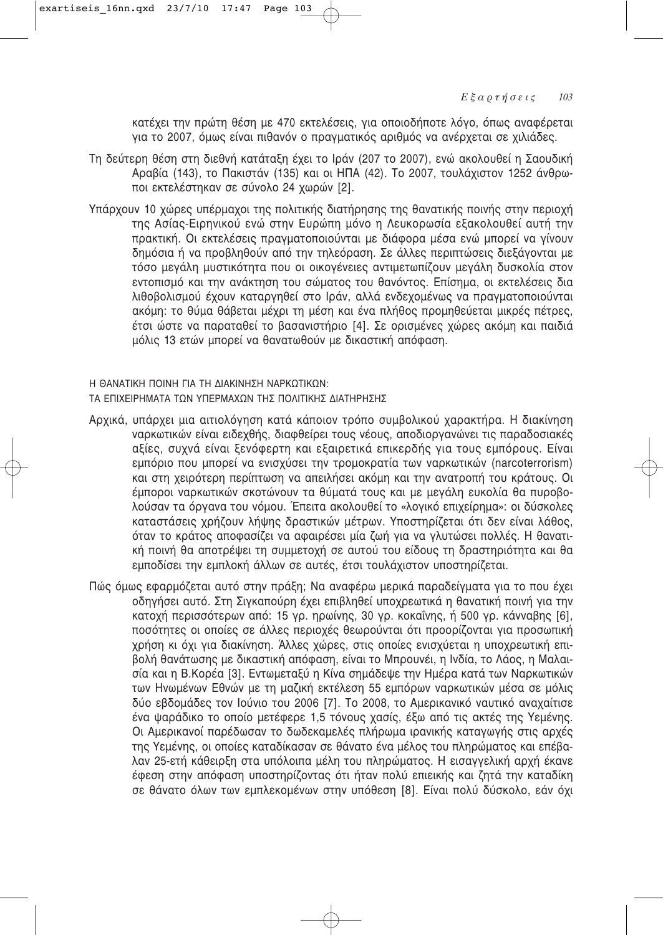exartiseis\_16nn.qxd 23/7/10 17:47 Page 103

κατέχει την πρώτη θέση με 470 εκτελέσεις, για οποιοδήποτε λόγο, όπως αναφέρεται για το 2007, όμως είναι πιθανόν ο πραγματικός αριθμός να ανέρχεται σε χιλιάδες.

- <u>Τη δεύτερη θέση στη διεθνή κατάταξη έχει το Ιράν (207 το 2007), ενώ ακολουθεί η Σαουδική</u> Aραβία (143), το Πακιστάν (135) και οι ΗΠΑ (42). Το 2007, τουλάχιστον 1252 άνθρωποι εκτελέστηκαν σε σύνολο 24 χωρών [2].
- Υπάρχουν 10 χώρες υπέρμαχοι της πολιτικής διατήρησης της θανατικής ποινής στην περιοχή της Ασίας-Ειρηνικού ενώ στην Ευρώπη μόνο η Λευκορωσία εξακολουθεί αυτή την πρακτική. Οι εκτελέσεις πραγματοποιούνται με διάφορα μέσα ενώ μπορεί να γίνουν δημόσια ή να προβληθούν από την τηλεόραση. Σε άλλες περιπτώσεις διεξάγονται με τόσο μεγάλη μυστικότητα που οι οικογένειες αντιμετωπίζουν μεγάλη δυσκολία στον εντοπισμό και την ανάκτηση του σώματος του θανόντος. Επίσημα, οι εκτελέσεις δια λιθοβολισμού έχουν καταργηθεί στο Ιράν, αλλά ενδεχομένως να πραγματοποιούνται ακόμη: το θύμα θάβεται μέχρι τη μέση και ένα πλήθος προμηθεύεται μικρές πέτρες, έτσι ώστε να παραταθεί το βασανιστήριο [4]. Σε ορισμένες χώρες ακόμη και παιδιά μόλις 13 ετών μπορεί να θανατωθούν με δικαστική απόφαση.

Η ΘΑΝΑΤΙΚΗ ΠΟΙΝΗ ΓΙΑ ΤΗ ΔΙΑΚΙΝΗΣΗ ΝΑΡΚΩΤΙΚΩΝ: ΤΑ ΕΠΙΧΕΙΡΗΜΑΤΑ ΤΩΝ ΥΠΕΡΜΑΧΩΝ ΤΗΣ ΠΟΛΙΤΙΚΗΣ ΔΙΑΤΗΡΗΣΗΣ

- Αρχικά, υπάρχει μια αιτιολόγηση κατά κάποιον τρόπο συμβολικού χαρακτήρα. Η διακίνηση ναρκωτικών είναι ειδεχθής, διαφθείρει τους νέους, αποδιοργανώνει τις παραδοσιακές αξίες, συχνά είναι ξενόφερτη και εξαιρετικά επικερδής για τους εμπόρους. Είναι εμπόριο που μπορεί να ενισχύσει την τρομοκρατία των ναρκωτικών (narcoterrorism) και στη χειρότερη περίπτωση να απειλήσει ακόμη και την ανατροπή του κράτους. Οι έμποροι ναρκωτικών σκοτώνουν τα θύματά τους και με μεγάλη ευκολία θα πυροβολούσαν τα όργανα του νόμου. Έπειτα ακολουθεί το «λογικό επιχείρημα»: οι δύσκολες καταστάσεις χρήζουν λήψης δραστικών μέτρων. Υποστηρίζεται ότι δεν είναι λάθος, όταν το κράτος αποφασίζει να αφαιρέσει μία ζωή για να γλυτώσει πολλές. Η θανατική ποινή θα αποτρέψει τη συμμετοχή σε αυτού του είδους τη δραστηριότητα και θα εμποδίσει την εμπλοκή άλλων σε αυτές, έτσι τουλάχιστον υποστηρίζεται.
- Πώς όμως εφαρμόζεται αυτό στην πράξη; Να αναφέρω μερικά παραδείγματα για το που έχει οδηγήσει αυτό. Στη Σιγκαπούρη έχει επιβληθεί υποχρεωτικά η θανατική ποινή για την κατοχή περισσότερων από: 15 γρ. ηρωίνης, 30 γρ. κοκαΐνης, ή 500 γρ. κάνναβης [6], ποσότητες οι οποίες σε άλλες περιοχές θεωρούνται ότι προορίζονται για προσωπική χρήση κι όχι για διακίνηση. Άλλες χώρες, στις οποίες ενισχύεται η υποχρεωτική επιβολή θανάτωσης με δικαστική απόφαση, είναι το Μπρουνέι, η Ινδία, το Λάος, η Μαλαισία και η Β.Κορέα [3]. Εντωμεταξύ η Κίνα σημάδεψε την Ημέρα κατά των Ναρκωτικών των Ηνωμένων Εθνών με τη μαζική εκτέλεση 55 εμπόρων ναρκωτικών μέσα σε μόλις δύο εβδομάδες τον Ιούνιο του 2006 [7]. Το 2008, το Αμερικανικό ναυτικό αναχαίτισε ένα ψαράδικο το οποίο μετέφερε 1,5 τόνους χασίς, έξω από τις ακτές της Υεμένης. Οι Αμερικανοί παρέδωσαν το δωδεκαμελές πλήρωμα ιρανικής καταγωγής στις αρχές της Υεμένης, οι οποίες καταδίκασαν σε θάνατο ένα μέλος του πληρώματος και επέβαλαν 25-ετή κάθειρξη στα υπόλοιπα μέλη του πληρώματος. Η εισαγγελική αρχή έκανε έφεση στην απόφαση υποστηρίζοντας ότι ήταν πολύ επιεικής και ζητά την καταδίκη σε θάνατο όλων των εμπλεκομένων στην υπόθεση [8]. Είναι πολύ δύσκολο, εάν όχι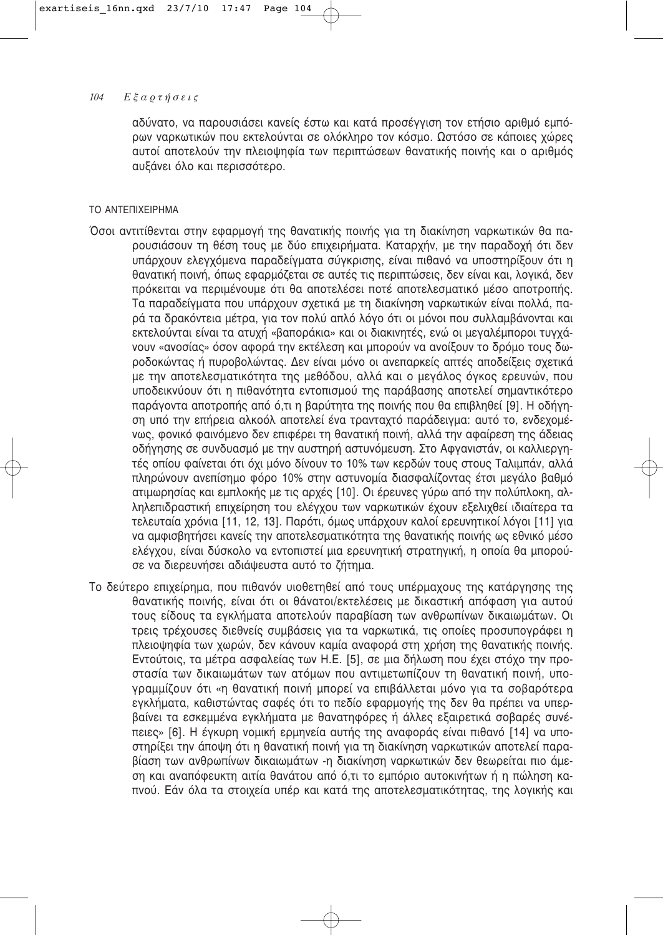αδύνατο, να παρουσιάσει κανείς έστω και κατά προσέγγιση τον ετήσιο αριθμό εμπόρων ναρκωτικών που εκτελούνται σε ολόκληρο τον κόσμο. Ωστόσο σε κάποιες χώρες αυτοί αποτελούν την πλειοψηφία των περιπτώσεων θανατικής ποινής και ο αριθμός αυξάνει όλο και περισσότερο.

## TO ANTEΠIXFIPHMA

- Όσοι αντιτίθενται στην εφαρμογή της θανατικής ποινής για τη διακίνηση ναρκωτικών θα παρουσιάσουν τη θέση τους με δύο επιχειρήματα. Καταρχήν, με την παραδοχή ότι δεν υπάρχουν ελεγχόμενα παραδείγματα σύγκρισης, είναι πιθανό να υποστηρίξουν ότι η θανατική ποινή, όπως εφαρμόζεται σε αυτές τις περιπτώσεις, δεν είναι και, λογικά, δεν πρόκειται να περιμένουμε ότι θα αποτελέσει ποτέ αποτελεσματικό μέσο αποτροπής. Τα παραδείγματα που υπάρχουν σχετικά με τη διακίνηση ναρκωτικών είναι πολλά, παρά τα δρακόντεια μέτρα, για τον πολύ απλό λόγο ότι οι μόνοι που συλλαμβάνονται και εκτελούνται είναι τα ατυχή «βαποράκια» και οι διακινητές, ενώ οι μεγαλέμποροι τυγχάνουν «ανοσίας» όσον αφορά την εκτέλεση και μπορούν να ανοίξουν το δρόμο τους δωροδοκώντας ή πυροβολώντας. Δεν είναι μόνο οι ανεπαρκείς απτές αποδείξεις σχετικά με την αποτελεσματικότητα της μεθόδου, αλλά και ο μεγάλος όγκος ερευνών, που υποδεικνύουν ότι η πιθανότητα εντοπισμού της παράβασης αποτελεί σημαντικότερο παράνοντα αποτροπής από ό,τι η βαρύτητα της ποινής που θα επιβληθεί [9]. Η οδήνηση υπό την επήρεια αλκοόλ αποτελεί ένα τρανταχτό παράδειγμα: αυτό το, ενδεχομένως, φονικό φαινόμενο δεν επιφέρει τη θανατική ποινή, αλλά την αφαίρεση της άδειας οδήγησης σε συνδυασμό με την αυστηρή αστυνόμευση. Στο Αφγανιστάν, οι καλλιεργητές οπίου φαίνεται ότι όχι μόνο δίνουν το 10% των κερδών τους στους Ταλιμπάν, αλλά πληρώνουν ανεπίσημο φόρο 10% στην αστυνομία διασφαλίζοντας έτσι μεγάλο βαθμό ατιμωρησίας και εμπλοκής με τις αρχές [10]. Οι έρευνες γύρω από την πολύπλοκη, αλληλεπιδραστική επιχείρηση του ελέγχου των ναρκωτικών έχουν εξελιχθεί ιδιαίτερα τα τελευταία χρόνια [11, 12, 13]. Παρότι, όμως υπάρχουν καλοί ερευνητικοί λόγοι [11] για να αμφισβητήσει κανείς την αποτελεσματικότητα της θανατικής ποινής ως εθνικό μέσο ελέγχου, είναι δύσκολο να εντοπιστεί μια ερευνητική στρατηγική, η οποία θα μπορούσε να διερευνήσει αδιάψευστα αυτό το ζήτημα.
- Το δεύτερο επιχείρημα, που πιθανόν υιοθετηθεί από τους υπέρμαχους της κατάργησης της θανατικής ποινής, είναι ότι οι θάνατοι/εκτελέσεις με δικαστική απόφαση για αυτού τους είδους τα εγκλήματα αποτελούν παραβίαση των ανθρωπίνων δικαιωμάτων. Οι τρεις τρέχουσες διεθνείς συμβάσεις για τα ναρκωτικά, τις οποίες προσυπογράφει η πλειοψηφία των χωρών, δεν κάνουν καμία αναφορά στη χρήση της θανατικής ποινής. Εντούτοις, τα μέτρα ασφαλείας των Η.Ε. [5], σε μια δήλωση που έχει στόχο την προστασία των δικαιωμάτων των ατόμων που αντιμετωπίζουν τη θανατική ποινή, υπογραμμίζουν ότι «η θανατική ποινή μπορεί να επιβάλλεται μόνο για τα σοβαρότερα εγκλήματα, καθιστώντας σαφές ότι το πεδίο εφαρμογής της δεν θα πρέπει να υπερβαίνει τα εσκεμμένα εγκλήματα με θανατηφόρες ή άλλες εξαιρετικά σοβαρές συνέπειες» [6]. Η έγκυρη νομική ερμηνεία αυτής της αναφοράς είναι πιθανό [14] να υποστηρίξει την άποψη ότι η θανατική ποινή για τη διακίνηση ναρκωτικών αποτελεί παραβίαση των ανθρωπίνων δικαιωμάτων -η διακίνηση ναρκωτικών δεν θεωρείται πιο άμεση και αναπόφευκτη αιτία θανάτου από ό,τι το εμπόριο αυτοκινήτων ή η πώληση καπνού. Εάν όλα τα στοιχεία υπέρ και κατά της αποτελεσματικότητας, της λογικής και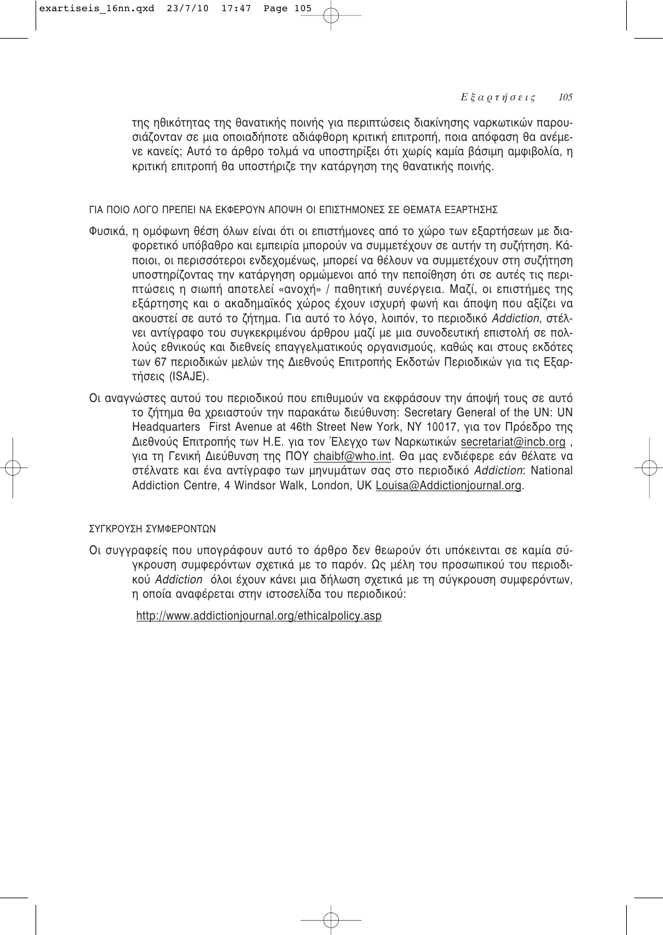της ηθικότητας της θανατικής ποινής για περιπτώσεις διακίνησης ναρκωτικών παρουσιάζονταν σε μια οποιαδήποτε αδιάφθορη κριτική επιτροπή, ποια απόφαση θα ανέμενε κανείς; Αυτό το άρθρο τολμά να υποστηρίξει ότι χωρίς καμία βάσιμη αμφιβολία, η κριτική επιτροπή θα υποστήριζε την κατάργηση της θανατικής ποινής.

# ΓΙΑ ΠΟΙΟ ΛΟΓΟ ΠΡΕΠΕΙ ΝΑ ΕΚΦΕΡΟΥΝ ΑΠΟΨΗ ΟΙ ΕΠΙΣΤΗΜΟΝΕΣ ΣΕ ΘΕΜΑΤΑ ΕΞΑΡΤΗΣΗΣ

- Φυσικά, η ομόφωνη θέση όλων είναι ότι οι επιστήμονες από το χώρο των εξαρτήσεων με διαφορετικό υπόβαθρο και εμπειρία μπορούν να συμμετέχουν σε αυτήν τη συζήτηση. Κάποιοι, οι περισσότεροι ενδεχομένως, μπορεί να θέλουν να συμμετέχουν στη συζήτηση υποστηρίζοντας την κατάργηση ορμώμενοι από την πεποίθηση ότι σε αυτές τις περιπτώσεις η σιωπή αποτελεί «ανοχή» / παθητική συνέργεια. Μαζί, οι επιστήμες της εξάρτησης και ο ακαδημαϊκός χώρος έχουν ισχυρή φωνή και άποψη που αξίζει να ακουστεί σε αυτό το ζήτημα. Για αυτό το λόγο, λοιπόν, το περιοδικό Addiction, στέλνει αντίγραφο του συγκεκριμένου άρθρου μαζί με μια συνοδευτική επιστολή σε πολλούς εθνικούς και διεθνείς επαγγελματικούς οργανισμούς, καθώς και στους εκδότες των 67 περιοδικών μελών της Διεθνούς Επιτροπής Εκδοτών Περιοδικών για τις Εξαρτήσεις (ISAJE).
- Οι αναγνώστες αυτού του περιοδικού που επιθυμούν να εκφράσουν την άποψή τους σε αυτό το ζήτημα θα χρειαστούν την παρακάτω διεύθυνση: Secretary General of the UN: UN Headquarters First Avenue at 46th Street New York, NY 10017, για τον Πρόεδρο της Διεθνούς Επιτροπής των Η.Ε. για τον Έλεγχο των Ναρκωτικών secretariat@incb.org, για τη Γενική Διεύθυνση της ΠΟΥ chaibf@who.int. Θα μας ενδιέφερε εάν θέλατε να στέλνατε και ένα αντίγραφο των μηνυμάτων σας στο περιοδικό Addiction: National Addiction Centre, 4 Windsor Walk, London, UK Louisa@Addictionjournal.org.

### ΣΥΓΚΡΟΥΣΗ ΣΥΜΦΕΡΟΝΤΩΝ

Οι συγγραφείς που υπογράφουν αυτό το άρθρο δεν θεωρούν ότι υπόκεινται σε καμία σύγκρουση συμφερόντων σχετικά με το παρόν. Ως μέλη του προσωπικού του περιοδικού Addiction όλοι έχουν κάνει μια δήλωση σχετικά με τη σύγκρουση συμφερόντων, η οποία αναφέρεται στην ιστοσελίδα του περιοδικού:

http://www.addictionjournal.org/ethicalpolicy.asp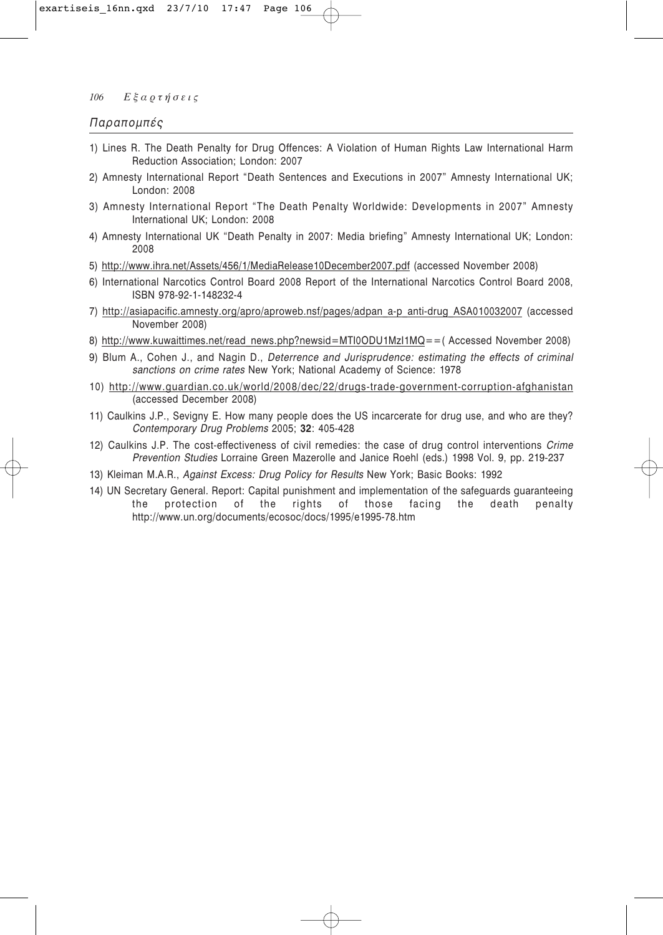## Παραπομπές

- 1) Lines R. The Death Penalty for Drug Offences: A Violation of Human Rights Law International Harm Reduction Association; London: 2007
- 2) Amnesty International Report "Death Sentences and Executions in 2007" Amnesty International UK; London: 2008
- 3) Amnesty International Report "The Death Penalty Worldwide: Developments in 2007" Amnesty International UK; London: 2008
- 4) Amnesty International UK "Death Penalty in 2007: Media briefing" Amnesty International UK; London: 2008
- 5) http://www.ihra.net/Assets/456/1/MediaRelease10December2007.pdf (accessed November 2008)
- 6) International Narcotics Control Board 2008 Report of the International Narcotics Control Board 2008, ISBN 978-92-1-148232-4
- 7) http://asiapacific.amnesty.org/apro/aproweb.nsf/pages/adpan a-p anti-drug ASA010032007 (accessed November 2008)
- 8) http://www.kuwaittimes.net/read\_news.php?newsid=MTI0ODU1Mzl1MQ==(Accessed November 2008)
- 9) Blum A., Cohen J., and Nagin D., Deterrence and Jurisprudence: estimating the effects of criminal sanctions on crime rates New York; National Academy of Science: 1978
- 10) http://www.guardian.co.uk/world/2008/dec/22/drugs-trade-government-corruption-afghanistan (accessed December 2008)
- 11) Caulkins J.P., Sevigny E. How many people does the US incarcerate for drug use, and who are they? Contemporary Drug Problems 2005; 32: 405-428
- 12) Caulkins J.P. The cost-effectiveness of civil remedies: the case of drug control interventions Crime Prevention Studies Lorraine Green Mazerolle and Janice Roehl (eds.) 1998 Vol. 9, pp. 219-237
- 13) Kleiman M.A.R., Against Excess: Drug Policy for Results New York; Basic Books: 1992
- 14) UN Secretary General. Report: Capital punishment and implementation of the safeguards guaranteeing protection of the rights of those facing the death penalty the http://www.un.org/documents/ecosoc/docs/1995/e1995-78.htm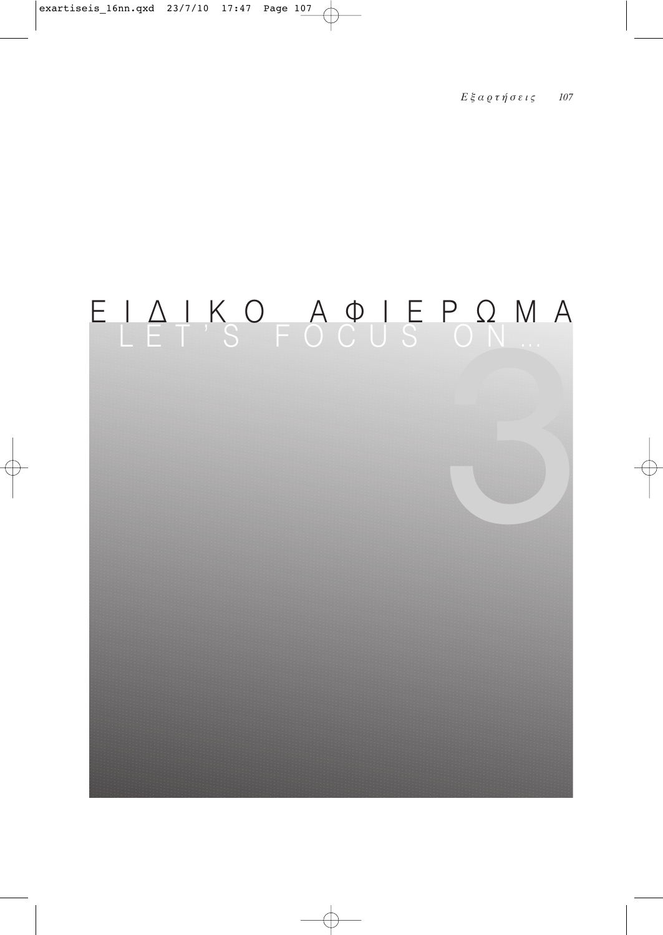# exartiseis\_16nn.qxd  $23/7/10$  17:47 Page 107

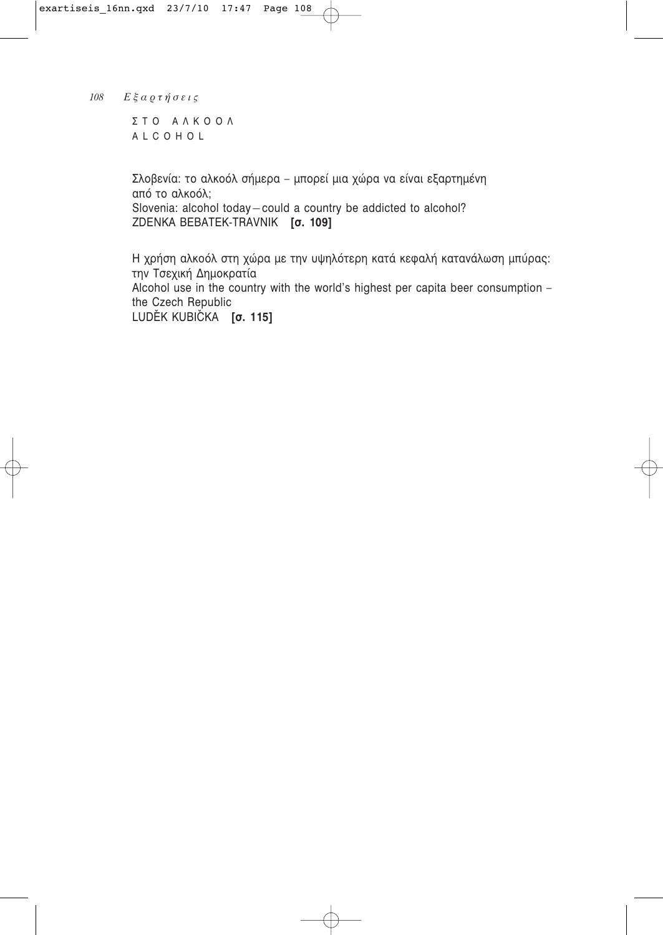108  $E$ ξαρτήσεις

> ΣΤΟ ΑΛΚΟΟΛ ALCOHOL

Σλοβενία: το αλκοόλ σήμερα - μπορεί μια χώρα να είναι εξαρτημένη από το αλκοόλ; Slovenia: alcohol today-could a country be addicted to alcohol? ZDENKA BEBATEK-TRAVNIK [o. 109]

Η χρήση αλκοόλ στη χώρα με την υψηλότερη κατά κεφαλή κατανάλωση μπύρας: την Τσεχική Δημοκρατία Alcohol use in the country with the world's highest per capita beer consumption the Czech Republic LUDĚK KUBIČKA [o. 115]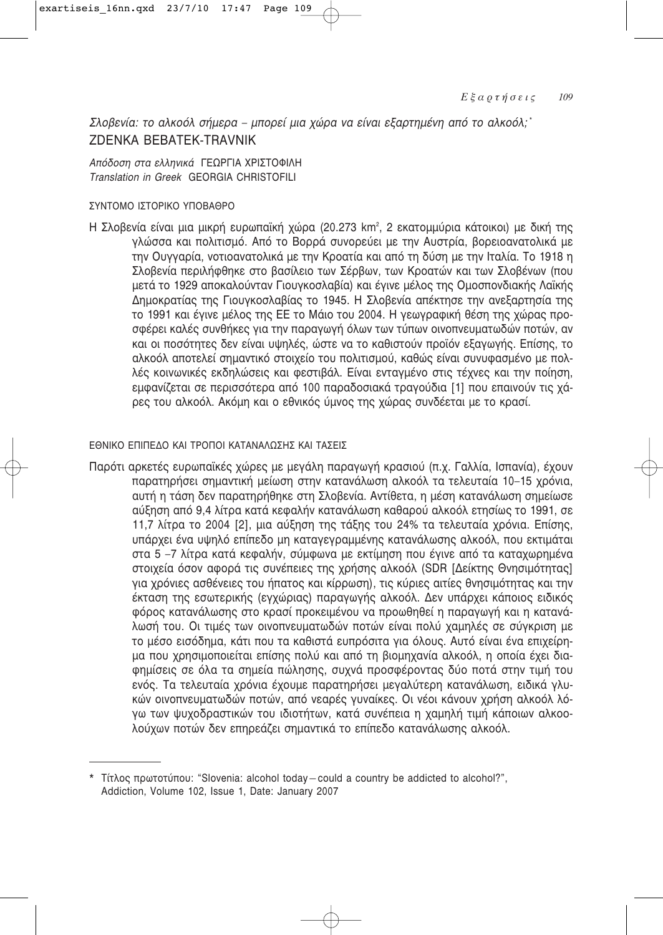exartiseis\_16nn.qxd 23/7/10 17:47 Page 109

*Σλοβενία: το αλκοόλ σήμερα – μπορεί μια χώρα να είναι εξαρτημένη από το αλκοόλ;* ZDENKA BEBATEK-TRAVNIK

*Απόδοση στα ελληνικά* ΓΕΩΡΓΙΑ ΧΡΙΣΤΟΦΙΛΗ *Translation in Greek* GEORGIA CHRISTOFILI

#### ΣΥΝΤΟΜΟ ΙΣΤΟΡΙΚΟ ΥΠΟΒΑΘΡΟ

Η Σλοβενία είναι μια μικρή ευρωπαική χώρα (20.273 km², 2 εκατομμύρια κάτοικοι) με δική της γλώσσα και πολιτισμό. Από το Βορρά συνορεύει με την Αυστρία, βορειοανατολικά με την Ουγγαρία, νοτιοανατολικά με την Κροατία και από τη δύση με την Ιταλία. Το 1918 η Σλοβενία περιλήφθηκε στο βασίλειο των Σέρβων, των Κροατών και των Σλοβένων (που μετά το 1929 αποκαλούνταν Γιουγκοσλαβία) και έγινε μέλος της Ομοσπονδιακής Λαϊκής Δημοκρατίας της Γιουγκοσλαβίας το 1945. Η Σλοβενία απέκτησε την ανεξαρτησία της το 1991 και έγινε μέλος της ΕΕ το Μάιο του 2004. Η γεωγραφική θέση της χώρας προσφέρει καλές συνθήκες για την παραγωγή όλων των τύπων οινοπνευματωδών ποτών, αν και οι ποσότητες δεν είναι υψηλές, ώστε να το καθιστούν προϊόν εξαγωγής. Επίσης, το αλκοόλ αποτελεί σημαντικό στοιχείο του πολιτισμού, καθώς είναι συνυφασμένο με πολλές κοινωνικές εκδηλώσεις και φεστιβάλ. Είναι ενταγμένο στις τέχνες και την ποίηση, εμφανίζεται σε περισσότερα από 100 παραδοσιακά τραγούδια [1] που επαινούν τις χάρες του αλκοόλ. Ακόμη και ο εθνικός ύμνος της χώρας συνδέεται με το κρασί.

#### ΕΘΝΙΚΟ ΕΠΙΠΕΔΟ ΚΑΙ ΤΡΟΠΟΙ ΚΑΤΑΝΑΛΩΣΗΣ ΚΑΙ ΤΑΣΕΙΣ

Παρότι αρκετές ευρωπαϊκές χώρες με μεγάλη παραγωγή κρασιού (π.χ. Γαλλία, Ισπανία), έχουν παρατηρήσει σημαντική μείωση στην κατανάλωση αλκοόλ τα τελευταία 10–15 χρόνια, αυτή η τάση δεν παρατηρήθηκε στη Σλοβενία. Αντίθετα, η μέση κατανάλωση σημείωσε αύξηση από 9,4 λίτρα κατά κεφαλήν κατανάλωση καθαρού αλκοόλ ετησίως το 1991, σε 11,7 λίτρα το 2004 [2], μια αύξηση της τάξης του 24% τα τελευταία χρόνια. Επίσης, υπάρχει ένα υψηλό επίπεδο μη καταγεγραμμένης κατανάλωσης αλκοόλ, που εκτιμάται στα 5 –7 λίτρα κατά κεφαλήν, σύμφωνα με εκτίμηση που έγινε από τα καταχωρημένα στοιχεία όσον αφορά τις συνέπειες της χρήσης αλκοόλ (SDR [Δείκτης Θνησιμότητας] για χρόνιες ασθένειες του ήπατος και κίρρωση), τις κύριες αιτίες θνησιμότητας και την έκταση της εσωτερικής (εγχώριας) παραγωγής αλκοόλ. Δεν υπάρχει κάποιος ειδικός φόρος κατανάλωσης στο κρασί προκειμένου να προωθηθεί η παραγωγή και η κατανάλωσή του. Οι τιμές των οινοπνευματωδών ποτών είναι πολύ χαμηλές σε σύγκριση με το μέσο εισόδημα, κάτι που τα καθιστά ευπρόσιτα για όλους. Αυτό είναι ένα επιχείρημα που χρησιμοποιείται επίσης πολύ και από τη βιομηχανία αλκοόλ, η οποία έχει διαφημίσεις σε όλα τα σημεία πώλησης, συχνά προσφέροντας δύο ποτά στην τιμή του ενός. Τα τελευταία χρόνια έχουμε παρατηρήσει μεγαλύτερη κατανάλωση, ειδικά γλυκών οινοπνευματωδών ποτών, από νεαρές γυναίκες. Οι νέοι κάνουν χρήση αλκοόλ λόγω των ψυχοδραστικών του ιδιοτήτων, κατά συνέπεια η χαμηλή τιμή κάποιων αλκοολούχων ποτών δεν επηρεάζει σημαντικά το επίπεδο κατανάλωσης αλκοόλ.

 $T$ ίτλος πρωτοτύπου: "Slovenia: alcohol today – could a country be addicted to alcohol?", Addiction, Volume 102, Issue 1, Date: January 2007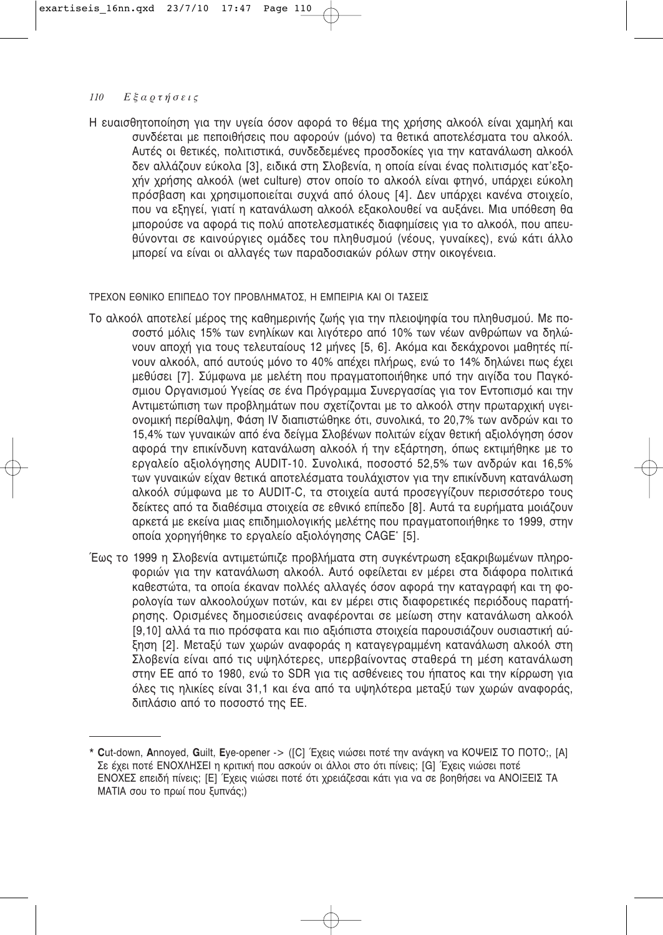Η ευαισθητοποίηση για την υγεία όσον αφορά το θέμα της χρήσης αλκοόλ είναι χαμηλή και συνδέεται με πεποιθήσεις που αφορούν (μόνο) τα θετικά αποτελέσματα του αλκοόλ. Αυτές οι θετικές, πολιτιστικά, συνδεδεμένες προσδοκίες για την κατανάλωση αλκοόλ δεν αλλάζουν εύκολα [3], ειδικά στη Σλοβενία, η οποία είναι ένας πολιτισμός κατ'εξοχήν χρήσης αλκοόλ (wet culture) στον οποίο το αλκοόλ είναι φτηνό, υπάρχει εύκολη πρόσβαση και χρησιμοποιείται συχνά από όλους [4]. Δεν υπάρχει κανένα στοιχείο, που να εξηγεί, γιατί η κατανάλωση αλκοόλ εξακολουθεί να αυξάνει. Μια υπόθεση θα μπορούσε να αφορά τις πολύ αποτελεσματικές διαφημίσεις για το αλκοόλ, που απευθύνονται σε καινούργιες ομάδες του πληθυσμού (νέους, γυναίκες), ενώ κάτι άλλο μπορεί να είναι οι αλλαγές των παραδοσιακών ρόλων στην οικογένεια.

## ΤΡΕΧΟΝ ΕΘΝΙΚΟ ΕΠΙΠΕΔΟ ΤΟΥ ΠΡΟΒΛΗΜΑΤΟΣ, Η ΕΜΠΕΙΡΙΑ ΚΑΙ ΟΙ ΤΑΣΕΙΣ

- Το αλκοόλ αποτελεί μέρος της καθημερινής ζωής για την πλειοψηφία του πληθυσμού. Με ποσοστό μόλις 15% των ενηλίκων και λιγότερο από 10% των νέων ανθρώπων να δηλώvουν αποχή για τους τελευταίους 12 μήνες [5, 6]. Ακόμα και δεκάχρονοι μαθητές πίνουν αλκοόλ, από αυτούς μόνο το 40% απέχει πλήρως, ενώ το 14% δηλώνει πως έχει μεθύσει [7]. Σύμφωνα με μελέτη που πραγματοποιήθηκε υπό την αιγίδα του Παγκόσμιου Οργανισμού Υγείας σε ένα Πρόγραμμα Συνεργασίας για τον Εντοπισμό και την Aντιμετώπιση των προβλημάτων που σχετίζονται με το αλκοόλ στην πρωταρχική υνειονομική περίθαλψη, Φάση IV διαπιστώθηκε ότι, συνολικά, το 20,7% των ανδρών και το 15,4% των γυναικών από ένα δείγμα Σλοβένων πολιτών είχαν θετική αξιολόγηση όσον αφορά την επικίνδυνη κατανάλωση αλκοόλ ή την εξάρτηση, όπως εκτιμήθηκε με το εργαλείο αξιολόγησης AUDIT-10. Συνολικά, ποσοστό 52,5% των ανδρών και 16,5% των γυναικών είχαν θετικά αποτελέσματα τουλάχιστον για την επικίνδυνη κατανάλωση αλκοόλ σύμφωνα με το AUDIT-C, τα στοιχεία αυτά προσεγγίζουν περισσότερο τους δείκτες από τα διαθέσιμα στοιχεία σε εθνικό επίπεδο [8]. Αυτά τα ευρήματα μοιάζουν αρκετά με εκείνα μιας επιδημιολογικής μελέτης που πραγματοποιήθηκε το 1999, στην οποία χορηγήθηκε το εργαλείο αξιολόγησης CAGE<sup>\*</sup> [5].
- Έως το 1999 η Σλοβενία αντιμετώπιζε προβλήματα στη συγκέντρωση εξακριβωμένων πληρο-Φοριών για την κατανάλωση αλκοόλ. Αυτό οφείλεται εν μέρει στα διάφορα πολιτικά καθεστώτα, τα οποία έκαναν πολλές αλλαγές όσον αφορά την καταγραφή και τη φορολογία των αλκοολούχων ποτών, και εν μέρει στις διαφορετικές περιόδους παρατήρησης. Ορισμένες δημοσιεύσεις αναφέρονται σε μείωση στην κατανάλωση αλκοόλ [9,10] αλλά τα πιο πρόσφατα και πιο αξιόπιστα στοιχεία παρουσιάζουν ουσιαστική αύξηση [2]. Μεταξύ των χωρών αναφοράς η καταγεγραμμένη κατανάλωση αλκοόλ στη Σλοβενία είναι από τις υψηλότερες, υπερβαίνοντας σταθερά τη μέση κατανάλωση στην ΕΕ από το 1980, ενώ το SDR για τις ασθένειες του ήπατος και την κίρρωση για όλες τις ηλικίες είναι 31,1 και ένα από τα υψηλότερα μεταξύ των χωρών αναφοράς, διπλάσιο από το ποσοστό της ΕΕ.

<sup>\*</sup> Cut-down, Annoyed, Guilt, Eye-opener -> ([C] Έχεις νιώσει ποτέ την ανάγκη να ΚΟΨΕΙΣ ΤΟ ΠΟΤΟ;, [A] Σε έχει ποτέ ΕΝΟΧΛΗΣΕΙ η κριτική που ασκούν οι άλλοι στο ότι πίνεις; [G] Έχεις νιώσει ποτέ ΕΝΟΧΕΣ επειδή πίνεις; [E] Έχεις νιώσει ποτέ ότι χρειάζεσαι κάτι για να σε βοηθήσει να ΑΝΟΙΞΕΙΣ ΤΑ ΜΑΤΙΑ σου το πρωί που ξυπνάς;)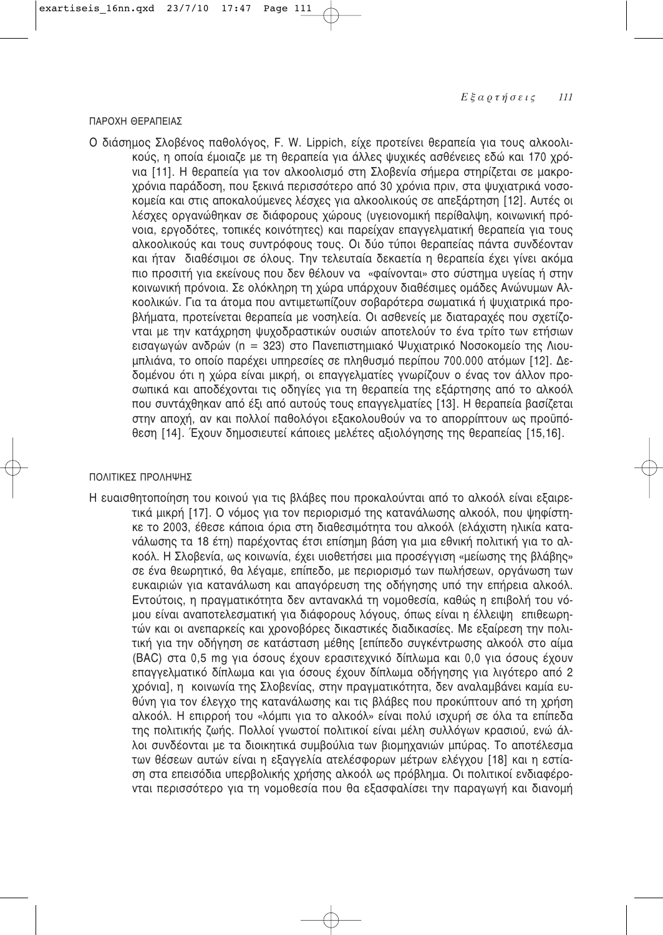#### ΠΑΡΟΧΗ ΘΕΡΑΠΕΙΑΣ

Ο διάσημος Σλοβένος παθολόγος, F. W. Lippich, είχε προτείνει θεραπεία για τους αλκοολι-<u>κούς, η οποία έμοιαζε με τη θεραπεία για άλλες ψυχικές ασθένειες εδώ και 170 χρό-</u> νια [11]. Η θεραπεία για τον αλκοολισμό στη Σλοβενία σήμερα στηρίζεται σε μακροχρόνια παράδοση, που ξεκινά περισσότερο από 30 χρόνια πριν, στα ψυχιατρικά νοσοκομεία και στις αποκαλούμενες λέσχες για αλκοολικούς σε απεξάρτηση [12]. Αυτές οι λέσχες οργανώθηκαν σε διάφορους χώρους (υγειονομική περίθαλψη, κοινωνική πρόνοια, εργοδότες, τοπικές κοινότητες) και παρείχαν επαγγελματική θεραπεία για τους αλκοολικούς και τους συντρόφους τους. Οι δύο τύποι θεραπείας πάντα συνδέονταν και ήταν διαθέσιμοι σε όλους. Την τελευταία δεκαετία η θεραπεία έχει γίνει ακόμα πιο προσιτή για εκείνους που δεν θέλουν να «φαίνονται» στο σύστημα υγείας ή στην κοινωνική πρόνοια. Σε ολόκληρη τη χώρα υπάρχουν διαθέσιμες ομάδες Ανώνυμων Αλκοολικών. Για τα άτομα που αντιμετωπίζουν σοβαρότερα σωματικά ή ψυχιατρικά προβλήματα, προτείνεται θεραπεία με νοσηλεία. Οι ασθενείς με διαταραχές που σχετίζο-Vται με την κατάχρηση ψυχοδραστικών ουσιών αποτελούν το ένα τρίτο των ετήσιων εισαγωγών ανδρών (n = 323) στο Πανεπιστημιακό Ψυχιατρικό Νοσοκομείο της Λιουμπλιάνα, το οποίο παρέχει υπηρεσίες σε πληθυσμό περίπου 700.000 ατόμων [12]. Δεδομένου ότι η χώρα είναι μικρή, οι επαγγελματίες γνωρίζουν ο ένας τον άλλον προσωπικά και αποδέχονται τις οδηγίες για τη θεραπεία της εξάρτησης από το αλκοόλ που συντάχθηκαν από έξι από αυτούς τους επαγγελματίες [13]. Η θεραπεία βασίζεται στην αποχή, αν και πολλοί παθολόγοι εξακολουθούν να το απορρίπτουν ως προϋπόθεση [14]. Έχουν δημοσιευτεί κάποιες μελέτες αξιολόγησης της θεραπείας [15,16].

#### ΠΟΛΙΤΙΚΕΣ ΠΡΟΛΗΨΗΣ

Η ευαισθητοποίηση του κοινού για τις βλάβες που προκαλούνται από το αλκοόλ είναι εξαιρετικά μικρή [17]. Ο νόμος για τον περιορισμό της κατανάλωσης αλκοόλ, που ψηφίστηκε το 2003, έθεσε κάποια όρια στη διαθεσιμότητα του αλκοόλ (ελάχιστη ηλικία κατανάλωσης τα 18 έτη) παρέχοντας έτσι επίσημη βάση νια μια εθνική πολιτική νια το αλ-ΚΟόλ. Η Σλοβενία, ως κοινωνία, έχει υιοθετήσει μια προσέγγιση «μείωσης της βλάβης» σε ένα θεωρητικό, θα λέγαμε, επίπεδο, με περιορισμό των πωλήσεων, οργάνωση των ευκαιριών για κατανάλωση και απαγόρευση της οδήγησης υπό την επήρεια αλκοόλ. Εντούτοις, η πραγματικότητα δεν αντανακλά τη νομοθεσία, καθώς η επιβολή του νόμου είναι αναποτελεσματική για διάφορους λόγους, όπως είναι η έλλειψη επιθεωρητών και οι ανεπαρκείς και χρονοβόρες δικαστικές διαδικασίες. Με εξαίρεση την πολιτική για την οδήγηση σε κατάσταση μέθης [επίπεδο συγκέντρωσης αλκοόλ στο αίμα (BAC) στα 0,5 mg για όσους έχουν ερασιτεχνικό δίπλωμα και 0,0 για όσους έχουν επαγγελματικό δίπλωμα και για όσους έχουν δίπλωμα οδήγησης για λιγότερο από 2 χρόνια], η κοινωνία της Σλοβενίας, στην πραγματικότητα, δεν αναλαμβάνει καμία ευθύνη για τον έλεγχο της κατανάλωσης και τις βλάβες που προκύπτουν από τη χρήση αλκοόλ. Η επιρροή του «λόμπι για το αλκοόλ» είναι πολύ ισχυρή σε όλα τα επίπεδα της πολιτικής ζωής. Πολλοί γνωστοί πολιτικοί είναι μέλη συλλόγων κρασιού, ενώ άλλοι συνδέονται με τα διοικητικά συμβούλια των βιομηχανιών μπύρας. Το αποτέλεσμα των θέσεων αυτών είναι η εξαγγελία ατελέσφορων μέτρων ελέγχου [18] και η εστίαση στα επεισόδια υπερβολικής χρήσης αλκοόλ ως πρόβλημα. Οι πολιτικοί ενδιαφέρονται περισσότερο για τη νομοθεσία που θα εξασφαλίσει την παρανωνή και διανομή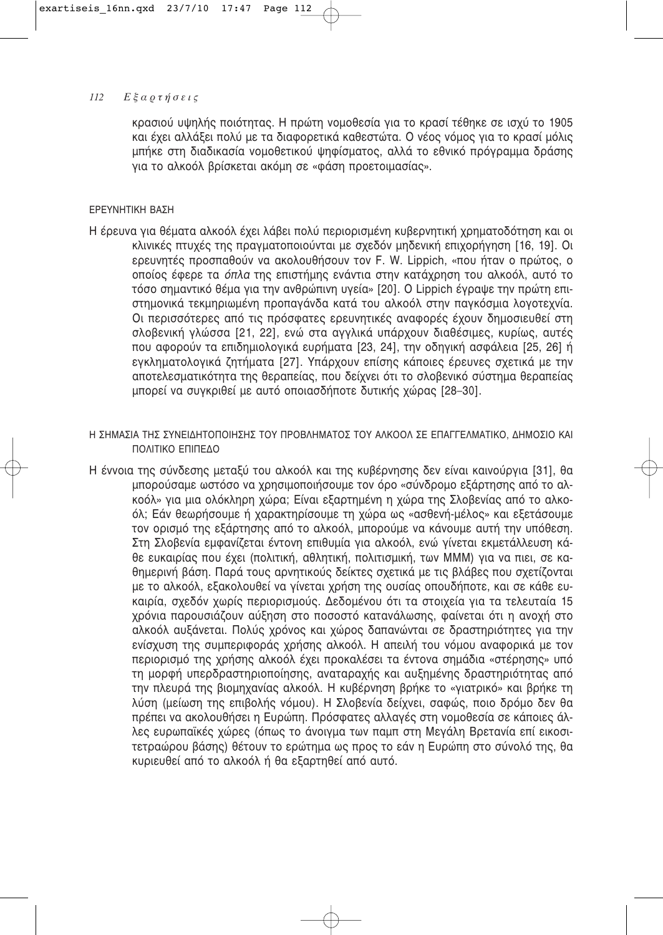Κρασιού υψηλής ποιότητας. Η πρώτη νομοθεσία για το κρασί τέθηκε σε ισχύ το 1905 και έχει αλλάξει πολύ με τα διαφορετικά καθεστώτα. Ο νέος νόμος για το κρασί μόλις μπήκε στη διαδικασία νομοθετικού ψηφίσματος, αλλά το εθνικό πρόγραμμα δράσης για το αλκοόλ βρίσκεται ακόμη σε «φάση προετοιμασίας».

#### ΓΡΕΥΝΗΤΙΚΗ ΒΑΣΗ

- Η έρευνα για θέματα αλκοόλ έχει λάβει πολύ περιορισμένη κυβερνητική χρηματοδότηση και οι κλινικές πτυχές της πραγματοποιούνται με σχεδόν μηδενική επιχορήγηση [16, 19]. Οι ερευνητές προσπαθούν να ακολουθήσουν τον F. W. Lippich, «που ήταν ο πρώτος, ο οποίος έφερε τα *όπλα* της επιστήμης ενάντια στην κατάχρηση του αλκοόλ, αυτό το τόσο σημαντικό θέμα για την ανθρώπινη υγεία» [20]. Ο Lippich έγραψε την πρώτη επιστημονικά τεκμηριωμένη προπαγάνδα κατά του αλκοόλ στην παγκόσμια λογοτεχνία. Οι περισσότερες από τις πρόσφατες ερευνητικές αναφορές έχουν δημοσιευθεί στη σλοβενική γλώσσα [21, 22], ενώ στα αγγλικά υπάρχουν διαθέσιμες, κυρίως, αυτές που αφορούν τα επιδημιολογικά ευρήματα [23, 24], την οδηγική ασφάλεια [25, 26] ή εγκληματολογικά ζητήματα [27]. Υπάρχουν επίσης κάποιες έρευνες σχετικά με την αποτελεσματικότητα της θεραπείας, που δείχνει ότι το σλοβενικό σύστημα θεραπείας μπορεί να συγκριθεί με αυτό οποιασδήποτε δυτικής χώρας [28–30].
- Η ΣΗΜΑΣΙΑ ΤΗΣ ΣΥΝΕΙΔΗΤΟΠΟΙΗΣΗΣ ΤΟΥ ΠΡΟΒΛΗΜΑΤΟΣ ΤΟΥ ΑΛΚΟΟΛ ΣΕ ΕΠΑΓΓΕΛΜΑΤΙΚΟ, ΔΗΜΟΣΙΟ ΚΑΙ ΠΟΛΙΤΙΚΟ ΕΠΙΠΕΔΟ
- Η έννοια της σύνδεσης μεταξύ του αλκοόλ και της κυβέρνησης δεν είναι καινούργια [31], θα μπορούσαμε ωστόσο να χρησιμοποιήσουμε τον όρο «σύνδρομο εξάρτησης από το αλκοόλ» για μια ολόκληρη χώρα; Είναι εξαρτημένη η χώρα της Σλοβενίας από το αλκοόλ; Εάν θεωρήσουμε ή χαρακτηρίσουμε τη χώρα ως «ασθενή-μέλος» και εξετάσουμε τον ορισμό της εξάρτησης από το αλκοόλ, μπορούμε να κάνουμε αυτή την υπόθεση. Στη Σλοβενία εμφανίζεται έντονη επιθυμία για αλκοόλ, ενώ γίνεται εκμετάλλευση κάθε ευκαιρίας που έχει (πολιτική, αθλητική, πολιτισμική, των ΜΜΜ) για να πιει, σε καθημερινή βάση. Παρά τους αρνητικούς δείκτες σχετικά με τις βλάβες που σχετίζονται με το αλκοόλ, εξακολουθεί να γίνεται χρήση της ουσίας οπουδήποτε, και σε κάθε ευκαιρία, σχεδόν χωρίς περιορισμούς. Δεδομένου ότι τα στοιχεία για τα τελευταία 15 χρόνια παρουσιάζουν αύξηση στο ποσοστό κατανάλωσης, φαίνεται ότι η ανοχή στο αλκοόλ αυξάνεται. Πολύς χρόνος και χώρος δαπανώνται σε δραστηριότητες για την ενίσχυση της συμπεριφοράς χρήσης αλκοόλ. Η απειλή του νόμου αναφορικά με τον περιορισμό της χρήσης αλκοόλ έχει προκαλέσει τα έντονα σημάδια «στέρησης» υπό τη μορφή υπερδραστηριοποίησης, αναταραχής και αυξημένης δραστηριότητας από την πλευρά της βιομηχανίας αλκοόλ. Η κυβέρνηση βρήκε το «γιατρικό» και βρήκε τη λύση (μείωση της επιβολής νόμου). Η Σλοβενία δείχνει, σαφώς, ποιο δρόμο δεν θα πρέπει να ακολουθήσει η Ευρώπη. Πρόσφατες αλλαγές στη νομοθεσία σε κάποιες άλλες ευρωπαϊκές χώρες (όπως το άνοινμα των παμπ στη Μενάλη Βρετανία επί εικοσιτετραώρου βάσης) θέτουν το ερώτημα ως προς το εάν η Ευρώπη στο σύνολό της, θα κυριευθεί από το αλκοόλ ή θα εξαρτηθεί από αυτό.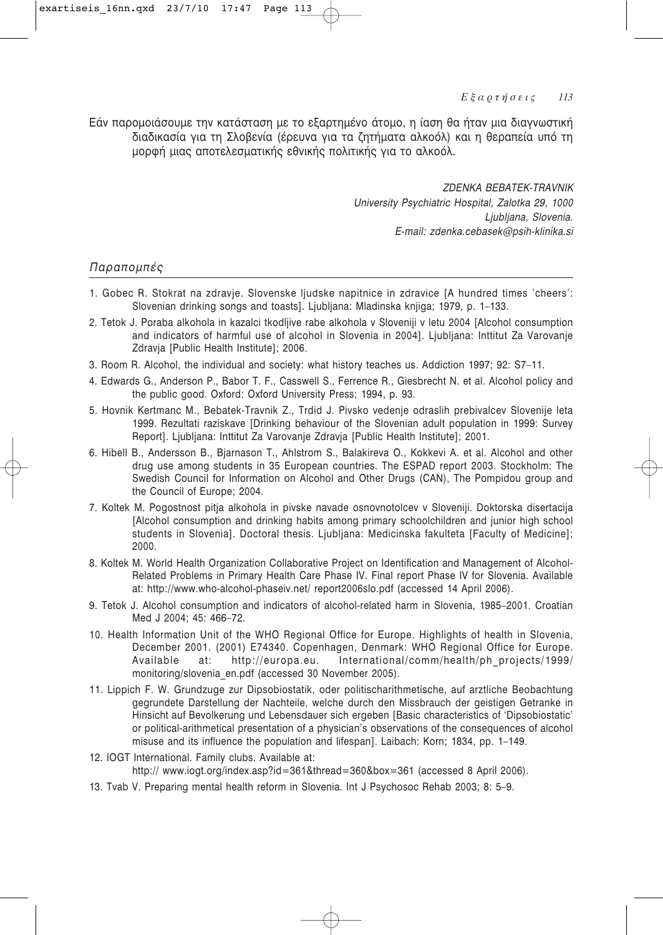Εάν παρομοιάσουμε την κατάσταση με το εξαρτημένο άτομο, η ίαση θα ήταν μια διαγνωστική διαδικασία για τη Σλοβενία (έρευνα για τα ζητήματα αλκοόλ) και η θεραπεία υπό τη μορφή μιας αποτελεσματικής εθνικής πολιτικής για το αλκοόλ.

Page 113

ZDENKA BEBATEK-TRAVNIK University Psychiatric Hospital, Zalotka 29, 1000 Liubliana, Slovenia, E-mail: zdenka.cebasek@psih-klinika.si

#### Παραπομπές

exartiseis 16nn.qxd

 $23/7/10$ 

 $17:47$ 

- 1. Gobec R. Stokrat na zdravje. Slovenske ljudske napitnice in zdravice [A hundred times 'cheers': Slovenian drinking songs and toasts). Liubliana: Mladinska knijga: 1979. p. 1–133.
- 2. Tetok J. Poraba alkohola in kazalci tkodljive rabe alkohola v Sloveniji v letu 2004 [Alcohol consumption and indicators of harmful use of alcohol in Slovenia in 2004]. Liubliana: Inttitut Za Varovanie Zdravia [Public Health Institute]; 2006.
- 3. Room R. Alcohol, the individual and society: what history teaches us. Addiction 1997; 92: S7-11.
- 4. Edwards G., Anderson P., Babor T. F., Casswell S., Ferrence R., Giesbrecht N. et al. Alcohol policy and the public good. Oxford: Oxford University Press; 1994, p. 93.
- 5. Hovnik Kertmanc M., Bebatek-Travnik Z., Trdid J. Pivsko vedenje odraslih prebivalcev Slovenije leta 1999. Rezultati raziskave [Drinking behaviour of the Slovenian adult population in 1999: Survey Report]. Ljubljana: Inttitut Za Varovanje Zdravja [Public Health Institute]; 2001.
- 6. Hibell B., Andersson B., Bjarnason T., Ahlstrom S., Balakireva O., Kokkevi A. et al. Alcohol and other drug use among students in 35 European countries. The ESPAD report 2003. Stockholm: The Swedish Council for Information on Alcohol and Other Drugs (CAN), The Pompidou group and the Council of Europe; 2004.
- 7. Koltek M. Pogostnost pitja alkohola in pivske navade osnovnotolcev v Sloveniji. Doktorska disertacija [Alcohol consumption and drinking habits among primary schoolchildren and junior high school students in Slovenia]. Doctoral thesis. Ljubljana: Medicinska fakulteta [Faculty of Medicine]; 2000.
- 8. Koltek M. World Health Organization Collaborative Project on Identification and Management of Alcohol-Related Problems in Primary Health Care Phase IV. Final report Phase IV for Slovenia. Available at: http://www.who-alcohol-phaseiv.net/ report2006slo.pdf (accessed 14 April 2006).
- 9. Tetok J. Alcohol consumption and indicators of alcohol-related harm in Slovenia, 1985-2001. Croatian Med J 2004; 45: 466-72.
- 10. Health Information Unit of the WHO Regional Office for Europe. Highlights of health in Slovenia, December 2001. (2001) E74340. Copenhagen, Denmark: WHO Regional Office for Europe. Available at: http://europa.eu. International/comm/health/ph projects/1999/ monitoring/slovenia en.pdf (accessed 30 November 2005).
- 11. Lippich F. W. Grundzuge zur Dipsobiostatik, oder politischarithmetische, auf arztliche Beobachtung gegrundete Darstellung der Nachteile, welche durch den Missbrauch der geistigen Getranke in Hinsicht auf Bevolkerung und Lebensdauer sich ergeben [Basic characteristics of 'Dipsobiostatic' or political-arithmetical presentation of a physician's observations of the consequences of alcohol misuse and its influence the population and lifespan]. Laibach: Korn; 1834, pp. 1-149.
- 12. IOGT International. Family clubs. Available at: http:// www.iogt.org/index.asp?id=361&thread=360&box=361 (accessed 8 April 2006).
- 13. Tvab V. Preparing mental health reform in Slovenia. Int J Psychosoc Rehab 2003; 8: 5-9.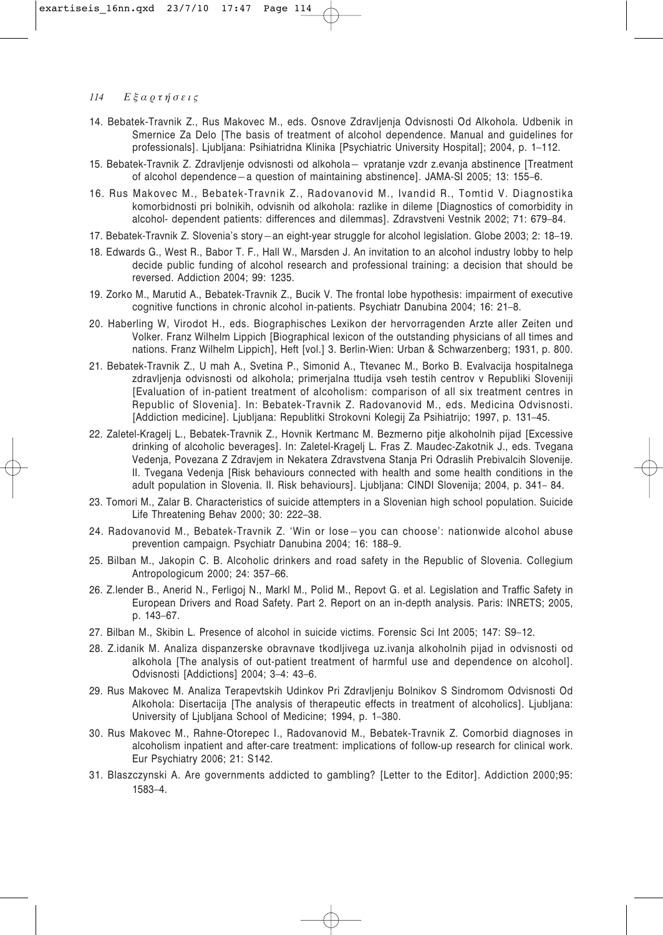- *114 Εξαρτήσεις*
- 14. Bebatek-Travnik Z., Rus Makovec M., eds. Osnove Zdravljenja Odvisnosti Od Alkohola. Udbenik in Smernice Za Delo [The basis of treatment of alcohol dependence. Manual and guidelines for professionals]. Ljubljana: Psihiatridna Klinika [Psychiatric University Hospital]; 2004, p. 1–112.
- 15. Bebatek-Travnik Z. Zdravljenje odvisnosti od alkohola— vpratanje vzdr z.evanja abstinence [Treatment of alcohol dependence—a question of maintaining abstinence]. JAMA-SI 2005; 13: 155–6.
- 16. Rus Makovec M., Bebatek-Travnik Z., Radovanovid M., Ivandid R., Tomtid V. Diagnostika komorbidnosti pri bolnikih, odvisnih od alkohola: razlike in dileme [Diagnostics of comorbidity in alcohol- dependent patients: differences and dilemmas]. Zdravstveni Vestnik 2002; 71: 679–84.
- 17. Bebatek-Travnik Z. Slovenia's story—an eight-year struggle for alcohol legislation. Globe 2003; 2: 18–19.
- 18. Edwards G., West R., Babor T. F., Hall W., Marsden J. An invitation to an alcohol industry lobby to help decide public funding of alcohol research and professional training: a decision that should be reversed. Addiction 2004; 99: 1235.
- 19. Zorko M., Marutid A., Bebatek-Travnik Z., Bucik V. The frontal lobe hypothesis: impairment of executive cognitive functions in chronic alcohol in-patients. Psychiatr Danubina 2004; 16: 21–8.
- 20. Haberling W, Virodot H., eds. Biographisches Lexikon der hervorragenden Arzte aller Zeiten und Volker. Franz Wilhelm Lippich [Biographical lexicon of the outstanding physicians of all times and nations. Franz Wilhelm Lippich], Heft [vol.] 3. Berlin-Wien: Urban & Schwarzenberg; 1931, p. 800.
- 21. Bebatek-Travnik Z., U mah A., Svetina P., Simonid A., Ttevanec M., Borko B. Evalvacija hospitalnega zdravljenja odvisnosti od alkohola; primerjalna ttudija vseh testih centrov v Republiki Sloveniji [Evaluation of in-patient treatment of alcoholism: comparison of all six treatment centres in Republic of Slovenia]. In: Bebatek-Travnik Z. Radovanovid M., eds. Medicina Odvisnosti. [Addiction medicine]. Ljubljana: Republitki Strokovni Kolegij Za Psihiatrijo; 1997, p. 131–45.
- 22. Zaletel-Kragelj L., Bebatek-Travnik Z., Hovnik Kertmanc M. Bezmerno pitje alkoholnih pijad [Excessive drinking of alcoholic beverages]. In: Zaletel-Kragelj L. Fras Z. Maudec-Zakotnik J., eds. Tvegana Vedenja, Povezana Z Zdravjem in Nekatera Zdravstvena Stanja Pri Odraslih Prebivalcih Slovenije. II. Tvegana Vedenja [Risk behaviours connected with health and some health conditions in the adult population in Slovenia. II. Risk behaviours]. Ljubljana: CINDI Slovenija; 2004, p. 341– 84.
- 23. Tomori M., Zalar B. Characteristics of suicide attempters in a Slovenian high school population. Suicide Life Threatening Behav 2000; 30: 222–38.
- 24. Radovanovid M., Bebatek-Travnik Z. 'Win or lose—you can choose': nationwide alcohol abuse prevention campaign. Psychiatr Danubina 2004; 16: 188–9.
- 25. Bilban M., Jakopin C. B. Alcoholic drinkers and road safety in the Republic of Slovenia. Collegium Antropologicum 2000; 24: 357–66.
- 26. Z.lender B., Anerid N., Ferligoj N., Markl M., Polid M., Repovt G. et al. Legislation and Traffic Safety in European Drivers and Road Safety. Part 2. Report on an in-depth analysis. Paris: INRETS; 2005, p. 143–67.
- 27. Bilban M., Skibin L. Presence of alcohol in suicide victims. Forensic Sci Int 2005; 147: S9–12.
- 28. Z.idanik M. Analiza dispanzerske obravnave tkodljivega uz.ivanja alkoholnih pijad in odvisnosti od alkohola [The analysis of out-patient treatment of harmful use and dependence on alcohol]. Odvisnosti [Addictions] 2004; 3–4: 43–6.
- 29. Rus Makovec M. Analiza Terapevtskih Udinkov Pri Zdravljenju Bolnikov S Sindromom Odvisnosti Od Alkohola: Disertacija [The analysis of therapeutic effects in treatment of alcoholics]. Ljubljana: University of Ljubljana School of Medicine; 1994, p. 1–380.
- 30. Rus Makovec M., Rahne-Otorepec I., Radovanovid M., Bebatek-Travnik Z. Comorbid diagnoses in alcoholism inpatient and after-care treatment: implications of follow-up research for clinical work. Eur Psychiatry 2006; 21: S142.
- 31. Blaszczynski A. Are governments addicted to gambling? [Letter to the Editor]. Addiction 2000;95: 1583–4.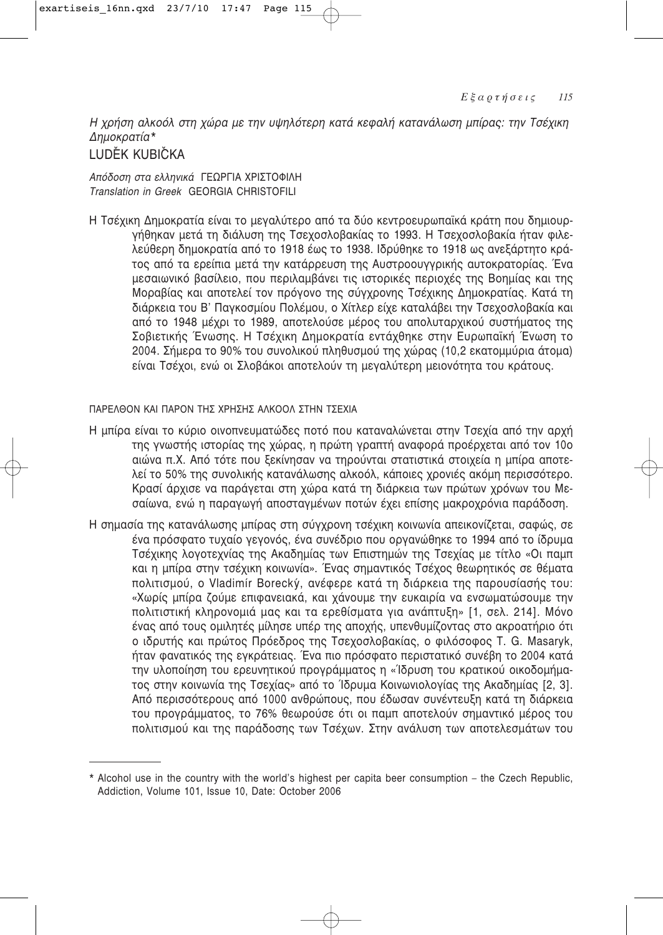exartiseis  $16nn.qxd$   $23/7/10$   $17:47$ 

*Η χρήση αλκοόλ στη χώρα με την υψηλότερη κατά κεφαλή κατανάλωση μπίρας: την Τσέχικη*  $Anu$ <sup>\*</sup>

# LUDĚK KUBIČKA

*Απόδοση στα ελληνικά* ΓΕΩΡΓΙΑ ΧΡΙΣΤΟΦΙΛΗ *Translation in Greek* GEORGIA CHRISTOFILI

Η Τσέχικη Δημοκρατία είναι το μεγαλύτερο από τα δύο κεντροευρωπαϊκά κράτη που δημιουργήθηκαν μετά τη διάλυση της Τσεχοσλοβακίας το 1993. Η Τσεχοσλοβακία ήταν φιλελεύθερη δημοκρατία από το 1918 έως το 1938. Ιδρύθηκε το 1918 ως ανεξάρτητο κράτος από τα ερείπια μετά την κατάρρευση της Αυστροουγγρικής αυτοκρατορίας. Ένα μεσαιωνικό βασίλειο, που περιλαμβάνει τις ιστορικές περιοχές της Βοημίας και της Μοραβίας και αποτελεί τον πρόγονο της σύγχρονης Τσέχικης Δημοκρατίας. Κατά τη διάρκεια του Β' Παγκοσμίου Πολέμου, ο Χίτλερ είχε καταλάβει την Τσεχοσλοβακία και από το 1948 μέχρι το 1989, αποτελούσε μέρος του απολυταρχικού συστήματος της Σοβιετικής Ένωσης. Η Τσέχικη Δημοκρατία εντάχθηκε στην Ευρωπαϊκή Ένωση το 2004. Σήμερα το 90% του συνολικού πληθυσμού της χώρας (10,2 εκατομμύρια άτομα) είναι Τσέχοι, ενώ οι Σλοβάκοι αποτελούν τη μεγαλύτερη μειονότητα του κράτους.

#### ΠΑΡΕΛΘΟΝ ΚΑΙ ΠΑΡΟΝ ΤΗΣ ΧΡΗΣΗΣ ΑΛΚΟΟΛ ΣΤΗΝ ΤΣΕΧΙΑ

- Η μπίρα είναι το κύριο οινοπνευματώδες ποτό που καταναλώνεται στην Τσεχία από την αρχή της γνωστής ιστορίας της χώρας, η πρώτη γραπτή αναφορά προέρχεται από τον 10ο αιώνα π.Χ. Από τότε που ξεκίνησαν να τηρούνται στατιστικά στοιχεία η μπίρα αποτελεί το 50% της συνολικής κατανάλωσης αλκοόλ, κάποιες χρονιές ακόμη περισσότερο. Κρασί άρχισε να παράνεται στη χώρα κατά τη διάρκεια των πρώτων χρόνων του Μεσαίωνα, ενώ η παραγωγή αποσταγμένων ποτών έχει επίσης μακροχρόνια παράδοση.
- Η σημασία της κατανάλωσης μπίρας στη σύγχρονη τσέχικη κοινωνία απεικονίζεται, σαφώς, σε ένα πρόσφατο τυχαίο γεγονός, ένα συνέδριο που οργανώθηκε το 1994 από το ίδρυμα Τσέχικης λογοτεχνίας της Ακαδημίας των Επιστημών της Τσεχίας με τίτλο «Οι παμπ και η μπίρα στην τσέχικη κοινωνία». Ένας σημαντικός Τσέχος θεωρητικός σε θέματα πολιτισμού, ο Vladimír Borecký, ανέφερε κατά τη διάρκεια της παρουσίασής του: «Χωρίς μπίρα ζούμε επιφανειακά, και χάνουμε την ευκαιρία να ενσωματώσουμε την πολιτιστική κληρονομιά μας και τα ερεθίσματα για ανάπτυξη» [1, σελ. 214]. Μόνο ένας από τους ομιλητές μίλησε υπέρ της αποχής, υπενθυμίζοντας στο ακροατήριο ότι ο ιδρυτής και πρώτος Πρόεδρος της Τσεχοσλοβακίας, ο φιλόσοφος Τ. G. Masaryk, ήταν φανατικός της εγκράτειας. Ένα πιο πρόσφατο περιστατικό συνέβη το 2004 κατά την υλοποίηση του ερευνητικού προγράμματος η «Ίδρυση του κρατικού οικοδομήματος στην κοινωνία της Τσεχίας» από το Ίδρυμα Κοινωνιολογίας της Ακαδημίας [2, 3]. Aπό περισσότερους από 1000 ανθρώπους, που έδωσαν συνέντευξη κατά τη διάρκεια του προγράμματος, το 76% θεωρούσε ότι οι παμπ αποτελούν σημαντικό μέρος του πολιτισμού και της παράδοσης των Τσέχων. Στην ανάλυση των αποτελεσμάτων του

<sup>\*</sup> Alcohol use in the country with the world's highest per capita beer consumption – the Czech Republic, Addiction, Volume 101, Issue 10, Date: October 2006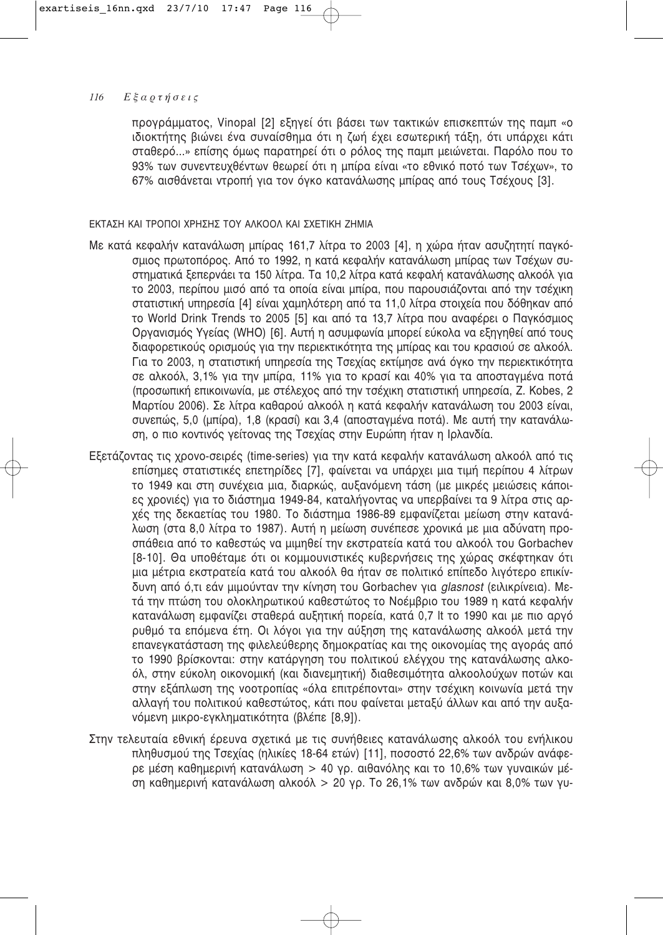προγράμματος, Vinopal [2] εξηγεί ότι βάσει των τακτικών επισκεπτών της παμπ «ο ιδιοκτήτης βιώνει ένα συναίσθημα ότι η ζωή έχει εσωτερική τάξη, ότι υπάρχει κάτι σταθερό...» επίσης όμως παρατηρεί ότι ο ρόλος της παμπ μειώνεται. Παρόλο που το 93% των συνεντευχθέντων θεωρεί ότι η μπίρα είναι «το εθνικό ποτό των Τσέχων», το 67% αισθάνεται ντροπή για τον όγκο κατανάλωσης μπίρας από τους Τσέχους [3].

#### ΕΚΤΑΣΗ ΚΑΙ ΤΡΟΠΟΙ ΧΡΗΣΗΣ ΤΟΥ ΑΛΚΟΟΛ ΚΑΙ ΣΧΕΤΙΚΗ ΖΗΜΙΑ

- Με κατά κεφαλήν κατανάλωση μπίρας 161,7 λίτρα το 2003 [4], η χώρα ήταν ασυζητητί παγκόσμιος πρωτοπόρος. Από το 1992, η κατά κεφαλήν κατανάλωση μπίρας των Τσέχων συστηματικά ξεπερνάει τα 150 λίτρα. Τα 10,2 λίτρα κατά κεφαλή κατανάλωσης αλκοόλ για το 2003, περίπου μισό από τα οποία είναι μπίρα, που παρουσιάζονται από την τσέχικη στατιστική υπηρεσία [4] είναι χαμηλότερη από τα 11,0 λίτρα στοιχεία που δόθηκαν από το World Drink Trends το 2005 [5] και από τα 13,7 λίτρα που αναφέρει ο Παγκόσμιος Οργανισμός Υγείας (WHO) [6]. Αυτή η ασυμφωνία μπορεί εύκολα να εξηγηθεί από τους διαφορετικούς ορισμούς για την περιεκτικότητα της μπίρας και του κρασιού σε αλκοόλ. Για το 2003, η στατιστική υπηρεσία της Τσεχίας εκτίμησε ανά όγκο την περιεκτικότητα σε αλκοόλ, 3,1% για την μπίρα, 11% για το κρασί και 40% για τα αποσταγμένα ποτά (προσωπική επικοινωνία, με στέλεχος από την τσέχικη στατιστική υπηρεσία, Ζ. Kobes, 2 Μαρτίου 2006). Σε λίτρα καθαρού αλκοόλ η κατά κεφαλήν κατανάλωση του 2003 είναι. συνεπώς, 5,0 (μπίρα), 1,8 (κρασί) και 3,4 (αποσταγμένα ποτά). Με αυτή την κατανάλωση, ο πιο κοντινός γείτονας της Τσεχίας στην Ευρώπη ήταν η Ιρλανδία.
- Εξετάζοντας τις χρονο-σειρές (time-series) για την κατά κεφαλήν κατανάλωση αλκοόλ από τις επίσημες στατιστικές επετηρίδες [7], φαίνεται να υπάρχει μια τιμή περίπου 4 λίτρων το 1949 και στη συνέχεια μια, διαρκώς, αυξανόμενη τάση (με μικρές μειώσεις κάποιες χρονιές) για το διάστημα 1949-84, καταλήγοντας να υπερβαίνει τα 9 λίτρα στις αρχές της δεκαετίας του 1980. Το διάστημα 1986-89 εμφανίζεται μείωση στην κατανάλωση (στα 8,0 λίτρα το 1987). Αυτή η μείωση συνέπεσε χρονικά με μια αδύνατη προσπάθεια από το καθεστώς να μιμηθεί την εκστρατεία κατά του αλκοόλ του Gorbachev [8-10]. Θα υποθέταμε ότι οι κομμουνιστικές κυβερνήσεις της χώρας σκέφτηκαν ότι μια μέτρια εκστρατεία κατά του αλκοόλ θα ήταν σε πολιτικό επίπεδο λιγότερο επικίνδυνη από ό,τι εάν μιμούνταν την κίνηση του Gorbachev για *glasnost* (ειλικρίνεια). Μετά την πτώση του ολοκληρωτικού καθεστώτος το Νοέμβριο του 1989 η κατά κεφαλήν κατανάλωση εμφανίζει σταθερά αυξητική πορεία, κατά 0,7 lt το 1990 και με πιο αργό ρυθμό τα επόμενα έτη. Οι λόγοι για την αύξηση της κατανάλωσης αλκοόλ μετά την επανεγκατάσταση της φιλελεύθερης δημοκρατίας και της οικονομίας της αγοράς από το 1990 βρίσκονται: στην κατάργηση του πολιτικού ελέγχου της κατανάλωσης αλκοόλ, στην εύκολη οικονομική (και διανεμητική) διαθεσιμότητα αλκοολούχων ποτών και στην εξάπλωση της νοοτροπίας «όλα επιτρέπονται» στην τσέχικη κοινωνία μετά την αλλαγή του πολιτικού καθεστώτος, κάτι που φαίνεται μεταξύ άλλων και από την αυξαvόμενη μικρο-εγκληματικότητα (βλέπε [8,9]).
- Στην τελευταία εθνική έρευνα σχετικά με τις συνήθειες κατανάλωσης αλκοόλ του ενήλικου πληθυσμού της Τσεχίας (ηλικίες 18-64 ετών) [11], ποσοστό 22,6% των ανδρών ανάφερε μέση καθημερινή κατανάλωση > 40 γρ. αιθανόλης και το 10,6% των γυναικών μέση καθημερινή κατανάλωση αλκοόλ > 20 γρ. Το 26,1% των ανδρών και 8,0% των γυ-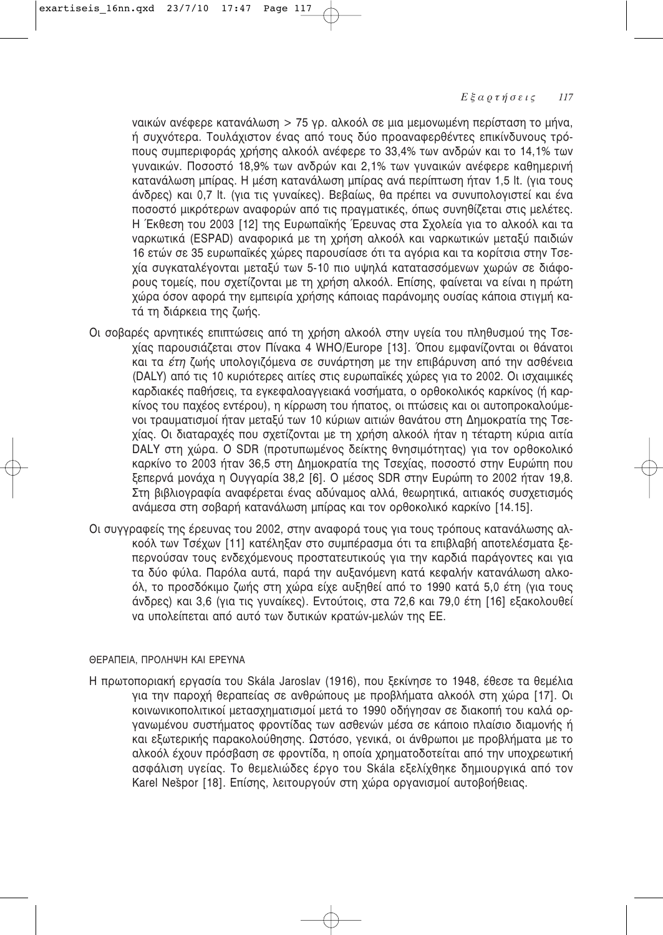ναικών ανέφερε κατανάλωση > 75 γρ. αλκοόλ σε μια μεμονωμένη περίσταση το μήνα, ή συχνότερα. Τουλάχιστον ένας από τους δύο προαναφερθέντες επικίνδυνους τρόπους συμπεριφοράς χρήσης αλκοόλ ανέφερε το 33,4% των ανδρών και το 14,1% των γυναικών. Ποσοστό 18,9% των ανδρών και 2,1% των γυναικών ανέφερε καθημερινή κατανάλωση μπίρας. Η μέση κατανάλωση μπίρας ανά περίπτωση ήταν 1,5 lt. (για τους άνδρες) και 0,7 lt. (για τις γυναίκες). Βεβαίως, θα πρέπει να συνυπολογιστεί και ένα ποσοστό μικρότερων αναφορών από τις πραγματικές, όπως συνηθίζεται στις μελέτες. Η Έκθεση του 2003 [12] της Ευρωπαϊκής Έρευνας στα Σχολεία για το αλκοόλ και τα ναρκωτικά (ESPAD) αναφορικά με τη χρήση αλκοόλ και ναρκωτικών μεταξύ παιδιών 16 ετών σε 35 ευρωπαϊκές χώρες παρουσίασε ότι τα αγόρια και τα κορίτσια στην Τσεχία συγκαταλέγονται μεταξύ των 5-10 πιο υψηλά κατατασσόμενων χωρών σε διάφορους τομείς, που σχετίζονται με τη χρήση αλκοόλ. Επίσης, φαίνεται να είναι η πρώτη χώρα όσον αφορά την εμπειρία χρήσης κάποιας παράνομης ουσίας κάποια στιγμή κατά τη διάρκεια της ζωής.

Page

 $17:47$ 

- Οι σοβαρές αρνητικές επιπτώσεις από τη χρήση αλκοόλ στην υγεία του πληθυσμού της Τσεχίας παρουσιάζεται στον Πίνακα 4 WHO/Europe [13]. Όπου εμφανίζονται οι θάνατοι και τα *έτη* ζωής υπολογιζόμενα σε συνάρτηση με την επιβάρυνση από την ασθένεια (DALY) από τις 10 κυριότερες αιτίες στις ευρωπαϊκές χώρες για το 2002. Οι ισχαιμικές καρδιακές παθήσεις, τα εγκεφαλοαγγειακά νοσήματα, ο ορθοκολικός καρκίνος (ή καρκίνος του παχέος εντέρου), η κίρρωση του ήπατος, οι πτώσεις και οι αυτοπροκαλούμενοι τραυματισμοί ήταν μεταξύ των 10 κύριων αιτιών θανάτου στη Δημοκρατία της Τσεχίας. Οι διαταραχές που σχετίζονται με τη χρήση αλκοόλ ήταν η τέταρτη κύρια αιτία DALY στη χώρα. Ο SDR (προτυπωμένος δείκτης θνησιμότητας) για τον ορθοκολικό καρκίνο το 2003 ήταν 36,5 στη Δημοκρατία της Τσεχίας, ποσοστό στην Ευρώπη που ξεπερνά μονάχα η Ουγγαρία 38,2 [6]. Ο μέσος SDR στην Ευρώπη το 2002 ήταν 19,8. Στη βιβλιογραφία αναφέρεται ένας αδύναμος αλλά, θεωρητικά, αιτιακός συσχετισμός ανάμεσα στη σοβαρή κατανάλωση μπίρας και τον ορθοκολικό καρκίνο [14.15].
- Οι συγγραφείς της έρευνας του 2002, στην αναφορά τους για τους τρόπους κατανάλωσης αλκοόλ των Τσέχων [11] κατέληξαν στο συμπέρασμα ότι τα επιβλαβή αποτελέσματα ξεπερνούσαν τους ενδεχόμενους προστατευτικούς για την καρδιά παράγοντες και για τα δύο φύλα. Παρόλα αυτά, παρά την αυξανόμενη κατά κεφαλήν κατανάλωση αλκοόλ, το προσδόκιμο ζωής στη χώρα είχε αυξηθεί από το 1990 κατά 5,0 έτη (για τους άνδρες) και 3,6 (για τις γυναίκες). Εντούτοις, στα 72,6 και 79,0 έτη [16] εξακολουθεί να υπολείπεται από αυτό των δυτικών κρατών-μελών της ΕΕ.

#### **ΘΕΡΑΠΕΙΑ, ΠΡΟΛΗΨΗ ΚΑΙ ΕΡΕΥΝΑ**

exartiseis 16nn.qxd 23/7/10

Η πρωτοποριακή εργασία του Skála Jaroslav (1916), που ξεκίνησε το 1948, έθεσε τα θεμέλια για την παροχή θεραπείας σε ανθρώπους με προβλήματα αλκοόλ στη χώρα [17]. Οι κοινωνικοπολιτικοί μετασχηματισμοί μετά το 1990 οδήγησαν σε διακοπή του καλά οργανωμένου συστήματος φροντίδας των ασθενών μέσα σε κάποιο πλαίσιο διαμονής ή και εξωτερικής παρακολούθησης. Ωστόσο, γενικά, οι άνθρωποι με προβλήματα με το αλκοόλ έχουν πρόσβαση σε φροντίδα, η οποία χρηματοδοτείται από την υποχρεωτική ασφάλιση υγείας. Το θεμελιώδες έργο του Skála εξελίχθηκε δημιουργικά από τον Karel Nešpor [18]. Επίσης, λειτουργούν στη χώρα οργανισμοί αυτοβοήθειας.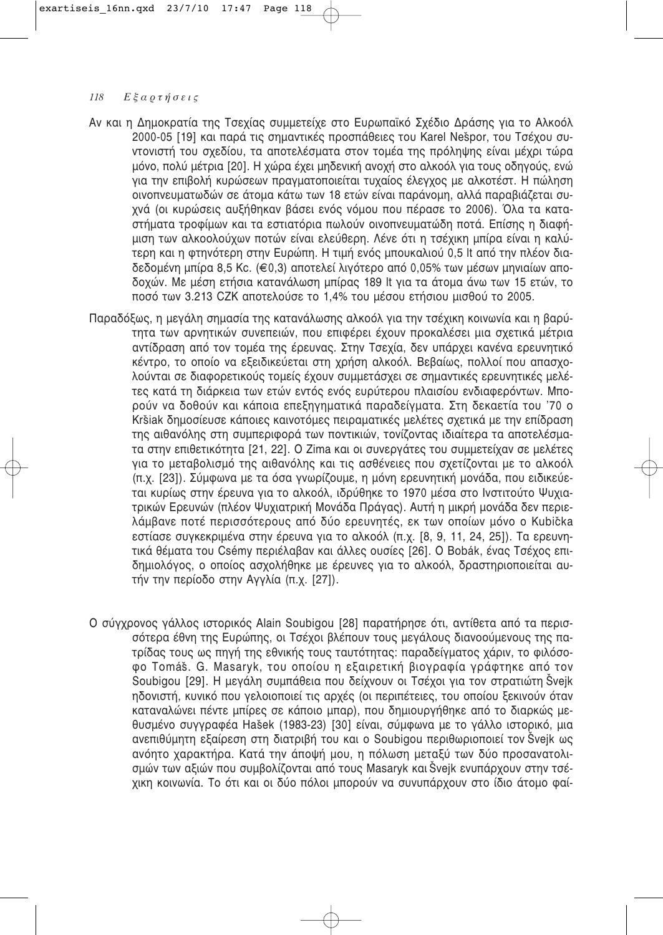- Αν και η Δημοκρατία της Τσεχίας συμμετείχε στο Ευρωπαϊκό Σχέδιο Δράσης για το Αλκοόλ 2000-05 [19] και παρά τις σημαντικές προσπάθειες του Karel Nešpor, του Τσέχου συντονιστή του σχεδίου, τα αποτελέσματα στον τομέα της πρόληψης είναι μέχρι τώρα μόνο, πολύ μέτρια [20]. Η χώρα έχει μηδενική ανοχή στο αλκοόλ για τους οδηγούς, ενώ για την επιβολή κυρώσεων πραγματοποιείται τυχαίος έλεγχος με αλκοτέστ. Η πώληση οινοπνευματωδών σε άτομα κάτω των 18 ετών είναι παράνομη, αλλά παραβιάζεται συχνά (οι κυρώσεις αυξήθηκαν βάσει ενός νόμου που πέρασε το 2006). Όλα τα καταστήματα τροφίμων και τα εστιατόρια πωλούν οινοπνευματώδη ποτά. Επίσης η διαφήμιση των αλκοολούχων ποτών είναι ελεύθερη. Λένε ότι η τσέχικη μπίρα είναι η καλύτερη και η φτηνότερη στην Ευρώπη. Η τιμή ενός μπουκαλιού 0,5 lt από την πλέον διαδεδομένη μπίρα 8,5 Kc. (€0,3) αποτελεί λιγότερο από 0,05% των μέσων μηνιαίων αποδοχών. Με μέση ετήσια κατανάλωση μπίρας 189 lt για τα άτομα άνω των 15 ετών, το ποσό των 3.213 CZK αποτελούσε το 1,4% του μέσου ετήσιου μισθού το 2005.
- Παραδόξως, η μεγάλη σημασία της κατανάλωσης αλκοόλ για την τσέχικη κοινωνία και η βαρύτητα των αρνητικών συνεπειών, που επιφέρει έχουν προκαλέσει μια σχετικά μέτρια αντίδραση από τον τομέα της έρευνας. Στην Τσεχία, δεν υπάρχει κανένα ερευνητικό κέντρο, το οποίο να εξειδικεύεται στη χρήση αλκοόλ. Βεβαίως, πολλοί που απασχολούνται σε διαφορετικούς τομείς έχουν συμμετάσχει σε σημαντικές ερευνητικές μελέτες κατά τη διάρκεια των ετών εντός ενός ευρύτερου πλαισίου ενδιαφερόντων. Μπορούν να δοθούν και κάποια επεξηγηματικά παραδείγματα. Στη δεκαετία του '70 ο Kršiak δημοσίευσε κάποιες καινοτόμες πειραματικές μελέτες σχετικά με την επίδραση της αιθανόλης στη συμπεριφορά των ποντικιών, τονίζοντας ιδιαίτερα τα αποτελέσματα στην επιθετικότητα [21, 22]. Ο Zima και οι συνεργάτες του συμμετείχαν σε μελέτες για το μεταβολισμό της αιθανόλης και τις ασθένειες που σχετίζονται με το αλκοόλ (π.χ. [23]). Σύμφωνα με τα όσα γνωρίζουμε, η μόνη ερευνητική μονάδα, που ειδικεύεται κυρίως στην έρευνα για το αλκοόλ, ιδρύθηκε το 1970 μέσα στο Ινστιτούτο Ψυχιατρικών Ερευνών (πλέον Ψυχιατρική Μονάδα Πράγας). Αυτή η μικρή μονάδα δεν περιελάμβανε ποτέ περισσότερους από δύο ερευνητές, εκ των οποίων μόνο ο Kubička εστίασε συγκεκριμένα στην έρευνα για το αλκοόλ (π.χ. [8, 9, 11, 24, 25]). Τα ερευνητικά θέματα του Csémy περιέλαβαν και άλλες ουσίες [26]. Ο Bobák, ένας Τσέχος επιδημιολόγος, ο οποίος ασχολήθηκε με έρευνες για το αλκοόλ, δραστηριοποιείται αυτήν την περίοδο στην Αγγλία (π.χ. [27]).
- Ο σύγχρονος γάλλος ιστορικός Alain Soubigou [28] παρατήρησε ότι, αντίθετα από τα περισσότερα έθνη της Ευρώπης, οι Τσέχοι βλέπουν τους μεγάλους διανοούμενους της πατρίδας τους ως πηγή της εθνικής τους ταυτότητας: παραδείγματος χάριν, το φιλόσοφο Tomáš. G. Masaryk, του οποίου η εξαιρετική βιογραφία γράφτηκε από τον Soubigou [29]. Η μεγάλη συμπάθεια που δείχνουν οι Τσέχοι για τον στρατιώτη Švejk ηδονιστή, κυνικό που γελοιοποιεί τις αρχές (οι περιπέτειες, του οποίου ξεκινούν όταν καταναλώνει πέντε μπίρες σε κάποιο μπαρ), που δημιουργήθηκε από το διαρκώς μεθυσμένο συγγραφέα Hašek (1983-23) [30] είναι, σύμφωνα με το γάλλο ιστορικό, μια ανεπιθύμητη εξαίρεση στη διατριβή του και ο Soubigou περιθωριοποιεί τον Švejk ως ανόητο χαρακτήρα. Κατά την άποψή μου, η πόλωση μεταξύ των δύο προσανατολισμών των αξιών που συμβολίζονται από τους Masaryk και Švejk ενυπάρχουν στην τσέχικη κοινωνία. Το ότι και οι δύο πόλοι μπορούν να συνυπάρχουν στο ίδιο άτομο φαί-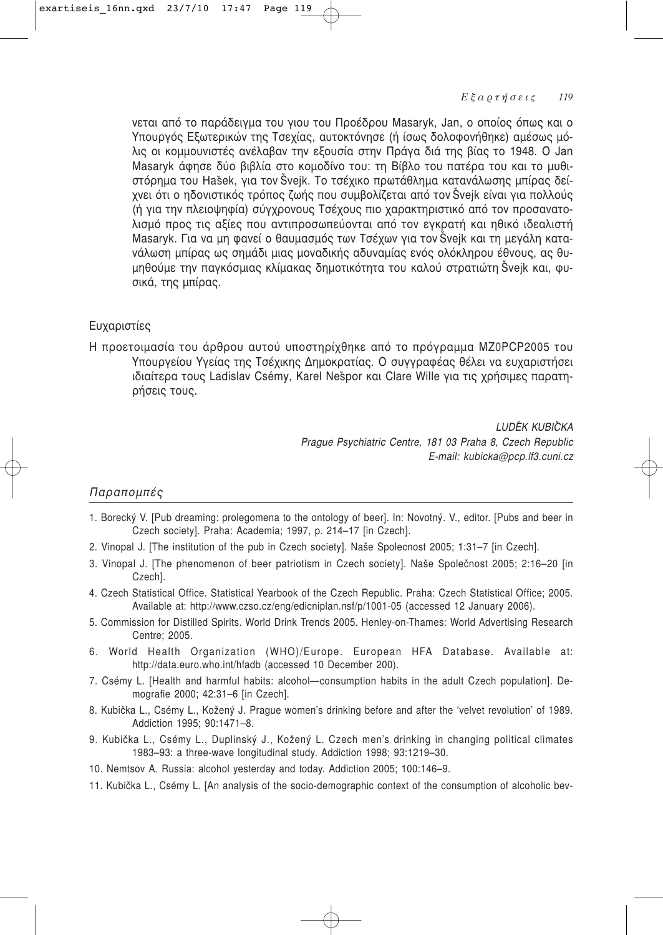νεται από το παράδειγμα του γιου του Προέδρου Masaryk, Jan, ο οποίος όπως και ο Υπουργός Εξωτερικών της Τσεχίας, αυτοκτόνησε (ή ίσως δολοφονήθηκε) αμέσως μόλις οι κομμουνιστές ανέλαβαν την εξουσία στην Πράγα διά της βίας το 1948. Ο Jan Masaryk άφησε δύο βιβλία στο κομοδίνο του: τη Βίβλο του πατέρα του και το μυθιστόρημα του Hašek, για τον Švejk. Το τσέχικο πρωτάθλημα κατανάλωσης μπίρας δείχνει ότι ο ηδονιστικός τρόπος ζωής που συμβολίζεται από τον Švejk είναι για πολλούς (ή για την πλειοψηφία) σύγχρονους Τσέχους πιο χαρακτηριστικό από τον προσανατολισμό προς τις αξίες που αντιπροσωπεύονται από τον εγκρατή και ηθικό ιδεαλιστή Masaryk. Για να μη φανεί ο θαυμασμός των Τσέχων για τον Švejk και τη μεγάλη κατανάλωση μπίρας ως σημάδι μιας μοναδικής αδυναμίας ενός ολόκληρου έθνους, ας θυμηθούμε την παγκόσμιας κλίμακας δημοτικότητα του καλού στρατιώτη Šveik και, φυσικά, της μπίρας.

## Ευχαριστίες

Η προετοιμασία του άρθρου αυτού υποστηρίχθηκε από το πρόγραμμα MZ0PCP2005 του Υπουργείου Υγείας της Τσέχικης Δημοκρατίας. Ο συγγραφέας θέλει να ευχαριστήσει ιδιαίτερα τους Ladislav Csémy, Karel Nešpor και Clare Wille για τις χρήσιμες παρατηρήσεις τους.

> *LUDĚK KUBIČKA Prague Psychiatric Centre, 181 03 Praha 8, Czech Republic E-mail: kubicka@pcp.lf3.cuni.cz*

### $\Pi$ αραπομπές

- 1. Borecký V. [Pub dreaming: prolegomena to the ontology of beer]. In: Novotný. V., editor. [Pubs and beer in Czech society]. Praha: Academia; 1997, p. 214–17 [in Czech].
- 2. Vinopal J. [The institution of the pub in Czech society]. Naše Spolecnost 2005; 1:31–7 [in Czech].
- 3. Vinopal J. [The phenomenon of beer patriotism in Czech society]. Naše Společnost 2005; 2:16–20 [in Czech].
- 4. Czech Statistical Office. Statistical Yearbook of the Czech Republic. Praha: Czech Statistical Office; 2005. Available at: http://www.czso.cz/eng/edicniplan.nsf/p/1001-05 (accessed 12 January 2006).
- 5. Commission for Distilled Spirits. World Drink Trends 2005. Henley-on-Thames: World Advertising Research Centre; 2005.
- 6. World Health Organization (WHO)/Europe. European HFA Database. Available at: http://data.euro.who.int/hfadb (accessed 10 December 200).
- 7. Csémy L. [Health and harmful habits: alcohol—consumption habits in the adult Czech population]. Demografie 2000; 42:31–6 [in Czech].
- 8. Kubička L., Csémy L., Kožený J. Prague women's drinking before and after the 'velvet revolution' of 1989. Addiction 1995; 90:1471–8.
- 9. Kubička L., Csémy L., Duplinský J., Kožený L. Czech men's drinking in changing political climates 1983–93: a three-wave longitudinal study. Addiction 1998; 93:1219–30.
- 10. Nemtsov A. Russia: alcohol yesterday and today. Addiction 2005; 100:146–9.
- 11. Kubička L., Csémy L. [An analysis of the socio-demographic context of the consumption of alcoholic bev-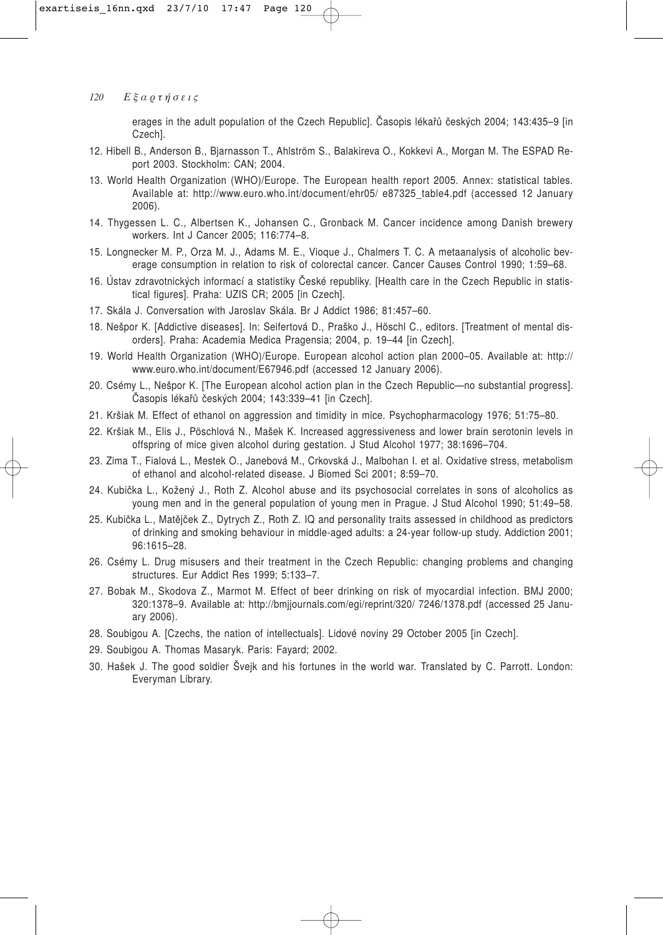erages in the adult population of the Czech Republic]. Časopis lékařů českých 2004; 143:435–9 [in Czech].

- 12. Hibell B., Anderson B., Bjarnasson T., Ahlström S., Balakireva O., Kokkevi A., Morgan M. The ESPAD Report 2003. Stockholm: CAN; 2004.
- 13. World Health Organization (WHO)/Europe. The European health report 2005. Annex: statistical tables. Available at: http://www.euro.who.int/document/ehr05/ e87325\_table4.pdf (accessed 12 January 2006).
- 14. Thygessen L. C., Albertsen K., Johansen C., Gronback M. Cancer incidence among Danish brewery workers. Int J Cancer 2005; 116:774–8.
- 15. Longnecker M. P., Orza M. J., Adams M. E., Vioque J., Chalmers T. C. A metaanalysis of alcoholic beverage consumption in relation to risk of colorectal cancer. Cancer Causes Control 1990; 1:59–68.
- 16. Ústav zdravotnických informací a statistiky České republiky. [Health care in the Czech Republic in statistical figures]. Praha: UZIS CR; 2005 [in Czech].
- 17. Skála J. Conversation with Jaroslav Skála. Br J Addict 1986; 81:457–60.
- 18. Nešpor K. [Addictive diseases]. In: Seifertová D., Praško J., Höschl C., editors. [Treatment of mental disorders]. Praha: Academia Medica Pragensia; 2004, p. 19–44 [in Czech].
- 19. World Health Organization (WHO)/Europe. European alcohol action plan 2000–05. Available at: http:// www.euro.who.int/document/E67946.pdf (accessed 12 January 2006).
- 20. Csémy L., Nešpor K. [The European alcohol action plan in the Czech Republic—no substantial progress]. Časopis lékařů českých 2004; 143:339–41 [in Czech].
- 21. Kršiak M. Effect of ethanol on aggression and timidity in mice. Psychopharmacology 1976; 51:75–80.
- 22. Kršiak M., Elis J., Pöschlová N., Mašek K. Increased aggressiveness and lower brain serotonin levels in offspring of mice given alcohol during gestation. J Stud Alcohol 1977; 38:1696–704.
- 23. Zima T., Fialová L., Mestek O., Janebová M., Crkovská J., Malbohan I. et al. Oxidative stress, metabolism of ethanol and alcohol-related disease. J Biomed Sci 2001; 8:59–70.
- 24. Kubička L., Kožený J., Roth Z. Alcohol abuse and its psychosocial correlates in sons of alcoholics as young men and in the general population of young men in Prague. J Stud Alcohol 1990; 51:49–58.
- 25. Kubička L., Matějček Z., Dytrych Z., Roth Z. IQ and personality traits assessed in childhood as predictors of drinking and smoking behaviour in middle-aged adults: a 24-year follow-up study. Addiction 2001; 96:1615–28.
- 26. Csémy L. Drug misusers and their treatment in the Czech Republic: changing problems and changing structures. Eur Addict Res 1999; 5:133–7.
- 27. Bobak M., Skodova Z., Marmot M. Effect of beer drinking on risk of myocardial infection. BMJ 2000; 320:1378–9. Available at: http://bmjjournals.com/egi/reprint/320/ 7246/1378.pdf (accessed 25 January 2006).
- 28. Soubigou A. [Czechs, the nation of intellectuals]. Lidové noviny 29 October 2005 [in Czech].
- 29. Soubigou A. Thomas Masaryk. Paris: Fayard; 2002.
- 30. Hašek J. The good soldier Švejk and his fortunes in the world war. Translated by C. Parrott. London: Everyman Library.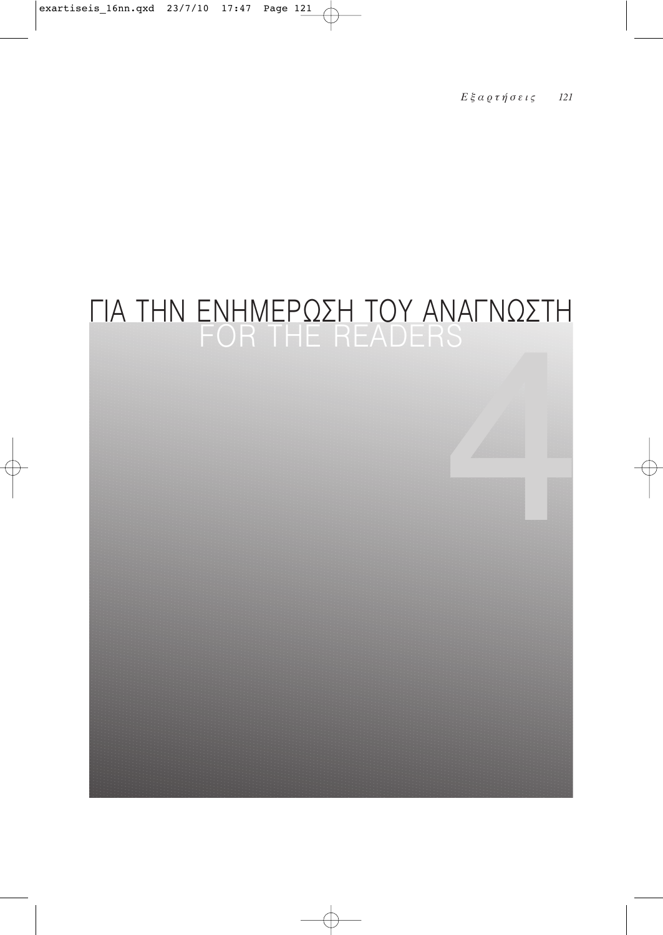$E$ ξαρτήσεις 121

# ΓΙΑ ΤΗΝ ΕΝΗΜΕΡΩΣΗ ΤΟΥ ΑΝΑΓΝΩΣΤΗ<br>FOR THE READERS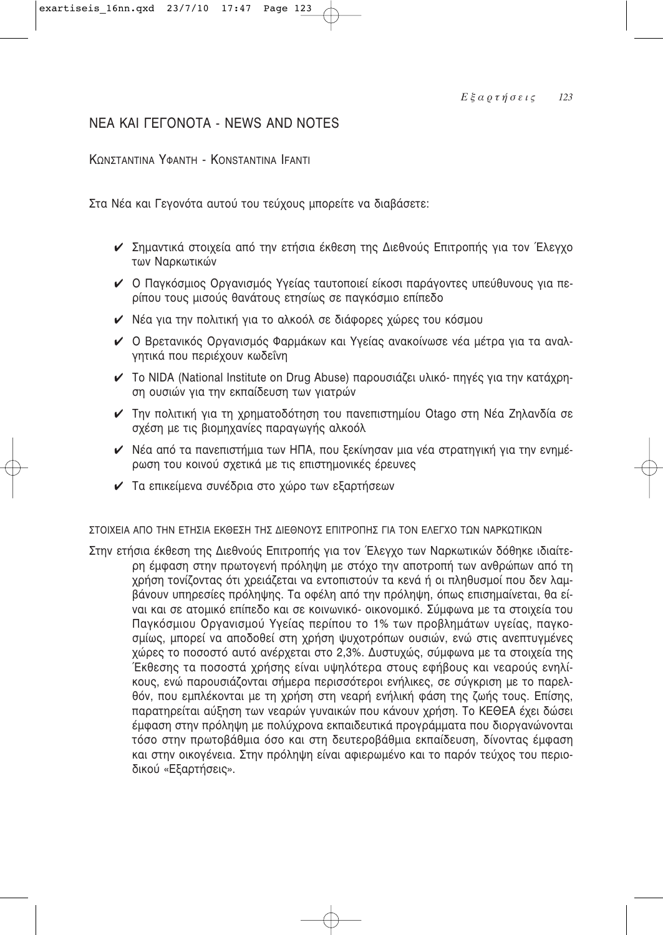#### exartiseis 16nn.qxd 23/7/10  $17:47$ Page 123

KONSTANTINA YOANTH - KONSTANTINA IFANTI

NEA KAI FEFONOTA - NEWS AND NOTES

Στα Νέα και Γεγονότα αυτού του τεύχους μπορείτε να διαβάσετε:

- ► Σημαντικά στοιχεία από την ετήσια έκθεση της Διεθνούς Επιτροπής για τον Έλεγχο των Ναρκωτικών
- Ο Παγκόσμιος Οργανισμός Υγείας ταυτοποιεί είκοσι παράγοντες υπεύθυνους για περίπου τους μισούς θανάτους ετησίως σε παγκόσμιο επίπεδο
- Νέα για την πολιτική για το αλκοόλ σε διάφορες χώρες του κόσμου
- Ο Βρετανικός Οργανισμός Φαρμάκων και Υγείας ανακοίνωσε νέα μέτρα για τα αναλγητικά που περιέχουν κωδεΐνη
- V To NIDA (National Institute on Drug Abuse) παρουσιάζει υλικό- πηγές για την κατάχρηση ουσιών για την εκπαίδευση των γιατρών
- γ Την πολιτική για τη χρηματοδότηση του πανεπιστημίου Otago στη Νέα Ζηλανδία σε σχέση με τις βιομηχανίες παραγωγής αλκοόλ
- V Νέα από τα πανεπιστήμια των ΗΠΑ, που ξεκίνησαν μια νέα στρατηγική για την ενημέρωση του κοινού σχετικά με τις επιστημονικές έρευνες
- Τα επικείμενα συνέδρια στο χώρο των εξαρτήσεων

ΣΤΟΙΧΕΙΑ ΑΠΟ ΤΗΝ ΕΤΗΣΙΑ ΕΚΘΕΣΗ ΤΗΣ ΔΙΕΘΝΟΥΣ ΕΠΙΤΡΟΠΗΣ ΓΙΑ ΤΟΝ ΕΛΕΓΧΟ ΤΩΝ ΝΑΡΚΩΤΙΚΩΝ

Στην ετήσια έκθεση της Διεθνούς Επιτροπής για τον Έλεγχο των Ναρκωτικών δόθηκε ιδιαίτερη έμφαση στην πρωτογενή πρόληψη με στόχο την αποτροπή των ανθρώπων από τη χρήση τονίζοντας ότι χρειάζεται να εντοπιστούν τα κενά ή οι πληθυσμοί που δεν λαμβάνουν υπηρεσίες πρόληψης. Τα οφέλη από την πρόληψη, όπως επισημαίνεται, θα είναι και σε ατομικό επίπεδο και σε κοινωνικό- οικονομικό. Σύμφωνα με τα στοιχεία του Παγκόσμιου Οργανισμού Υγείας περίπου το 1% των προβλημάτων υγείας, παγκοσμίως, μπορεί να αποδοθεί στη χρήση ψυχοτρόπων ουσιών, ενώ στις ανεπτυγμένες χώρες το ποσοστό αυτό ανέρχεται στο 2,3%. Δυστυχώς, σύμφωνα με τα στοιχεία της Έκθεσης τα ποσοστά χρήσης είναι υψηλότερα στους εφήβους και νεαρούς ενηλίκους, ενώ παρουσιάζονται σήμερα περισσότεροι ενήλικες, σε σύγκριση με το παρελθόν, που εμπλέκονται με τη χρήση στη νεαρή ενήλική φάση της ζωής τους. Επίσης, παρατηρείται αύξηση των νεαρών γυναικών που κάνουν χρήση. Το ΚΕΘΕΑ έχει δώσει έμφαση στην πρόληψη με πολύχρονα εκπαιδευτικά προγράμματα που διοργανώνονται τόσο στην πρωτοβάθμια όσο και στη δευτεροβάθμια εκπαίδευση, δίνοντας έμφαση και στην οικογένεια. Στην πρόληψη είναι αφιερωμένο και το παρόν τεύχος του περιοδικού «Εξαρτήσεις».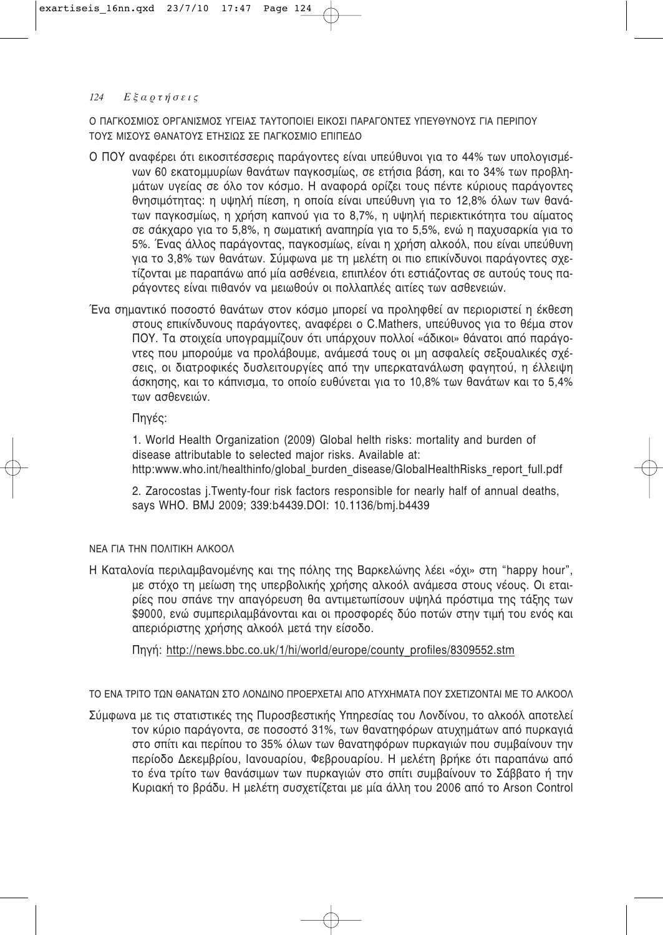Ο ΠΑΓΚΟΣΜΙΟΣ ΟΡΓΑΝΙΣΜΟΣ ΥΓΕΙΑΣ ΤΑΥΤΟΠΟΙΕΙ ΕΙΚΟΣΙ ΠΑΡΑΓΟΝΤΕΣ ΥΠΕΥΘΥΝΟΥΣ ΓΙΑ ΠΕΡΙΠΟΥ ΤΟΥΣ ΜΙΣΟΥΣ ΘΑΝΑΤΟΥΣ ΕΤΗΣΙΩΣ ΣΕ ΠΑΓΚΟΣΜΙΟ ΕΠΙΠΕΔΟ

- Ο ΠΟΥ αναφέρει ότι εικοσιτέσσερις παράγοντες είναι υπεύθυνοι για το 44% των υπολογισμένων 60 εκατομμυρίων θανάτων παγκοσμίως, σε ετήσια βάση, και το 34% των προβλημάτων υγείας σε όλο τον κόσμο. Η αναφορά ορίζει τους πέντε κύριους παράγοντες θνησιμότητας: η υψηλή πίεση, η οποία είναι υπεύθυνη για το 12,8% όλων των θανάτων παγκοσμίως, η χρήση καπνού για το 8,7%, η υψηλή περιεκτικότητα του αίματος σε σάκχαρο για το 5,8%, η σωματική αναπηρία για το 5,5%, ενώ η παχυσαρκία για το 5%. Ένας άλλος παράγοντας, παγκοσμίως, είναι η χρήση αλκοόλ, που είναι υπεύθυνη για το 3,8% των θανάτων. Σύμφωνα με τη μελέτη οι πιο επικίνδυνοι παράγοντες σχετίζονται με παραπάνω από μία ασθένεια, επιπλέον ότι εστιάζοντας σε αυτούς τους παράγοντες είναι πιθανόν να μειωθούν οι πολλαπλές αιτίες των ασθενειών.
- Ένα σημαντικό ποσοστό θανάτων στον κόσμο μπορεί να προληφθεί αν περιοριστεί η έκθεση στους επικίνδυνους παράγοντες, αναφέρει ο C.Mathers, υπεύθυνος για το θέμα στον ΠΟΥ. Τα στοιχεία υπογραμμίζουν ότι υπάρχουν πολλοί «άδικοι» θάνατοι από παράγο-VΤες που μπορούμε να προλάβουμε, ανάμεσά τους οι μη ασφαλείς σεξουαλικές σχέσεις, οι διατροφικές δυσλειτουργίες από την υπερκατανάλωση φαγητού, η έλλειψη άσκησης, και το κάπνισμα, το οποίο ευθύνεται για το 10,8% των θανάτων και το 5,4% των ασθενειών.

#### Πηγές:

1. World Health Organization (2009) Global helth risks: mortality and burden of disease attributable to selected major risks. Available at: http:www.who.int/healthinfo/global\_burden\_disease/GlobalHealthRisks\_report\_full.pdf

2. Zarocostas j.Twenty-four risk factors responsible for nearly half of annual deaths, says WHO. BMJ 2009; 339:b4439.DOI: 10.1136/bmj.b4439

#### ΝΕΑ ΓΙΑ ΤΗΝ ΠΟΛΙΤΙΚΗ ΑΛΚΟΟΛ

H Καταλονία περιλαμβανομένης και της πόλης της Βαρκελώνης λέει «όχι» στη "happy hour", με στόχο τη μείωση της υπερβολικής χρήσης αλκοόλ ανάμεσα στους νέους. Οι εταιρίες που σπάνε την απαγόρευση θα αντιμετωπίσουν υψηλά πρόστιμα της τάξης των \$9000, ενώ συμπεριλαμβάνονται και οι προσφορές δύο ποτών στην τιμή του ενός και απεριόριστης χρήσης αλκοόλ μετά την είσοδο.

¶ËÁ‹: http://news.bbc.co.uk/1/hi/world/europe/county\_profiles/8309552.stm

#### ΤΟ ΕΝΑ ΤΡΙΤΟ ΤΩΝ ΘΑΝΑΤΩΝ ΣΤΟ ΛΟΝΔΙΝΟ ΠΡΟΕΡΧΕΤΑΙ ΑΠΟ ΑΤΥΧΗΜΑΤΑ ΠΟΥ ΣΧΕΤΙΖΟΝΤΑΙ ΜΕ ΤΟ ΑΛΚΟΟΛ

Σύμφωνα με τις στατιστικές της Πυροσβεστικής Υπηρεσίας του Λονδίνου, το αλκοόλ αποτελεί τον κύριο παράγοντα, σε ποσοστό 31%, των θανατηφόρων ατυχημάτων από πυρκαγιά στο σπίτι και περίπου το 35% όλων των θανατηφόρων πυρκαγιών που συμβαίνουν την περίοδο Δεκεμβρίου, Ιανουαρίου, Φεβρουαρίου. Η μελέτη βρήκε ότι παραπάνω από το ένα τρίτο των θανάσιμων των πυρκαγιών στο σπίτι συμβαίνουν το Σάββατο ή την Κυριακή το βράδυ. Η μελέτη συσχετίζεται με μία άλλη του 2006 από το Arson Control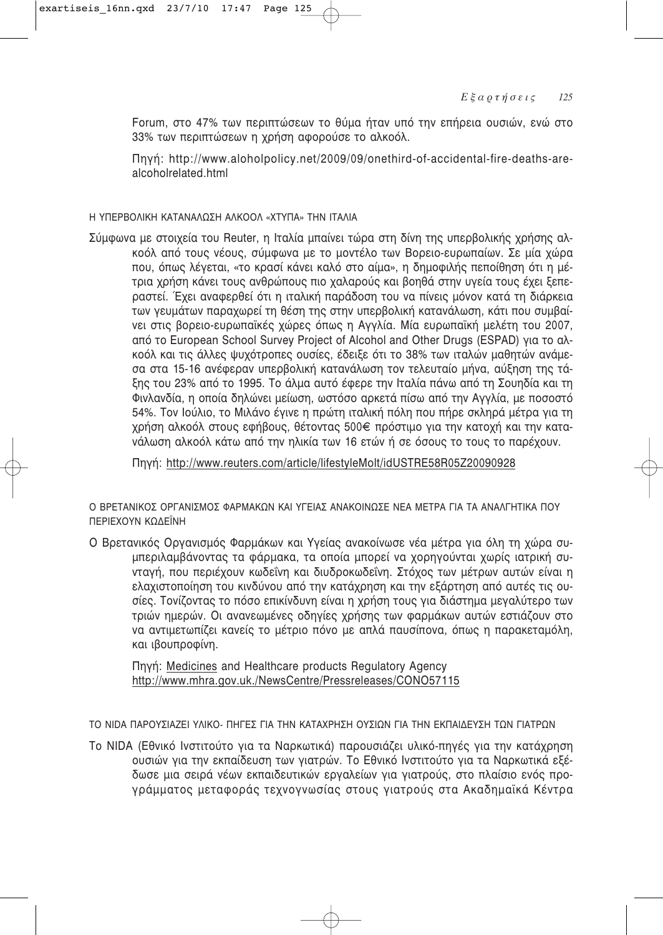exartiseis\_16nn.qxd 23/7/10 17:47 Page 125

Forum, στο 47% των περιπτώσεων το θύμα ήταν υπό την επήρεια ουσιών, ενώ στο 33% των περιπτώσεων η χρήση αφορούσε το αλκοόλ.

¶ËÁ‹: http://www.aloholpolicy.net/2009/09/onethird-of-accidental-fire-deaths-arealcoholrelated.html

Η ΥΠΕΡΒΟΛΙΚΗ ΚΑΤΑΝΑΛΩΣΗ ΑΛΚΟΟΛ «ΧΤΥΠΑ» ΤΗΝ ΙΤΑΛΙΑ

Σύμφωνα με στοιχεία του Reuter, η Ιταλία μπαίνει τώρα στη δίνη της υπερβολικής χρήσης αλκοόλ από τους νέους, σύμφωνα με το μοντέλο των Βορειο-ευρωπαίων. Σε μία χώρα που, όπως λέγεται, «το κρασί κάνει καλό στο αίμα», η δημοφιλής πεποίθηση ότι η μέτρια χρήση κάνει τους ανθρώπους πιο χαλαρούς και βοηθά στην υγεία τους έχει ξεπεραστεί. Έχει αναφερθεί ότι η ιταλική παράδοση του να πίνεις μόνον κατά τη διάρκεια των γευμάτων παραχωρεί τη θέση της στην υπερβολική κατανάλωση, κάτι που συμβαί-VEL στις βορειο-ευρωπαϊκές χώρες όπως η Αγγλία. Μία ευρωπαϊκή μελέτη του 2007, aπό το European School Survey Project of Alcohol and Other Drugs (ESPAD) για το αλ-ΚΟόλ και τις άλλες ψυχότροπες ουσίες, έδειξε ότι το 38% των ιταλών μαθητών ανάμεσα στα 15-16 ανέφεραν υπερβολική κατανάλωση τον τελευταίο μήνα, αύξηση της τάξης του 23% από το 1995. Το άλμα αυτό έφερε την Ιταλία πάνω από τη Σουηδία και τη Φινλανδία, η οποία δηλώνει μείωση, ωστόσο αρκετά πίσω από την Αγγλία, με ποσοστό 54%. Τον Ιούλιο, το Μιλάνο έγινε η πρώτη ιταλική πόλη που πήρε σκληρά μέτρα για τη χρήση αλκοόλ στους εφήβους, θέτοντας 500€ πρόστιμο για την κατοχή και την κατανάλωση αλκοόλ κάτω από την ηλικία των 16 ετών ή σε όσους το τους το παρέχουν.

Πηγή: http://www.reuters.com/article/lifestyleMolt/idUSTRE58R05Z20090928

Ο ΒΡΕΤΑΝΙΚΟΣ ΟΡΓΑΝΙΣΜΟΣ ΦΑΡΜΑΚΩΝ ΚΑΙ ΥΓΕΙΑΣ ΑΝΑΚΟΙΝΩΣΕ ΝΕΑ ΜΕΤΡΑ ΓΙΑ ΤΑ ΑΝΑΛΓΗΤΙΚΑ ΠΟΥ ΠΕΡΙΕΧΟΥΝ ΚΟΛΕΪΝΗ

Ο Βρετανικός Οργανισμός Φαρμάκων και Υγείας ανακοίνωσε νέα μέτρα για όλη τη χώρα συμπεριλαμβάνοντας τα φάρμακα, τα οποία μπορεί να χορηγούνται χωρίς ιατρική συνταγή, που περιέχουν κωδεΐνη και διυδροκωδεΐνη. Στόχος των μέτρων αυτών είναι η ελαχιστοποίηση του κινδύνου από την κατάχρηση και την εξάρτηση από αυτές τις ουσίες. Τονίζοντας το πόσο επικίνδυνη είναι η χρήση τους για διάστημα μεγαλύτερο των τριών ημερών. Οι ανανεωμένες οδηγίες χρήσης των φαρμάκων αυτών εστιάζουν στο να αντιμετωπίζει κανείς το μέτριο πόνο με απλά παυσίπονα, όπως η παρακεταμόλη, και ιβουπροφίνη.

Πηγή: Medicines and Healthcare products Regulatory Agency http://www.mhra.gov.uk./NewsCentre/Pressreleases/CONO57115

ΤΟ ΝΙDA ΠΑΡΟΥΣΙΑΖΕΙ ΥΛΙΚΟ- ΠΗΓΈΣ ΓΙΑ ΤΗΝ ΚΑΤΑΧΡΗΣΗ ΟΥΣΙΩΝ ΓΙΑ ΤΗΝ ΕΚΠΑΙΔΕΥΣΗ ΤΩΝ ΓΙΑΤΡΩΝ

Το ΝΙDA (Εθνικό Ινστιτούτο για τα Ναρκωτικά) παρουσιάζει υλικό-πηγές για την κατάχρηση ουσιών για την εκπαίδευση των γιατρών. Το Εθνικό Ινστιτούτο για τα Ναρκωτικά εξέδωσε μια σειρά νέων εκπαιδευτικών εργαλείων για γιατρούς, στο πλαίσιο ενός προγράμματος μεταφοράς τεχνογνωσίας στους γιατρούς στα Ακαδημαϊκά Κέντρα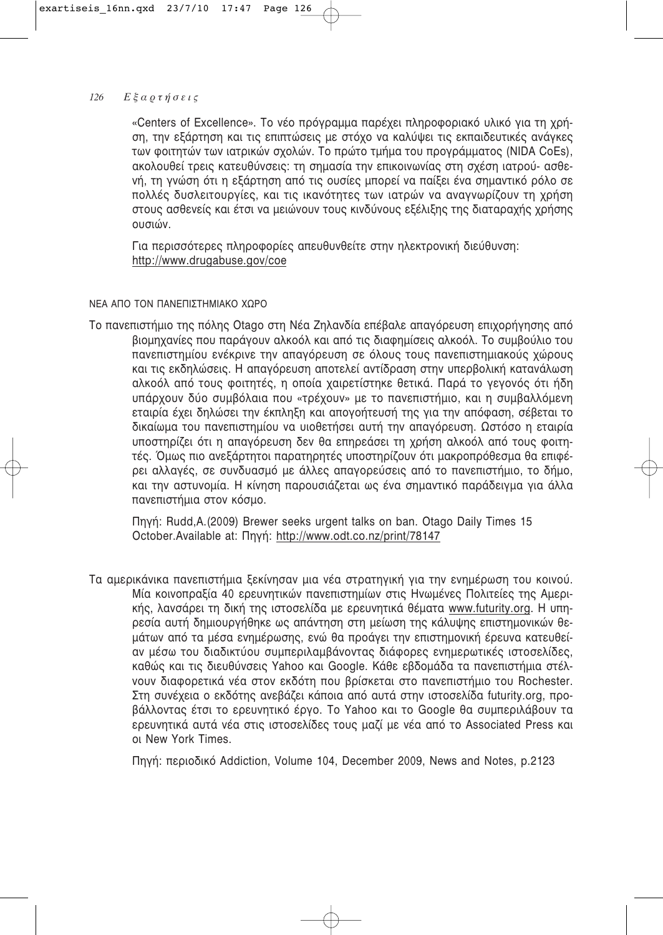«Centers of Excellence». Το νέο πρόγραμμα παρέχει πληροφοριακό υλικό για τη χρήση, την εξάρτηση και τις επιπτώσεις με στόχο να καλύψει τις εκπαιδευτικές ανάγκες των φοιτητών των ιατρικών σχολών. Το πρώτο τμήμα του προγράμματος (NIDA CoEs), ακολουθεί τρεις κατευθύνσεις: τη σημασία την επικοινωνίας στη σχέση ιατρού- ασθενή, τη γνώση ότι η εξάρτηση από τις ουσίες μπορεί να παίξει ένα σημαντικό ρόλο σε πολλές δυσλειτουργίες, και τις ικανότητες των ιατρών να αναγνωρίζουν τη χρήση στους ασθενείς και έτσι να μειώνουν τους κινδύνους εξέλιξης της διαταραχής χρήσης ουσιών.

Για περισσότερες πληροφορίες απευθυνθείτε στην ηλεκτρονική διεύθυνση: http://www.drugabuse.gov/coe

#### ΝΕΑ ΑΠΟ ΤΟΝ ΠΑΝΕΠΙΣΤΗΜΙΑΚΟ ΧΟΡΟ

Το πανεπιστήμιο της πόλης Otago στη Νέα Ζηλανδία επέβαλε απαγόρευση επιχορήγησης από βιομηχανίες που παράγουν αλκοόλ και από τις διαφημίσεις αλκοόλ. Το συμβούλιο του πανεπιστημίου ενέκρινε την απαγόρευση σε όλους τους πανεπιστημιακούς χώρους και τις εκδηλώσεις. Η απαγόρευση αποτελεί αντίδραση στην υπερβολική κατανάλωση αλκοόλ από τους φοιτητές, η οποία χαιρετίστηκε θετικά. Παρά το γεγονός ότι ήδη υπάρχουν δύο συμβόλαια που «τρέχουν» με το πανεπιστήμιο, και η συμβαλλόμενη εταιρία έχει δηλώσει την έκπληξη και απογοήτευσή της για την απόφαση, σέβεται το δικαίωμα του πανεπιστημίου να υιοθετήσει αυτή την απανόρευση. Ωστόσο η εταιρία υποστηρίζει ότι η απαγόρευση δεν θα επηρεάσει τη χρήση αλκοόλ από τους φοιτητές. Όμως πιο ανεξάρτητοι παρατηρητές υποστηρίζουν ότι μακροπρόθεσμα θα επιφέρει αλλαγές, σε συνδυασμό με άλλες απαγορεύσεις από το πανεπιστήμιο, το δήμο, και την αστυνομία. Η κίνηση παρουσιάζεται ως ένα σημαντικό παράδειγμα για άλλα πανεπιστήμια στον κόσμο.

Πηγή: Rudd, A. (2009) Brewer seeks urgent talks on ban. Otago Daily Times 15 October.Available at: Πηγή: http://www.odt.co.nz/print/78147

Τα αμερικάνικα πανεπιστήμια ξεκίνησαν μια νέα στρατηγική για την ενημέρωση του κοινού. Μία κοινοπραξία 40 ερευνητικών πανεπιστημίων στις Ηνωμένες Πολιτείες της Αμερικής, λανσάρει τη δική της ιστοσελίδα με ερευνητικά θέματα www.futurity.org. Η υπηρεσία αυτή δημιουργήθηκε ως απάντηση στη μείωση της κάλυψης επιστημονικών θεμάτων από τα μέσα ενημέρωσης, ενώ θα προάγει την επιστημονική έρευνα κατευθείαν μέσω του διαδικτύου συμπεριλαμβάνοντας διάφορες ενημερωτικές ιστοσελίδες, καθώς και τις διευθύνσεις Yahoo και Google. Κάθε εβδομάδα τα πανεπιστήμια στέλνουν διαφορετικά νέα στον εκδότη που βρίσκεται στο πανεπιστήμιο του Rochester. Στη συνέχεια ο εκδότης ανεβάζει κάποια από αυτά στην ιστοσελίδα futurity.org, προβάλλοντας έτσι το ερευνητικό έρνο. Το Yahoo και το Google θα συμπεριλάβουν τα ερευνητικά αυτά νέα στις ιστοσελίδες τους μαζί με νέα από το Associated Press και or New York Times.

Πηγή: περιοδικό Addiction, Volume 104, December 2009, News and Notes, p.2123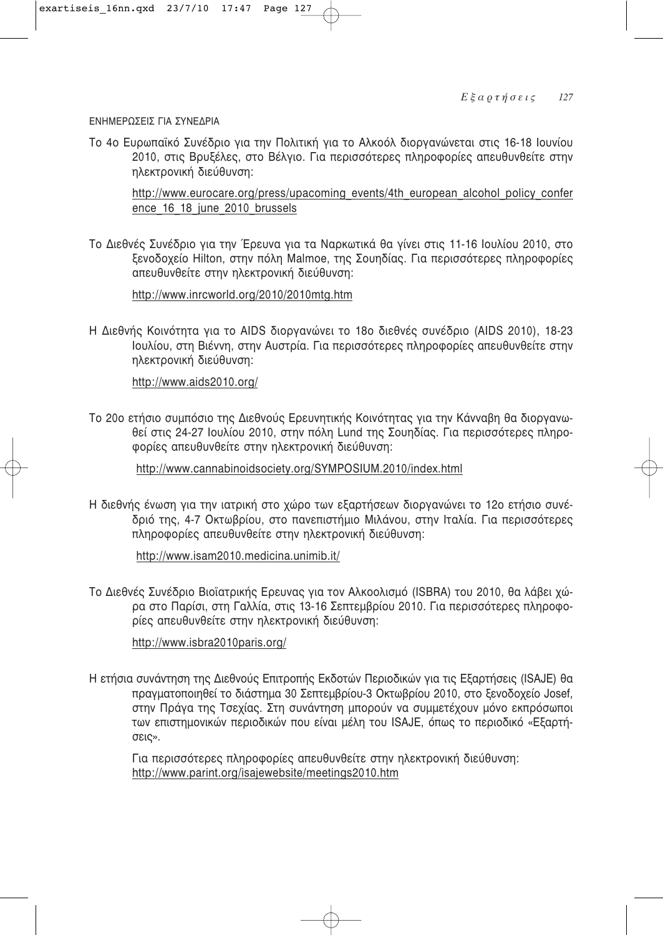#### ΕΝΗΜΕΡΩΣΕΙΣ ΓΙΑ ΣΥΝΕΔΡΙΑ

Το 4ο Ευρωπαϊκό Συνέδριο για την Πολιτική για το Αλκοόλ διοργανώνεται στις 16-18 Ιουνίου 2010, στις Βρυξέλες, στο Βέλγιο. Για περισσότερες πληροφορίες απευθυνθείτε στην nλεκτρονική διεύθυνση:

http://www.eurocare.org/press/upacoming\_events/4th\_european\_alcohol\_policy\_confer ence 16 18 june 2010 brussels

Το Διεθνές Συνέδριο για την Έρευνα για τα Ναρκωτικά θα γίνει στις 11-16 Ιουλίου 2010, στο ξενοδοχείο Hilton, στην πόλη Malmoe, της Σουηδίας. Για περισσότερες πληροφορίες απευθυνθείτε στην ηλεκτρονική διεύθυνση:

http://www.inrcworld.org/2010/2010mtg.htm

Η Διεθνής Κοινότητα για το AIDS διοργανώνει το 18ο διεθνές συνέδριο (AIDS 2010), 18-23 Ιουλίου, στη Βιέννη, στην Αυστρία. Για περισσότερες πληροφορίες απευθυνθείτε στην ηλεκτρονική διεύθυνση:

http://www.aids2010.org/

Το 20ο ετήσιο συμπόσιο της Διεθνούς Ερευνητικής Κοινότητας για την Κάνναβη θα διοργανωθεί στις 24-27 Ιουλίου 2010, στην πόλη Lund της Σουηδίας. Για περισσότερες πληροφορίες απευθυνθείτε στην ηλεκτρονική διεύθυνση:

http://www.cannabinoidsociety.org/SYMPOSIUM.2010/index.html

Η διεθνής ένωση για την ιατρική στο χώρο των εξαρτήσεων διοργανώνει το 12ο ετήσιο συνέδριό της, 4-7 Οκτωβρίου, στο πανεπιστήμιο Μιλάνου, στην Ιταλία. Για περισσότερες πληροφορίες απευθυνθείτε στην ηλεκτρονική διεύθυνση:

http://www.isam2010.medicina.unimib.it/

Το Διεθνές Συνέδριο Βιοϊατρικής Ερευνας για τον Αλκοολισμό (ISBRA) του 2010, θα λάβει χώρα στο Παρίσι, στη Γαλλία, στις 13-16 Σεπτεμβρίου 2010. Για περισσότερες πληροφορίες απευθυνθείτε στην ηλεκτρονική διεύθυνση:

http://www.isbra2010paris.org/

Η ετήσια συνάντηση της Διεθνούς Επιτροπής Εκδοτών Περιοδικών για τις Εξαρτήσεις (ISAJE) θα πραγματοποιηθεί το διάστημα 30 Σεπτεμβρίου-3 Οκτωβρίου 2010, στο ξενοδοχείο Josef, στην Πράγα της Τσεχίας. Στη συνάντηση μπορούν να συμμετέχουν μόνο εκπρόσωποι των επιστημονικών περιοδικών που είναι μέλη του ISAJE, όπως το περιοδικό «Εξαρτήσεις».

Για περισσότερες πληροφορίες απευθυνθείτε στην ηλεκτρονική διεύθυνση: http://www.parint.org/isajewebsite/meetings2010.htm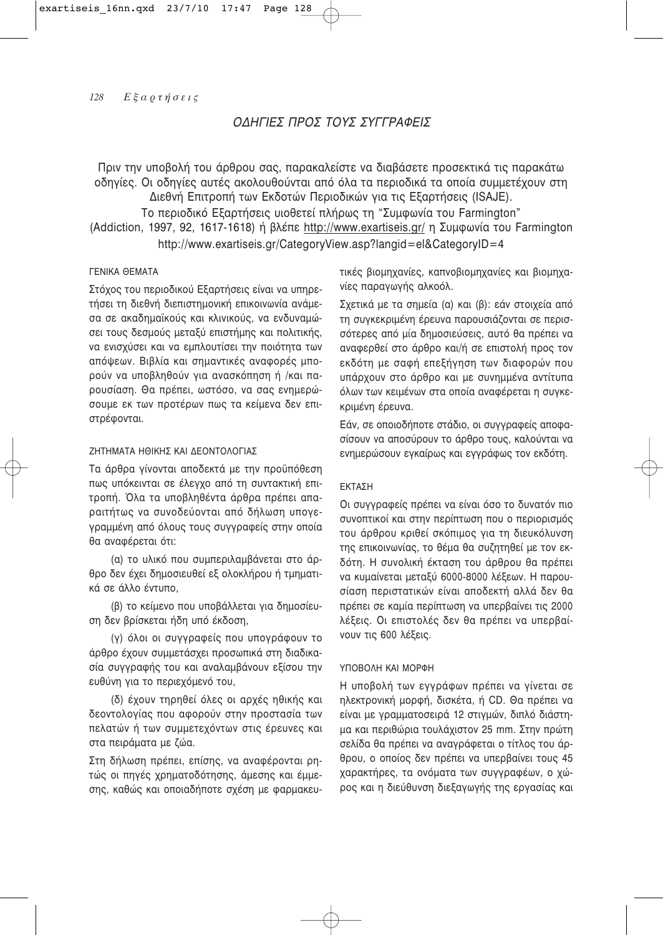## ΟΛΗΓΙΕΣ ΠΡΟΣ ΤΟΥΣ ΣΥΓΓΡΑΦΕΙΣ

Πριν την υποβολή του άρθρου σας, παρακαλείστε να διαβάσετε προσεκτικά τις παρακάτω οδηγίες. Οι οδηγίες αυτές ακολουθούνται από όλα τα περιοδικά τα οποία συμμετέχουν στη Διεθνή Επιτροπή των Εκδοτών Περιοδικών για τις Εξαρτήσεις (ISAJE).

Το περιοδικό Εξαρτήσεις υιοθετεί πλήρως τη "Συμφωνία του Farmington" (Addiction, 1997, 92, 1617-1618) ή βλέπε http://www.exartiseis.gr/ η Συμφωνία του Farmington http://www.exartiseis.gr/CategoryView.asp?langid=el&CategoryID=4

#### *TENIKA ΘΕΜΑΤΑ*

Στόχος του περιοδικού Εξαρτήσεις είναι να υπηρετήσει τη διεθνή διεπιστημονική επικοινωνία ανάμεσα σε ακαδημαϊκούς και κλινικούς, να ενδυναμώσει τους δεσμούς μεταξύ επιστήμης και πολιτικής, να ενισχύσει και να εμπλουτίσει την ποιότητα των απόψεων. Βιβλία και σημαντικές αναφορές μπορούν να υποβληθούν για ανασκόπηση ή /και παρουσίαση. Θα πρέπει, ωστόσο, να σας ενημερώσουμε εκ των προτέρων πως τα κείμενα δεν επιστρέφονται.

#### ΖΗΤΗΜΑΤΑ ΗΘΙΚΗΣ ΚΑΙ ΔΕΟΝΤΟΛΟΓΙΑΣ

Τα άρθρα γίνονται αποδεκτά με την προϋπόθεση πως υπόκεινται σε έλεγχο από τη συντακτική επιτροπή. Όλα τα υποβληθέντα άρθρα πρέπει απαραιτήτως να συνοδεύονται από δήλωση υπογεγραμμένη από όλους τους συγγραφείς στην οποία θα αναφέρεται ότι:

(α) το υλικό που συμπεριλαμβάνεται στο άρθρο δεν έχει δημοσιευθεί εξ ολοκλήρου ή τμηματικά σε άλλο έντυπο.

(β) το κείμενο που υποβάλλεται για δημοσίευση δεν βρίσκεται ήδη υπό έκδοση,

(γ) όλοι οι συγγραφείς που υπογράφουν το άρθρο έχουν συμμετάσχει προσωπικά στη διαδικασία συγγραφής του και αναλαμβάνουν εξίσου την ευθύνη για το περιεχόμενό του,

(δ) έχουν τηρηθεί όλες οι αρχές ηθικής και δεοντολογίας που αφορούν στην προστασία των πελατών ή των συμμετεχόντων στις έρευνες και στα πειράματα με ζώα.

Στη δήλωση πρέπει, επίσης, να αναφέρονται ρητώς οι πηγές χρηματοδότησης, άμεσης και έμμεσης, καθώς και οποιαδήποτε σχέση με φαρμακευτικές βιομηχανίες, καπνοβιομηχανίες και βιομηχανίες παραγωγής αλκοόλ.

Σχετικά με τα σημεία (α) και (β): εάν στοιχεία από τη συγκεκριμένη έρευνα παρουσιάζονται σε περισσότερες από μία δημοσιεύσεις, αυτό θα πρέπει να αναφερθεί στο άρθρο και/ή σε επιστολή προς τον εκδότη με σαφή επεξήγηση των διαφορών που υπάρχουν στο άρθρο και με συνημμένα αντίτυπα όλων των κειμένων στα οποία αναφέρεται η συγκεκριμένη έρευνα.

Εάν, σε οποιοδήποτε στάδιο, οι συγγραφείς αποφασίσουν να αποσύρουν το άρθρο τους, καλούνται να ενημερώσουν εγκαίρως και εγγράφως τον εκδότη.

#### ΕΚΤΑΣΗ

Οι συγγραφείς πρέπει να είναι όσο το δυνατόν πιο συνοπτικοί και στην περίπτωση που ο περιορισμός του άρθρου κριθεί σκόπιμος για τη διευκόλυνση της επικοινωνίας, το θέμα θα συζητηθεί με τον εκδότη. Η συνολική έκταση του άρθρου θα πρέπει να κυμαίνεται μεταξύ 6000-8000 λέξεων. Η παρουσίαση περιστατικών είναι αποδεκτή αλλά δεν θα πρέπει σε καμία περίπτωση να υπερβαίνει τις 2000 λέξεις. Οι επιστολές δεν θα πρέπει να υπερβαίνουν τις 600 λέξεις.

#### ҮПОВОЛН КАІ МОРФН

Η υποβολή των εγγράφων πρέπει να γίνεται σε ηλεκτρονική μορφή, δισκέτα, ή CD. Θα πρέπει να είναι με γραμματοσειρά 12 στιγμών, διπλό διάστημα και περιθώρια τουλάχιστον 25 mm. Στην πρώτη σελίδα θα πρέπει να αναγράφεται ο τίτλος του άρθρου, ο οποίος δεν πρέπει να υπερβαίνει τους 45 χαρακτήρες, τα ονόματα των συγγραφέων, ο χώρος και η διεύθυνση διεξαγωγής της εργασίας και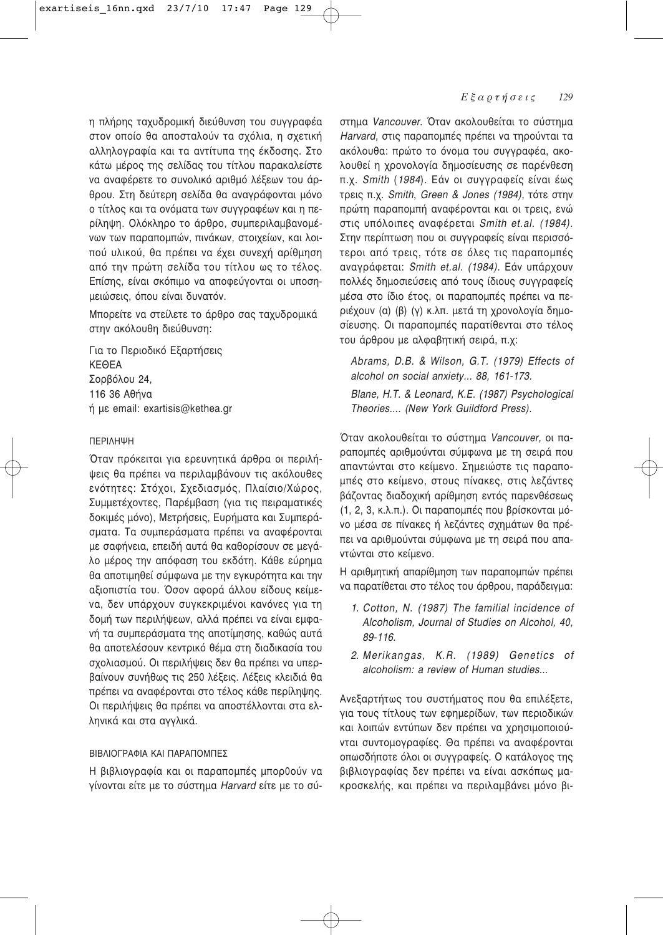η πλήρης ταχυδρομική διεύθυνση του συγγραφέα στον οποίο θα αποσταλούν τα σχόλια, η σχετική αλληλογραφία και τα αντίτυπα της έκδοσης. Στο κάτω μέρος της σελίδας του τίτλου παρακαλείστε να αναφέρετε το συνολικό αριθμό λέξεων του άρθρου. Στη δεύτερη σελίδα θα αναγράφονται μόνο ο τίτλος και τα ονόματα των συγγραφέων και η περίληψη. Ολόκληρο το άρθρο, συμπεριλαμβανομένων των παραπομπών, πινάκων, στοιχείων, και λοιπού υλικού, θα πρέπει να έχει συνεχή αρίθμηση από την πρώτη σελίδα του τίτλου ως το τέλος. Επίσης, είναι σκόπιμο να αποφεύγονται οι υποσημειώσεις, όπου είναι δυνατόν.

Μπορείτε να στείλετε το άρθρο σας ταχυδρομικά στην ακόλουθη διεύθυνση:

Για το Περιοδικό Εξαρτήσεις **KEOEA** Σορβόλου 24, 116 36 Αθήνα ή με email: exartisis@kethea.gr

#### **ПЕРІЛН**ФН

Όταν πρόκειται για ερευνητικά άρθρα οι περιλήψεις θα πρέπει να περιλαμβάνουν τις ακόλουθες ενότητες: Στόχοι, Σχεδιασμός, Πλαίσιο/Χώρος, Συμμετέχοντες, Παρέμβαση (για τις πειραματικές δοκιμές μόνο), Μετρήσεις, Ευρήματα και Συμπεράσματα. Τα συμπεράσματα πρέπει να αναφέρονται με σαφήνεια, επειδή αυτά θα καθορίσουν σε μεγάλο μέρος την απόφαση του εκδότη. Κάθε εύρημα θα αποτιμηθεί σύμφωνα με την εγκυρότητα και την αξιοπιστία του. Όσον αφορά άλλου είδους κείμενα, δεν υπάρχουν συγκεκριμένοι κανόνες για τη δομή των περιλήψεων, αλλά πρέπει να είναι εμφανή τα συμπεράσματα της αποτίμησης, καθώς αυτά θα αποτελέσουν κεντρικό θέμα στη διαδικασία του σχολιασμού. Οι περιλήψεις δεν θα πρέπει να υπερβαίνουν συνήθως τις 250 λέξεις. Λέξεις κλειδιά θα πρέπει να αναφέρονται στο τέλος κάθε περίληψης. Οι περιλήψεις θα πρέπει να αποστέλλονται στα ελληνικά και στα αγγλικά.

#### ΒΙΒΛΙΟΓΡΑΦΙΑ ΚΑΙ ΠΑΡΑΠΟΜΠΕΣ

Η βιβλιογραφία και οι παραπομπές μπορθούν να γίνονται είτε με το σύστημα Harvard είτε με το σύ-

#### Εξαρτήσεις 129

στημα Vancouver. Όταν ακολουθείται το σύστημα Harvard, στις παραπομπές πρέπει να τηρούνται τα ακόλουθα: πρώτο το όνομα του συγγραφέα, ακολουθεί η χρονολογία δημοσίευσης σε παρένθεση π.χ. Smith (1984). Εάν οι συγγραφείς είναι έως τρεις π.χ. Smith, Green & Jones (1984), τότε στην πρώτη παραπομπή αναφέρονται και οι τρεις, ενώ στις υπόλοιπες αναφέρεται Smith et.al. (1984). Στην περίπτωση που οι συγγραφείς είναι περισσότεροι από τρεις, τότε σε όλες τις παραπομπές αναγράφεται: Smith et.al. (1984). Εάν υπάρχουν πολλές δημοσιεύσεις από τους ίδιους συγγραφείς μέσα στο ίδιο έτος, οι παραπομπές πρέπει να περιέχουν (α) (β) (γ) κ.λπ. μετά τη χρονολογία δημοσίευσης. Οι παραπομπές παρατίθενται στο τέλος του άρθρου με αλφαβητική σειρά, π.χ:

Abrams, D.B. & Wilson, G.T. (1979) Effects of alcohol on social anxiety... 88, 161-173. Blane, H.T. & Leonard, K.E. (1987) Psychological Theories.... (New York Guildford Press).

Όταν ακολουθείται το σύστημα Vancouver, οι παραπομπές αριθμούνται σύμφωνα με τη σειρά που απαντώνται στο κείμενο. Σημειώστε τις παραπομπές στο κείμενο, στους πίνακες, στις λεζάντες βάζοντας διαδοχική αρίθμηση εντός παρενθέσεως (1, 2, 3, κ.λ.π.). Οι παραπομπές που βρίσκονται μόνο μέσα σε πίνακες ή λεζάντες σχημάτων θα πρέπει να αριθμούνται σύμφωνα με τη σειρά που απαντώνται στο κείμενο.

Η αριθμητική απαρίθμηση των παραπομπών πρέπει να παρατίθεται στο τέλος του άρθρου, παράδειγμα:

- 1. Cotton, N. (1987) The familial incidence of Alcoholism, Journal of Studies on Alcohol, 40, 89-116.
- 2. Merikangas, K.R. (1989) Genetics of alcoholism: a review of Human studies...

Ανεξαρτήτως του συστήματος που θα επιλέξετε, για τους τίτλους των εφημερίδων, των περιοδικών και λοιπών εντύπων δεν πρέπει να χρησιμοποιούνται συντομογραφίες. Θα πρέπει να αναφέρονται οπωσδήποτε όλοι οι συγγραφείς. Ο κατάλογος της βιβλιογραφίας δεν πρέπει να είναι ασκόπως μακροσκελής, και πρέπει να περιλαμβάνει μόνο βι-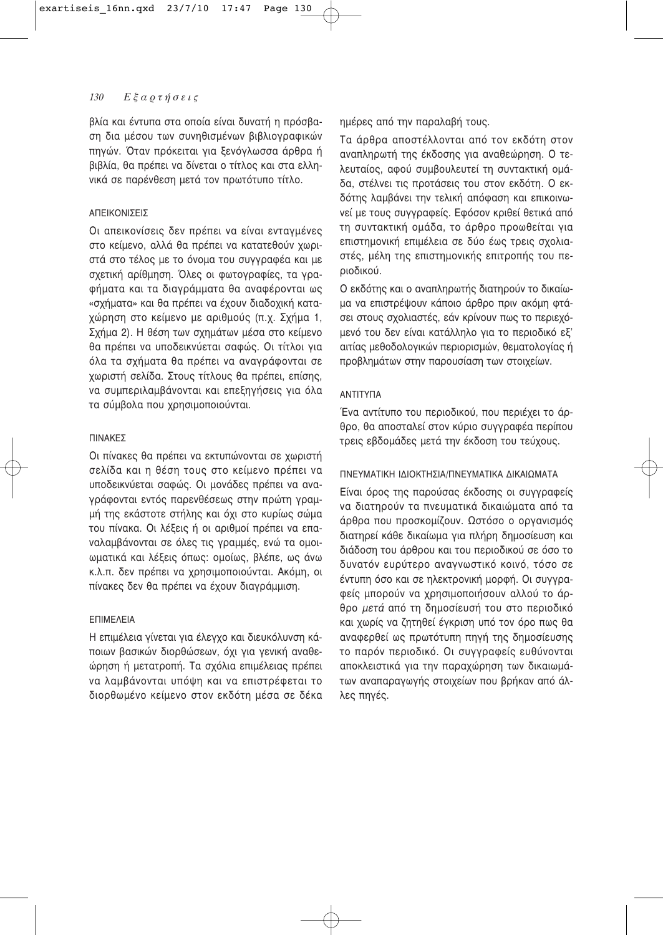βλία και έντυπα στα οποία είναι δυνατή η πρόσβαση δια μέσου των συνηθισμένων βιβλιογραφικών πηγών. Όταν πρόκειται για ξενόγλωσσα άρθρα ή βιβλία, θα πρέπει να δίνεται ο τίτλος και στα ελληνικά σε παρένθεση μετά τον πρωτότυπο τίτλο.

#### ΑΠΕΙΚΟΝΙΣΕΙΣ

Οι απεικονίσεις δεν πρέπει να είναι ενταγμένες στο κείμενο, αλλά θα πρέπει να κατατεθούν χωριστά στο τέλος με το όνομα του συγγραφέα και με σχετική αρίθμηση. Όλες οι φωτογραφίες, τα γραφήματα και τα διαγράμματα θα αναφέρονται ως «σχήματα» και θα πρέπει να έχουν διαδοχική καταχώρηση στο κείμενο με αριθμούς (π.χ. Σχήμα 1, Σχήμα 2). Η θέση των σχημάτων μέσα στο κείμενο θα πρέπει να υποδεικνύεται σαφώς. Οι τίτλοι για όλα τα σχήματα θα πρέπει να αναγράφονται σε χωριστή σελίδα. Στους τίτλους θα πρέπει, επίσης, να συμπεριλαμβάνονται και επεξηγήσεις για όλα τα σύμβολα που χρησιμοποιούνται.

#### ΠΙΝΑΚΕΣ

Οι πίνακες θα πρέπει να εκτυπώνονται σε χωριστή σελίδα και η θέση τους στο κείμενο πρέπει να υποδεικνύεται σαφώς. Οι μονάδες πρέπει να αναγράφονται εντός παρενθέσεως στην πρώτη γραμμή της εκάστοτε στήλης και όχι στο κυρίως σώμα του πίνακα. Οι λέξεις ή οι αριθμοί πρέπει να επαναλαμβάνονται σε όλες τις γραμμές, ενώ τα ομοιωματικά και λέξεις όπως: ομοίως, βλέπε, ως άνω κ.λ.π. δεν πρέπει να χρησιμοποιούνται. Ακόμη, οι πίνακες δεν θα πρέπει να έχουν διαγράμμιση.

#### ΕΠΙΜΕΛΕΙΑ

Η επιμέλεια γίνεται για έλεγχο και διευκόλυνση κάποιων βασικών διορθώσεων, όχι για γενική αναθεώρηση ή μετατροπή. Τα σχόλια επιμέλειας πρέπει να λαμβάνονται υπόψη και να επιστρέφεται το διορθωμένο κείμενο στον εκδότη μέσα σε δέκα ημέρες από την παραλαβή τους.

Τα άρθρα αποστέλλονται από τον εκδότη στον αναπληρωτή της έκδοσης για αναθεώρηση. Ο τελευταίος, αφού συμβουλευτεί τη συντακτική ομάδα, στέλνει τις προτάσεις του στον εκδότη. Ο εκδότης λαμβάνει την τελική απόφαση και επικοινωνεί με τους συγγραφείς. Εφόσον κριθεί θετικά από τη συντακτική ομάδα, το άρθρο προωθείται για επιστημονική επιμέλεια σε δύο έως τρεις σχολιαστές, μέλη της επιστημονικής επιτροπής του περιοδικού.

Ο εκδότης και ο αναπληρωτής διατηρούν το δικαίωμα να επιστρέψουν κάποιο άρθρο πριν ακόμη φτάσει στους σχολιαστές, εάν κρίνουν πως το περιεχόμενό του δεν είναι κατάλληλο για το περιοδικό εξ' αιτίας μεθοδολογικών περιορισμών, θεματολογίας ή προβλημάτων στην παρουσίαση των στοιχείων.

#### ΑΝΤΙΤΥΠΑ

Ένα αντίτυπο του περιοδικού, που περιέχει το άρθρο, θα αποσταλεί στον κύριο συγγραφέα περίπου τρεις εβδομάδες μετά την έκδοση του τεύχους.

#### ΠΝΕΥΜΑΤΙΚΗ ΙΔΙΟΚΤΗΣΙΑ/ΠΝΕΥΜΑΤΙΚΑ ΔΙΚΑΙΩΜΑΤΑ

Είναι όρος της παρούσας έκδοσης οι συγγραφείς να διατηρούν τα πνευματικά δικαιώματα από τα άρθρα που προσκομίζουν. Ωστόσο ο οργανισμός διατηρεί κάθε δικαίωμα για πλήρη δημοσίευση και διάδοση του άρθρου και του περιοδικού σε όσο το δυνατόν ευρύτερο αναγνωστικό κοινό, τόσο σε έντυπη όσο και σε ηλεκτρονική μορφή. Οι συγγραφείς μπορούν να χρησιμοποιήσουν αλλού το άρθρο μετά από τη δημοσίευσή του στο περιοδικό και χωρίς να ζητηθεί έγκριση υπό τον όρο πως θα αναφερθεί ως πρωτότυπη πηγή της δημοσίευσης το παρόν περιοδικό. Οι συγγραφείς ευθύνονται αποκλειστικά για την παραχώρηση των δικαιωμάτων αναπαραγωγής στοιχείων που βρήκαν από άλλες πηγές.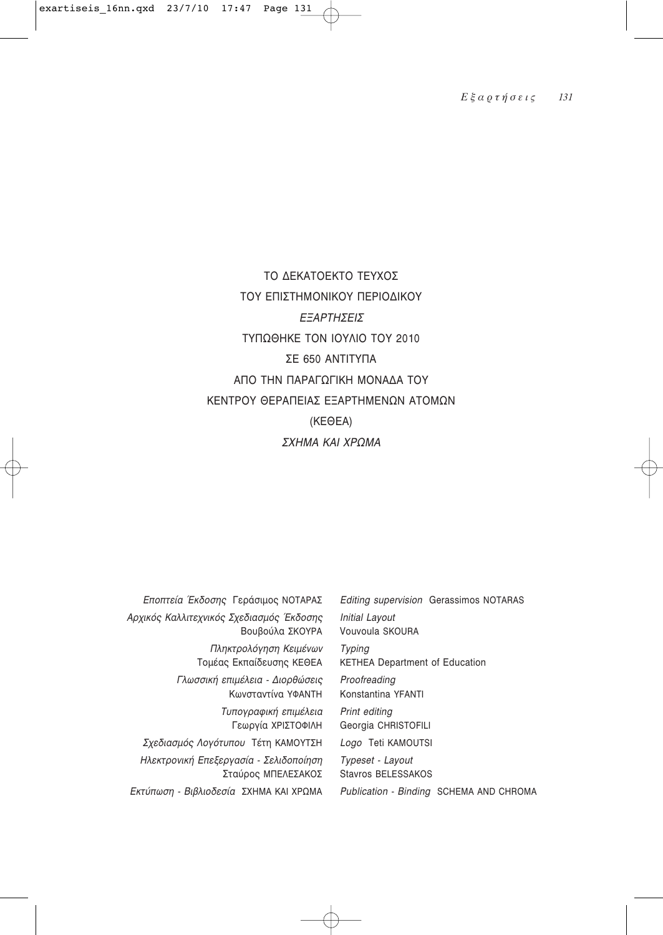exartiseis\_16nn.qxd 23/7/10 17:47 Page 131

ΤΟ ΔΕΚΑΤΟΕΚΤΟ ΤΕΥΧΟΣ ΤΟΥ ΕΠΙΣΤΗΜΟΝΙΚΟΥ ΠΕΡΙΟΔΙΚΟΥ ΕΞΑΡΤΗΣΕΙΣ ΤΥΠΩΘΗΚΕ ΤΟΝ ΙΟΥΛΙΟ ΤΟΥ 2010 ΣE 650 ANTITYΠA ΑΠΟ ΤΗΝ ΠΑΡΑΓΩΓΙΚΗ ΜΟΝΑΔΑ ΤΟΥ ΚΕΝΤΡΟΥ ΘΕΡΑΠΕΙΑΣ ΕΞΑΡΤΗΜΕΝΩΝ ΑΤΟΜΩΝ  $(KE $\Theta$ E $A$ )$ ΣΧΗΜΑ ΚΑΙ ΧΡΩΜΑ

| Εποπτεία Έκδοσης Γεράσιμος ΝΟΤΑΡΑΣ       | Editing supervision Gerassimos NOTARAS  |
|------------------------------------------|-----------------------------------------|
| Αρχικός Καλλιτεχνικός Σχεδιασμός Έκδοσης | <b>Initial Layout</b>                   |
| Βουβούλα ΣΚΟΥΡΑ                          | Vouvoula SKOURA                         |
| Πληκτρολόγηση Κειμένων                   | Typing                                  |
| Τομέας Εκπαίδευσης ΚΕΘΕΑ                 | <b>KETHEA Department of Education</b>   |
| Γλωσσική επιμέλεια - Διορθώσεις          | Proofreading                            |
| Κωνσταντίνα ΥΦΑΝΤΗ                       | Konstantina YFANTI                      |
| Τυπογραφική επιμέλεια                    | Print editing                           |
| Γεωργία ΧΡΙΣΤΟΦΙΛΗ                       | Georgia CHRISTOFILI                     |
| Σχεδιασμός Λογότυπου Τέτη ΚΑΜΟΥΤΣΗ       | Logo Teti KAMOUTSI                      |
| Ηλεκτρονική Επεξεργασία - Σελιδοποίηση   | Typeset - Layout                        |
| Σταύρος ΜΠΕΛΕΣΑΚΟΣ                       | Stavros BELESSAKOS                      |
| Εκτύπωση - Βιβλιοδεσία ΣΧΗΜΑ ΚΑΙ ΧΡΩΜΑ   | Publication - Binding SCHEMA AND CHROMA |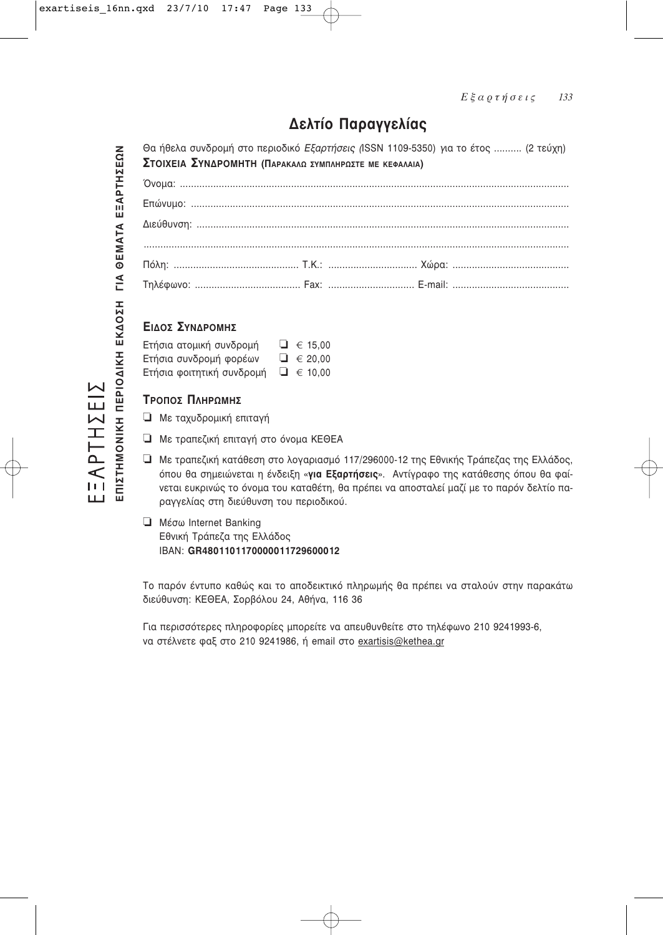# Δελτίο Παραγγελίας

ΕΠΙΣΤΗΜΟΝΙΚΗ ΠΕΡΙΟΔΙΚΗ ΕΚΔΟΣΗ ΓΙΑ ΘΕΜΑΤΑ ΕΞΑΡΤΗΣΕΩΝ

 $|1|$ 

| Θα ήθελα συνδρομή στο περιοδικό <i>Εξαρτήσεις (ISSN 1109-5350) γι</i> α το έτος  (2 τεύχη)<br>ΣΤΟΙΧΕΙΑ ΣΥΝΔΡΟΜΗΤΗ (ΠΑΡΑΚΑΛΩ ΣΥΜΠΛΗΡΩΣΤΕ ΜΕ ΚΕΦΑΛΑΙΑ) |  |  |
|------------------------------------------------------------------------------------------------------------------------------------------------------|--|--|
|                                                                                                                                                      |  |  |
|                                                                                                                                                      |  |  |
|                                                                                                                                                      |  |  |
|                                                                                                                                                      |  |  |
|                                                                                                                                                      |  |  |
|                                                                                                                                                      |  |  |

#### ΕΙΔΟΣ ΣΥΝΔΡΟΜΗΣ

| Ετήσια ατομική συνδρομή   | $\Box$ $\in$ 15,00 |
|---------------------------|--------------------|
| Ετήσια συνδρομή φορέων    | $\Box$ $\in$ 20.00 |
| Ετήσια φοιτητική συνδρομή | $\Box$ $\in$ 10,00 |

## **ΤΡΟΠΟΣ ΠΛΗΡΩΜΗΣ**

- **α** Με ταχυδρομική επιταγή
- **Δ** Με τραπεζική επιταγή στο όνομα ΚΕΘΕΑ
- Δ Με τραπεζική κατάθεση στο λογαριασμό 117/296000-12 της Εθνικής Τράπεζας της Ελλάδος, όπου θα σημειώνεται η ένδειξη «για Εξαρτήσεις». Αντίγραφο της κατάθεσης όπου θα φαίνεται ευκρινώς το όνομα του καταθέτη, θα πρέπει να αποσταλεί μαζί με το παρόν δελτίο παραγγελίας στη διεύθυνση του περιοδικού.
- Μέσω Internet Banking Εθνική Τράπεζα της Ελλάδος IBAN: GR4801101170000011729600012

Το παρόν έντυπο καθώς και το αποδεικτικό πληρωμής θα πρέπει να σταλούν στην παρακάτω διεύθυνση: ΚΕΘΕΑ, Σορβόλου 24, Αθήνα, 116 36

Για περισσότερες πληροφορίες μπορείτε να απευθυνθείτε στο τηλέφωνο 210 9241993-6, να στέλνετε φαξ στο 210 9241986, ή email στο exartisis@kethea.gr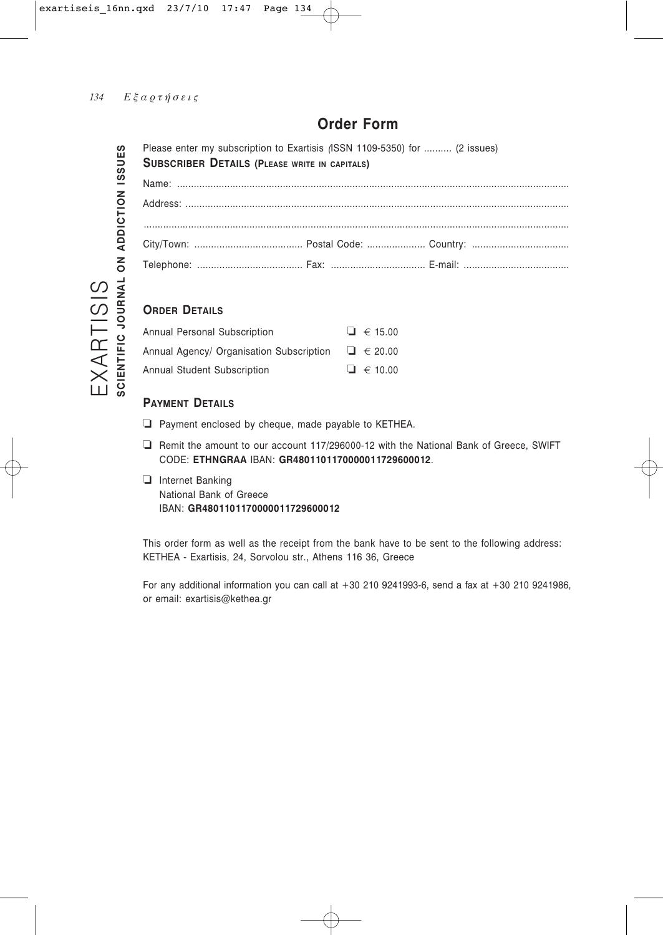## **Order Form**

| Please enter my subscription to Exartisis (ISSN 1109-5350) for  (2 issues)<br><b>SUBSCRIBER DETAILS (PLEASE WRITE IN CAPITALS)</b> |
|------------------------------------------------------------------------------------------------------------------------------------|
|                                                                                                                                    |
|                                                                                                                                    |
|                                                                                                                                    |
|                                                                                                                                    |
|                                                                                                                                    |
|                                                                                                                                    |

## **ORDER DETAILS**

| Annual Personal Subscription             | $\Box$ $\in$ 15.00 |
|------------------------------------------|--------------------|
| Annual Agency/ Organisation Subscription | $\Box$ $\in$ 20.00 |
| Annual Student Subscription              | $\Box$ $\in$ 10.00 |

#### **PAYMENT DETAILS**

- ❏ Payment enclosed by cheque, made payable to KETHEA.
- ❏ Remit the amount to our account 117/296000-12 with the National Bank of Greece, SWIFT CODE: **ETHNGRAA** IBAN: **GR4801101170000011729600012**.
- ❏ πnternet Banking National Bank of Greece IBAN: **GR4801101170000011729600012**

This order form as well as the receipt from the bank have to be sent to the following address: KETHEA - Exartisis, 24, Sorvolou str., Athens 116 36, Greece

For any additional information you can call at +30 210 9241993-6, send a fax at +30 210 9241986, or email: exartisis@kethea.gr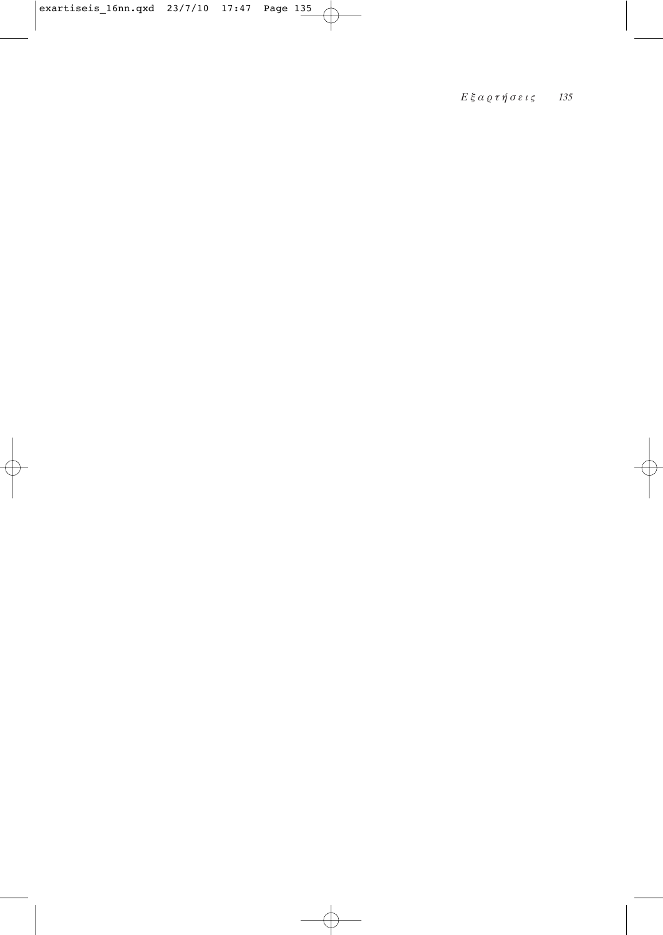$\vert$ exartiseis\_16nn.qxd 23/7/10 17:47 Page 135 ∉

*Εξαρτήσεις 135*